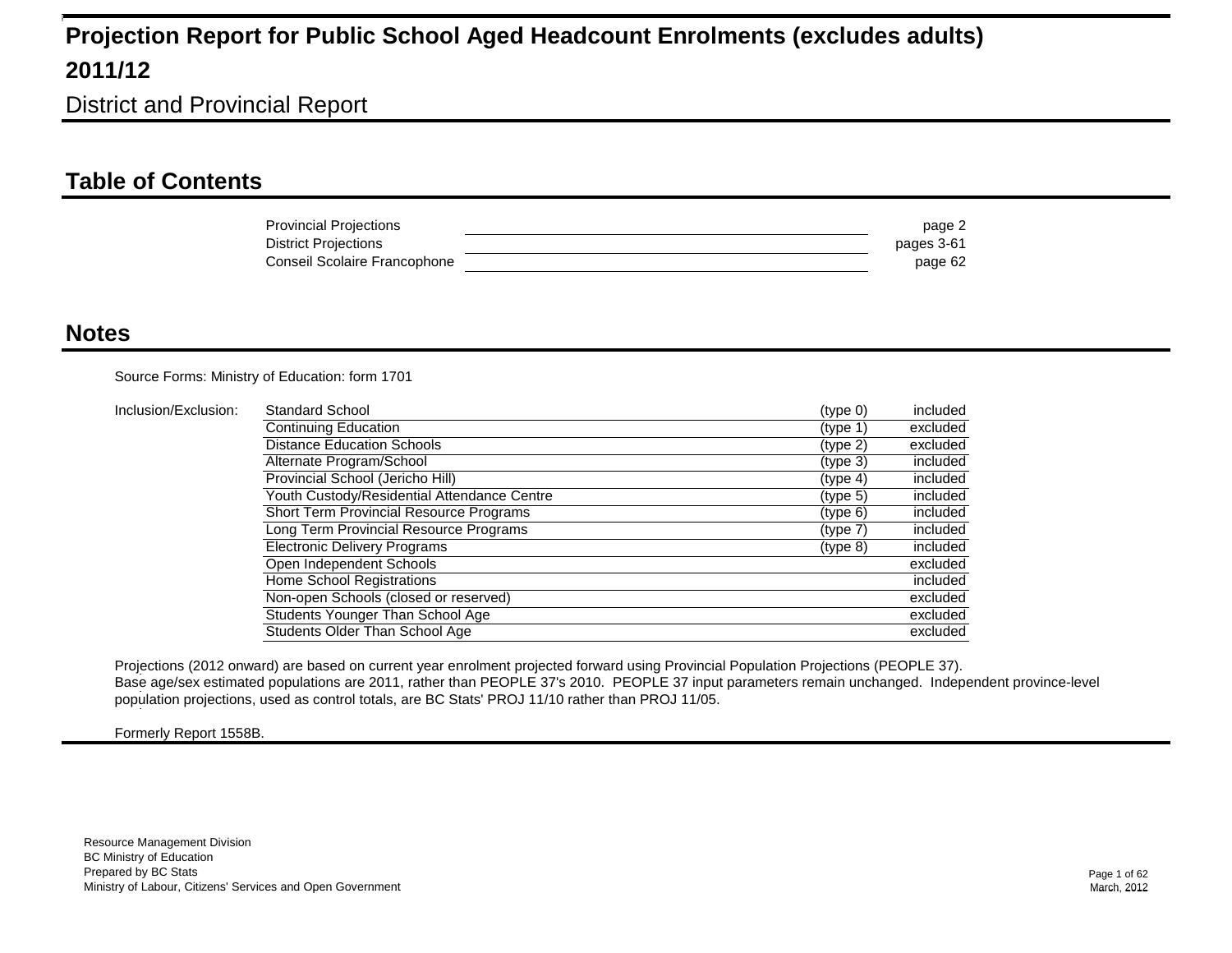District and Provincial Report

### **Table of Contents**

| <b>Provincial Projections</b> | page 2     |
|-------------------------------|------------|
| District Projections          | pages 3-61 |
| Conseil Scolaire Francophone  | page 62    |

#### **Notes**

Source Forms: Ministry of Education: form 1701

| Inclusion/Exclusion: | Standard School                                | (type 0)             | included |
|----------------------|------------------------------------------------|----------------------|----------|
|                      | Continuing Education                           | (tvpe 1)             | excluded |
|                      | <b>Distance Education Schools</b>              | (type 2)             | excluded |
|                      | Alternate Program/School                       | (tvpe 3)             | included |
|                      | Provincial School (Jericho Hill)               | (typ <sub>e</sub> 4) | included |
|                      | Youth Custody/Residential Attendance Centre    | (tvpe <sub>5</sub> ) | included |
|                      | <b>Short Term Provincial Resource Programs</b> | (type 6)             | included |
|                      | Long Term Provincial Resource Programs         | (type 7)             | included |
|                      | <b>Electronic Delivery Programs</b>            | $(type_8)$           | included |
|                      | Open Independent Schools                       |                      | excluded |
|                      | Home School Registrations                      |                      | included |
|                      | Non-open Schools (closed or reserved)          |                      | excluded |
|                      | Students Younger Than School Age               |                      | excluded |
|                      | Students Older Than School Age                 |                      | excluded |

Projections (2012 onward) are based on current year enrolment projected forward using Provincial Population Projections (PEOPLE 37). Base age/sex estimated populations are 2011, rather than PEOPLE 37's 2010. PEOPLE 37 input parameters remain unchanged. Independent province-level 1 population projections, used as control totals, are BC Stats' PROJ 11/10 rather than PROJ 11/05. 1

Formerly Report 1558B.

1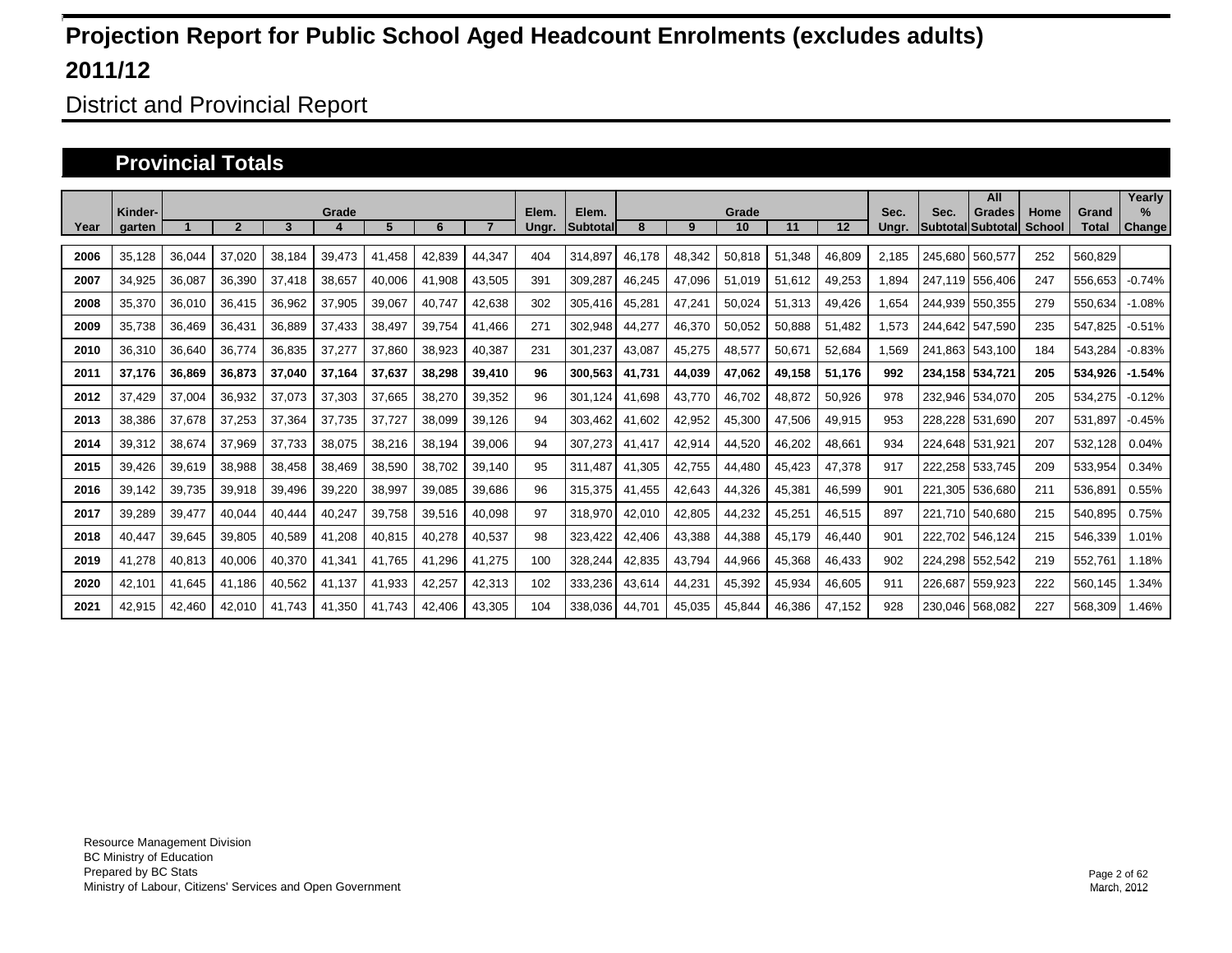District and Provincial Report

#### **Provincial Totals**

|      |                   |        |        |        |        |        |        |        |                |                          |        |        |             |        |        |               |         | All                         |                |                       | Yearly                |
|------|-------------------|--------|--------|--------|--------|--------|--------|--------|----------------|--------------------------|--------|--------|-------------|--------|--------|---------------|---------|-----------------------------|----------------|-----------------------|-----------------------|
| Year | Kinder-<br>garten |        |        | 3      | Grade  | 5      | 6      |        | Elem.<br>Ungr. | Elem.<br><b>Subtotal</b> | 8      | 9      | Grade<br>10 | 11     | 12     | Sec.<br>Ungr. | Sec.    | Grades<br>Subtotal Subtotal | Home<br>School | Grand<br><b>Total</b> | $\%$<br><b>Change</b> |
|      |                   |        |        |        |        |        |        |        |                |                          |        |        |             |        |        |               |         |                             |                |                       |                       |
| 2006 | 35,128            | 36,044 | 37,020 | 38,184 | 39,473 | 41.458 | 42.839 | 44.347 | 404            | 314.897                  | 46.178 | 48,342 | 50,818      | 51,348 | 46,809 | 2.185         |         | 245.680 560.577             | 252            | 560,829               |                       |
| 2007 | 34,925            | 36,087 | 36,390 | 37,418 | 38,657 | 40,006 | 41,908 | 43,505 | 391            | 309,287                  | 46,245 | 47,096 | 51,019      | 51,612 | 49,253 | 1,894         |         | 247,119 556,406             | 247            | 556,653               | $-0.74%$              |
| 2008 | 35,370            | 36,010 | 36,415 | 36,962 | 37,905 | 39,067 | 40.747 | 42,638 | 302            | 305,416                  | 45,281 | 47,241 | 50,024      | 51,313 | 49,426 | 1.654         |         | 244.939 550.355             | 279            | 550,634               | $-1.08%$              |
| 2009 | 35,738            | 36,469 | 36,431 | 36,889 | 37,433 | 38.497 | 39,754 | 41,466 | 271            | 302.948                  | 44,277 | 46,370 | 50,052      | 50.888 | 51,482 | 1,573         |         | 244,642 547,590             | 235            | 547,825               | $-0.51%$              |
| 2010 | 36,310            | 36,640 | 36,774 | 36,835 | 37,277 | 37,860 | 38,923 | 40,387 | 231            | 301,237                  | 43,087 | 45,275 | 48,577      | 50,671 | 52,684 | .569          |         | 241.863 543.100             | 184            | 543,284               | $-0.83%$              |
| 2011 | 37,176            | 36,869 | 36,873 | 37,040 | 37,164 | 37,637 | 38,298 | 39,410 | 96             | 300,563                  | 41.731 | 44,039 | 47,062      | 49,158 | 51,176 | 992           |         | 234,158 534,721             | 205            | 534,926               | $-1.54%$              |
| 2012 | 37.429            | 37,004 | 36,932 | 37,073 | 37,303 | 37,665 | 38,270 | 39,352 | 96             | 301,124                  | 41.698 | 43.770 | 46,702      | 48,872 | 50,926 | 978           |         | 232.946 534.070             | 205            | 534,275               | $-0.12%$              |
| 2013 | 38,386            | 37,678 | 37,253 | 37,364 | 37,735 | 37,727 | 38,099 | 39,126 | 94             | 303,462                  | 41,602 | 42,952 | 45,300      | 47,506 | 49,915 | 953           |         | 228,228 531,690             | 207            | 531,897               | $-0.45%$              |
| 2014 | 39,312            | 38,674 | 37,969 | 37.733 | 38,075 | 38,216 | 38,194 | 39,006 | 94             | 307,273                  | 41,417 | 42,914 | 44,520      | 46,202 | 48,661 | 934           |         | 224.648 531.921             | 207            | 532,128               | 0.04%                 |
| 2015 | 39.426            | 39,619 | 38,988 | 38,458 | 38,469 | 38,590 | 38.702 | 39.140 | 95             | 311.487                  | 41.305 | 42.755 | 44.480      | 45.423 | 47,378 | 917           |         | 222.258 533.745             | 209            | 533,954               | 0.34%                 |
| 2016 | 39,142            | 39,735 | 39,918 | 39,496 | 39,220 | 38,997 | 39,085 | 39,686 | 96             | 315,375                  | 41,455 | 42,643 | 44,326      | 45,381 | 46,599 | 901           |         | 221,305 536,680             | 211            | 536,891               | 0.55%                 |
| 2017 | 39,289            | 39,477 | 40,044 | 40.444 | 40,247 | 39,758 | 39,516 | 40,098 | 97             | 318,970                  | 42,010 | 42,805 | 44,232      | 45,251 | 46,515 | 897           |         | 221,710 540,680             | 215            | 540,895               | 0.75%                 |
| 2018 | 40.447            | 39,645 | 39,805 | 40,589 | 41,208 | 40,815 | 40,278 | 40,537 | 98             | 323,422                  | 42,406 | 43,388 | 44,388      | 45,179 | 46,440 | 901           |         | 222,702 546,124             | 215            | 546,339               | 1.01%                 |
| 2019 | 41,278            | 40,813 | 40,006 | 40,370 | 41,341 | 41,765 | 41,296 | 41,275 | 100            | 328,244                  | 42,835 | 43,794 | 44,966      | 45,368 | 46,433 | 902           |         | 224,298 552,542             | 219            | 552,761               | 1.18%                 |
| 2020 | 42,101            | 41,645 | 41,186 | 40,562 | 41,137 | 41,933 | 42,257 | 42,313 | 102            | 333,236                  | 43,614 | 44,231 | 45,392      | 45,934 | 46,605 | 911           | 226.687 | 559,923                     | 222            | 560,145               | 1.34%                 |
| 2021 | 42,915            | 42,460 | 42.010 | 41.743 | 41,350 | 41.743 | 42.406 | 43,305 | 104            | 338.036                  | 44,701 | 45,035 | 45,844      | 46,386 | 47,152 | 928           | 230.046 | 568,082                     | 227            | 568.309               | 1.46%                 |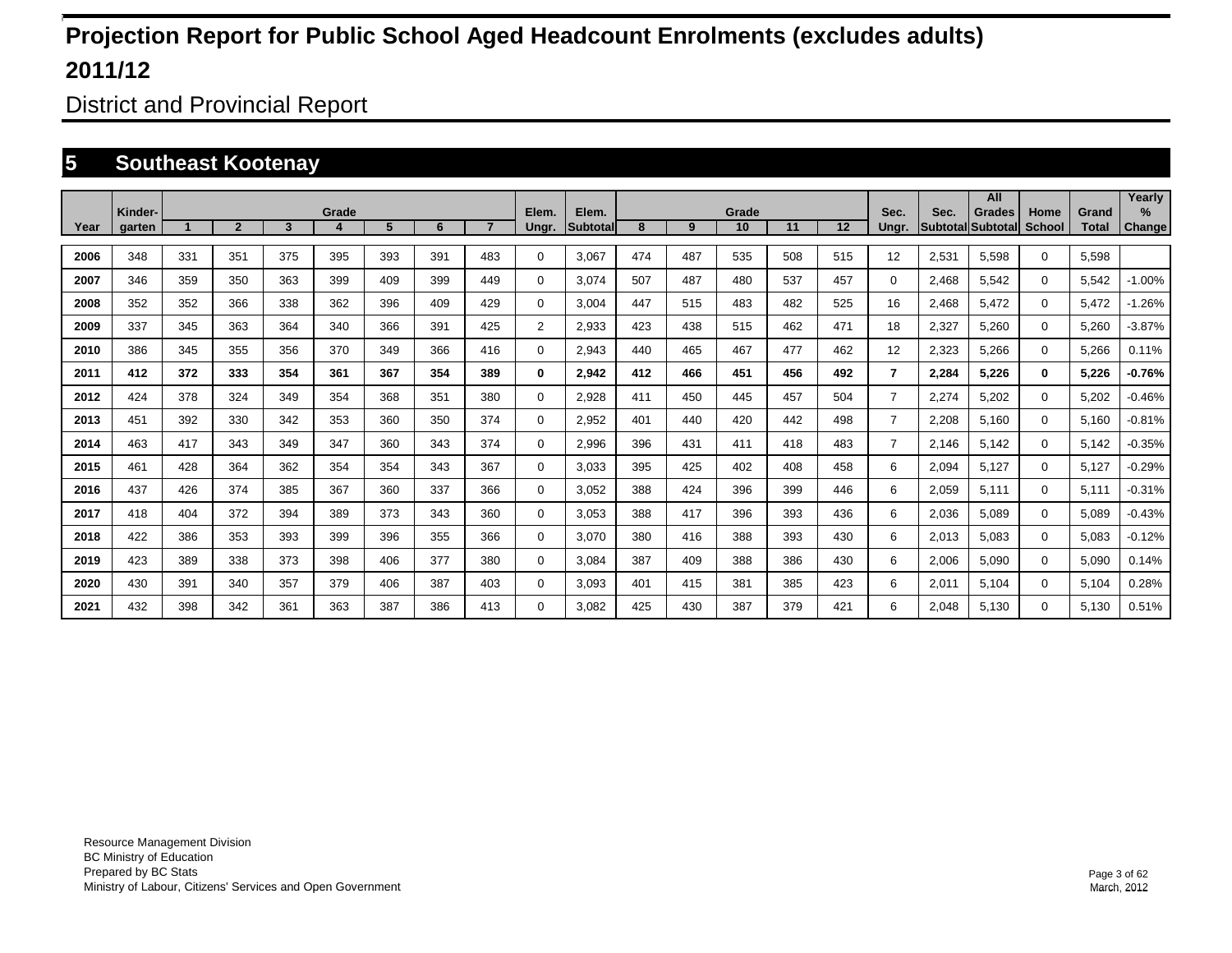District and Provincial Report

### **5 Southeast Kootenay**

|      |                   |     |                |     |       |     |     |                |                |                   |     |     |             |     |         |                |       | All                                       |                       |                       | Yearly         |
|------|-------------------|-----|----------------|-----|-------|-----|-----|----------------|----------------|-------------------|-----|-----|-------------|-----|---------|----------------|-------|-------------------------------------------|-----------------------|-----------------------|----------------|
| Year | Kinder-<br>garten |     | $\overline{2}$ | 3   | Grade | 5   | 6   | $\overline{7}$ | Elem.<br>Ungr. | Elem.<br>Subtotal | 8   | 9   | Grade<br>10 | 11  | $12 \,$ | Sec.<br>Unar.  | Sec.  | <b>Grades</b><br><b>Subtotal Subtotal</b> | Home<br><b>School</b> | Grand<br><b>Total</b> | $\%$<br>Change |
| 2006 | 348               | 331 | 351            | 375 | 395   | 393 | 391 | 483            | $\Omega$       | 3,067             | 474 | 487 | 535         | 508 | 515     | 12             | 2,531 | 5,598                                     | $\mathbf 0$           | 5,598                 |                |
| 2007 | 346               | 359 | 350            | 363 | 399   | 409 | 399 | 449            | 0              | 3.074             | 507 | 487 | 480         | 537 | 457     | 0              | 2,468 | 5,542                                     | $\mathbf 0$           | 5,542                 | $-1.00%$       |
| 2008 | 352               | 352 | 366            | 338 | 362   | 396 | 409 | 429            | $\Omega$       | 3,004             | 447 | 515 | 483         | 482 | 525     | 16             | 2,468 | 5,472                                     | $\mathbf 0$           | 5,472                 | $-1.26%$       |
| 2009 | 337               | 345 | 363            | 364 | 340   | 366 | 391 | 425            | $\overline{2}$ | 2,933             | 423 | 438 | 515         | 462 | 471     | 18             | 2,327 | 5,260                                     | $\mathbf 0$           | 5,260                 | $-3.87%$       |
| 2010 | 386               | 345 | 355            | 356 | 370   | 349 | 366 | 416            | $\Omega$       | 2,943             | 440 | 465 | 467         | 477 | 462     | 12             | 2,323 | 5,266                                     | $\mathbf 0$           | 5,266                 | 0.11%          |
| 2011 | 412               | 372 | 333            | 354 | 361   | 367 | 354 | 389            | $\bf{0}$       | 2,942             | 412 | 466 | 451         | 456 | 492     | $\overline{7}$ | 2,284 | 5,226                                     | $\bf{0}$              | 5,226                 | $-0.76%$       |
| 2012 | 424               | 378 | 324            | 349 | 354   | 368 | 351 | 380            | 0              | 2,928             | 411 | 450 | 445         | 457 | 504     | $\overline{7}$ | 2,274 | 5,202                                     | $\mathbf 0$           | 5,202                 | $-0.46%$       |
| 2013 | 451               | 392 | 330            | 342 | 353   | 360 | 350 | 374            | 0              | 2.952             | 401 | 440 | 420         | 442 | 498     | $\overline{7}$ | 2,208 | 5.160                                     | $\mathbf 0$           | 5,160                 | $-0.81%$       |
| 2014 | 463               | 417 | 343            | 349 | 347   | 360 | 343 | 374            | 0              | 2,996             | 396 | 431 | 411         | 418 | 483     | $\overline{7}$ | 2.146 | 5,142                                     | 0                     | 5,142                 | $-0.35%$       |
| 2015 | 461               | 428 | 364            | 362 | 354   | 354 | 343 | 367            | 0              | 3.033             | 395 | 425 | 402         | 408 | 458     | 6              | 2,094 | 5,127                                     | $\mathbf 0$           | 5,127                 | $-0.29%$       |
| 2016 | 437               | 426 | 374            | 385 | 367   | 360 | 337 | 366            | 0              | 3.052             | 388 | 424 | 396         | 399 | 446     | 6              | 2,059 | 5,111                                     | $\mathbf 0$           | 5,111                 | $-0.31%$       |
| 2017 | 418               | 404 | 372            | 394 | 389   | 373 | 343 | 360            | 0              | 3,053             | 388 | 417 | 396         | 393 | 436     | 6              | 2,036 | 5,089                                     | $\mathbf 0$           | 5,089                 | $-0.43%$       |
| 2018 | 422               | 386 | 353            | 393 | 399   | 396 | 355 | 366            | 0              | 3.070             | 380 | 416 | 388         | 393 | 430     | 6              | 2,013 | 5,083                                     | $\mathbf 0$           | 5,083                 | $-0.12%$       |
| 2019 | 423               | 389 | 338            | 373 | 398   | 406 | 377 | 380            | 0              | 3,084             | 387 | 409 | 388         | 386 | 430     | 6              | 2,006 | 5,090                                     | $\mathbf 0$           | 5,090                 | 0.14%          |
| 2020 | 430               | 391 | 340            | 357 | 379   | 406 | 387 | 403            | $\Omega$       | 3.093             | 401 | 415 | 381         | 385 | 423     | 6              | 2,011 | 5,104                                     | $\mathbf 0$           | 5,104                 | 0.28%          |
| 2021 | 432               | 398 | 342            | 361 | 363   | 387 | 386 | 413            | $\Omega$       | 3.082             | 425 | 430 | 387         | 379 | 421     | 6              | 2,048 | 5,130                                     | $\mathbf 0$           | 5,130                 | 0.51%          |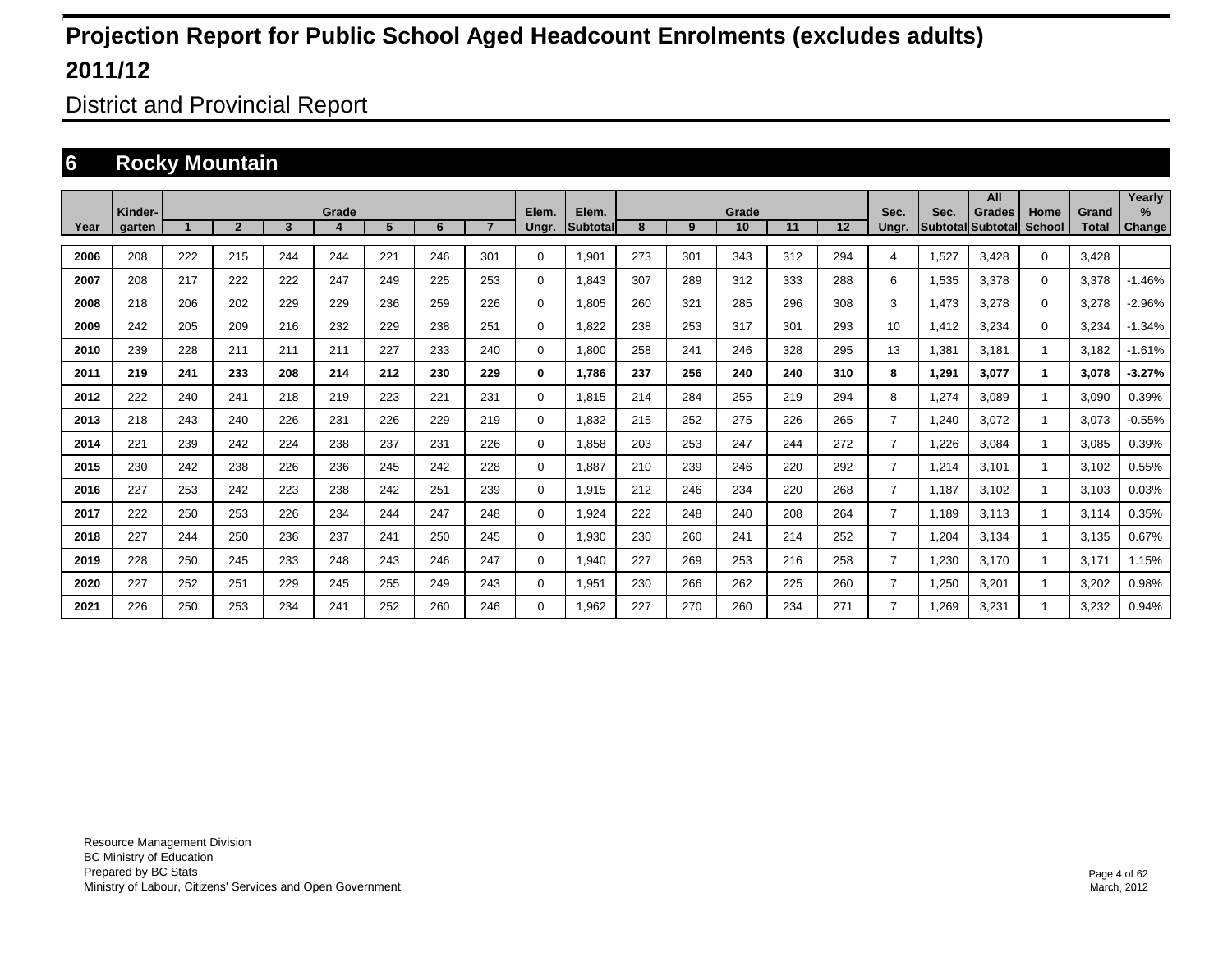District and Provincial Report

### **6 Rocky Mountain**

|      |                   |     |                |     |            |     |     |                |                |                    |     |     |             |     |     |                |                         | All                       |                       |                       | Yearly                |
|------|-------------------|-----|----------------|-----|------------|-----|-----|----------------|----------------|--------------------|-----|-----|-------------|-----|-----|----------------|-------------------------|---------------------------|-----------------------|-----------------------|-----------------------|
| Year | Kinder-<br>garten |     | $\overline{2}$ | 3   | Grade<br>4 | 5   | 6   | $\overline{7}$ | Elem.<br>Ungr. | Elem.<br>Subtotall | 8   | 9   | Grade<br>10 | 11  | 12  | Sec.<br>Ungr.  | Sec.<br><b>Subtotal</b> | <b>Grades</b><br>Subtotal | Home<br><b>School</b> | Grand<br><b>Total</b> | $\%$<br><b>Change</b> |
|      |                   |     |                |     |            |     |     |                |                |                    |     |     |             |     |     |                |                         |                           |                       |                       |                       |
| 2006 | 208               | 222 | 215            | 244 | 244        | 221 | 246 | 301            | 0              | 1,901              | 273 | 301 | 343         | 312 | 294 | 4              | 1,527                   | 3.428                     | $\mathbf 0$           | 3.428                 |                       |
| 2007 | 208               | 217 | 222            | 222 | 247        | 249 | 225 | 253            | 0              | 1.843              | 307 | 289 | 312         | 333 | 288 | 6              | 1,535                   | 3.378                     | $\mathbf 0$           | 3.378                 | $-1.46%$              |
| 2008 | 218               | 206 | 202            | 229 | 229        | 236 | 259 | 226            | 0              | 1,805              | 260 | 321 | 285         | 296 | 308 | 3              | 1,473                   | 3,278                     | $\mathbf 0$           | 3,278                 | $-2.96%$              |
| 2009 | 242               | 205 | 209            | 216 | 232        | 229 | 238 | 251            | 0              | 1,822              | 238 | 253 | 317         | 301 | 293 | 10             | 1,412                   | 3,234                     | $\mathbf 0$           | 3,234                 | $-1.34%$              |
| 2010 | 239               | 228 | 211            | 211 | 211        | 227 | 233 | 240            | $\mathbf 0$    | 1,800              | 258 | 241 | 246         | 328 | 295 | 13             | 1,381                   | 3,181                     |                       | 3,182                 | $-1.61%$              |
| 2011 | 219               | 241 | 233            | 208 | 214        | 212 | 230 | 229            | 0              | 1,786              | 237 | 256 | 240         | 240 | 310 | 8              | 1,291                   | 3,077                     | 1                     | 3,078                 | $-3.27%$              |
| 2012 | 222               | 240 | 241            | 218 | 219        | 223 | 221 | 231            | $\mathbf 0$    | 1,815              | 214 | 284 | 255         | 219 | 294 | 8              | 1,274                   | 3.089                     |                       | 3,090                 | 0.39%                 |
| 2013 | 218               | 243 | 240            | 226 | 231        | 226 | 229 | 219            | $\mathbf 0$    | 1.832              | 215 | 252 | 275         | 226 | 265 | $\overline{7}$ | 1.240                   | 3,072                     |                       | 3,073                 | $-0.55%$              |
| 2014 | 221               | 239 | 242            | 224 | 238        | 237 | 231 | 226            | 0              | 1,858              | 203 | 253 | 247         | 244 | 272 | $\overline{7}$ | 1.226                   | 3,084                     |                       | 3,085                 | 0.39%                 |
| 2015 | 230               | 242 | 238            | 226 | 236        | 245 | 242 | 228            | $\mathbf 0$    | 1,887              | 210 | 239 | 246         | 220 | 292 | $\overline{7}$ | 1.214                   | 3,101                     |                       | 3,102                 | 0.55%                 |
| 2016 | 227               | 253 | 242            | 223 | 238        | 242 | 251 | 239            | $\mathbf 0$    | 1,915              | 212 | 246 | 234         | 220 | 268 | $\overline{7}$ | 1.187                   | 3,102                     |                       | 3,103                 | 0.03%                 |
| 2017 | 222               | 250 | 253            | 226 | 234        | 244 | 247 | 248            | $\mathbf 0$    | 1,924              | 222 | 248 | 240         | 208 | 264 | $\overline{7}$ | 1.189                   | 3,113                     |                       | 3,114                 | 0.35%                 |
| 2018 | 227               | 244 | 250            | 236 | 237        | 241 | 250 | 245            | $\mathbf 0$    | 1,930              | 230 | 260 | 241         | 214 | 252 | $\overline{7}$ | 1,204                   | 3,134                     |                       | 3,135                 | 0.67%                 |
| 2019 | 228               | 250 | 245            | 233 | 248        | 243 | 246 | 247            | $\mathbf 0$    | 1,940              | 227 | 269 | 253         | 216 | 258 | $\overline{7}$ | 1,230                   | 3.170                     |                       | 3.171                 | 1.15%                 |
| 2020 | 227               | 252 | 251            | 229 | 245        | 255 | 249 | 243            | $\mathbf 0$    | 1,951              | 230 | 266 | 262         | 225 | 260 | 7              | 1,250                   | 3,201                     |                       | 3,202                 | 0.98%                 |
| 2021 | 226               | 250 | 253            | 234 | 241        | 252 | 260 | 246            | $\mathbf 0$    | 1,962              | 227 | 270 | 260         | 234 | 271 | 7              | .269                    | 3,231                     |                       | 3,232                 | 0.94%                 |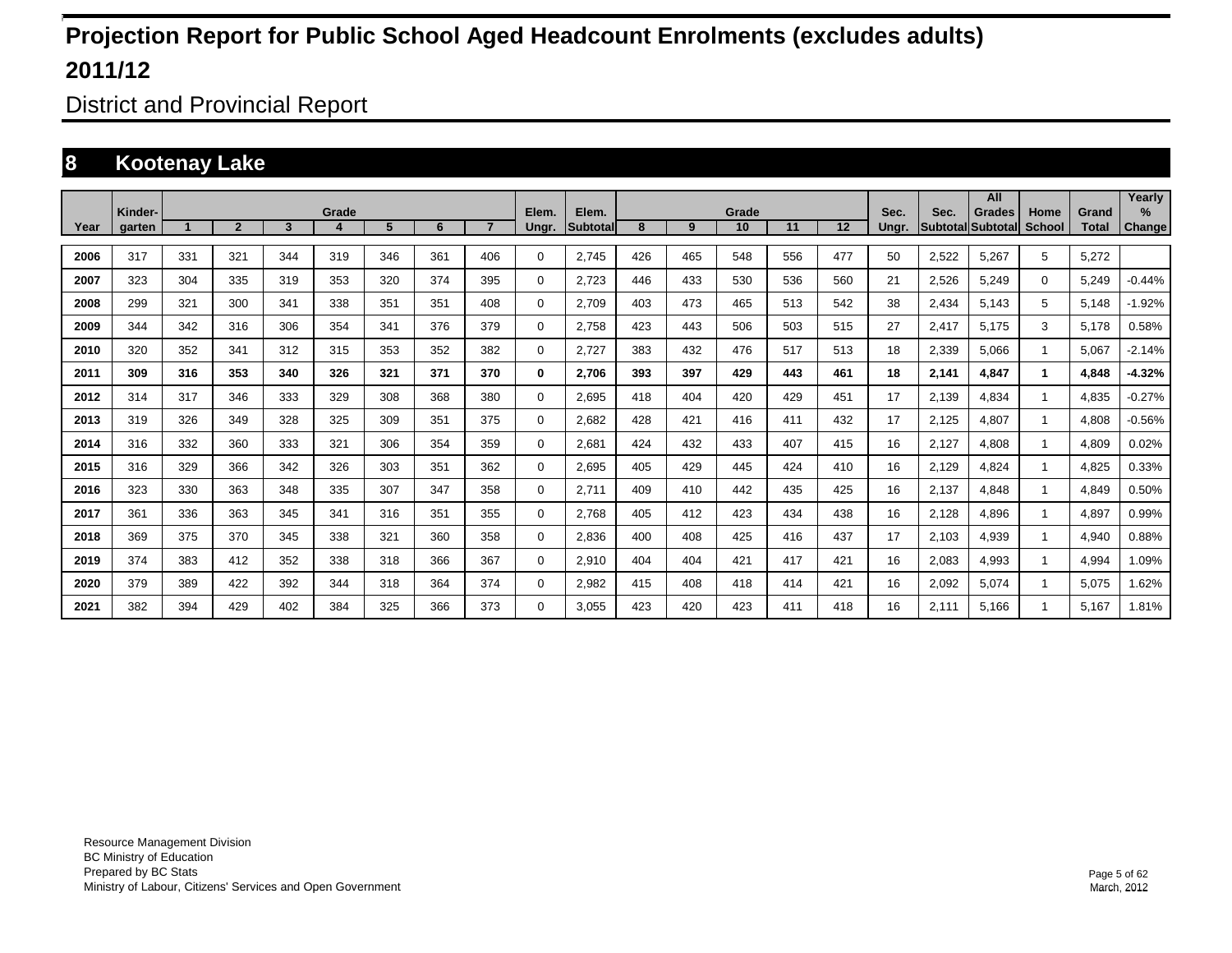District and Provincial Report

### **8 Kootenay Lake**

|      |                   |     |                |     |            |     |     |                |                |                    |     |     |             |     |     |               |                         | All                       |                       |                       | Yearly         |
|------|-------------------|-----|----------------|-----|------------|-----|-----|----------------|----------------|--------------------|-----|-----|-------------|-----|-----|---------------|-------------------------|---------------------------|-----------------------|-----------------------|----------------|
| Year | Kinder-<br>garten |     | $\overline{2}$ | 3   | Grade<br>4 | 5   | 6   | $\overline{7}$ | Elem.<br>Ungr. | Elem.<br>Subtotall | 8   | 9   | Grade<br>10 | 11  | 12  | Sec.<br>Ungr. | Sec.<br><b>Subtotal</b> | <b>Grades</b><br>Subtotal | Home<br><b>School</b> | Grand<br><b>Total</b> | $\%$<br>Change |
|      |                   |     |                |     |            |     |     |                |                |                    |     |     |             |     |     |               |                         |                           |                       |                       |                |
| 2006 | 317               | 331 | 321            | 344 | 319        | 346 | 361 | 406            | 0              | 2.745              | 426 | 465 | 548         | 556 | 477 | 50            | 2,522                   | 5.267                     | 5                     | 5,272                 |                |
| 2007 | 323               | 304 | 335            | 319 | 353        | 320 | 374 | 395            | 0              | 2,723              | 446 | 433 | 530         | 536 | 560 | 21            | 2,526                   | 5.249                     | $\mathbf 0$           | 5.249                 | $-0.44%$       |
| 2008 | 299               | 321 | 300            | 341 | 338        | 351 | 351 | 408            | 0              | 2,709              | 403 | 473 | 465         | 513 | 542 | 38            | 2,434                   | 5,143                     | 5                     | 5,148                 | $-1.92%$       |
| 2009 | 344               | 342 | 316            | 306 | 354        | 341 | 376 | 379            | 0              | 2,758              | 423 | 443 | 506         | 503 | 515 | 27            | 2,417                   | 5,175                     | 3                     | 5,178                 | 0.58%          |
| 2010 | 320               | 352 | 341            | 312 | 315        | 353 | 352 | 382            | 0              | 2,727              | 383 | 432 | 476         | 517 | 513 | 18            | 2,339                   | 5,066                     |                       | 5,067                 | $-2.14%$       |
| 2011 | 309               | 316 | 353            | 340 | 326        | 321 | 371 | 370            | 0              | 2,706              | 393 | 397 | 429         | 443 | 461 | 18            | 2,141                   | 4,847                     | 1                     | 4,848                 | $-4.32%$       |
| 2012 | 314               | 317 | 346            | 333 | 329        | 308 | 368 | 380            | $\mathbf 0$    | 2,695              | 418 | 404 | 420         | 429 | 451 | 17            | 2,139                   | 4,834                     |                       | 4,835                 | $-0.27%$       |
| 2013 | 319               | 326 | 349            | 328 | 325        | 309 | 351 | 375            | 0              | 2.682              | 428 | 421 | 416         | 411 | 432 | 17            | 2,125                   | 4.807                     |                       | 4,808                 | $-0.56%$       |
| 2014 | 316               | 332 | 360            | 333 | 321        | 306 | 354 | 359            | 0              | 2,681              | 424 | 432 | 433         | 407 | 415 | 16            | 2,127                   | 4.808                     |                       | 4,809                 | 0.02%          |
| 2015 | 316               | 329 | 366            | 342 | 326        | 303 | 351 | 362            | 0              | 2.695              | 405 | 429 | 445         | 424 | 410 | 16            | 2,129                   | 4.824                     |                       | 4,825                 | 0.33%          |
| 2016 | 323               | 330 | 363            | 348 | 335        | 307 | 347 | 358            | 0              | 2,711              | 409 | 410 | 442         | 435 | 425 | 16            | 2,137                   | 4.848                     |                       | 4,849                 | 0.50%          |
| 2017 | 361               | 336 | 363            | 345 | 341        | 316 | 351 | 355            | 0              | 2.768              | 405 | 412 | 423         | 434 | 438 | 16            | 2,128                   | 4.896                     |                       | 4,897                 | 0.99%          |
| 2018 | 369               | 375 | 370            | 345 | 338        | 321 | 360 | 358            | 0              | 2.836              | 400 | 408 | 425         | 416 | 437 | 17            | 2.103                   | 4.939                     |                       | 4,940                 | 0.88%          |
| 2019 | 374               | 383 | 412            | 352 | 338        | 318 | 366 | 367            | 0              | 2,910              | 404 | 404 | 421         | 417 | 421 | 16            | 2,083                   | 4.993                     |                       | 4,994                 | 1.09%          |
| 2020 | 379               | 389 | 422            | 392 | 344        | 318 | 364 | 374            | 0              | 2,982              | 415 | 408 | 418         | 414 | 421 | 16            | 2,092                   | 5,074                     |                       | 5,075                 | 1.62%          |
| 2021 | 382               | 394 | 429            | 402 | 384        | 325 | 366 | 373            | $\Omega$       | 3.055              | 423 | 420 | 423         | 411 | 418 | 16            | 2.111                   | 5,166                     |                       | 5,167                 | 1.81%          |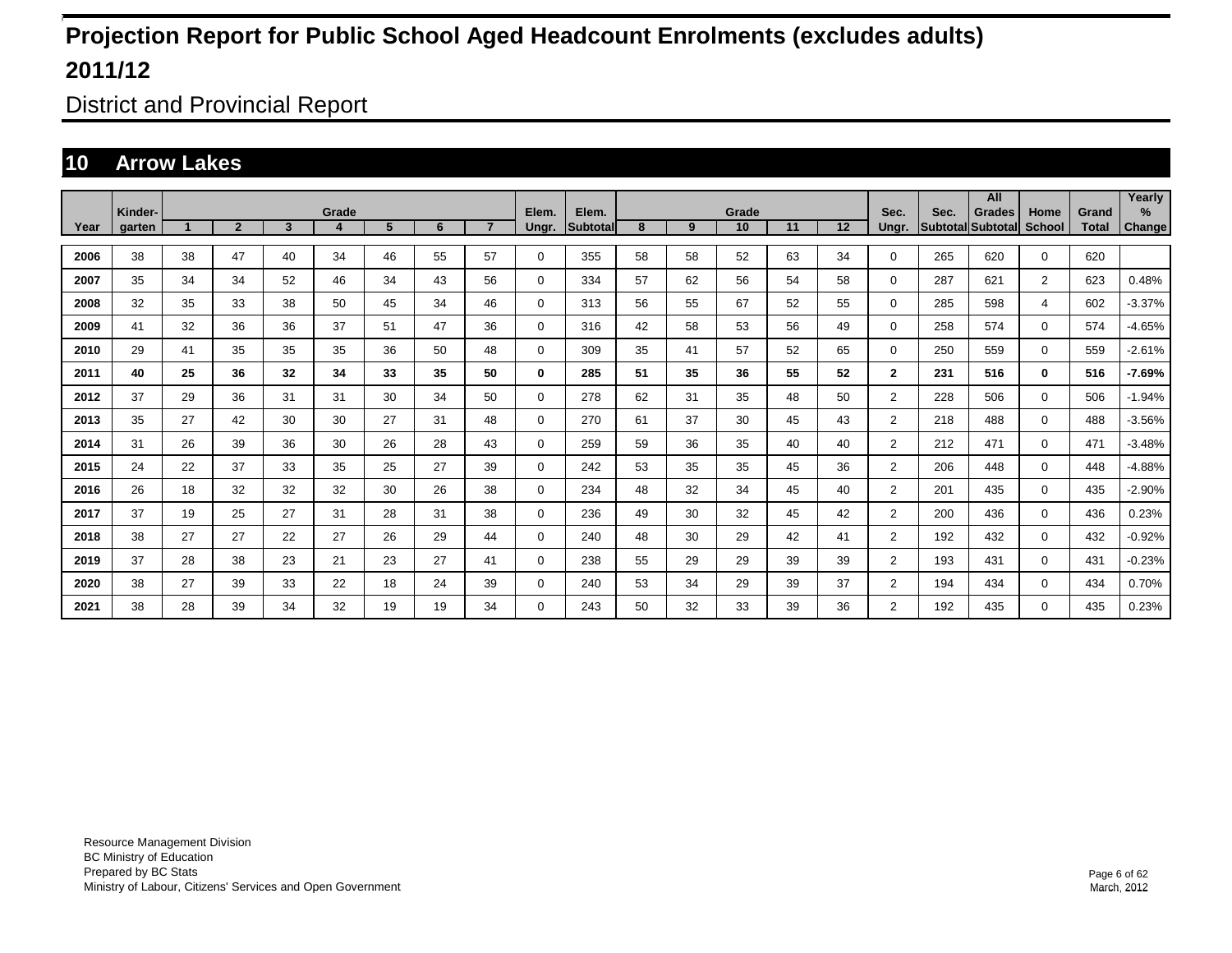District and Provincial Report

### **10 Arrow Lakes**

|      |                   |    |                |                         |            |    |    |                |                |                   |    |    |             |    |    |                |      | All                                |                       |                       | Yearly         |
|------|-------------------|----|----------------|-------------------------|------------|----|----|----------------|----------------|-------------------|----|----|-------------|----|----|----------------|------|------------------------------------|-----------------------|-----------------------|----------------|
| Year | Kinder-<br>garten |    | $\overline{2}$ | $\overline{\mathbf{3}}$ | Grade<br>4 | 5  | 6  | $\overline{7}$ | Elem.<br>Ungr. | Elem.<br>Subtotal | 8  | 9  | Grade<br>10 | 11 | 12 | Sec.<br>Ungr.  | Sec. | <b>Grades</b><br>Subtotal Subtotal | Home<br><b>School</b> | Grand<br><b>Total</b> | $\%$<br>Change |
|      |                   |    |                |                         |            |    |    |                |                |                   |    |    |             |    |    |                |      |                                    |                       |                       |                |
| 2006 | 38                | 38 | 47             | 40                      | 34         | 46 | 55 | 57             | 0              | 355               | 58 | 58 | 52          | 63 | 34 | 0              | 265  | 620                                | $\mathbf 0$           | 620                   |                |
| 2007 | 35                | 34 | 34             | 52                      | 46         | 34 | 43 | 56             | 0              | 334               | 57 | 62 | 56          | 54 | 58 | $\mathbf{0}$   | 287  | 621                                | $\overline{2}$        | 623                   | 0.48%          |
| 2008 | 32                | 35 | 33             | 38                      | 50         | 45 | 34 | 46             | 0              | 313               | 56 | 55 | 67          | 52 | 55 | 0              | 285  | 598                                | 4                     | 602                   | $-3.37%$       |
| 2009 | 41                | 32 | 36             | 36                      | 37         | 51 | 47 | 36             | 0              | 316               | 42 | 58 | 53          | 56 | 49 | $\Omega$       | 258  | 574                                | $\mathbf 0$           | 574                   | $-4.65%$       |
| 2010 | 29                | 41 | 35             | 35                      | 35         | 36 | 50 | 48             | $\Omega$       | 309               | 35 | 41 | 57          | 52 | 65 | $\Omega$       | 250  | 559                                | $\mathbf 0$           | 559                   | $-2.61%$       |
| 2011 | 40                | 25 | 36             | 32                      | 34         | 33 | 35 | 50             | 0              | 285               | 51 | 35 | 36          | 55 | 52 | $\mathbf{2}$   | 231  | 516                                | $\bf{0}$              | 516                   | -7.69%         |
| 2012 | 37                | 29 | 36             | 31                      | 31         | 30 | 34 | 50             | 0              | 278               | 62 | 31 | 35          | 48 | 50 | $\overline{2}$ | 228  | 506                                | $\mathbf 0$           | 506                   | $-1.94%$       |
| 2013 | 35                | 27 | 42             | 30                      | 30         | 27 | 31 | 48             | 0              | 270               | 61 | 37 | 30          | 45 | 43 | $\overline{2}$ | 218  | 488                                | $\mathbf 0$           | 488                   | $-3.56%$       |
| 2014 | 31                | 26 | 39             | 36                      | 30         | 26 | 28 | 43             | 0              | 259               | 59 | 36 | 35          | 40 | 40 | $\overline{2}$ | 212  | 471                                | $\mathbf 0$           | 471                   | $-3.48%$       |
| 2015 | 24                | 22 | 37             | 33                      | 35         | 25 | 27 | 39             | 0              | 242               | 53 | 35 | 35          | 45 | 36 | $\overline{2}$ | 206  | 448                                | $\mathbf 0$           | 448                   | $-4.88%$       |
| 2016 | 26                | 18 | 32             | 32                      | 32         | 30 | 26 | 38             | 0              | 234               | 48 | 32 | 34          | 45 | 40 | $\overline{2}$ | 201  | 435                                | $\mathbf 0$           | 435                   | $-2.90%$       |
| 2017 | 37                | 19 | 25             | 27                      | 31         | 28 | 31 | 38             | 0              | 236               | 49 | 30 | 32          | 45 | 42 | $\overline{2}$ | 200  | 436                                | $\mathbf 0$           | 436                   | 0.23%          |
| 2018 | 38                | 27 | 27             | 22                      | 27         | 26 | 29 | 44             | 0              | 240               | 48 | 30 | 29          | 42 | 41 | $\overline{2}$ | 192  | 432                                | $\mathbf 0$           | 432                   | $-0.92%$       |
| 2019 | 37                | 28 | 38             | 23                      | 21         | 23 | 27 | 41             | 0              | 238               | 55 | 29 | 29          | 39 | 39 | $\overline{2}$ | 193  | 431                                | $\mathbf 0$           | 431                   | $-0.23%$       |
| 2020 | 38                | 27 | 39             | 33                      | 22         | 18 | 24 | 39             | 0              | 240               | 53 | 34 | 29          | 39 | 37 | $\overline{2}$ | 194  | 434                                | $\mathbf 0$           | 434                   | 0.70%          |
| 2021 | 38                | 28 | 39             | 34                      | 32         | 19 | 19 | 34             | $\Omega$       | 243               | 50 | 32 | 33          | 39 | 36 | $\overline{2}$ | 192  | 435                                | $\mathbf 0$           | 435                   | 0.23%          |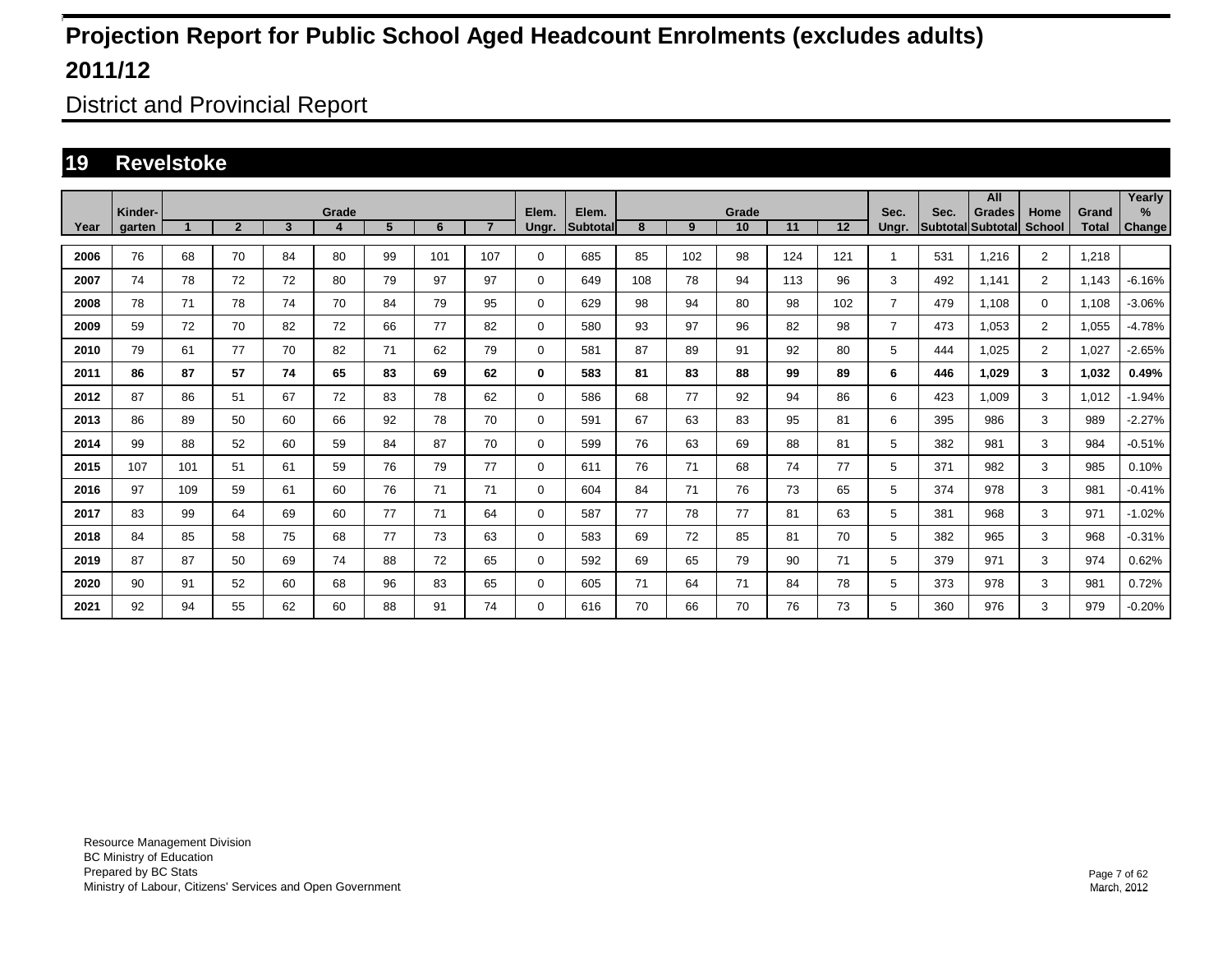District and Provincial Report

### **19 Revelstoke**

|      |                   |     |                |                         |       |    |     |                |                |                   |     |     |             |     |     |                |      | All                                |                       |                       | Yearly      |
|------|-------------------|-----|----------------|-------------------------|-------|----|-----|----------------|----------------|-------------------|-----|-----|-------------|-----|-----|----------------|------|------------------------------------|-----------------------|-----------------------|-------------|
| Year | Kinder-<br>garten |     | $\overline{2}$ | $\overline{\mathbf{3}}$ | Grade | 5  | 6   | $\overline{7}$ | Elem.<br>Ungr. | Elem.<br>Subtotal | 8   | 9   | Grade<br>10 | 11  | 12  | Sec.<br>Ungr.  | Sec. | <b>Grades</b><br>Subtotal Subtotal | Home<br><b>School</b> | Grand<br><b>Total</b> | %<br>Change |
|      |                   |     |                |                         |       |    |     |                |                |                   |     |     |             |     |     |                |      |                                    |                       |                       |             |
| 2006 | 76                | 68  | 70             | 84                      | 80    | 99 | 101 | 107            | $\mathbf 0$    | 685               | 85  | 102 | 98          | 124 | 121 | -1             | 531  | 1.216                              | $\overline{2}$        | 1,218                 |             |
| 2007 | 74                | 78  | 72             | 72                      | 80    | 79 | 97  | 97             | $\mathbf 0$    | 649               | 108 | 78  | 94          | 113 | 96  | 3              | 492  | 1.141                              | $\overline{2}$        | 1,143                 | $-6.16%$    |
| 2008 | 78                | 71  | 78             | 74                      | 70    | 84 | 79  | 95             | $\mathbf 0$    | 629               | 98  | 94  | 80          | 98  | 102 | $\overline{7}$ | 479  | 1.108                              | $\mathbf 0$           | 1.108                 | $-3.06%$    |
| 2009 | 59                | 72  | 70             | 82                      | 72    | 66 | 77  | 82             | $\mathbf 0$    | 580               | 93  | 97  | 96          | 82  | 98  | $\overline{7}$ | 473  | 1,053                              | $\overline{2}$        | 1,055                 | $-4.78%$    |
| 2010 | 79                | 61  | 77             | 70                      | 82    | 71 | 62  | 79             | 0              | 581               | 87  | 89  | 91          | 92  | 80  | 5              | 444  | 1,025                              | $\overline{2}$        | 1,027                 | $-2.65%$    |
| 2011 | 86                | 87  | 57             | 74                      | 65    | 83 | 69  | 62             | 0              | 583               | 81  | 83  | 88          | 99  | 89  | 6              | 446  | 1,029                              | 3                     | 1,032                 | 0.49%       |
| 2012 | 87                | 86  | 51             | 67                      | 72    | 83 | 78  | 62             | $\mathbf 0$    | 586               | 68  | 77  | 92          | 94  | 86  | 6              | 423  | 1.009                              | 3                     | 1,012                 | $-1.94%$    |
| 2013 | 86                | 89  | 50             | 60                      | 66    | 92 | 78  | 70             | 0              | 591               | 67  | 63  | 83          | 95  | 81  | 6              | 395  | 986                                | 3                     | 989                   | $-2.27%$    |
| 2014 | 99                | 88  | 52             | 60                      | 59    | 84 | 87  | 70             | 0              | 599               | 76  | 63  | 69          | 88  | 81  | 5              | 382  | 981                                | 3                     | 984                   | $-0.51%$    |
| 2015 | 107               | 101 | 51             | 61                      | 59    | 76 | 79  | 77             | $\mathbf 0$    | 611               | 76  | 71  | 68          | 74  | 77  | 5              | 371  | 982                                | 3                     | 985                   | 0.10%       |
| 2016 | 97                | 109 | 59             | 61                      | 60    | 76 | 71  | 71             | $\mathbf 0$    | 604               | 84  | 71  | 76          | 73  | 65  | 5              | 374  | 978                                | 3                     | 981                   | $-0.41%$    |
| 2017 | 83                | 99  | 64             | 69                      | 60    | 77 | 71  | 64             | $\mathbf 0$    | 587               | 77  | 78  | 77          | 81  | 63  | 5              | 381  | 968                                | 3                     | 971                   | $-1.02%$    |
| 2018 | 84                | 85  | 58             | 75                      | 68    | 77 | 73  | 63             | $\mathbf 0$    | 583               | 69  | 72  | 85          | 81  | 70  | 5              | 382  | 965                                | 3                     | 968                   | $-0.31%$    |
| 2019 | 87                | 87  | 50             | 69                      | 74    | 88 | 72  | 65             | $\mathbf 0$    | 592               | 69  | 65  | 79          | 90  | 71  | 5              | 379  | 971                                | 3                     | 974                   | 0.62%       |
| 2020 | 90                | 91  | 52             | 60                      | 68    | 96 | 83  | 65             | $\mathbf 0$    | 605               | 71  | 64  | 71          | 84  | 78  | 5              | 373  | 978                                | 3                     | 981                   | 0.72%       |
| 2021 | 92                | 94  | 55             | 62                      | 60    | 88 | 91  | 74             | 0              | 616               | 70  | 66  | 70          | 76  | 73  | 5              | 360  | 976                                | 3                     | 979                   | $-0.20\%$   |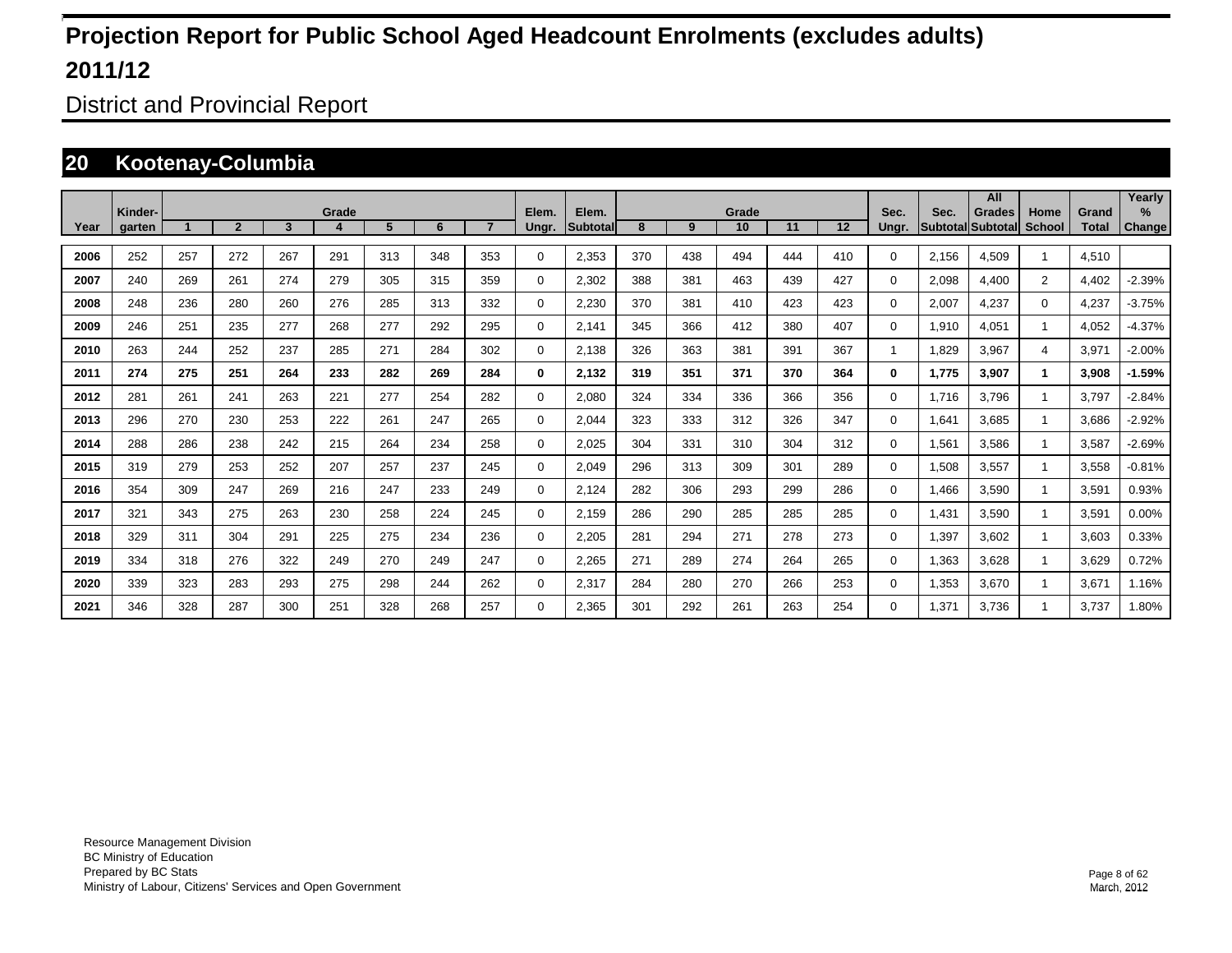District and Provincial Report

### **20 Kootenay-Columbia**

|      | Kinder- |                      |                |     | Grade |     |     |                | Elem.       | Elem.     |     |     | Grade |     |     | Sec.     | Sec.  | All<br><b>Grades</b>     | Home           | Grand        | Yearly<br>$\%$ |
|------|---------|----------------------|----------------|-----|-------|-----|-----|----------------|-------------|-----------|-----|-----|-------|-----|-----|----------|-------|--------------------------|----------------|--------------|----------------|
| Year | garten  | $\blacktriangleleft$ | $\overline{2}$ | 3   | 4     | 5   | 6   | $\overline{7}$ | Ungr.       | Subtotall | 8   | 9   | 10    | 11  | 12  | Ungr.    |       | <b>Subtotal Subtotal</b> | <b>School</b>  | <b>Total</b> | Change         |
| 2006 | 252     | 257                  | 272            | 267 | 291   | 313 | 348 | 353            | 0           | 2,353     | 370 | 438 | 494   | 444 | 410 | 0        | 2,156 | 4,509                    |                | 4,510        |                |
| 2007 | 240     | 269                  | 261            | 274 | 279   | 305 | 315 | 359            | 0           | 2,302     | 388 | 381 | 463   | 439 | 427 | 0        | 2,098 | 4,400                    | $\overline{2}$ | 4,402        | $-2.39%$       |
| 2008 | 248     | 236                  | 280            | 260 | 276   | 285 | 313 | 332            | 0           | 2,230     | 370 | 381 | 410   | 423 | 423 | 0        | 2,007 | 4,237                    | $\mathbf 0$    | 4,237        | $-3.75%$       |
| 2009 | 246     | 251                  | 235            | 277 | 268   | 277 | 292 | 295            | 0           | 2,141     | 345 | 366 | 412   | 380 | 407 | $\Omega$ | 1,910 | 4,051                    |                | 4,052        | $-4.37%$       |
| 2010 | 263     | 244                  | 252            | 237 | 285   | 271 | 284 | 302            | 0           | 2,138     | 326 | 363 | 381   | 391 | 367 | 1        | 1,829 | 3,967                    | 4              | 3,971        | $-2.00%$       |
| 2011 | 274     | 275                  | 251            | 264 | 233   | 282 | 269 | 284            | 0           | 2,132     | 319 | 351 | 371   | 370 | 364 | 0        | 1,775 | 3,907                    | 1              | 3,908        | $-1.59%$       |
| 2012 | 281     | 261                  | 241            | 263 | 221   | 277 | 254 | 282            | $\mathbf 0$ | 2,080     | 324 | 334 | 336   | 366 | 356 | 0        | 1,716 | 3,796                    |                | 3,797        | $-2.84%$       |
| 2013 | 296     | 270                  | 230            | 253 | 222   | 261 | 247 | 265            | $\mathbf 0$ | 2,044     | 323 | 333 | 312   | 326 | 347 | 0        | 1,641 | 3.685                    |                | 3,686        | $-2.92%$       |
| 2014 | 288     | 286                  | 238            | 242 | 215   | 264 | 234 | 258            | 0           | 2.025     | 304 | 331 | 310   | 304 | 312 | 0        | 1,561 | 3.586                    |                | 3,587        | $-2.69%$       |
| 2015 | 319     | 279                  | 253            | 252 | 207   | 257 | 237 | 245            | 0           | 2,049     | 296 | 313 | 309   | 301 | 289 | 0        | 1,508 | 3,557                    |                | 3,558        | $-0.81%$       |
| 2016 | 354     | 309                  | 247            | 269 | 216   | 247 | 233 | 249            | 0           | 2,124     | 282 | 306 | 293   | 299 | 286 | 0        | 1,466 | 3,590                    |                | 3,591        | 0.93%          |
| 2017 | 321     | 343                  | 275            | 263 | 230   | 258 | 224 | 245            | 0           | 2,159     | 286 | 290 | 285   | 285 | 285 | 0        | 1,431 | 3,590                    |                | 3,591        | 0.00%          |
| 2018 | 329     | 311                  | 304            | 291 | 225   | 275 | 234 | 236            | 0           | 2,205     | 281 | 294 | 271   | 278 | 273 | 0        | 1,397 | 3,602                    |                | 3,603        | 0.33%          |
| 2019 | 334     | 318                  | 276            | 322 | 249   | 270 | 249 | 247            | 0           | 2,265     | 271 | 289 | 274   | 264 | 265 | 0        | 1,363 | 3,628                    |                | 3,629        | 0.72%          |
| 2020 | 339     | 323                  | 283            | 293 | 275   | 298 | 244 | 262            | 0           | 2,317     | 284 | 280 | 270   | 266 | 253 | 0        | 1,353 | 3,670                    |                | 3,671        | 1.16%          |
| 2021 | 346     | 328                  | 287            | 300 | 251   | 328 | 268 | 257            | $\Omega$    | 2,365     | 301 | 292 | 261   | 263 | 254 | 0        | 1,371 | 3,736                    |                | 3.737        | 1.80%          |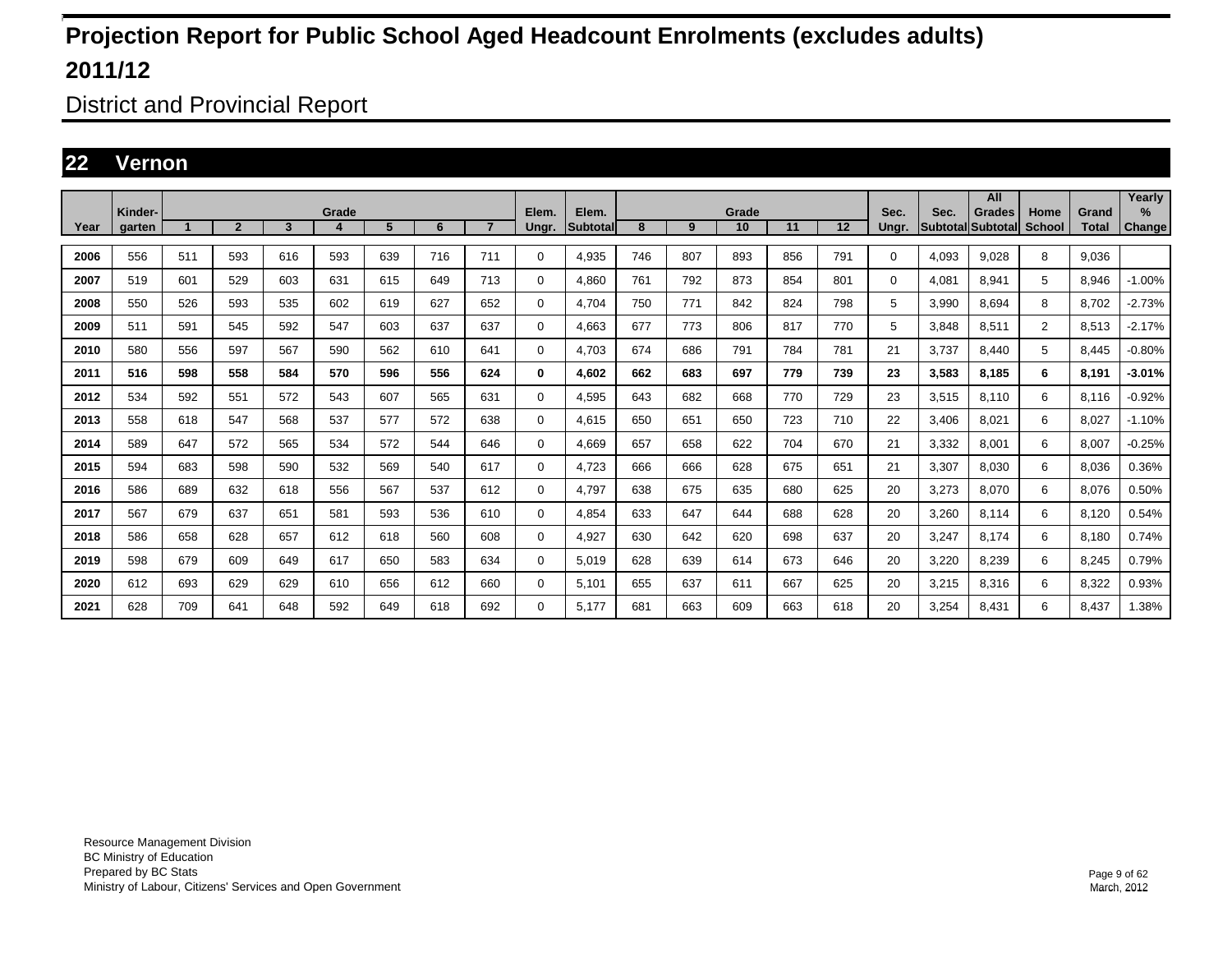District and Provincial Report

### **22 Vernon**

|      | Kinder- |     |                |     | Grade |     |     |                | Elem. | Elem.    |     |     | Grade |     |     | Sec.  | Sec.  | All<br>Grades     | Home          | Grand        | Yearly<br>$\%$ |
|------|---------|-----|----------------|-----|-------|-----|-----|----------------|-------|----------|-----|-----|-------|-----|-----|-------|-------|-------------------|---------------|--------------|----------------|
| Year | garten  |     | $\overline{2}$ | 3   | 4     | 5   | 6   | $\overline{7}$ | Ungr. | Subtotal | 8   | 9   | 10    | 11  | 12  | Ungr. |       | Subtotal Subtotal | <b>School</b> | <b>Total</b> | <b>Change</b>  |
| 2006 | 556     | 511 | 593            | 616 | 593   | 639 | 716 | 711            | 0     | 4.935    | 746 | 807 | 893   | 856 | 791 | 0     | 4,093 | 9.028             | 8             | 9.036        |                |
| 2007 | 519     | 601 | 529            | 603 | 631   | 615 | 649 | 713            | 0     | 4,860    | 761 | 792 | 873   | 854 | 801 | 0     | 4,081 | 8,941             | 5             | 8,946        | $-1.00%$       |
| 2008 | 550     | 526 | 593            | 535 | 602   | 619 | 627 | 652            | 0     | 4.704    | 750 | 771 | 842   | 824 | 798 | 5     | 3,990 | 8.694             | 8             | 8.702        | $-2.73%$       |
| 2009 | 511     | 591 | 545            | 592 | 547   | 603 | 637 | 637            | 0     | 4.663    | 677 | 773 | 806   | 817 | 770 | 5     | 3.848 | 8.511             | 2             | 8.513        | $-2.17%$       |
| 2010 | 580     | 556 | 597            | 567 | 590   | 562 | 610 | 641            | 0     | 4.703    | 674 | 686 | 791   | 784 | 781 | 21    | 3.737 | 8.440             | 5             | 8.445        | $-0.80%$       |
| 2011 | 516     | 598 | 558            | 584 | 570   | 596 | 556 | 624            | 0     | 4.602    | 662 | 683 | 697   | 779 | 739 | 23    | 3.583 | 8.185             | 6             | 8.191        | $-3.01%$       |
| 2012 | 534     | 592 | 551            | 572 | 543   | 607 | 565 | 631            | 0     | 4,595    | 643 | 682 | 668   | 770 | 729 | 23    | 3,515 | 8.110             | 6             | 8,116        | $-0.92%$       |
| 2013 | 558     | 618 | 547            | 568 | 537   | 577 | 572 | 638            | 0     | 4.615    | 650 | 651 | 650   | 723 | 710 | 22    | 3.406 | 8.021             | 6             | 8.027        | $-1.10%$       |
| 2014 | 589     | 647 | 572            | 565 | 534   | 572 | 544 | 646            | 0     | 4,669    | 657 | 658 | 622   | 704 | 670 | 21    | 3,332 | 8,001             | 6             | 8,007        | $-0.25%$       |
| 2015 | 594     | 683 | 598            | 590 | 532   | 569 | 540 | 617            | 0     | 4,723    | 666 | 666 | 628   | 675 | 651 | 21    | 3,307 | 8,030             | 6             | 8,036        | 0.36%          |
| 2016 | 586     | 689 | 632            | 618 | 556   | 567 | 537 | 612            | 0     | 4.797    | 638 | 675 | 635   | 680 | 625 | 20    | 3,273 | 8.070             | 6             | 8,076        | 0.50%          |
| 2017 | 567     | 679 | 637            | 651 | 581   | 593 | 536 | 610            | 0     | 4,854    | 633 | 647 | 644   | 688 | 628 | 20    | 3,260 | 8,114             | 6             | 8,120        | 0.54%          |
| 2018 | 586     | 658 | 628            | 657 | 612   | 618 | 560 | 608            | 0     | 4,927    | 630 | 642 | 620   | 698 | 637 | 20    | 3,247 | 8.174             | 6             | 8,180        | 0.74%          |
| 2019 | 598     | 679 | 609            | 649 | 617   | 650 | 583 | 634            | 0     | 5,019    | 628 | 639 | 614   | 673 | 646 | 20    | 3,220 | 8,239             | 6             | 8,245        | 0.79%          |
| 2020 | 612     | 693 | 629            | 629 | 610   | 656 | 612 | 660            | 0     | 5,101    | 655 | 637 | 611   | 667 | 625 | 20    | 3,215 | 8,316             | 6             | 8,322        | 0.93%          |
| 2021 | 628     | 709 | 641            | 648 | 592   | 649 | 618 | 692            | 0     | 5.177    | 681 | 663 | 609   | 663 | 618 | 20    | 3,254 | 8.431             | 6             | 8,437        | 1.38%          |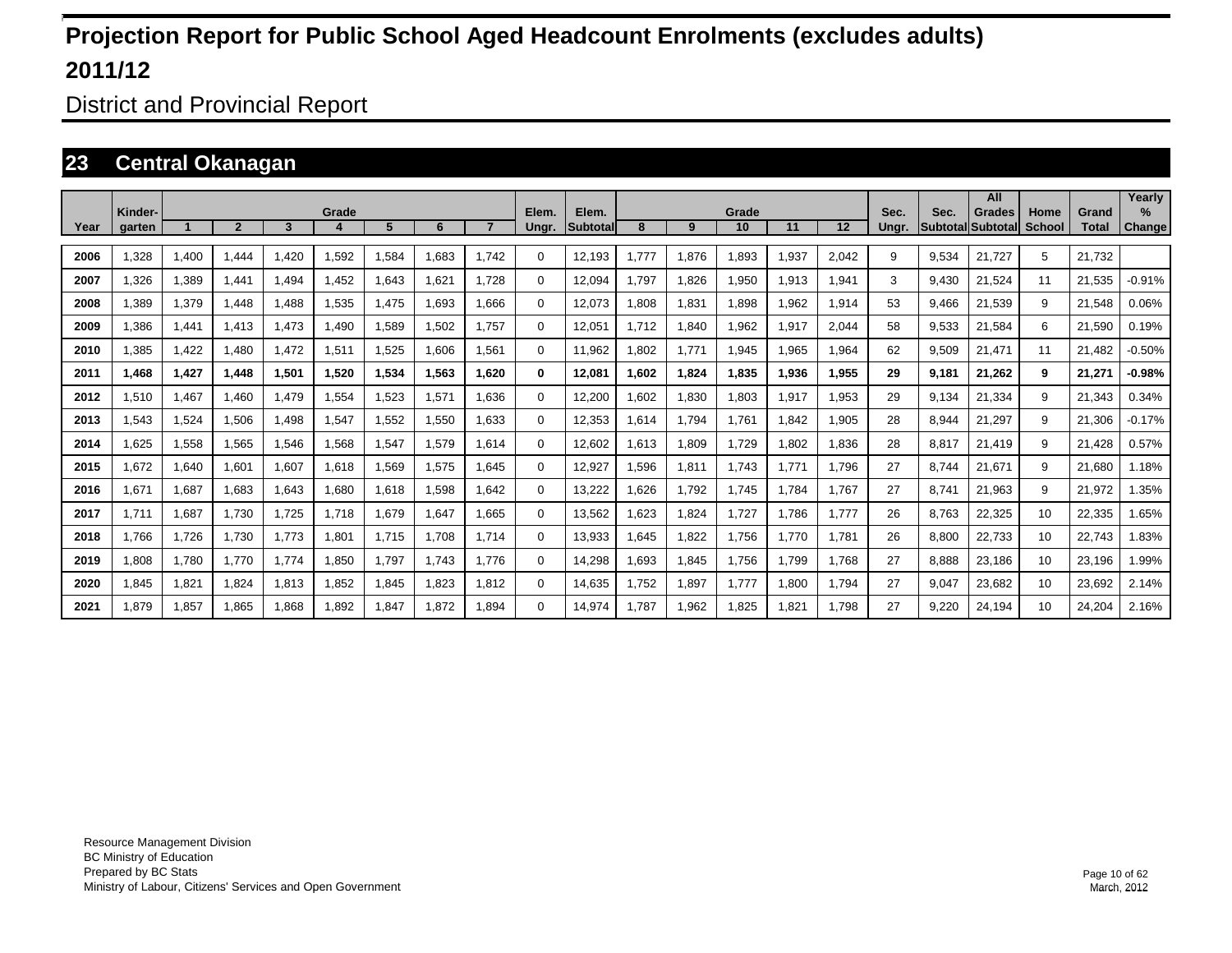District and Provincial Report

### **23 Central Okanagan**

|      | Kinder- |       |              |       | Grade |       |       |       | Elem.    | Elem.           |        |       | Grade |       |       | Sec.  | Sec.  | All<br><b>Grades</b> | Home          | Grand        | Yearlv<br>$\%$ |
|------|---------|-------|--------------|-------|-------|-------|-------|-------|----------|-----------------|--------|-------|-------|-------|-------|-------|-------|----------------------|---------------|--------------|----------------|
| Year | garten  |       | $\mathbf{2}$ | 3     |       | 5     | 6     |       | Ungr.    | <b>Subtotal</b> | 8      | 9     | 10    | 11    | 12    | Ungr. |       | Subtotal Subtotal    | <b>School</b> | <b>Total</b> | Change         |
| 2006 | .328    | 1,400 | 1.444        | .420  | 1,592 | 1,584 | 1.683 | 1.742 | $\Omega$ | 12,193          | 1.777  | 1,876 | 1,893 | 1,937 | 2,042 | 9     | 9,534 | 21.727               | 5             | 21.732       |                |
| 2007 | 1.326   | 1,389 | 1.441        | 1.494 | 1.452 | 1,643 | 1.621 | 1.728 | 0        | 12,094          | 1.797  | 1,826 | 1,950 | 1,913 | 1,941 | 3     | 9.430 | 21.524               | 11            | 21,535       | $-0.91%$       |
| 2008 | .389    | 1,379 | 1.448        | .488  | 1,535 | 1,475 | 1.693 | 1.666 | 0        | 12,073          | .808   | 1,831 | 1,898 | 1,962 | 1,914 | 53    | 9.466 | 21,539               | 9             | 21.548       | 0.06%          |
| 2009 | .386    | 1,441 | 1.413        | 1.473 | .490  | 1,589 | 1,502 | 1.757 | 0        | 12,051          | 1.712  | 1,840 | 1,962 | 1,917 | 2,044 | 58    | 9,533 | 21,584               | 6             | 21,590       | 0.19%          |
| 2010 | .385    | 1,422 | 1.480        | 1,472 | 1,511 | 1,525 | 1.606 | 1.561 | 0        | 11.962          | .802   | 1,771 | 1,945 | 1.965 | 1,964 | 62    | 9,509 | 21.471               | 11            | 21.482       | $-0.50%$       |
| 2011 | 1.468   | 1,427 | 1.448        | 1,501 | 1,520 | 1,534 | 1,563 | 1.620 | 0        | 12,081          | 602. ا | 1,824 | 1.835 | 1.936 | 1.955 | 29    | 9.181 | 21.262               | 9             | 21,271       | $-0.98%$       |
| 2012 | 1.510   | 1,467 | 1.460        | 1.479 | 1,554 | 1,523 | 1,571 | 1.636 | $\Omega$ | 12,200          | .602   | 1,830 | 1.803 | 1,917 | 1,953 | 29    | 9.134 | 21.334               | 9             | 21.343       | 0.34%          |
| 2013 | 1,543   | 1,524 | 1,506        | 1,498 | 1,547 | 1,552 | 1,550 | 1,633 | $\Omega$ | 12,353          | .614   | 1,794 | 1,761 | 1,842 | 1,905 | 28    | 8,944 | 21,297               | 9             | 21,306       | $-0.17%$       |
| 2014 | .625    | 1,558 | 1,565        | 1,546 | 1,568 | 1,547 | 1,579 | 1.614 | 0        | 12,602          | 1,613  | 1,809 | 1,729 | 1.802 | 1,836 | 28    | 8.817 | 21.419               | 9             | 21,428       | 0.57%          |
| 2015 | 1.672   | 1,640 | 1,601        | 1,607 | 1,618 | 1,569 | 1,575 | 1.645 | $\Omega$ | 12,927          | .596   | 1,811 | 1.743 | 1.771 | 1.796 | 27    | 8.744 | 21,671               | 9             | 21.680       | 1.18%          |
| 2016 | 1.671   | 1,687 | 1,683        | 1.643 | 1,680 | 1,618 | 1,598 | 1.642 | $\Omega$ | 13,222          | ,626   | 1,792 | 1,745 | 1.784 | 1.767 | 27    | 8.741 | 21,963               | 9             | 21,972       | 1.35%          |
| 2017 | 1.711   | 1,687 | 1,730        | 1,725 | 1.718 | 1,679 | 1,647 | 1,665 | 0        | 13,562          | .623   | 1,824 | 1,727 | 1,786 | 1.777 | 26    | 8,763 | 22,325               | 10            | 22,335       | 1.65%          |
| 2018 | 1.766   | 1,726 | 1,730        | 1,773 | 1,801 | 1.715 | 1.708 | 1.714 | 0        | 13,933          | .645   | 1,822 | 1,756 | 1.770 | 1.781 | 26    | 8,800 | 22,733               | 10            | 22,743       | 1.83%          |
| 2019 | 1.808   | 1,780 | 1.770        | 1,774 | 1,850 | 1.797 | 1.743 | 1.776 | 0        | 14,298          | .693   | 1,845 | 1,756 | 1.799 | 1.768 | 27    | 8.888 | 23,186               | 10            | 23,196       | 1.99%          |
| 2020 | 1.845   | 1,821 | 1.824        | 1,813 | 1,852 | 1,845 | 1.823 | 1.812 | 0        | 14,635          | 1.752  | 1,897 | 1.777 | 1.800 | 1.794 | 27    | 9,047 | 23,682               | 10            | 23,692       | 2.14%          |
| 2021 | 1.879   | 1.857 | 1.865        | 1.868 | 1.892 | 1.847 | 1.872 | 1.894 | $\Omega$ | 14.974          | 1.787  | 1,962 | 1.825 | 1.821 | 1.798 | 27    | 9.220 | 24.194               | 10            | 24.204       | 2.16%          |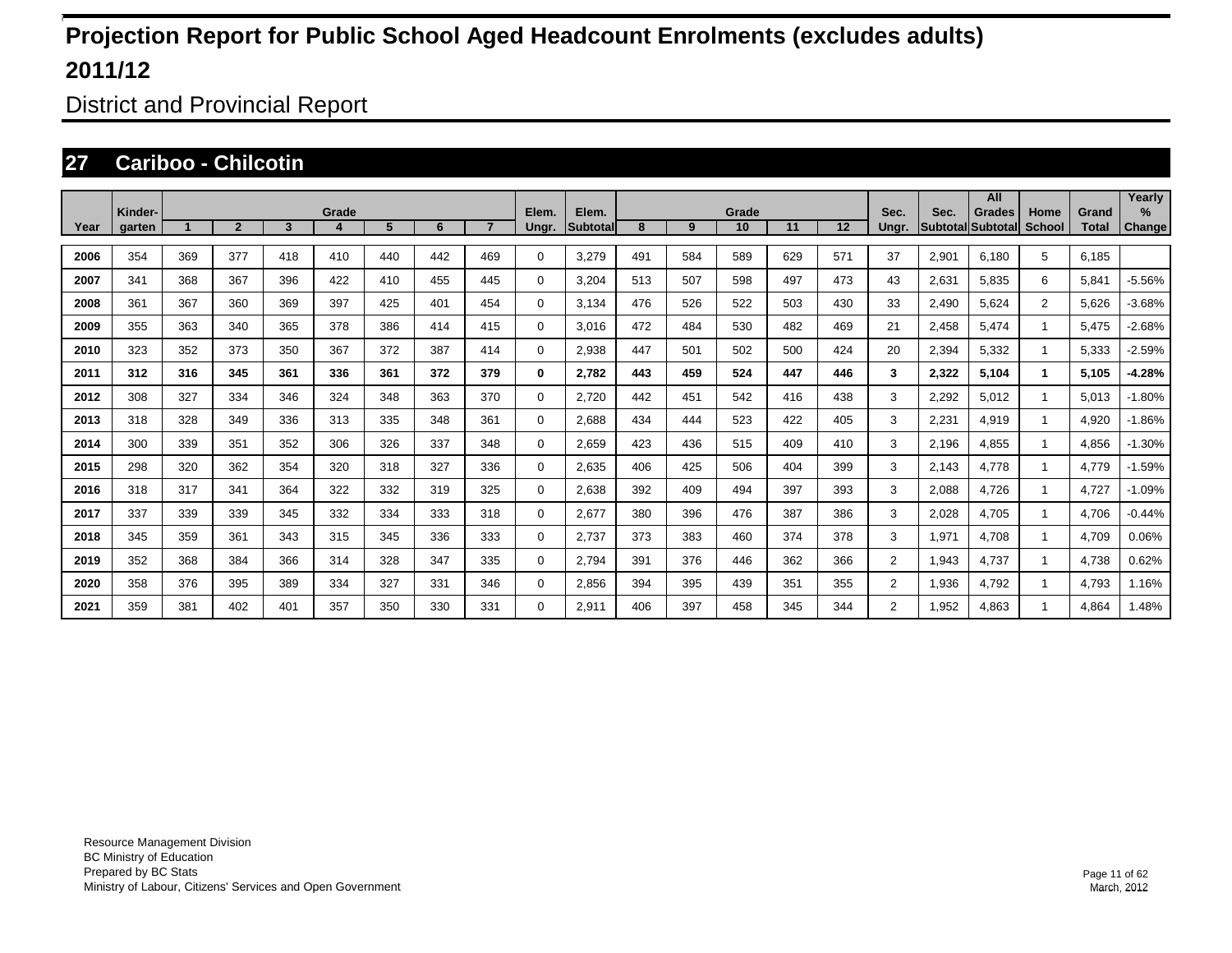District and Provincial Report

### **27 Cariboo - Chilcotin**

|      |                   |     |                |                 |            |     |     |     |                |                           |     |     |             |     |     |                |       | All                                       |                |                       | Yearly                         |
|------|-------------------|-----|----------------|-----------------|------------|-----|-----|-----|----------------|---------------------------|-----|-----|-------------|-----|-----|----------------|-------|-------------------------------------------|----------------|-----------------------|--------------------------------|
| Year | Kinder-<br>garten |     | $\overline{2}$ | $3\phantom{.0}$ | Grade<br>4 | 5   | 6   |     | Elem.<br>Ungr. | Elem.<br><b>Subtotall</b> | 8   | 9   | Grade<br>10 | 11  | 12  | Sec.<br>Ungr.  | Sec.  | <b>Grades</b><br><b>Subtotal Subtotal</b> | Home<br>School | Grand<br><b>Total</b> | $\frac{9}{6}$<br><b>Change</b> |
| 2006 | 354               | 369 | 377            | 418             | 410        | 440 | 442 | 469 | 0              | 3,279                     | 491 | 584 | 589         | 629 | 571 | 37             | 2,901 | 6,180                                     | 5              | 6,185                 |                                |
| 2007 | 341               | 368 | 367            | 396             | 422        | 410 | 455 | 445 | 0              | 3,204                     | 513 | 507 | 598         | 497 | 473 | 43             | 2,631 | 5,835                                     | 6              | 5,841                 | $-5.56%$                       |
| 2008 | 361               | 367 | 360            | 369             | 397        | 425 | 401 | 454 | $\Omega$       | 3,134                     | 476 | 526 | 522         | 503 | 430 | 33             | 2,490 | 5,624                                     | $\overline{2}$ | 5,626                 | $-3.68%$                       |
| 2009 | 355               | 363 | 340            | 365             | 378        | 386 | 414 | 415 | $\Omega$       | 3,016                     | 472 | 484 | 530         | 482 | 469 | 21             | 2,458 | 5,474                                     |                | 5,475                 | $-2.68%$                       |
| 2010 | 323               | 352 | 373            | 350             | 367        | 372 | 387 | 414 | 0              | 2,938                     | 447 | 501 | 502         | 500 | 424 | 20             | 2,394 | 5,332                                     |                | 5,333                 | $-2.59%$                       |
| 2011 | 312               | 316 | 345            | 361             | 336        | 361 | 372 | 379 | $\bf{0}$       | 2,782                     | 443 | 459 | 524         | 447 | 446 | 3              | 2,322 | 5,104                                     | 1.             | 5,105                 | $-4.28%$                       |
| 2012 | 308               | 327 | 334            | 346             | 324        | 348 | 363 | 370 | 0              | 2,720                     | 442 | 451 | 542         | 416 | 438 | 3              | 2,292 | 5,012                                     |                | 5,013                 | $-1.80%$                       |
| 2013 | 318               | 328 | 349            | 336             | 313        | 335 | 348 | 361 | 0              | 2,688                     | 434 | 444 | 523         | 422 | 405 | 3              | 2,231 | 4,919                                     |                | 4,920                 | $-1.86%$                       |
| 2014 | 300               | 339 | 351            | 352             | 306        | 326 | 337 | 348 | 0              | 2,659                     | 423 | 436 | 515         | 409 | 410 | 3              | 2,196 | 4,855                                     |                | 4,856                 | $-1.30%$                       |
| 2015 | 298               | 320 | 362            | 354             | 320        | 318 | 327 | 336 | 0              | 2,635                     | 406 | 425 | 506         | 404 | 399 | 3              | 2,143 | 4,778                                     |                | 4,779                 | $-1.59%$                       |
| 2016 | 318               | 317 | 341            | 364             | 322        | 332 | 319 | 325 | 0              | 2,638                     | 392 | 409 | 494         | 397 | 393 | 3              | 2,088 | 4,726                                     |                | 4,727                 | $-1.09%$                       |
| 2017 | 337               | 339 | 339            | 345             | 332        | 334 | 333 | 318 | 0              | 2,677                     | 380 | 396 | 476         | 387 | 386 | 3              | 2,028 | 4,705                                     |                | 4,706                 | $-0.44%$                       |
| 2018 | 345               | 359 | 361            | 343             | 315        | 345 | 336 | 333 | 0              | 2,737                     | 373 | 383 | 460         | 374 | 378 | 3              | 1,971 | 4,708                                     |                | 4,709                 | 0.06%                          |
| 2019 | 352               | 368 | 384            | 366             | 314        | 328 | 347 | 335 | 0              | 2,794                     | 391 | 376 | 446         | 362 | 366 | $\overline{2}$ | 1,943 | 4,737                                     |                | 4,738                 | 0.62%                          |
| 2020 | 358               | 376 | 395            | 389             | 334        | 327 | 331 | 346 | 0              | 2,856                     | 394 | 395 | 439         | 351 | 355 | $\overline{2}$ | 1,936 | 4,792                                     |                | 4,793                 | 1.16%                          |
| 2021 | 359               | 381 | 402            | 401             | 357        | 350 | 330 | 331 | $\Omega$       | 2,911                     | 406 | 397 | 458         | 345 | 344 | $\overline{2}$ | .952  | 4.863                                     |                | 4,864                 | 1.48%                          |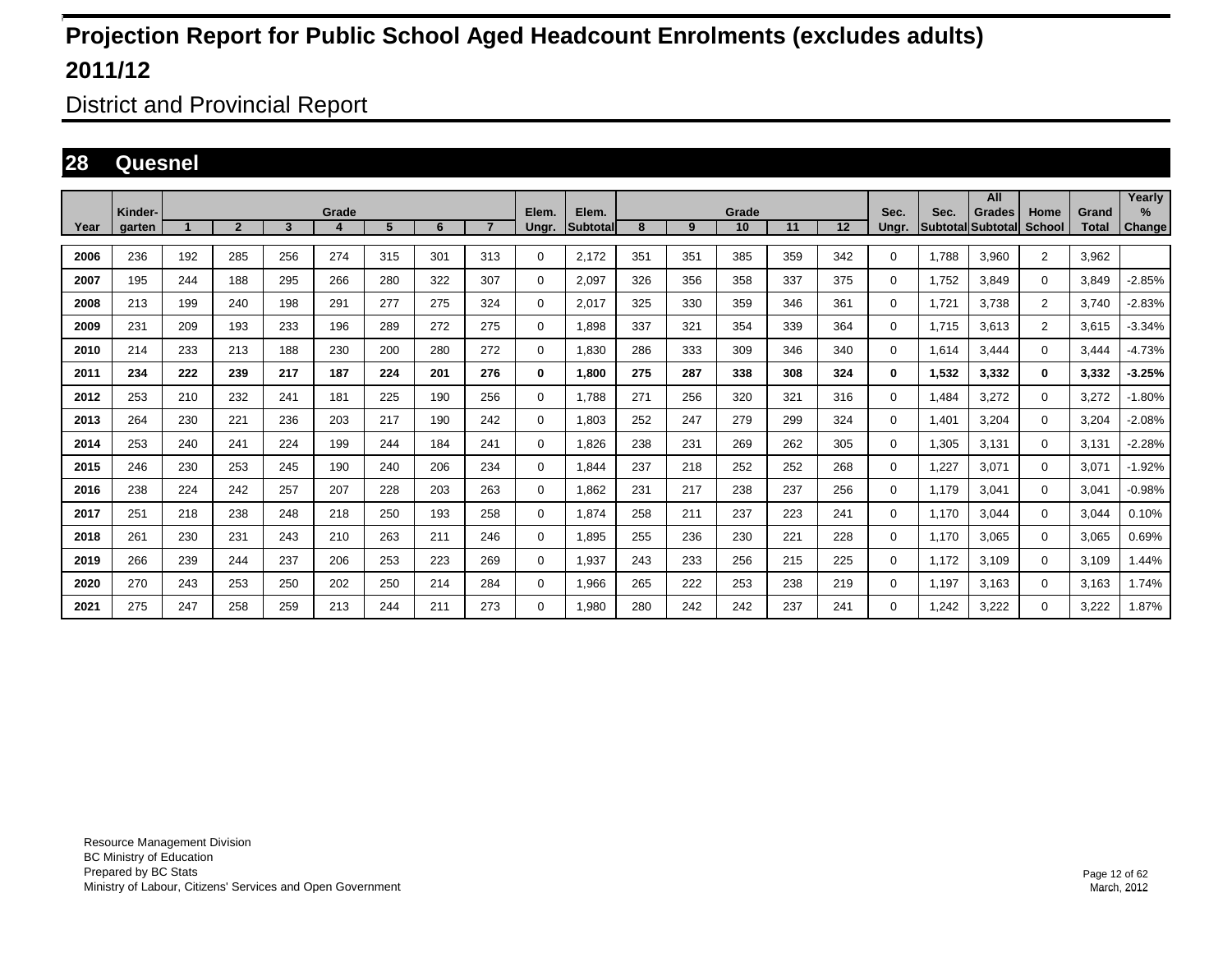District and Provincial Report

### **28 Quesnel**

|      |                   |     |                |     | Grade |     |     |                |                |                   |     |     | Grade |     |     | Sec.     |       | All                         |                |                       | Yearly      |
|------|-------------------|-----|----------------|-----|-------|-----|-----|----------------|----------------|-------------------|-----|-----|-------|-----|-----|----------|-------|-----------------------------|----------------|-----------------------|-------------|
| Year | Kinder-<br>aarten |     | $\overline{2}$ | 3   | 4     | 5   | 6   | $\overline{7}$ | Elem.<br>Unar. | Elem.<br>Subtotal | 8   | 9   | 10    | 11  | 12  | Unar.    | Sec.  | Grades<br>Subtotal Subtotal | Home<br>School | Grand<br><b>Total</b> | %<br>Change |
| 2006 | 236               | 192 | 285            | 256 | 274   | 315 | 301 | 313            | $\Omega$       | 2,172             | 351 | 351 | 385   | 359 | 342 | $\Omega$ | 1.788 | 3,960                       | $\overline{2}$ | 3,962                 |             |
| 2007 | 195               | 244 | 188            | 295 | 266   | 280 | 322 | 307            | 0              | 2,097             | 326 | 356 | 358   | 337 | 375 | 0        | 1.752 | 3.849                       | $\mathbf{0}$   | 3.849                 | $-2.85%$    |
| 2008 | 213               | 199 | 240            | 198 | 291   | 277 | 275 | 324            | 0              | 2.017             | 325 | 330 | 359   | 346 | 361 | $\Omega$ | 1.721 | 3.738                       | $\overline{2}$ | 3.740                 | $-2.83%$    |
| 2009 | 231               | 209 | 193            | 233 | 196   | 289 | 272 | 275            | 0              | 1,898             | 337 | 321 | 354   | 339 | 364 | $\Omega$ | 1,715 | 3,613                       | $\overline{2}$ | 3,615                 | $-3.34%$    |
| 2010 | 214               | 233 | 213            | 188 | 230   | 200 | 280 | 272            | 0              | 1,830             | 286 | 333 | 309   | 346 | 340 | 0        | 1,614 | 3.444                       | $\Omega$       | 3.444                 | $-4.73%$    |
| 2011 | 234               | 222 | 239            | 217 | 187   | 224 | 201 | 276            | 0              | 1.800             | 275 | 287 | 338   | 308 | 324 | 0        | 1,532 | 3,332                       | $\bf{0}$       | 3,332                 | -3.25%      |
| 2012 | 253               | 210 | 232            | 241 | 181   | 225 | 190 | 256            | 0              | 1.788             | 271 | 256 | 320   | 321 | 316 | 0        | 1.484 | 3.272                       | $\mathbf 0$    | 3,272                 | $-1.80%$    |
| 2013 | 264               | 230 | 221            | 236 | 203   | 217 | 190 | 242            | 0              | 1,803             | 252 | 247 | 279   | 299 | 324 | 0        | 1,401 | 3,204                       | $\mathbf 0$    | 3,204                 | $-2.08%$    |
| 2014 | 253               | 240 | 241            | 224 | 199   | 244 | 184 | 241            | 0              | 1,826             | 238 | 231 | 269   | 262 | 305 | $\Omega$ | 1,305 | 3.131                       | 0              | 3,131                 | $-2.28%$    |
| 2015 | 246               | 230 | 253            | 245 | 190   | 240 | 206 | 234            | 0              | 1.844             | 237 | 218 | 252   | 252 | 268 | 0        | 1,227 | 3.071                       | $\mathbf 0$    | 3,071                 | $-1.92%$    |
| 2016 | 238               | 224 | 242            | 257 | 207   | 228 | 203 | 263            | 0              | 1.862             | 231 | 217 | 238   | 237 | 256 | 0        | 1.179 | 3.041                       | $\mathbf 0$    | 3,041                 | $-0.98%$    |
| 2017 | 251               | 218 | 238            | 248 | 218   | 250 | 193 | 258            | 0              | 1,874             | 258 | 211 | 237   | 223 | 241 | $\Omega$ | 1.170 | 3,044                       | $\mathbf 0$    | 3,044                 | 0.10%       |
| 2018 | 261               | 230 | 231            | 243 | 210   | 263 | 211 | 246            | 0              | 1,895             | 255 | 236 | 230   | 221 | 228 | $\Omega$ | 1.170 | 3,065                       | $\mathbf 0$    | 3,065                 | 0.69%       |
| 2019 | 266               | 239 | 244            | 237 | 206   | 253 | 223 | 269            | 0              | 1,937             | 243 | 233 | 256   | 215 | 225 | 0        | 1.172 | 3,109                       | $\mathbf 0$    | 3,109                 | 1.44%       |
| 2020 | 270               | 243 | 253            | 250 | 202   | 250 | 214 | 284            | 0              | 1,966             | 265 | 222 | 253   | 238 | 219 | 0        | 1.197 | 3.163                       | $\mathbf 0$    | 3.163                 | 1.74%       |
| 2021 | 275               | 247 | 258            | 259 | 213   | 244 | 211 | 273            | $\Omega$       | 1,980             | 280 | 242 | 242   | 237 | 241 | 0        | .242  | 3,222                       | $\mathbf 0$    | 3,222                 | 1.87%       |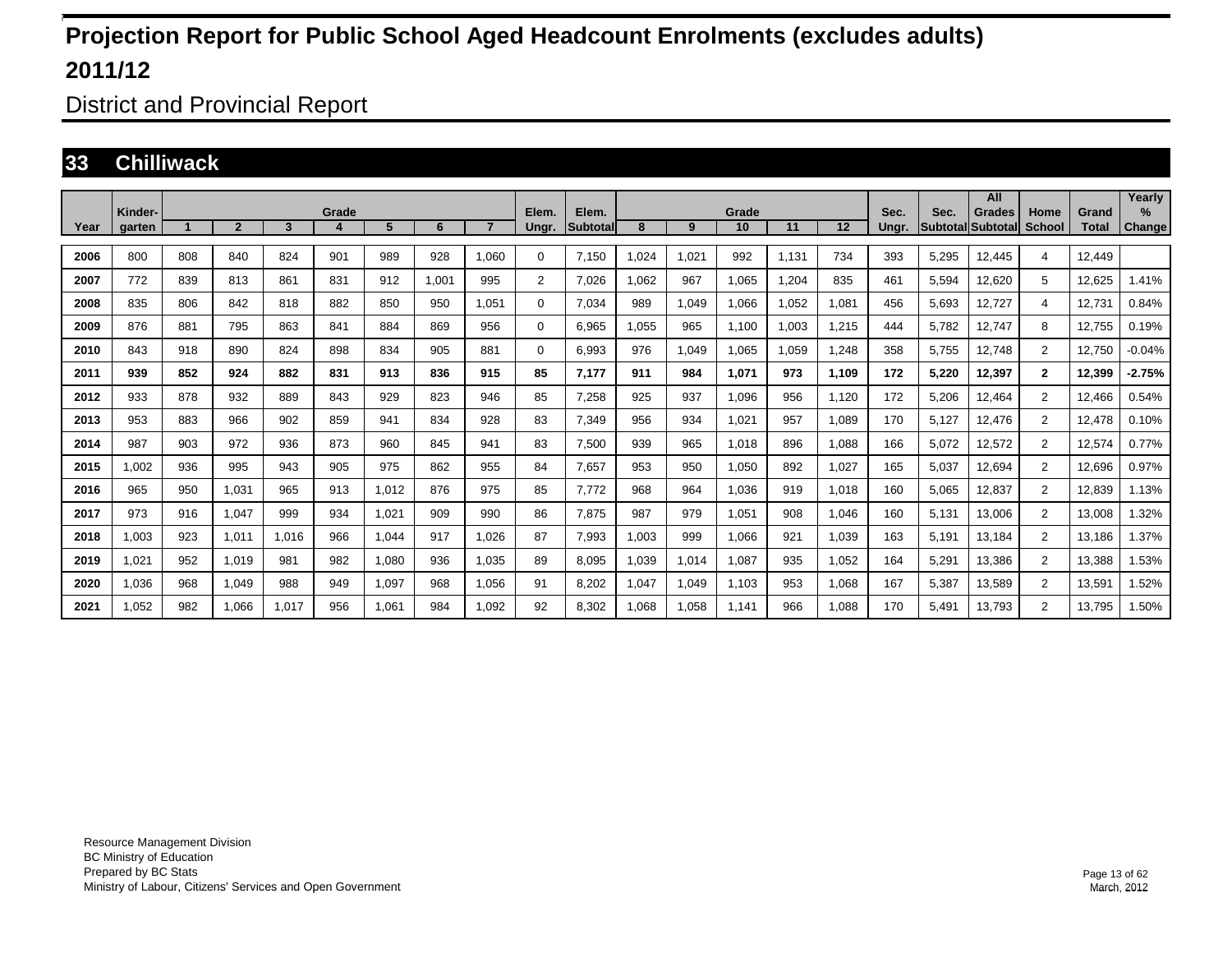District and Provincial Report

#### **33 Chilliwack**

|      |                   |     |                |       |            |       |       |                |                |                    |       |       |             |       |       |               |                                  | All           |                |                       | Yearly                |
|------|-------------------|-----|----------------|-------|------------|-------|-------|----------------|----------------|--------------------|-------|-------|-------------|-------|-------|---------------|----------------------------------|---------------|----------------|-----------------------|-----------------------|
| Year | Kinder-<br>garten |     | $\overline{2}$ | 3     | Grade<br>4 | 5     | 6     | $\overline{7}$ | Elem.<br>Ungr. | Elem.<br>Subtotall | 8     | 9     | Grade<br>10 | 11    | 12    | Sec.<br>Unar. | Sec.<br><b>Subtotal Subtotal</b> | <b>Grades</b> | Home<br>School | Grand<br><b>Total</b> | $\%$<br><b>Change</b> |
| 2006 | 800               | 808 | 840            | 824   | 901        | 989   | 928   | 1.060          | 0              | 7.150              | .024  | 1,021 | 992         | 1.131 | 734   | 393           | 5,295                            | 12,445        | 4              | 12,449                |                       |
| 2007 | 772               | 839 | 813            | 861   | 831        | 912   | 1.001 | 995            | $\overline{2}$ | 7.026              | .062  | 967   | 1.065       | 1.204 | 835   | 461           | 5.594                            | 12,620        | 5              | 12.625                | 1.41%                 |
| 2008 | 835               | 806 | 842            | 818   | 882        | 850   | 950   | 1,051          | 0              | 7,034              | 989   | 1,049 | 1,066       | 1,052 | 1,081 | 456           | 5,693                            | 12,727        | 4              | 12,731                | 0.84%                 |
| 2009 | 876               | 881 | 795            | 863   | 841        | 884   | 869   | 956            | 0              | 6,965              | .055  | 965   | 1.100       | 1,003 | 1,215 | 444           | 5,782                            | 12,747        | 8              | 12,755                | 0.19%                 |
| 2010 | 843               | 918 | 890            | 824   | 898        | 834   | 905   | 881            | 0              | 6.993              | 976   | 1,049 | 1.065       | 1.059 | 1.248 | 358           | 5.755                            | 12,748        | $\overline{2}$ | 12,750                | $-0.04%$              |
| 2011 | 939               | 852 | 924            | 882   | 831        | 913   | 836   | 915            | 85             | 7.177              | 911   | 984   | 1,071       | 973   | 1.109 | 172           | 5,220                            | 12,397        | $\mathbf{2}$   | 12,399                | $-2.75%$              |
| 2012 | 933               | 878 | 932            | 889   | 843        | 929   | 823   | 946            | 85             | 7,258              | 925   | 937   | 1,096       | 956   | 1.120 | 172           | 5,206                            | 12,464        | $\overline{2}$ | 12.466                | 0.54%                 |
| 2013 | 953               | 883 | 966            | 902   | 859        | 941   | 834   | 928            | 83             | 7.349              | 956   | 934   | 1,021       | 957   | 1.089 | 170           | 5.127                            | 12.476        | $\overline{2}$ | 12.478                | 0.10%                 |
| 2014 | 987               | 903 | 972            | 936   | 873        | 960   | 845   | 941            | 83             | 7,500              | 939   | 965   | 1,018       | 896   | 1,088 | 166           | 5,072                            | 12,572        | $\overline{2}$ | 12,574                | 0.77%                 |
| 2015 | ,002              | 936 | 995            | 943   | 905        | 975   | 862   | 955            | 84             | 7,657              | 953   | 950   | 1,050       | 892   | 1,027 | 165           | 5,037                            | 12,694        | $\overline{2}$ | 12,696                | 0.97%                 |
| 2016 | 965               | 950 | 1,031          | 965   | 913        | 1,012 | 876   | 975            | 85             | 7.772              | 968   | 964   | 1,036       | 919   | 1.018 | 160           | 5,065                            | 12,837        | $\overline{2}$ | 12.839                | 1.13%                 |
| 2017 | 973               | 916 | 1,047          | 999   | 934        | 1,021 | 909   | 990            | 86             | 7,875              | 987   | 979   | 1,051       | 908   | 1,046 | 160           | 5,131                            | 13,006        | $\overline{2}$ | 13,008                | .32%                  |
| 2018 | 0.003             | 923 | 1,011          | 1,016 | 966        | 1,044 | 917   | 1.026          | 87             | 7,993              | 1,003 | 999   | 1,066       | 921   | 1.039 | 163           | 5,191                            | 13,184        | $\overline{2}$ | 13.186                | 1.37%                 |
| 2019 | 1.021             | 952 | 1,019          | 981   | 982        | 1,080 | 936   | 1.035          | 89             | 8.095              | 1.039 | 1,014 | 1,087       | 935   | 1.052 | 164           | 5,291                            | 13.386        | $\overline{2}$ | 13,388                | 1.53%                 |
| 2020 | 1,036             | 968 | 1,049          | 988   | 949        | 1,097 | 968   | 1,056          | 91             | 8,202              | 1,047 | 1,049 | 1,103       | 953   | 1,068 | 167           | 5,387                            | 13,589        | $\overline{2}$ | 13,591                | 1.52%                 |
| 2021 | 1.052             | 982 | 1.066          | 1.017 | 956        | 1.061 | 984   | 1.092          | 92             | 8.302              | 1.068 | 1.058 | 1.141       | 966   | 1.088 | 170           | 5.491                            | 13.793        | $\overline{2}$ | 13.795                | 1.50%                 |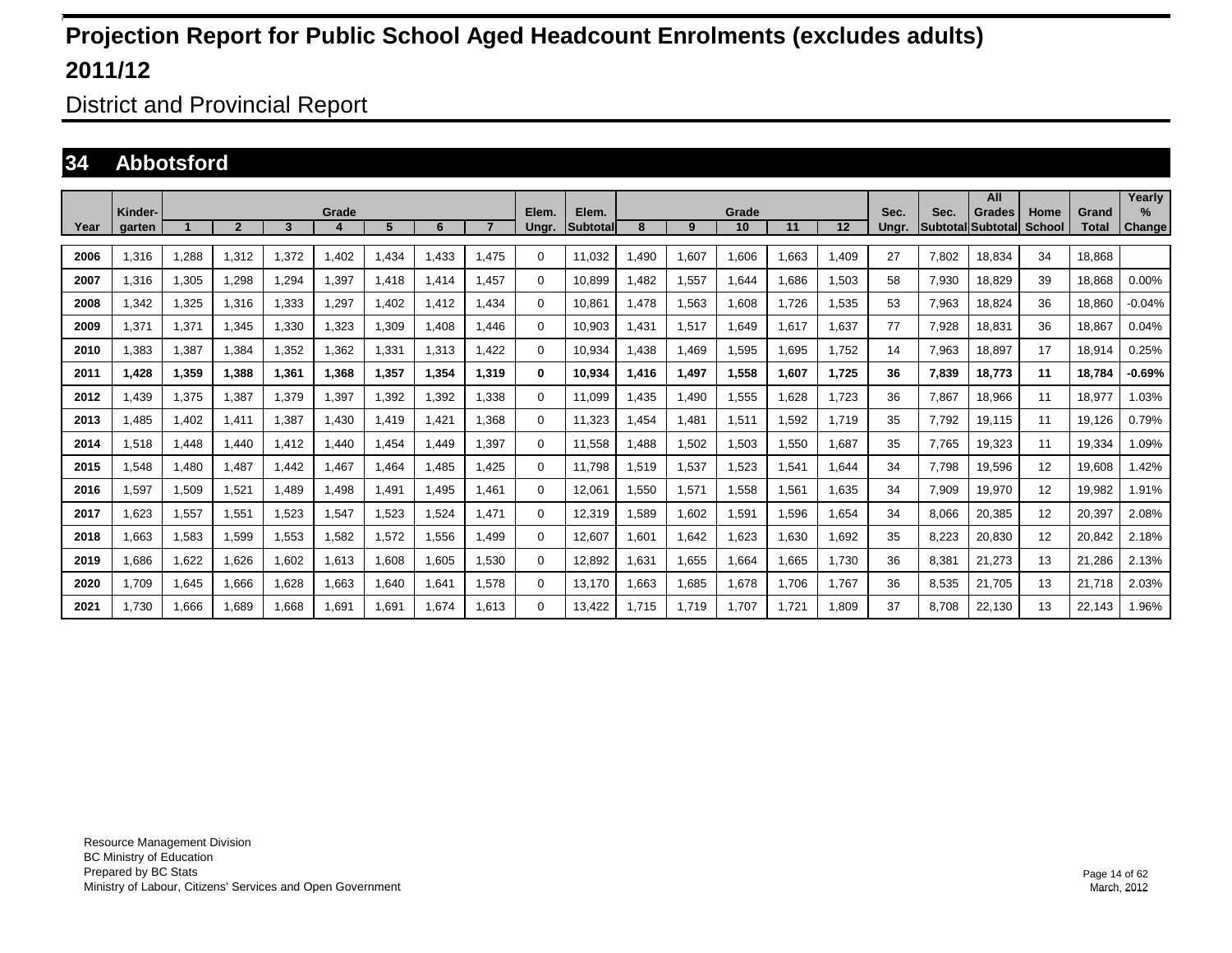District and Provincial Report

### **34 Abbotsford**

|      |                   |       |                |       |       |       |       |       |                |                   |       |       |             |       |       |               |       | All                                 |                       |                       | Yearly                |
|------|-------------------|-------|----------------|-------|-------|-------|-------|-------|----------------|-------------------|-------|-------|-------------|-------|-------|---------------|-------|-------------------------------------|-----------------------|-----------------------|-----------------------|
| Year | Kinder-<br>aarten |       | $\overline{2}$ | 3     | Grade | 5     | 6     |       | Elem.<br>Ungr. | Elem.<br>Subtotal | 8     | 9     | Grade<br>10 | 11    | 12    | Sec.<br>Ungr. | Sec.  | <b>Grades</b><br> Subtotal Subtotal | Home<br><b>School</b> | Grand<br><b>Total</b> | $\%$<br><b>Change</b> |
|      |                   |       |                |       |       |       |       |       |                |                   |       |       |             |       |       |               |       |                                     |                       |                       |                       |
| 2006 | 1.316             | 1.288 | 1.312          | 1,372 | .402  | .434  | 1.433 | 1.475 | 0              | 11.032            | .490  | 1.607 | .606        | 1.663 | 1.409 | 27            | 7.802 | 18.834                              | 34                    | 18.868                |                       |
| 2007 | 1.316             | 1.305 | 1.298          | .294  | 1,397 | 1.418 | 1.414 | 1.457 | 0              | 10.899            | .482  | 1,557 | .644        | 1.686 | 1.503 | 58            | 7.930 | 18.829                              | 39                    | 18.868                | 0.00%                 |
| 2008 | ,342              | 1,325 | 1.316          | 1,333 | .297  | 1,402 | 1,412 | 1.434 | 0              | 10,861            | ,478  | 1,563 | 1,608       | 1,726 | 1,535 | 53            | 7,963 | 18,824                              | 36                    | 18,860                | $-0.04%$              |
| 2009 | .371              | 1,371 | 1.345          | 1,330 | 1,323 | 1,309 | 1.408 | 1.446 | 0              | 10,903            | ,431  | 1,517 | .649        | 1,617 | 1,637 | 77            | 7,928 | 18,831                              | 36                    | 18,867                | 0.04%                 |
| 2010 | ,383              | 1,387 | 1,384          | 1,352 | 1,362 | 1,331 | 1,313 | 1.422 | 0              | 10,934            | ,438  | 1,469 | .595        | 1.695 | 1.752 | 14            | 7,963 | 18,897                              | 17                    | 18,914                | 0.25%                 |
| 2011 | 1,428             | 1,359 | 1.388          | 1,361 | 1,368 | 1,357 | 1,354 | 1,319 | $\bf{0}$       | 10,934            | ,416  | 1,497 | 1,558       | 1,607 | 1.725 | 36            | 7,839 | 18.773                              | 11                    | 18.784                | $-0.69%$              |
| 2012 | ,439              | 1,375 | 1,387          | 1,379 | .397  | 1,392 | 1,392 | 1.338 | $\Omega$       | 11,099            | ,435  | 1,490 | 1,555       | 1,628 | 1,723 | 36            | 7,867 | 18,966                              | 11                    | 18,977                | 1.03%                 |
| 2013 | ,485              | 1,402 | 1.411          | 1,387 | .430  | 1,419 | 1.421 | 1.368 | 0              | 11,323            | ,454  | 1,481 | 1,511       | 1,592 | 1.719 | 35            | 7.792 | 19,115                              | 11                    | 19,126                | 0.79%                 |
| 2014 | 1.518             | 1,448 | 1.440          | 1,412 | .440  | .454  | 1.449 | 1.397 | 0              | 11,558            | .488  | 1,502 | .503        | 1,550 | 1,687 | 35            | 7.765 | 19,323                              | 11                    | 19,334                | .09%                  |
| 2015 | .548              | 1,480 | 1.487          | 1,442 | .467  | 1,464 | 1.485 | 1.425 | 0              | 11.798            | .519  | 1,537 | .523        | 1,541 | 1,644 | 34            | 7.798 | 19,596                              | 12                    | 19.608                | .42%                  |
| 2016 | 1.597             | 1,509 | 1.521          | 1.489 | .498  | 1,491 | 1.495 | 1.461 | 0              | 12,061            | .550  | 1,571 | 1,558       | 1,561 | 1.635 | 34            | 7,909 | 19.970                              | 12                    | 19,982                | 1.91%                 |
| 2017 | 1.623             | 1,557 | 1.551          | 1,523 | 1,547 | 1,523 | 1.524 | 1.471 | $\Omega$       | 12,319            | .589  | 1,602 | 1,591       | 1.596 | 1.654 | 34            | 8.066 | 20,385                              | 12                    | 20,397                | 2.08%                 |
| 2018 | .663              | 1,583 | 1.599          | 1,553 | 1,582 | 1,572 | 1,556 | 1.499 | 0              | 12.607            | .601  | 1,642 | .623        | 1.630 | 1.692 | 35            | 8.223 | 20,830                              | 12                    | 20,842                | 2.18%                 |
| 2019 | .686              | 1.622 | 1,626          | 1.602 | 1,613 | 1.608 | 1.605 | 1.530 | 0              | 12.892            | .631  | 1,655 | .664        | 1.665 | 1.730 | 36            | 8.381 | 21.273                              | 13                    | 21.286                | 2.13%                 |
| 2020 | 1,709             | 1,645 | 1,666          | 1,628 | 1,663 | 1,640 | 1,641 | 1,578 | $\Omega$       | 13,170            | .663  | 1,685 | 1,678       | 1,706 | 1,767 | 36            | 8,535 | 21,705                              | 13                    | 21,718                | 2.03%                 |
| 2021 | 1.730             | 1.666 | 1.689          | .668  | .691  | 1,691 | 1.674 | 1.613 | $\Omega$       | 13.422            | 1.715 | 1,719 | 1.707       | 1.721 | 1.809 | 37            | 8.708 | 22,130                              | 13                    | 22,143                | 1.96%                 |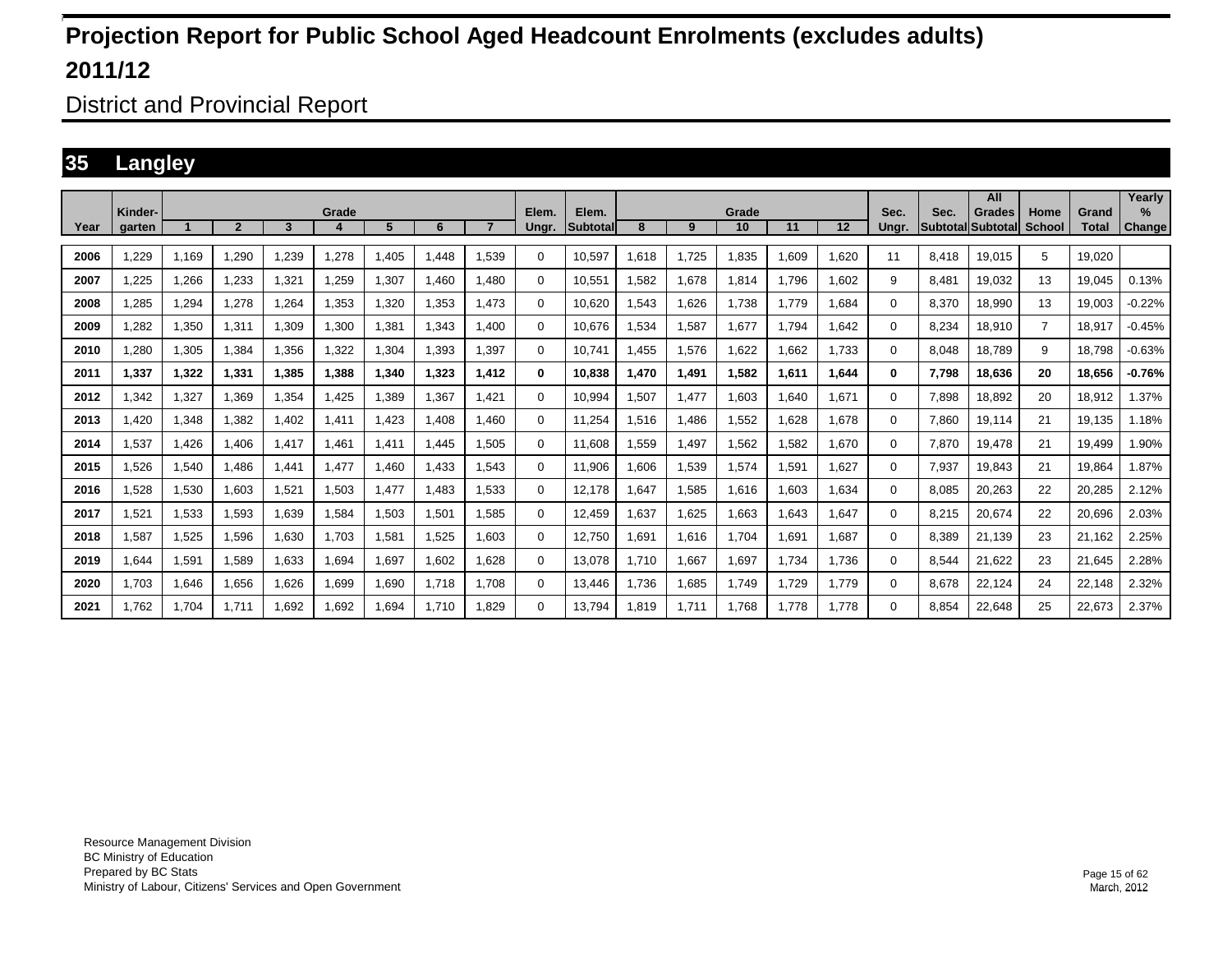District and Provincial Report

### **35 Langley**

|      | Kinder- |       |                |       | Grade                  |       |       |       | Elem.    | Elem.           |       |       | Grade |       |       | Sec.     | Sec.                     | All<br><b>Grades</b> | Home           | Grand        | Yearly<br>$\%$ |
|------|---------|-------|----------------|-------|------------------------|-------|-------|-------|----------|-----------------|-------|-------|-------|-------|-------|----------|--------------------------|----------------------|----------------|--------------|----------------|
| Year | aarten  |       | $\overline{2}$ | 3     | $\boldsymbol{\Lambda}$ | 5     | 6     |       | Ungr.    | <b>Subtotal</b> | 8     | 9     | 10    | 11    | 12    | Unar.    | <b>SubtotallSubtotal</b> |                      | <b>School</b>  | <b>Total</b> | Change         |
| 2006 | ,229    | 1,169 | 1,290          | 1,239 | 1,278                  | 1,405 | 1.448 | 1,539 | $\Omega$ | 10,597          | 1,618 | 1,725 | 1,835 | 1,609 | 1.620 | 11       | 8.418                    | 19,015               | 5              | 19.020       |                |
| 2007 | .225    | 1.266 | 1,233          | 1,321 | .259                   | 1,307 | 1.460 | 1.480 | 0        | 10,551          | 1,582 | 1,678 | 1,814 | 1.796 | 1.602 | 9        | 8.481                    | 19.032               | 13             | 19.045       | 0.13%          |
| 2008 | .285    | 1,294 | 1,278          | 1,264 | .353                   | 1,320 | 1,353 | 1,473 | 0        | 10,620          | .543  | 1,626 | 1,738 | 1.779 | 1,684 | $\Omega$ | 8,370                    | 18,990               | 13             | 19.003       | $-0.22%$       |
| 2009 | .282    | 1,350 | 1,311          | 1,309 | .300                   | 1,381 | 1.343 | 1.400 | 0        | 10.676          | .534  | 1,587 | 1,677 | 1.794 | 1.642 | 0        | 8.234                    | 18,910               | $\overline{7}$ | 18.917       | $-0.45%$       |
| 2010 | .280    | 1.305 | 1.384          | 1.356 | 1,322                  | 1,304 | 1.393 | 1.397 | 0        | 10.741          | .455  | 1,576 | 1.622 | 1.662 | 1.733 | $\Omega$ | 8.048                    | 18.789               | 9              | 18.798       | $-0.63%$       |
| 2011 | 1,337   | 1,322 | 1,331          | 1,385 | 1,388                  | 1,340 | 1,323 | 1,412 | 0        | 10.838          | 1,470 | 1,491 | 1,582 | 1,611 | 1.644 | 0        | 7,798                    | 18,636               | 20             | 18.656       | $-0.76%$       |
| 2012 | .342    | 1,327 | 1.369          | 1,354 | .425                   | .389  | 1.367 | 1.421 | 0        | 10.994          | ,507  | 1.477 | .603  | 1.640 | 1.671 | $\Omega$ | 7.898                    | 18.892               | 20             | 18,912       | 1.37%          |
| 2013 | .420    | 1,348 | 1,382          | 1,402 | 1,411                  | .423  | 1.408 | 1.460 | 0        | 11,254          | 1,516 | 1.486 | 1,552 | 1.628 | 1,678 | $\Omega$ | 7.860                    | 19,114               | 21             | 19,135       | 1.18%          |
| 2014 | .537    | 1.426 | 1.406          | 1,417 | .461                   | 1.411 | 1,445 | 1.505 | 0        | 11.608          | .559  | 1.497 | .562  | .582  | 1.670 | 0        | 7.870                    | 19.478               | 21             | 19.499       | .90%           |
| 2015 | 1,526   | 1,540 | 1,486          | 1,441 | 1,477                  | .460  | 1,433 | 1,543 | 0        | 11,906          | ,606  | 1,539 | 1,574 | 1,591 | 1,627 | $\Omega$ | 7,937                    | 19,843               | 21             | 19,864       | 1.87%          |
| 2016 | 1,528   | 1,530 | 1,603          | 1,521 | 1,503                  | 1,477 | 1.483 | 1,533 | 0        | 12,178          | ,647  | 1,585 | 1,616 | 1,603 | 1,634 | 0        | 8,085                    | 20,263               | 22             | 20,285       | 2.12%          |
| 2017 | 1.521   | 1,533 | 1.593          | 1.639 | .584                   | 1,503 | 1.501 | 1.585 | 0        | 12.459          | .637  | 1,625 | .663  | 1.643 | 1,647 | $\Omega$ | 8.215                    | 20,674               | 22             | 20,696       | 2.03%          |
| 2018 | .587    | 1,525 | 1,596          | 1,630 | 1.703                  | 1,58' | 1,525 | 1.603 | $\Omega$ | 12,750          | .691  | 1,616 | 1,704 | 1,691 | 1,687 | $\Omega$ | 8,389                    | 21,139               | 23             | 21,162       | 2.25%          |
| 2019 | .644    | 1,591 | 1.589          | 1.633 | 1.694                  | 1,697 | 1,602 | 1.628 | 0        | 13.078          | 1.710 | 1,667 | 1,697 | 1.734 | 1.736 | $\Omega$ | 8,544                    | 21,622               | 23             | 21.645       | 2.28%          |
| 2020 | 1,703   | 1,646 | 1,656          | 1,626 | 1,699                  | 1,690 | 1,718 | 1.708 | $\Omega$ | 13,446          | 1,736 | 1,685 | 1,749 | 1,729 | 1.779 | $\Omega$ | 8,678                    | 22,124               | 24             | 22,148       | 2.32%          |
| 2021 | 1.762   | 1.704 | 1.711          | 1.692 | 1.692                  | 1.694 | 1.710 | 1.829 | 0        | 13.794          | 1,819 | 1.711 | 1.768 | 1.778 | 1.778 | $\Omega$ | 8.854                    | 22,648               | 25             | 22,673       | 2.37%          |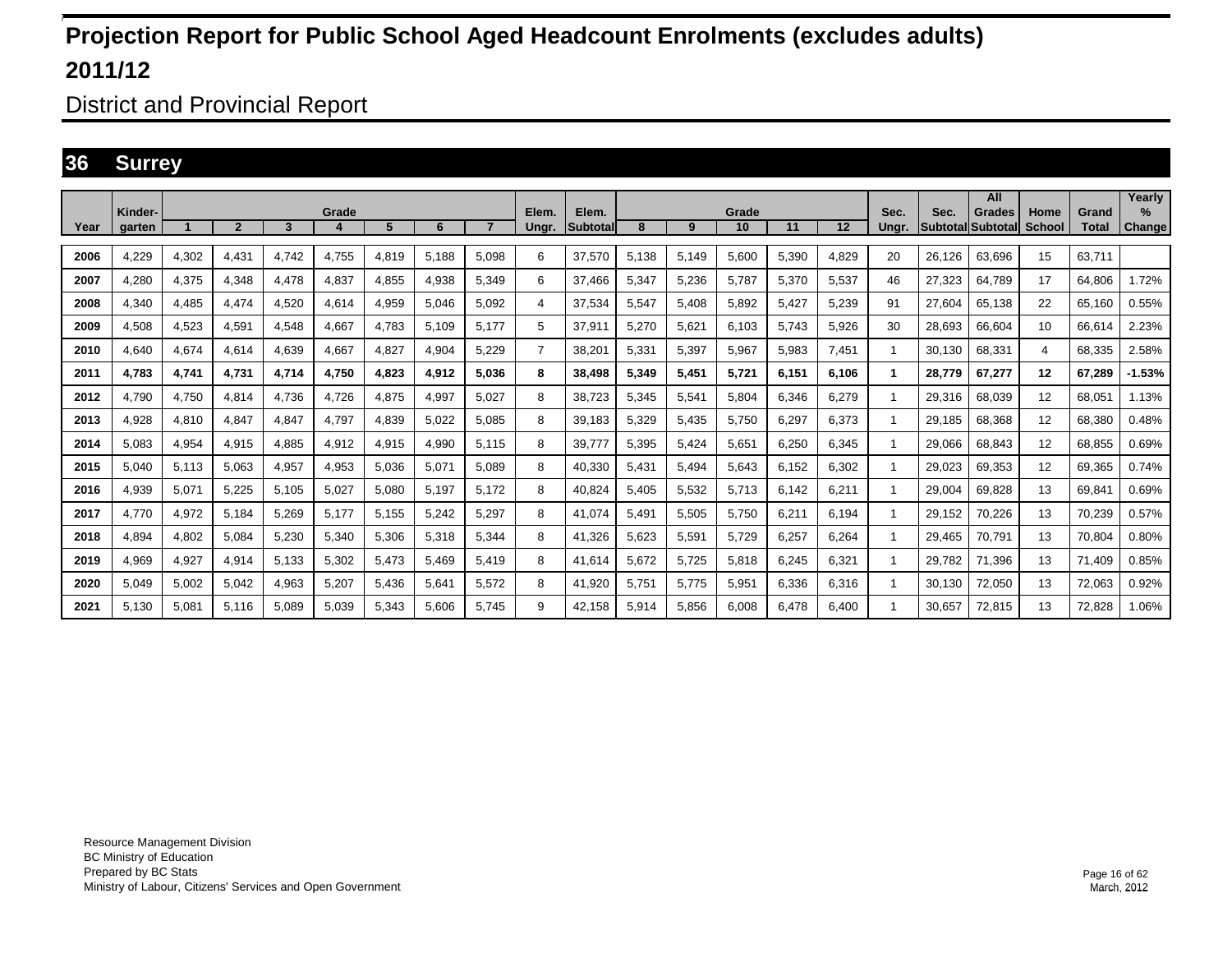District and Provincial Report

### **36 Surrey**

|      | Kinder- |       |              |       | Grade |       |       |       | Elem. | Elem.           |       |       | Grade |       |       | Sec.  | Sec.              | All<br>Grades | Home   | Grand        | Yearly<br>$\%$ |
|------|---------|-------|--------------|-------|-------|-------|-------|-------|-------|-----------------|-------|-------|-------|-------|-------|-------|-------------------|---------------|--------|--------------|----------------|
| Year | garten  |       | $\mathbf{2}$ | 3     |       | 5     | 6     |       | Ungr. | <b>Subtotal</b> | 8     | 9     | 10    | 11    | 12    | Unar. | Subtotal Subtotal |               | School | <b>Total</b> | <b>Change</b>  |
| 2006 | 4.229   | 4,302 | 4.431        | 4.742 | 4.755 | 4,819 | 5.188 | 5.098 | 6     | 37.570          | 5,138 | 5.149 | 5.600 | 5.390 | 4.829 | 20    | 26,126            | 63.696        | 15     | 63.711       |                |
| 2007 | 4.280   | 4,375 | 4.348        | 4,478 | 4,837 | 4,855 | 4,938 | 5,349 | 6     | 37.466          | 5,347 | 5,236 | 5,787 | 5.370 | 5,537 | 46    | 27.323            | 64.789        | 17     | 64.806       | 1.72%          |
| 2008 | 4.340   | 4.485 | 4.474        | 4.520 | 4.614 | 4,959 | 5.046 | 5.092 | 4     | 37.534          | 5,547 | 5,408 | 5.892 | 5.427 | 5.239 | 91    | 27.604            | 65.138        | 22     | 65.160       | 0.55%          |
| 2009 | 4,508   | 4,523 | 4,591        | 4.548 | 4,667 | 4.783 | 5.109 | 5.177 | 5     | 37,911          | 5,270 | 5,621 | 6.103 | 5.743 | 5,926 | 30    | 28.693            | 66,604        | 10     | 66.614       | 2.23%          |
| 2010 | 4.640   | 4.674 | 4.614        | 4.639 | 4.667 | 4.827 | 4.904 | 5.229 | 7     | 38.201          | 5,331 | 5,397 | 5.967 | 5.983 | 7.451 |       | 30.130            | 68.331        | 4      | 68.335       | 2.58%          |
| 2011 | 4.783   | 4,741 | 4.731        | 4.714 | 4,750 | 4,823 | 4,912 | 5.036 | 8     | 38.498          | 5,349 | 5,451 | 5,721 | 6.151 | 6.106 |       | 28.779            | 67.277        | 12     | 67.289       | $-1.53%$       |
| 2012 | 4,790   | 4,750 | 4,814        | 4,736 | 4,726 | 4,875 | 4,997 | 5,027 | 8     | 38,723          | 5,345 | 5,541 | 5,804 | 6,346 | 6,279 |       | 29,316            | 68,039        | 12     | 68,051       | 1.13%          |
| 2013 | 4.928   | 4,810 | 4.847        | 4.847 | 4,797 | 4,839 | 5,022 | 5.085 | 8     | 39.183          | 5,329 | 5,435 | 5.750 | 6,297 | 6.373 |       | 29.185            | 68.368        | 12     | 68.380       | 0.48%          |
| 2014 | 5.083   | 4,954 | 4,915        | 4,885 | 4,912 | 4,915 | 4,990 | 5.115 | 8     | 39,777          | 5,395 | 5,424 | 5,651 | 6,250 | 6.345 |       | 29,066            | 68.843        | 12     | 68,855       | 0.69%          |
| 2015 | 5.040   | 5,113 | 5,063        | 4,957 | 4,953 | 5,036 | 5,071 | 5.089 | 8     | 40,330          | 5.431 | 5,494 | 5.643 | 6.152 | 6.302 |       | 29.023            | 69.353        | 12     | 69,365       | 0.74%          |
| 2016 | 4,939   | 5,071 | 5,225        | 5,105 | 5,027 | 5,080 | 5,197 | 5,172 | 8     | 40,824          | 5,405 | 5,532 | 5,713 | 6.142 | 6,211 |       | 29,004            | 69,828        | 13     | 69,841       | 0.69%          |
| 2017 | 4.770   | 4,972 | 5,184        | 5,269 | 5,177 | 5,155 | 5,242 | 5,297 | 8     | 41,074          | 5,491 | 5,505 | 5,750 | 6,211 | 6.194 |       | 29,152            | 70,226        | 13     | 70,239       | 0.57%          |
| 2018 | 4,894   | 4,802 | 5,084        | 5,230 | 5,340 | 5,306 | 5,318 | 5,344 | 8     | 41,326          | 5,623 | 5,591 | 5,729 | 6,257 | 6,264 |       | 29,465            | 70,791        | 13     | 70,804       | 0.80%          |
| 2019 | 4,969   | 4,927 | 4,914        | 5,133 | 5,302 | 5,473 | 5.469 | 5.419 | 8     | 41,614          | 5,672 | 5,725 | 5,818 | 6,245 | 6,321 |       | 29,782            | 71,396        | 13     | 71.409       | 0.85%          |
| 2020 | 5,049   | 5,002 | 5,042        | 4,963 | 5,207 | 5,436 | 5,641 | 5,572 | 8     | 41,920          | 5,751 | 5,775 | 5,951 | 6,336 | 6,316 |       | 30.130            | 72,050        | 13     | 72,063       | 0.92%          |
| 2021 | 5.130   | 5,081 | 5.116        | 5.089 | 5.039 | 5.343 | 5.606 | 5.745 | 9     | 42.158          | 5,914 | 5,856 | 6.008 | 6.478 | 6.400 |       | 30.657            | 72.815        | 13     | 72.828       | 1.06%          |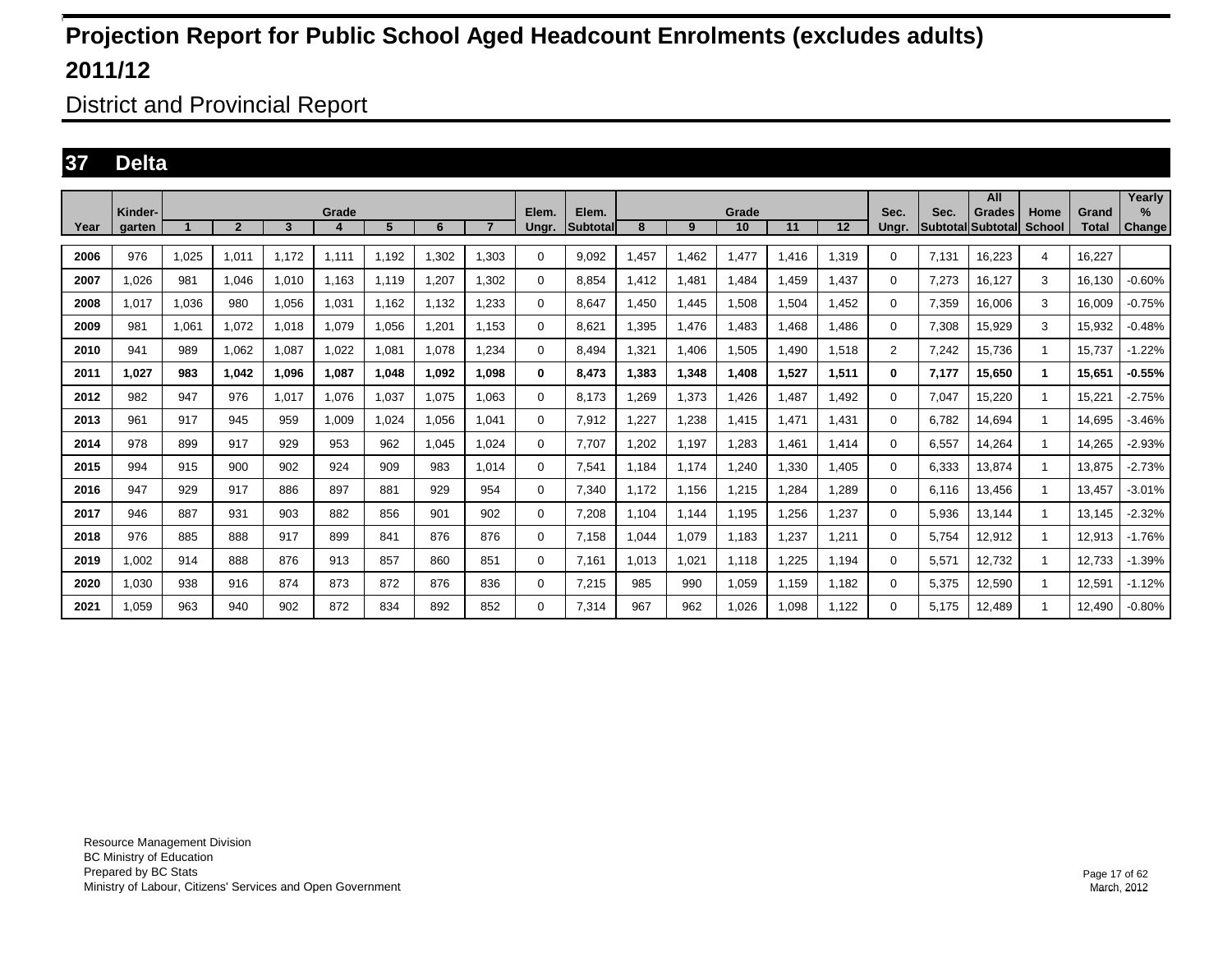District and Provincial Report

### **37 Delta**

|      | Kinder- |       |                |       | Grade |       |       |                | Elem.    | Elem.           |       |       | Grade |       |       | Sec.           | Sec.  | All<br>Grades            | Home         | Grand        | Yearly<br>$\%$ |
|------|---------|-------|----------------|-------|-------|-------|-------|----------------|----------|-----------------|-------|-------|-------|-------|-------|----------------|-------|--------------------------|--------------|--------------|----------------|
| Year | garten  |       | $\overline{2}$ | 3     |       | 5     | 6     | $\overline{7}$ | Ungr.    | <b>Subtotal</b> | 8     | 9     | 10    | 11    | 12    | Unar.          |       | <b>Subtotal Subtotal</b> | School       | <b>Total</b> | Change         |
| 2006 | 976     | 1,025 | 1,011          | 1,172 | 1,111 | 1,192 | 1,302 | 1.303          | 0        | 9,092           | 1,457 | 1,462 | 1,477 | .416  | 1,319 | $\Omega$       | 7,131 | 16,223                   | 4            | 16,227       |                |
| 2007 | 1.026   | 981   | 1,046          | 1,010 | 1.163 | 1.119 | 1,207 | 1.302          | 0        | 8.854           | 1,412 | 1.481 | 1.484 | .459  | 1.437 | 0              | 7,273 | 16,127                   | 3            | 16.130       | $-0.60%$       |
| 2008 | 1,017   | 1,036 | 980            | 1,056 | 1,031 | 1.162 | 1,132 | 1,233          | 0        | 8.647           | 1,450 | 1,445 | 1,508 | 1,504 | 1,452 | $\Omega$       | 7,359 | 16,006                   | 3            | 16.009       | $-0.75%$       |
| 2009 | 981     | 1.061 | 1,072          | 1,018 | 1.079 | 1.056 | 1,201 | 1.153          | 0        | 8.621           | 1,395 | 1.476 | 1.483 | .468  | 1.486 | 0              | 7,308 | 15,929                   | 3            | 15.932       | $-0.48%$       |
| 2010 | 941     | 989   | 1,062          | 1,087 | 1.022 | 1,081 | 1,078 | 1,234          | 0        | 8.494           | 1,321 | 1,406 | 1,505 | .490  | 1,518 | $\overline{2}$ | 7,242 | 15,736                   | 1            | 15.737       | $-1.22%$       |
| 2011 | 1.027   | 983   | 1.042          | 1.096 | 1.087 | 1.048 | 1.092 | 1.098          | 0        | 8.473           | 1.383 | 1,348 | 1.408 | 1.527 | 1.511 | 0              | 7.177 | 15,650                   | 1.           | 15.651       | $-0.55%$       |
| 2012 | 982     | 947   | 976            | 1,017 | 1,076 | 1,037 | 1.075 | 1.063          | 0        | 8.173           | .269  | 1,373 | 1,426 | .487  | 1,492 | 0              | 7.047 | 15,220                   | $\mathbf{1}$ | 15.221       | $-2.75%$       |
| 2013 | 961     | 917   | 945            | 959   | 1.009 | 1.024 | 1.056 | 1.041          | $\Omega$ | 7.912           | .227  | 1,238 | 1.415 | 1.471 | 1.431 | 0              | 6.782 | 14.694                   | -1           | 14,695       | $-3.46%$       |
| 2014 | 978     | 899   | 917            | 929   | 953   | 962   | 1.045 | 1.024          | 0        | 7.707           | .202  | 1,197 | .283  | .461  | 1,414 | 0              | 6,557 | 14,264                   | -1           | 14.265       | $-2.93%$       |
| 2015 | 994     | 915   | 900            | 902   | 924   | 909   | 983   | 1.014          | 0        | 7.541           | 1.184 | 1.174 | 1.240 | 1.330 | 1.405 | $\Omega$       | 6.333 | 13.874                   | -1           | 13.875       | $-2.73%$       |
| 2016 | 947     | 929   | 917            | 886   | 897   | 881   | 929   | 954            | 0        | 7,340           | 1.172 | 1,156 | 1,215 | ,284  | .289  | 0              | 6.116 | 13,456                   | -1           | 13.457       | $-3.01%$       |
| 2017 | 946     | 887   | 931            | 903   | 882   | 856   | 901   | 902            | 0        | 7.208           | 1.104 | 1.144 | 1,195 | .256  | 1,237 | $\Omega$       | 5.936 | 13.144                   | -1           | 13.145       | $-2.32%$       |
| 2018 | 976     | 885   | 888            | 917   | 899   | 841   | 876   | 876            | 0        | 7,158           | 1,044 | 1,079 | 1,183 | ,237  | 1,211 | 0              | 5.754 | 12,912                   | -1           | 12,913       | $-1.76%$       |
| 2019 | .002    | 914   | 888            | 876   | 913   | 857   | 860   | 851            | 0        | 7.161           | 1,013 | 1,021 | 1,118 | ,225  | 1.194 | $\Omega$       | 5,571 | 12,732                   | -1           | 12.733       | $-1.39%$       |
| 2020 | 0.030   | 938   | 916            | 874   | 873   | 872   | 876   | 836            | 0        | 7,215           | 985   | 990   | 1,059 | 1,159 | 1,182 | 0              | 5,375 | 12,590                   | -1           | 12,591       | $-1.12%$       |
| 2021 | .059    | 963   | 940            | 902   | 872   | 834   | 892   | 852            | 0        | 7.314           | 967   | 962   | 1.026 | 1.098 | 1.122 | 0              | 5.175 | 12,489                   |              | 12.490       | $-0.80%$       |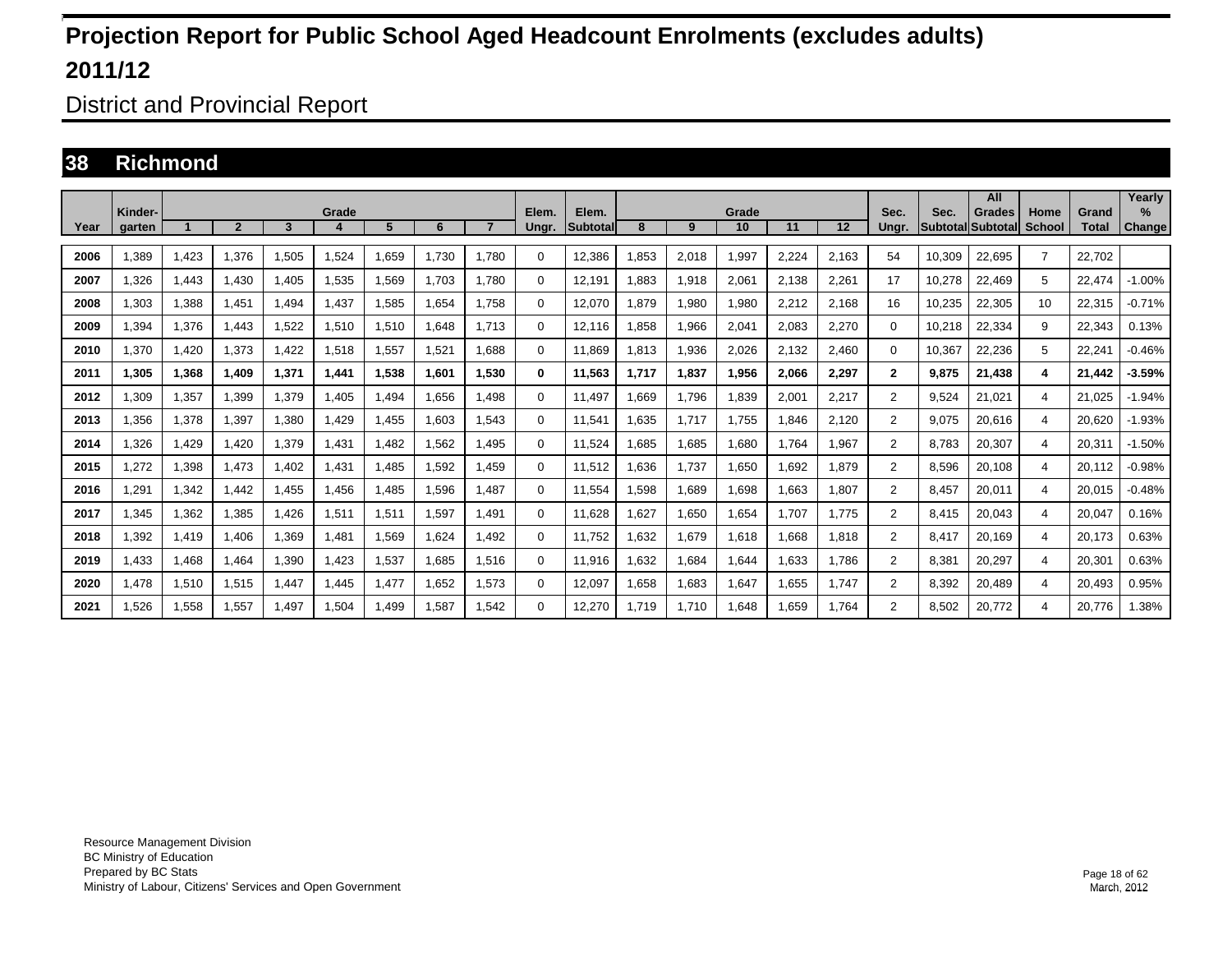District and Provincial Report

#### **38 Richmond**

|      |                   |       |                |       |       |       |       |                |                |                          |       |       |             |       |       |                |                            | All           |                       |                       | Yearly         |
|------|-------------------|-------|----------------|-------|-------|-------|-------|----------------|----------------|--------------------------|-------|-------|-------------|-------|-------|----------------|----------------------------|---------------|-----------------------|-----------------------|----------------|
| Year | Kinder-<br>garten |       | $\overline{2}$ | 3     | Grade | 5     | 6     | $\overline{7}$ | Elem.<br>Ungr. | Elem.<br><b>Subtotal</b> | 8     | 9     | Grade<br>10 | 11    | 12    | Sec.<br>Unar.  | Sec.<br> Subtotal Subtotal | <b>Grades</b> | Home<br><b>School</b> | Grand<br><b>Total</b> | $\%$<br>Change |
| 2006 | .389              | 1,423 | 1.376          | 1,505 | .524  | .659  | 1.730 | 1.780          | 0              | 12,386                   | .853  | 2,018 | 1,997       | 2.224 | 2.163 | 54             | 10.309                     | 22,695        | $\overline{7}$        | 22.702                |                |
| 2007 | 1.326             | 1.443 | 1.430          | 1.405 | 1,535 | 1,569 | 1.703 | 1.780          | 0              | 12.191                   | .883  | 1,918 | 2,061       | 2.138 | 2.261 | 17             | 10.278                     | 22,469        | 5                     | 22.474                | $-1.00%$       |
| 2008 | 1,303             | 1,388 | 1,451          | 1.494 | 1,437 | 1,585 | 1,654 | 1.758          | 0              | 12,070                   | 1,879 | 1,980 | 1,980       | 2,212 | 2,168 | 16             | 10,235                     | 22,305        | 10                    | 22,315                | $-0.71%$       |
| 2009 | 1.394             | 1,376 | 1.443          | 1,522 | 1,510 | 1,510 | 1.648 | 1.713          | 0              | 12.116                   | .858  | 1,966 | 2,041       | 2.083 | 2.270 | 0              | 10,218                     | 22,334        | 9                     | 22,343                | 0.13%          |
| 2010 | .370              | 1.420 | 1.373          | 1.422 | 1,518 | 1,557 | 1.521 | 1.688          | 0              | 11.869                   | 1,813 | 1,936 | 2,026       | 2.132 | 2.460 | $\Omega$       | 10.367                     | 22,236        | 5                     | 22,241                | $-0.46%$       |
| 2011 | 1,305             | 1,368 | 1,409          | 1,371 | 1,441 | 1,538 | 1.601 | 1.530          | 0              | 11,563                   | 1,717 | 1,837 | 1,956       | 2,066 | 2,297 | $\mathbf{2}$   | 9.875                      | 21,438        | 4                     | 21,442                | $-3.59%$       |
| 2012 | .309              | 1,357 | 1.399          | 1,379 | .405  | .494  | 1.656 | 1.498          | 0              | 11.497                   | .669  | 1,796 | 1,839       | 2.001 | 2,217 | 2              | 9.524                      | 21.021        | 4                     | 21.025                | $-1.94%$       |
| 2013 | .356              | 1,378 | 1.397          | 1,380 | .429  | .455  | 1.603 | 1.543          | 0              | 11.541                   | .635  | 1.717 | 1.755       | 1.846 | 2.120 | 2              | 9.075                      | 20.616        | 4                     | 20.620                | $-1.93%$       |
| 2014 | .326              | 1,429 | 1,420          | 1,379 | 1,431 | 1,482 | 1,562 | .495           | 0              | 11,524                   | .685  | 1,685 | .680        | 1.764 | 1,967 | $\overline{2}$ | 8,783                      | 20,307        | 4                     | 20,311                | $-1.50%$       |
| 2015 | ,272              | 1,398 | 1,473          | 1,402 | 1,431 | 1,485 | 1,592 | 1.459          | 0              | 11,512                   | .636  | 1,737 | 1,650       | 1.692 | 1,879 | $\overline{2}$ | 8,596                      | 20,108        | 4                     | 20,112                | $-0.98%$       |
| 2016 | .291              | 1,342 | 1.442          | 1.455 | .456  | .485  | 1.596 | 1.487          | 0              | 11.554                   | .598  | 1,689 | .698        | 1.663 | 1.807 | $\overline{2}$ | 8.457                      | 20,011        | 4                     | 20,015                | $-0.48%$       |
| 2017 | ,345              | 1,362 | 1,385          | 1,426 | 1,511 | 1,511 | 1,597 | 1.491          | $\Omega$       | 11,628                   | .627  | 1,650 | 1,654       | 1.707 | 1.775 | $\overline{2}$ | 8.415                      | 20,043        | 4                     | 20,047                | 0.16%          |
| 2018 | .392              | 1,419 | 1,406          | 1,369 | ,481  | 1,569 | 1.624 | 1.492          | 0              | 11.752                   | .632  | 1,679 | 1.618       | 1.668 | 1,818 | $\overline{2}$ | 8.417                      | 20,169        | 4                     | 20,173                | 0.63%          |
| 2019 | 1.433             | 1,468 | 1.464          | 1,390 | 1.423 | 1,537 | 1.685 | 1.516          | $\Omega$       | 11.916                   | .632  | 1,684 | 1.644       | 1.633 | 1.786 | $\overline{2}$ | 8.381                      | 20.297        | 4                     | 20,301                | 0.63%          |
| 2020 | 1.478             | 1,510 | 1,515          | 1,447 | 1,445 | 1,477 | 1,652 | 1,573          | $\Omega$       | 12,097                   | 1,658 | 1,683 | 1,647       | 1,655 | 1.747 | $\overline{2}$ | 8,392                      | 20,489        | 4                     | 20,493                | 0.95%          |
| 2021 | 1.526             | 1.558 | 1.557          | 1.497 | 1,504 | 1.499 | 1.587 | 1.542          | 0              | 12.270                   | 1.719 | 1.710 | 1.648       | 1.659 | 1.764 | $\overline{2}$ | 8.502                      | 20.772        | 4                     | 20.776                | 1.38%          |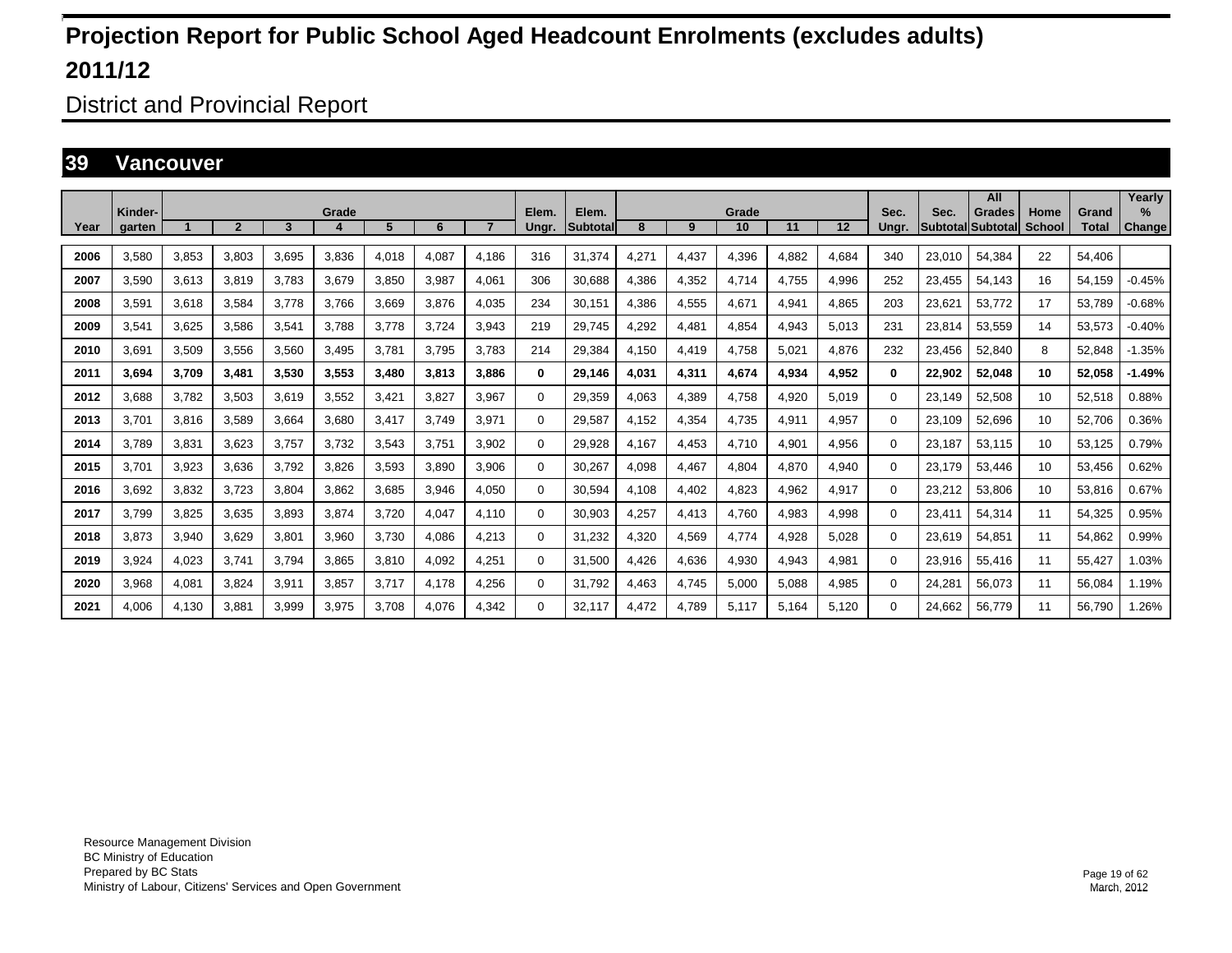District and Provincial Report

#### **39 Vancouver**

|      |                   |       |                |       |       |       |       |                |                |                          |       |       |             |       |       |               |                            | All           |                       |                | Yearly             |
|------|-------------------|-------|----------------|-------|-------|-------|-------|----------------|----------------|--------------------------|-------|-------|-------------|-------|-------|---------------|----------------------------|---------------|-----------------------|----------------|--------------------|
| Year | Kinder-<br>aarten |       | $\overline{2}$ | 3     | Grade | 5     | 6     | $\overline{7}$ | Elem.<br>Ungr. | Elem.<br><b>ISubtota</b> | 8     | 9     | Grade<br>10 | 11    | 12    | Sec.<br>Unar. | Sec.<br> Subtotal Subtotal | <b>Grades</b> | Home<br><b>School</b> | Grand<br>Total | %<br><b>Change</b> |
|      |                   |       |                |       |       |       |       |                |                |                          |       |       |             |       |       |               |                            |               |                       |                |                    |
| 2006 | 3.580             | 3,853 | 3,803          | 3,695 | 3,836 | 4,018 | 4,087 | 4.186          | 316            | 31,374                   | 4,271 | 4,437 | 4,396       | 4.882 | 4,684 | 340           | 23,010                     | 54.384        | 22                    | 54.406         |                    |
| 2007 | 3.590             | 3,613 | 3.819          | 3.783 | 3,679 | 3,850 | 3,987 | 4.061          | 306            | 30,688                   | 4,386 | 4,352 | 4.714       | 4.755 | 4,996 | 252           | 23.455                     | 54.143        | 16                    | 54.159         | $-0.45%$           |
| 2008 | 3.591             | 3,618 | 3.584          | 3.778 | 3.766 | 3.669 | 3.876 | 4.035          | 234            | 30,151                   | 4.386 | 4,555 | 4.671       | 4.941 | 4.865 | 203           | 23.621                     | 53.772        | 17                    | 53.789         | $-0.68%$           |
| 2009 | 3,541             | 3,625 | 3,586          | 3,541 | 3,788 | 3,778 | 3,724 | 3,943          | 219            | 29,745                   | 4,292 | 4,481 | 4,854       | 4,943 | 5,013 | 231           | 23,814                     | 53,559        | 14                    | 53,573         | $-0.40%$           |
| 2010 | 3,691             | 3,509 | 3,556          | 3,560 | 3,495 | 3,78' | 3,795 | 3.783          | 214            | 29,384                   | 4,150 | 4,419 | 4,758       | 5,021 | 4,876 | 232           | 23,456                     | 52,840        | 8                     | 52,848         | $-1.35%$           |
| 2011 | 3.694             | 3,709 | 3,481          | 3,530 | 3,553 | 3,480 | 3,813 | 3.886          | 0              | 29,146                   | 4.031 | 4,311 | 4,674       | 4.934 | 4,952 | 0             | 22,902                     | 52,048        | 10                    | 52.058         | $-1.49%$           |
| 2012 | 3,688             | 3,782 | 3,503          | 3,619 | 3,552 | 3,42' | 3,827 | 3,967          | $\Omega$       | 29,359                   | 4,063 | 4,389 | 4,758       | 4,920 | 5,019 | $\Omega$      | 23,149                     | 52,508        | 10                    | 52,518         | 0.88%              |
| 2013 | 3.701             | 3,816 | 3.589          | 3.664 | 3,680 | 3,417 | 3.749 | 3,971          | 0              | 29,587                   | 4.152 | 4,354 | 4,735       | 4,911 | 4,957 | 0             | 23,109                     | 52,696        | 10                    | 52,706         | 0.36%              |
| 2014 | 3.789             | 3,831 | 3.623          | 3.757 | 3.732 | 3,543 | 3.751 | 3.902          | 0              | 29,928                   | 4.167 | 4,453 | 4,710       | 4,901 | 4,956 | 0             | 23.187                     | 53.115        | 10                    | 53,125         | 0.79%              |
| 2015 | 3.701             | 3,923 | 3,636          | 3,792 | 3,826 | 3,593 | 3,890 | 3,906          | $\Omega$       | 30,267                   | 4,098 | 4,467 | 4,804       | 4,870 | 4,940 | 0             | 23,179                     | 53,446        | 10                    | 53,456         | 0.62%              |
| 2016 | 3,692             | 3,832 | 3,723          | 3,804 | 3,862 | 3,685 | 3,946 | 4,050          | 0              | 30,594                   | 4.108 | 4,402 | 4,823       | 4,962 | 4,917 | 0             | 23,212                     | 53,806        | 10                    | 53,816         | 0.67%              |
| 2017 | 3.799             | 3,825 | 3,635          | 3.893 | 3,874 | 3.720 | 4.047 | 4.110          | $\Omega$       | 30,903                   | 4.257 | 4,413 | 4,760       | 4,983 | 4,998 | 0             | 23.411                     | 54,314        | 11                    | 54,325         | 0.95%              |
| 2018 | 3,873             | 3,940 | 3,629          | 3,801 | 3,960 | 3,730 | 4,086 | 4,213          | $\Omega$       | 31,232                   | 4,320 | 4,569 | 4,774       | 4,928 | 5,028 | 0             | 23,619                     | 54,851        | 11                    | 54,862         | 0.99%              |
| 2019 | 3,924             | 4,023 | 3.741          | 3,794 | 3,865 | 3,810 | 4,092 | 4,251          | $\Omega$       | 31,500                   | 4.426 | 4,636 | 4,930       | 4,943 | 4,981 | $\Omega$      | 23,916                     | 55,416        | 11                    | 55,427         | 1.03%              |
| 2020 | 3,968             | 4,081 | 3,824          | 3,911 | 3,857 | 3.717 | 4.178 | 4.256          | $\Omega$       | 31.792                   | 4.463 | 4,745 | 5,000       | 5.088 | 4,985 | $\Omega$      | 24.281                     | 56,073        | 11                    | 56.084         | 1.19%              |
| 2021 | 4,006             | 4,130 | 3,881          | 3,999 | 3,975 | 3.708 | 4,076 | 4.342          | $\Omega$       | 32.117                   | 4,472 | 4,789 | 5,117       | 5.164 | 5,120 | $\Omega$      | 24.662                     | 56,779        | 11                    | 56,790         | 1.26%              |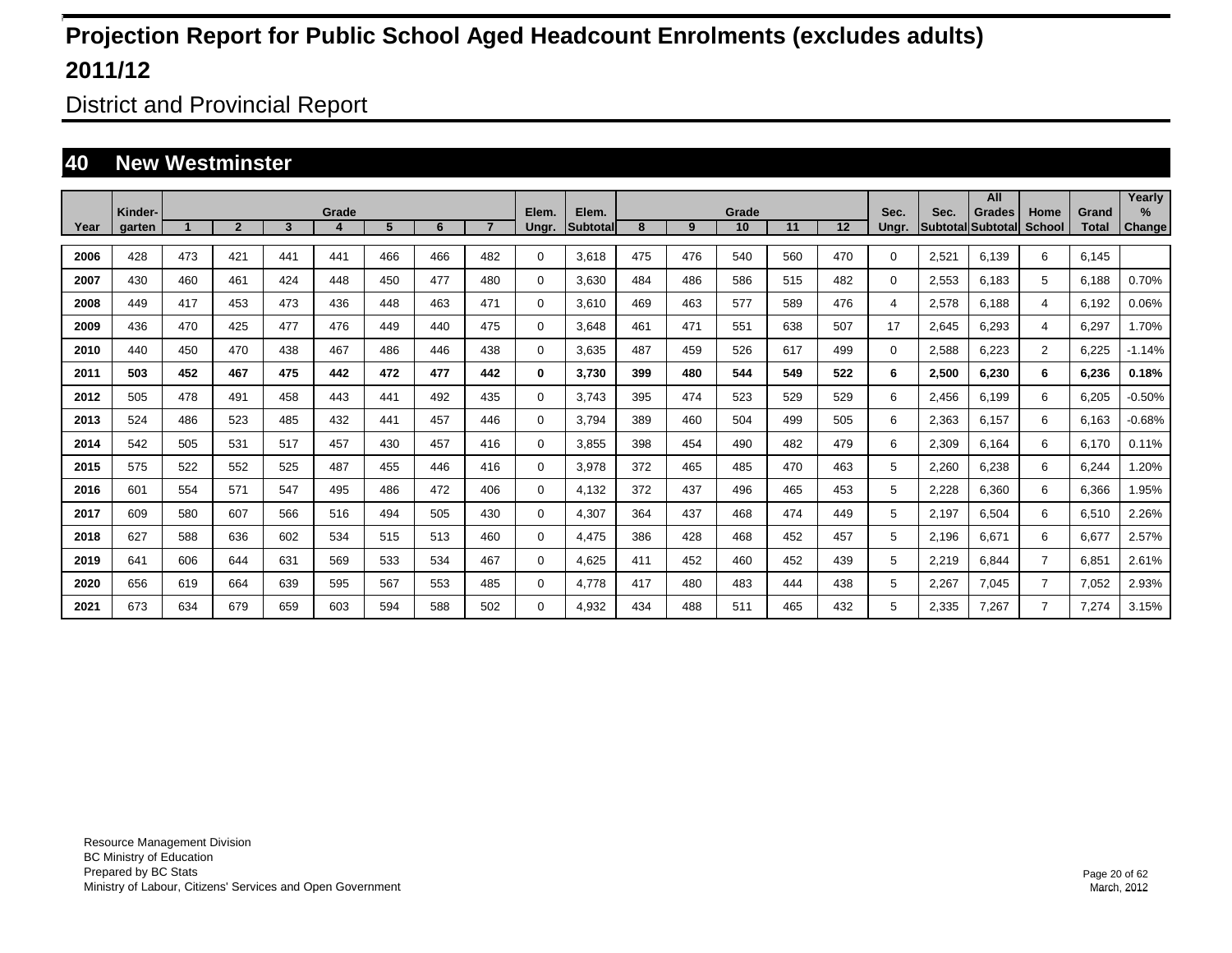District and Provincial Report

### **40 New Westminster**

|      |                   |     |                |              |            |     |     |     |                |                           |     |     |             |     |     |               |       | All                                       |                |                       | Yearly      |
|------|-------------------|-----|----------------|--------------|------------|-----|-----|-----|----------------|---------------------------|-----|-----|-------------|-----|-----|---------------|-------|-------------------------------------------|----------------|-----------------------|-------------|
| Year | Kinder-<br>garten |     | $\overline{2}$ | $\mathbf{3}$ | Grade<br>4 | 5   | 6   |     | Elem.<br>Ungr. | Elem.<br><b>Subtotall</b> | 8   | 9   | Grade<br>10 | 11  | 12  | Sec.<br>Ungr. | Sec.  | <b>Grades</b><br><b>Subtotal Subtotal</b> | Home<br>School | Grand<br><b>Total</b> | %<br>Change |
|      |                   |     |                |              |            |     |     |     |                |                           |     |     |             |     |     |               |       |                                           |                |                       |             |
| 2006 | 428               | 473 | 421            | 441          | 441        | 466 | 466 | 482 | $\Omega$       | 3,618                     | 475 | 476 | 540         | 560 | 470 | $\Omega$      | 2,521 | 6,139                                     | 6              | 6,145                 |             |
| 2007 | 430               | 460 | 461            | 424          | 448        | 450 | 477 | 480 | $\Omega$       | 3,630                     | 484 | 486 | 586         | 515 | 482 | 0             | 2,553 | 6,183                                     | 5              | 6,188                 | 0.70%       |
| 2008 | 449               | 417 | 453            | 473          | 436        | 448 | 463 | 471 | $\Omega$       | 3,610                     | 469 | 463 | 577         | 589 | 476 | 4             | 2,578 | 6,188                                     | 4              | 6,192                 | 0.06%       |
| 2009 | 436               | 470 | 425            | 477          | 476        | 449 | 440 | 475 | $\Omega$       | 3,648                     | 461 | 471 | 551         | 638 | 507 | 17            | 2,645 | 6.293                                     | 4              | 6,297                 | 1.70%       |
| 2010 | 440               | 450 | 470            | 438          | 467        | 486 | 446 | 438 | 0              | 3,635                     | 487 | 459 | 526         | 617 | 499 | $\Omega$      | 2,588 | 6,223                                     | $\overline{2}$ | 6,225                 | $-1.14%$    |
| 2011 | 503               | 452 | 467            | 475          | 442        | 472 | 477 | 442 | $\bf{0}$       | 3,730                     | 399 | 480 | 544         | 549 | 522 | 6             | 2,500 | 6.230                                     | 6              | 6,236                 | 0.18%       |
| 2012 | 505               | 478 | 491            | 458          | 443        | 441 | 492 | 435 | 0              | 3,743                     | 395 | 474 | 523         | 529 | 529 | 6             | 2,456 | 6,199                                     | 6              | 6,205                 | $-0.50%$    |
| 2013 | 524               | 486 | 523            | 485          | 432        | 441 | 457 | 446 | 0              | 3,794                     | 389 | 460 | 504         | 499 | 505 | 6             | 2,363 | 6,157                                     | 6              | 6,163                 | $-0.68%$    |
| 2014 | 542               | 505 | 531            | 517          | 457        | 430 | 457 | 416 | 0              | 3,855                     | 398 | 454 | 490         | 482 | 479 | 6             | 2,309 | 6,164                                     | 6              | 6,170                 | 0.11%       |
| 2015 | 575               | 522 | 552            | 525          | 487        | 455 | 446 | 416 | 0              | 3,978                     | 372 | 465 | 485         | 470 | 463 | 5             | 2,260 | 6,238                                     | 6              | 6,244                 | 1.20%       |
| 2016 | 601               | 554 | 571            | 547          | 495        | 486 | 472 | 406 | 0              | 4,132                     | 372 | 437 | 496         | 465 | 453 | 5             | 2,228 | 6,360                                     | 6              | 6,366                 | 1.95%       |
| 2017 | 609               | 580 | 607            | 566          | 516        | 494 | 505 | 430 | 0              | 4,307                     | 364 | 437 | 468         | 474 | 449 | 5             | 2,197 | 6,504                                     | 6              | 6,510                 | 2.26%       |
| 2018 | 627               | 588 | 636            | 602          | 534        | 515 | 513 | 460 | 0              | 4,475                     | 386 | 428 | 468         | 452 | 457 | 5             | 2,196 | 6,671                                     | 6              | 6,677                 | 2.57%       |
| 2019 | 641               | 606 | 644            | 631          | 569        | 533 | 534 | 467 | 0              | 4,625                     | 411 | 452 | 460         | 452 | 439 | 5             | 2,219 | 6,844                                     | $\overline{7}$ | 6,851                 | 2.61%       |
| 2020 | 656               | 619 | 664            | 639          | 595        | 567 | 553 | 485 | 0              | 4,778                     | 417 | 480 | 483         | 444 | 438 | 5             | 2,267 | 7,045                                     | $\overline{7}$ | 7,052                 | 2.93%       |
| 2021 | 673               | 634 | 679            | 659          | 603        | 594 | 588 | 502 | $\Omega$       | 4,932                     | 434 | 488 | 511         | 465 | 432 | 5             | 2,335 | 7.267                                     | 7              | 7,274                 | 3.15%       |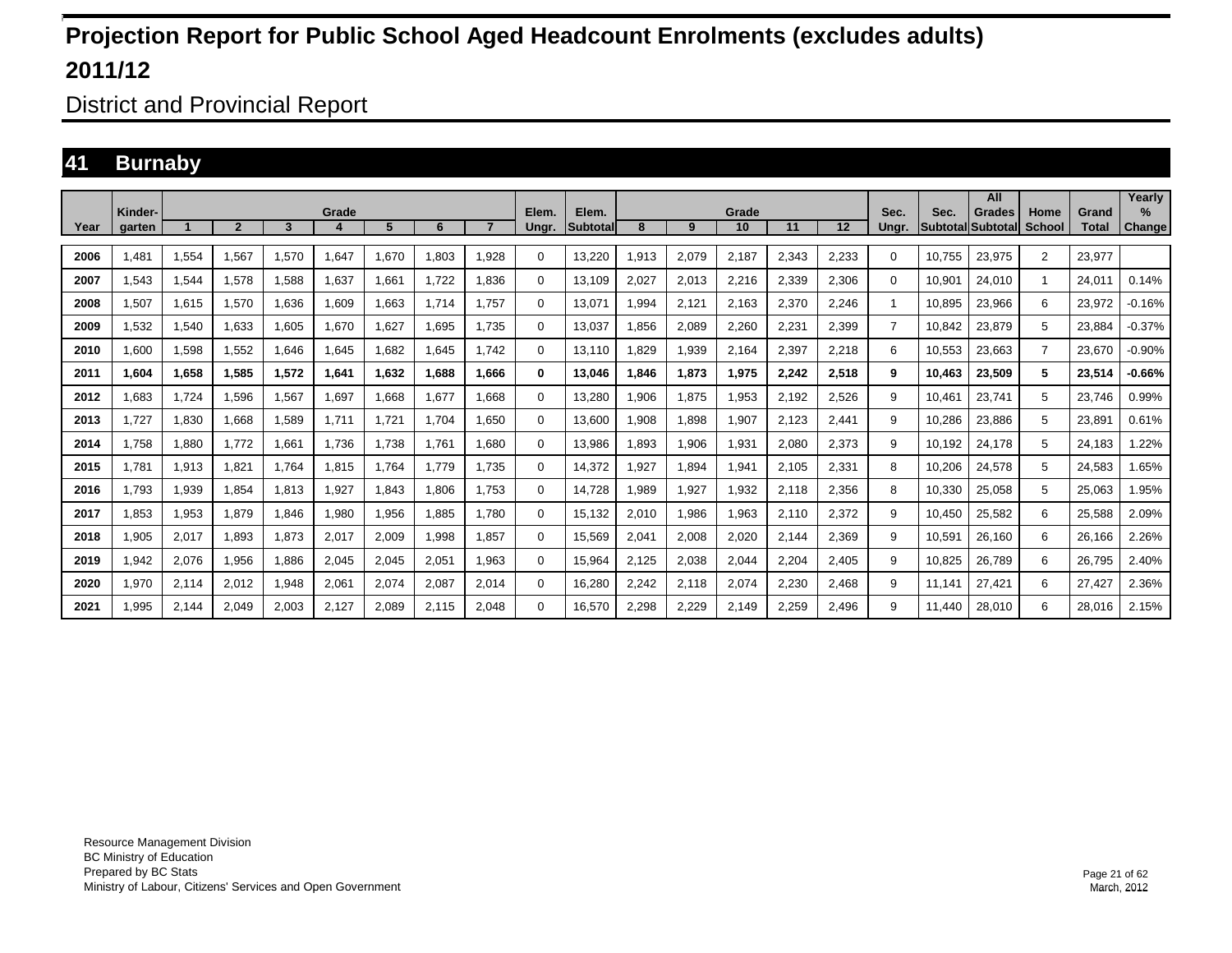District and Provincial Report

### **41 Burnaby**

|      |                   |       |                            |       |       |       |       |                |                |                          |       |       |             |       |       |                |                                  | All           |                |                       | Yearly         |
|------|-------------------|-------|----------------------------|-------|-------|-------|-------|----------------|----------------|--------------------------|-------|-------|-------------|-------|-------|----------------|----------------------------------|---------------|----------------|-----------------------|----------------|
| Year | Kinder-<br>garten |       | $\boldsymbol{\mathcal{P}}$ | 3     | Grade | 5     | 6     | $\overline{7}$ | Elem.<br>Ungr. | Elem.<br><b>Subtotal</b> | 8     | 9     | Grade<br>10 | 11    | 12    | Sec.<br>Unar.  | Sec.<br><b>Subtotal</b> Subtotal | <b>Grades</b> | Home<br>School | Grand<br><b>Total</b> | $\%$<br>Change |
| 2006 | 1.481             | 1,554 | 1,567                      | 1,570 | 1,647 | 1.670 | 1.803 | 1.928          | 0              | 13,220                   | .913  | 2,079 | 2,187       | 2.343 | 2,233 | 0              | 10.755                           | 23.975        | $\overline{2}$ | 23.977                |                |
| 2007 | 1,543             | 1,544 | 1.578                      | 1,588 | 1.637 | 1.661 | 1.722 | 1.836          | 0              | 13.109                   | 2.027 | 2,013 | 2,216       | 2,339 | 2.306 | $\Omega$       | 10.901                           | 24.010        | -1             | 24.011                | 0.14%          |
| 2008 | 1,507             | 1,615 | 1,570                      | 1,636 | 1,609 | 1,663 | 1.714 | 1.757          | 0              | 13,071                   | .994  | 2,121 | 2,163       | 2,370 | 2,246 |                | 10.895                           | 23,966        | 6              | 23,972                | $-0.16%$       |
| 2009 | 1,532             | 1,540 | 1.633                      | 1.605 | 1.670 | 1,627 | 1,695 | 1.735          | $\mathbf 0$    | 13.037                   | ,856  | 2,089 | 2,260       | 2,231 | 2,399 | $\overline{7}$ | 10.842                           | 23,879        | 5              | 23.884                | $-0.37%$       |
| 2010 | 1.600             | 1,598 | 1.552                      | 1.646 | 1.645 | 1.682 | 1.645 | 1.742          | $\mathbf 0$    | 13.110                   | .829  | 1,939 | 2.164       | 2.397 | 2.218 | 6              | 10.553                           | 23.663        | $\overline{7}$ | 23.670                | $-0.90%$       |
| 2011 | 1.604             | 1,658 | 1,585                      | 1,572 | 1,641 | 1,632 | 1,688 | 1.666          | $\bf{0}$       | 13.046                   | .846  | 1,873 | 1,975       | 2,242 | 2,518 | 9              | 10.463                           | 23,509        | 5              | 23,514                | $-0.66%$       |
| 2012 | 1.683             | 1,724 | 1.596                      | 1,567 | 1.697 | 1.668 | 1.677 | .668           | $\mathbf 0$    | 13,280                   | ,906  | 1,875 | 1,953       | 2,192 | 2.526 | 9              | 10.461                           | 23.741        | 5              | 23.746                | 0.99%          |
| 2013 | 1.727             | 1,830 | 1.668                      | 1.589 | 1.711 | 1,721 | 1.704 | .650           | $\mathbf 0$    | 13.600                   | .908  | 1.898 | 1,907       | 2.123 | 2.441 | 9              | 10.286                           | 23.886        | 5              | 23,891                | 0.61%          |
| 2014 | 1,758             | 1,880 | 1,772                      | 1,661 | 1,736 | 1,738 | 1.761 | 1,680          | 0              | 13,986                   | .893  | 1,906 | 1,931       | 2,080 | 2,373 | 9              | 10.192                           | 24,178        | 5              | 24,183                | .22%           |
| 2015 | 1.781             | 1,913 | 1,821                      | 1.764 | 1,815 | 1,764 | 1.779 | 1.735          | $\mathbf 0$    | 14.372                   | ,927  | 1,894 | 1,941       | 2,105 | 2,331 | 8              | 10,206                           | 24,578        | 5              | 24,583                | .65%           |
| 2016 | 1.793             | 1,939 | 1.854                      | 1.813 | 1.927 | 1.843 | 1.806 | 1.753          | $\mathbf 0$    | 14,728                   | .989  | 1,927 | 1,932       | 2,118 | 2.356 | 8              | 10.330                           | 25,058        | 5              | 25,063                | .95%           |
| 2017 | 1,853             | 1,953 | 1,879                      | 1,846 | 1,980 | 1,956 | 1,885 | 1.780          | $\Omega$       | 15,132                   | 2,010 | 1,986 | 1,963       | 2,110 | 2,372 | 9              | 10.450                           | 25,582        | 6              | 25,588                | 2.09%          |
| 2018 | 1,905             | 2,017 | 1.893                      | 1.873 | 2,017 | 2,009 | 1,998 | .857           | 0              | 15.569                   | 2,041 | 2,008 | 2,020       | 2,144 | 2,369 | 9              | 10,591                           | 26,160        | 6              | 26,166                | 2.26%          |
| 2019 | 1,942             | 2,076 | 1,956                      | 1.886 | 2,045 | 2,045 | 2,051 | 1.963          | $\Omega$       | 15.964                   | 2.125 | 2,038 | 2,044       | 2,204 | 2,405 | 9              | 10.825                           | 26.789        | 6              | 26.795                | 2.40%          |
| 2020 | 1,970             | 2,114 | 2,012                      | 1,948 | 2,061 | 2,074 | 2,087 | 2,014          | $\Omega$       | 16,280                   | 2,242 | 2,118 | 2,074       | 2,230 | 2,468 | 9              | 11.141                           | 27,421        | 6              | 27,427                | 2.36%          |
| 2021 | 1.995             | 2.144 | 2.049                      | 2,003 | 2.127 | 2.089 | 2.115 | 2.048          | 0              | 16.570                   | 2,298 | 2,229 | 2.149       | 2.259 | 2.496 | 9              | 11.440                           | 28.010        | 6              | 28.016                | 2.15%          |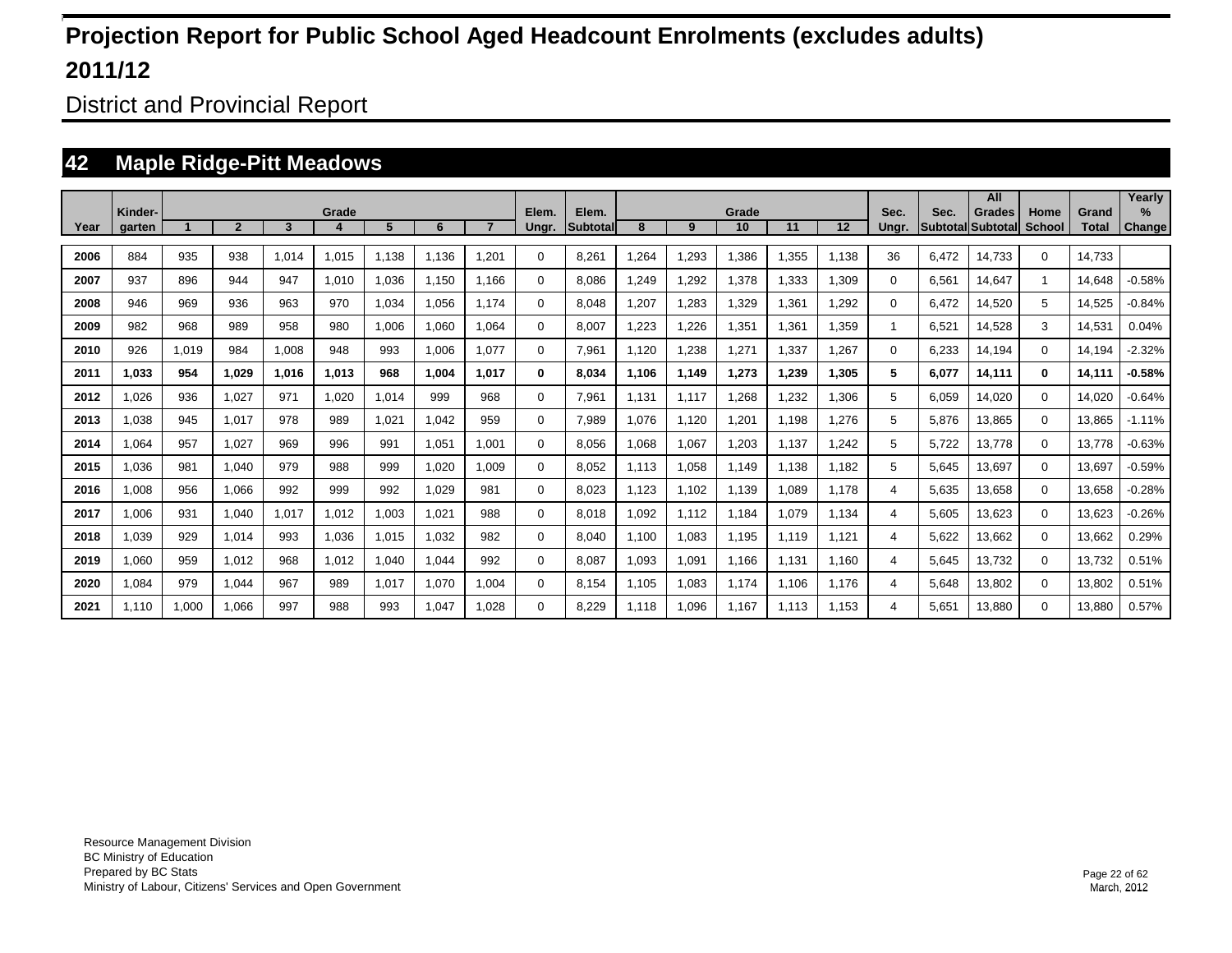District and Provincial Report

### **42 Maple Ridge-Pitt Meadows**

|      |                   |       |              |       |       |       |       |       |                |                          |       |       |             |       |         |               |       | All                                       |                |                       | Yearly                |
|------|-------------------|-------|--------------|-------|-------|-------|-------|-------|----------------|--------------------------|-------|-------|-------------|-------|---------|---------------|-------|-------------------------------------------|----------------|-----------------------|-----------------------|
| Year | Kinder-<br>garten |       | $\mathbf{2}$ | 3     | Grade | 5     | 6     |       | Elem.<br>Ungr. | Elem.<br><b>Subtotal</b> | 8     | 9     | Grade<br>10 | 11    | $12 \,$ | Sec.<br>Ungr. | Sec.  | <b>Grades</b><br><b>Subtotal Subtotal</b> | Home<br>School | Grand<br><b>Total</b> | $\%$<br><b>Change</b> |
|      |                   |       |              |       |       |       |       |       |                |                          |       |       |             |       |         |               |       |                                           |                |                       |                       |
| 2006 | 884               | 935   | 938          | 1.014 | 1,015 | 1.138 | 1.136 | .201  | $\Omega$       | 8.261                    | .264  | 1,293 | 1.386       | 1.355 | 1.138   | 36            | 6.472 | 14.733                                    | $\Omega$       | 14.733                |                       |
| 2007 | 937               | 896   | 944          | 947   | 1,010 | 1.036 | 1.150 | 1.166 | $\Omega$       | 8.086                    | .249  | 1,292 | 1,378       | 1.333 | 1.309   | 0             | 6.561 | 14.647                                    | $\mathbf{1}$   | 14,648                | $-0.58%$              |
| 2008 | 946               | 969   | 936          | 963   | 970   | 1,034 | 1.056 | 1.174 | $\mathbf 0$    | 8.048                    | .207  | 1,283 | 1.329       | 1.361 | 1.292   | 0             | 6.472 | 14,520                                    | 5              | 14.525                | $-0.84%$              |
| 2009 | 982               | 968   | 989          | 958   | 980   | 1,006 | 1,060 | 1.064 | $\mathbf 0$    | 8.007                    | .223  | 1,226 | 1,351       | 1.361 | 1.359   |               | 6.521 | 14,528                                    | 3              | 14,531                | 0.04%                 |
| 2010 | 926               | 1,019 | 984          | 1,008 | 948   | 993   | 1,006 | 1.077 | $\mathbf 0$    | 7,961                    | 1.120 | 1,238 | 1,271       | 1,337 | 1,267   | 0             | 6.233 | 14,194                                    | $\mathbf 0$    | 14.194                | $-2.32%$              |
| 2011 | 1.033             | 954   | 1.029        | 1,016 | 1,013 | 968   | 1,004 | 1.017 | 0              | 8.034                    | 1.106 | 1,149 | 1,273       | 1,239 | 1,305   | 5             | 6.077 | 14.111                                    | 0              | 14,111                | $-0.58%$              |
| 2012 | 1,026             | 936   | 1,027        | 971   | 1,020 | 1,014 | 999   | 968   | 0              | 7,961                    | 1,131 | 1.117 | 1,268       | 1,232 | 1,306   | 5             | 6,059 | 14,020                                    | $\mathbf 0$    | 14,020                | $-0.64%$              |
| 2013 | 1,038             | 945   | 1.017        | 978   | 989   | 1,021 | 1,042 | 959   | 0              | 7,989                    | ,076  | 1,120 | 1,201       | 1,198 | 1,276   | 5             | 5,876 | 13,865                                    | $\Omega$       | 13,865                | $-1.11%$              |
| 2014 | 1,064             | 957   | 1,027        | 969   | 996   | 991   | 1,051 | 1.001 | $\Omega$       | 8,056                    | ,068  | 1,067 | 1,203       | 1,137 | 1,242   | 5             | 5,722 | 13,778                                    | $\Omega$       | 13,778                | $-0.63%$              |
| 2015 | 1,036             | 981   | 1,040        | 979   | 988   | 999   | 1,020 | 1.009 | 0              | 8,052                    | 1,113 | 1,058 | 1,149       | 1,138 | 1,182   | 5             | 5,645 | 13,697                                    | $\Omega$       | 13,697                | $-0.59%$              |
| 2016 | 1,008             | 956   | 1,066        | 992   | 999   | 992   | 1,029 | 981   | 0              | 8,023                    | ,123  | 1,102 | 1,139       | 1,089 | 1.178   | 4             | 5,635 | 13,658                                    | $\Omega$       | 13,658                | $-0.28%$              |
| 2017 | 1.006             | 931   | 1.040        | 1.017 | 1.012 | 1.003 | 1.021 | 988   | 0              | 8.018                    | .092  | 1.112 | 1.184       | 1.079 | 1.134   | 4             | 5.605 | 13.623                                    | $\mathbf 0$    | 13.623                | $-0.26%$              |
| 2018 | 1.039             | 929   | 1.014        | 993   | 1.036 | 1.015 | 1.032 | 982   | 0              | 8.040                    | 1.100 | 1.083 | 1.195       | 1.119 | 1.121   | 4             | 5.622 | 13.662                                    | $\mathbf 0$    | 13.662                | 0.29%                 |
| 2019 | 1.060             | 959   | 1.012        | 968   | 1.012 | 1.040 | 1.044 | 992   | 0              | 8.087                    | .093  | 1.091 | 1.166       | 1.131 | 1.160   | 4             | 5.645 | 13.732                                    | $\mathbf 0$    | 13.732                | 0.51%                 |
| 2020 | 1.084             | 979   | 1.044        | 967   | 989   | 1.017 | 1.070 | 1.004 | 0              | 8.154                    | .105  | 1.083 | 1.174       | 1.106 | 1.176   | 4             | 5.648 | 13.802                                    | $\mathbf 0$    | 13.802                | 0.51%                 |
| 2021 | 1.110             | 1,000 | 1.066        | 997   | 988   | 993   | 1.047 | 1.028 | 0              | 8.229                    | 1.118 | 1.096 | 1.167       | 1.113 | 1.153   | 4             | 5.651 | 13.880                                    | $\mathbf 0$    | 13.880                | 0.57%                 |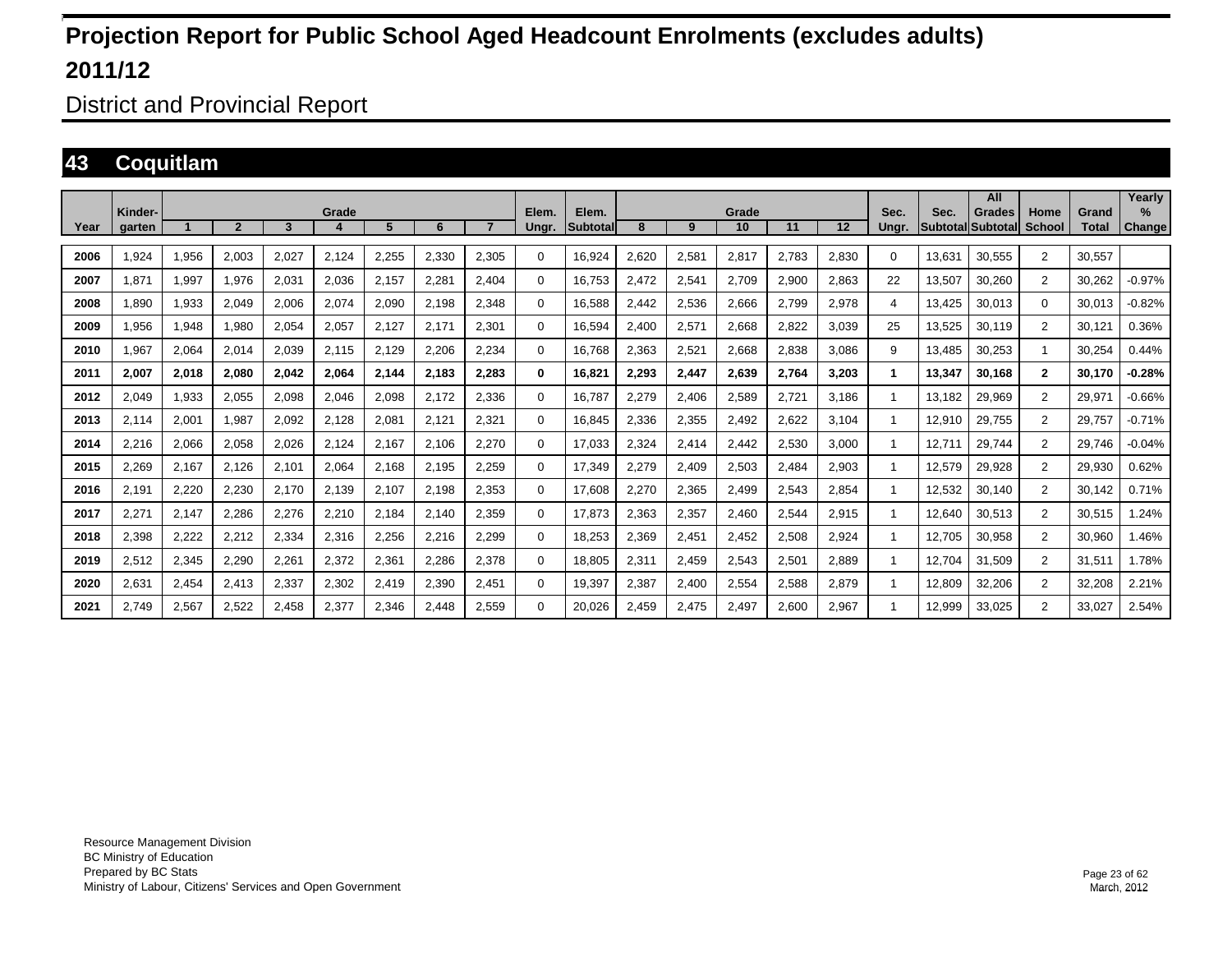District and Provincial Report

### **43 Coquitlam**

|      | Kinder- |       |                |       | Grade                  |       |       |       | Elem.       | Elem.            |       |       | Grade |       |       | Sec.         | Sec.   | All<br>Grades     | Home           | Grand  | Yearly<br>℅   |
|------|---------|-------|----------------|-------|------------------------|-------|-------|-------|-------------|------------------|-------|-------|-------|-------|-------|--------------|--------|-------------------|----------------|--------|---------------|
| Year | aarten  |       | $\overline{2}$ | 3     | $\boldsymbol{\Lambda}$ | 5     | 6     |       | Ungr.       | <b>ISubtotal</b> | 8     | 9     | 10    | 11    | 12    | Unar.        |        | Subtotal Subtotal | School         | Total  | <b>Change</b> |
| 2006 | .924    | 1,956 | 2,003          | 2,027 | 2,124                  | 2,255 | 2,330 | 2,305 | 0           | 16,924           | 2,620 | 2,581 | 2,817 | 2.783 | 2,830 | $\mathbf{0}$ | 13,631 | 30,555            | $\overline{2}$ | 30.557 |               |
| 2007 | .871    | 1,997 | 1,976          | 2,031 | 2,036                  | 2,157 | 2,281 | 2,404 | 0           | 16,753           | 2,472 | 2,541 | 2,709 | 2,900 | 2,863 | 22           | 13,507 | 30,260            | $\overline{2}$ | 30,262 | $-0.97%$      |
| 2008 | .890    | 1,933 | 2,049          | 2,006 | 2,074                  | 2,090 | 2.198 | 2.348 | 0           | 16.588           | 2.442 | 2,536 | 2,666 | 2.799 | 2,978 | 4            | 13.425 | 30.013            | $\mathbf{0}$   | 30.013 | $-0.82%$      |
| 2009 | 956,    | 1,948 | 1,980          | 2,054 | 2,057                  | 2,127 | 2,171 | 2,301 | 0           | 16,594           | 2,400 | 2,571 | 2,668 | 2,822 | 3,039 | 25           | 13,525 | 30,119            | 2              | 30,121 | 0.36%         |
| 2010 | .967    | 2,064 | 2,014          | 2,039 | 2,115                  | 2,129 | 2,206 | 2,234 | $\mathbf 0$ | 16.768           | 2,363 | 2,521 | 2,668 | 2.838 | 3.086 | 9            | 13.485 | 30,253            | 1              | 30,254 | 0.44%         |
| 2011 | 2,007   | 2,018 | 2,080          | 2,042 | 2,064                  | 2,144 | 2,183 | 2,283 | $\bf{0}$    | 16,821           | 2,293 | 2,447 | 2,639 | 2,764 | 3,203 | 1.           | 13,347 | 30.168            | $\mathbf{2}$   | 30.170 | $-0.28%$      |
| 2012 | 2.049   | 1,933 | 2,055          | 2,098 | 2,046                  | 2,098 | 2.172 | 2.336 | $\mathbf 0$ | 16.787           | 2,279 | 2,406 | 2,589 | 2,721 | 3.186 |              | 13.182 | 29,969            | 2              | 29,971 | $-0.66%$      |
| 2013 | 2,114   | 2,001 | 1,987          | 2,092 | 2,128                  | 2,08' | 2,121 | 2,321 | $\Omega$    | 16,845           | 2,336 | 2,355 | 2,492 | 2,622 | 3,104 |              | 12,910 | 29,755            | $\overline{2}$ | 29,757 | $-0.71%$      |
| 2014 | 2,216   | 2,066 | 2,058          | 2,026 | 2,124                  | 2,167 | 2.106 | 2,270 | 0           | 17,033           | 2,324 | 2,414 | 2,442 | 2,530 | 3,000 |              | 12.711 | 29,744            | $\overline{2}$ | 29,746 | $-0.04%$      |
| 2015 | 2,269   | 2,167 | 2,126          | 2,101 | 2,064                  | 2,168 | 2,195 | 2,259 | $\Omega$    | 17,349           | 2,279 | 2,409 | 2,503 | 2,484 | 2,903 |              | 12,579 | 29,928            | $\overline{2}$ | 29,930 | 0.62%         |
| 2016 | 2,191   | 2,220 | 2,230          | 2,170 | 2,139                  | 2,107 | 2,198 | 2,353 | 0           | 17,608           | 2,270 | 2,365 | 2,499 | 2,543 | 2,854 |              | 12,532 | 30,140            | 2              | 30.142 | 0.71%         |
| 2017 | 2,271   | 2,147 | 2,286          | 2,276 | 2,210                  | 2,184 | 2,140 | 2,359 | $\Omega$    | 17,873           | 2,363 | 2,357 | 2,460 | 2,544 | 2,915 |              | 12,640 | 30,513            | $\overline{2}$ | 30,515 | 1.24%         |
| 2018 | 2,398   | 2,222 | 2,212          | 2,334 | 2,316                  | 2,256 | 2,216 | 2,299 | 0           | 18,253           | 2,369 | 2,451 | 2,452 | 2,508 | 2,924 |              | 12.705 | 30,958            | 2              | 30,960 | 1.46%         |
| 2019 | 2,512   | 2,345 | 2,290          | 2,261 | 2,372                  | 2,36' | 2,286 | 2,378 | $\Omega$    | 18,805           | 2,311 | 2,459 | 2,543 | 2,501 | 2,889 |              | 12,704 | 31,509            | $\overline{2}$ | 31,511 | 1.78%         |
| 2020 | 2,631   | 2,454 | 2,413          | 2,337 | 2,302                  | 2,419 | 2,390 | 2,451 | $\mathbf 0$ | 19,397           | 2,387 | 2,400 | 2,554 | 2,588 | 2,879 |              | 12,809 | 32,206            | $\overline{2}$ | 32,208 | 2.21%         |
| 2021 | 2.749   | 2,567 | 2,522          | 2,458 | 2,377                  | 2,346 | 2,448 | 2,559 | $\Omega$    | 20,026           | 2,459 | 2,475 | 2,497 | 2,600 | 2,967 |              | 12,999 | 33,025            | $\overline{2}$ | 33,027 | 2.54%         |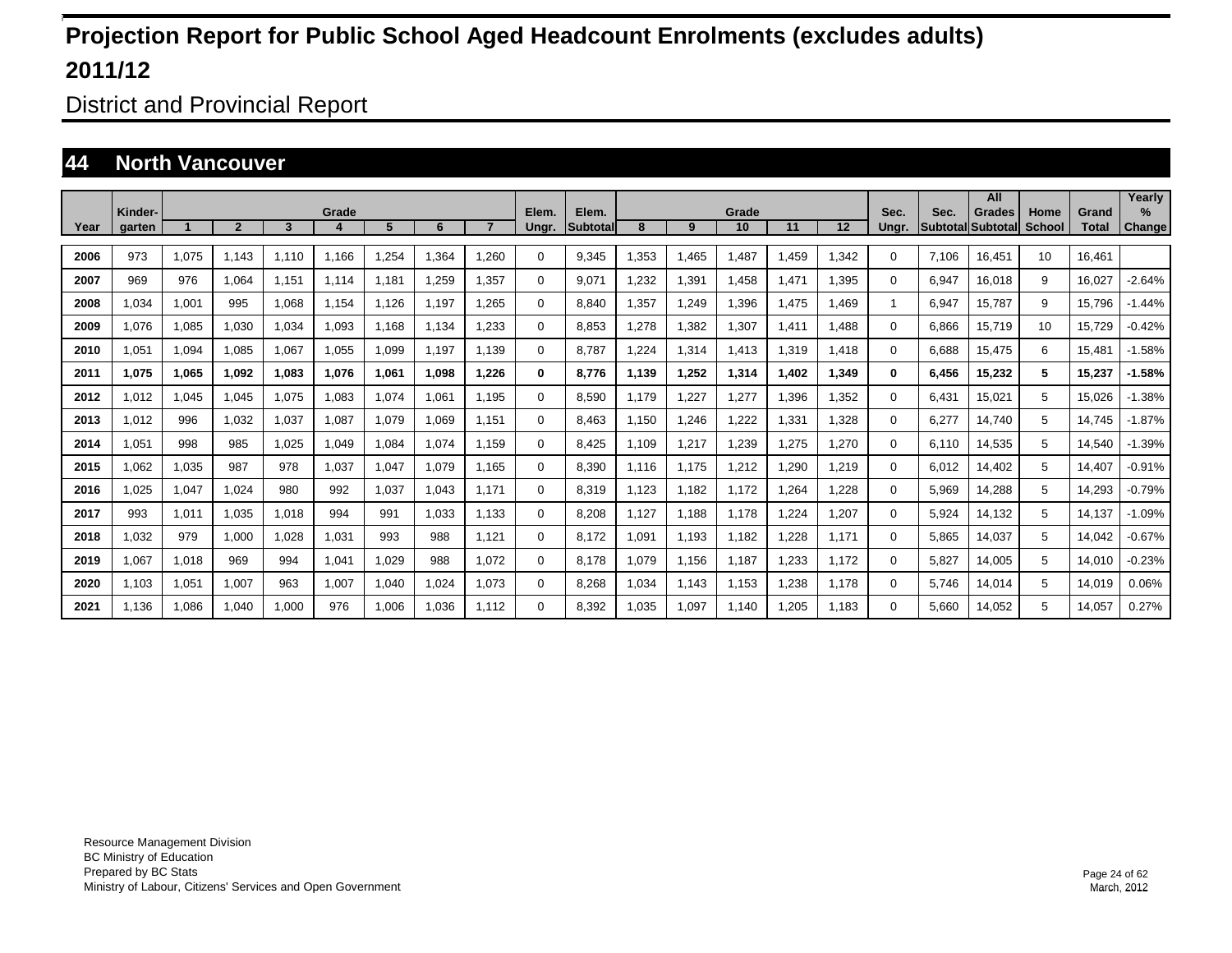District and Provincial Report

### **44 North Vancouver**

|      |                   |       |                |       |       |       |       |       |                |                   |       |       |             |       |       |               |       | All                                       |                       |                       | Yearly         |
|------|-------------------|-------|----------------|-------|-------|-------|-------|-------|----------------|-------------------|-------|-------|-------------|-------|-------|---------------|-------|-------------------------------------------|-----------------------|-----------------------|----------------|
| Year | Kinder-<br>aarten |       | $\overline{2}$ | 3     | Grade | 5     | 6     |       | Elem.<br>Ungr. | Elem.<br>Subtotal | 8     | 9     | Grade<br>10 | 11    | 12    | Sec.<br>Unar. | Sec.  | <b>Grades</b><br><b>Subtotal Subtotal</b> | Home<br><b>School</b> | Grand<br><b>Total</b> | $\%$<br>Change |
|      |                   |       |                |       |       |       |       |       |                |                   |       |       |             |       |       |               |       |                                           |                       |                       |                |
| 2006 | 973               | 1.075 | 1.143          | 1.110 | 1.166 | .254  | 1.364 | 1.260 | 0              | 9.345             | .353  | 1.465 | .487        | .459  | 1.342 | $\Omega$      | 7.106 | 16.451                                    | 10                    | 16.461                |                |
| 2007 | 969               | 976   | 1.064          | 1.151 | 1.114 | 1.181 | 1.259 | 1.357 | 0              | 9.071             | .232  | 1,391 | 1.458       | 1.471 | 1.395 | $\Omega$      | 6.947 | 16.018                                    | 9                     | 16.027                | $-2.64%$       |
| 2008 | 1,034             | 1,001 | 995            | 1,068 | 1,154 | 1,126 | 1,197 | 1.265 | 0              | 8.840             | ,357  | 1,249 | .396        | 1,475 | 1,469 |               | 6,947 | 15,787                                    | 9                     | 15,796                | $-1.44%$       |
| 2009 | 1,076             | 1,085 | 1,030          | 1,034 | 1,093 | 1,168 | 1,134 | 1,233 | $\Omega$       | 8,853             | ,278  | 1,382 | .307        | 1,411 | 1,488 | $\Omega$      | 6,866 | 15,719                                    | 10                    | 15,729                | $-0.42%$       |
| 2010 | 1,051             | 1,094 | 1,085          | 1,067 | 1,055 | 1,099 | 1.197 | 1.139 | $\Omega$       | 8.787             | ,224  | 1,314 | 1,413       | 1,319 | 1,418 | $\Omega$      | 6,688 | 15,475                                    | 6                     | 15,481                | $-1.58%$       |
| 2011 | 1.075             | 1,065 | 1,092          | 1,083 | 1,076 | 1,061 | 1,098 | 1.226 | $\bf{0}$       | 8.776             | 1,139 | 1,252 | 1,314       | .402  | 1,349 | 0             | 6,456 | 15,232                                    | 5                     | 15,237                | $-1.58%$       |
| 2012 | 1.012             | 1,045 | 1,045          | 1,075 | 1,083 | 1,074 | 1,061 | 1.195 | $\Omega$       | 8,590             | 1.179 | 1,227 | .277        | 1,396 | 1,352 | $\Omega$      | 6,431 | 15,021                                    | 5                     | 15,026                | $-1.38%$       |
| 2013 | 1.012             | 996   | 1,032          | 1,037 | 1,087 | 1,079 | 1,069 | 1,151 | 0              | 8,463             | 1,150 | 1,246 | ,222        | 1,331 | 1,328 | 0             | 6,277 | 14,740                                    | 5                     | 14.745                | $-1.87%$       |
| 2014 | 1.051             | 998   | 985            | 1,025 | 1,049 | 1,084 | 1,074 | 1.159 | 0              | 8,425             | 1.109 | 1,217 | .239        | 1,275 | 1,270 | 0             | 6.110 | 14,535                                    | 5                     | 14,540                | $-1.39%$       |
| 2015 | 1.062             | 1,035 | 987            | 978   | 1,037 | 1,047 | 1,079 | 1.165 | 0              | 8.390             | 1.116 | 1,175 | .212        | 1,290 | 1,219 | $\Omega$      | 6.012 | 14,402                                    | 5                     | 14.407                | $-0.91%$       |
| 2016 | 1.025             | 1,047 | 1.024          | 980   | 992   | 1,037 | 1,043 | 1.171 | $\Omega$       | 8.319             | .123  | 1.182 | 1.172       | 1,264 | 1.228 | $\Omega$      | 5.969 | 14,288                                    | 5                     | 14.293                | $-0.79%$       |
| 2017 | 993               | 1,011 | 1.035          | 1.018 | 994   | 991   | 1.033 | 1.133 | $\Omega$       | 8.208             | 1.127 | 1.188 | 1.178       | 1.224 | 1,207 | $\Omega$      | 5.924 | 14,132                                    | 5                     | 14.137                | $-1.09%$       |
| 2018 | 1.032             | 979   | 1.000          | 1.028 | 1.031 | 993   | 988   | 1.121 | $\Omega$       | 8.172             | 1.091 | 1.193 | 1.182       | 1.228 | 1.171 | $\Omega$      | 5.865 | 14,037                                    | 5                     | 14,042                | $-0.67%$       |
| 2019 | 1.067             | 1,018 | 969            | 994   | 1,041 | 1.029 | 988   | 1.072 | $\Omega$       | 8.178             | 1.079 | 1.156 | 1,187       | 1.233 | 1,172 | $\Omega$      | 5.827 | 14,005                                    | 5                     | 14.010                | $-0.23%$       |
| 2020 | 1,103             | 1,051 | 1,007          | 963   | 1,007 | 1,040 | 1,024 | 1,073 | $\Omega$       | 8,268             | 1,034 | 1,143 | 1,153       | 1,238 | 1,178 | $\Omega$      | 5.746 | 14,014                                    | 5                     | 14,019                | 0.06%          |
| 2021 | 1.136             | 1,086 | 1.040          | 1,000 | 976   | 1,006 | 1,036 | 1.112 | $\Omega$       | 8.392             | 1.035 | 1,097 | 1.140       | 1,205 | 1.183 | 0             | 5.660 | 14,052                                    | 5                     | 14.057                | 0.27%          |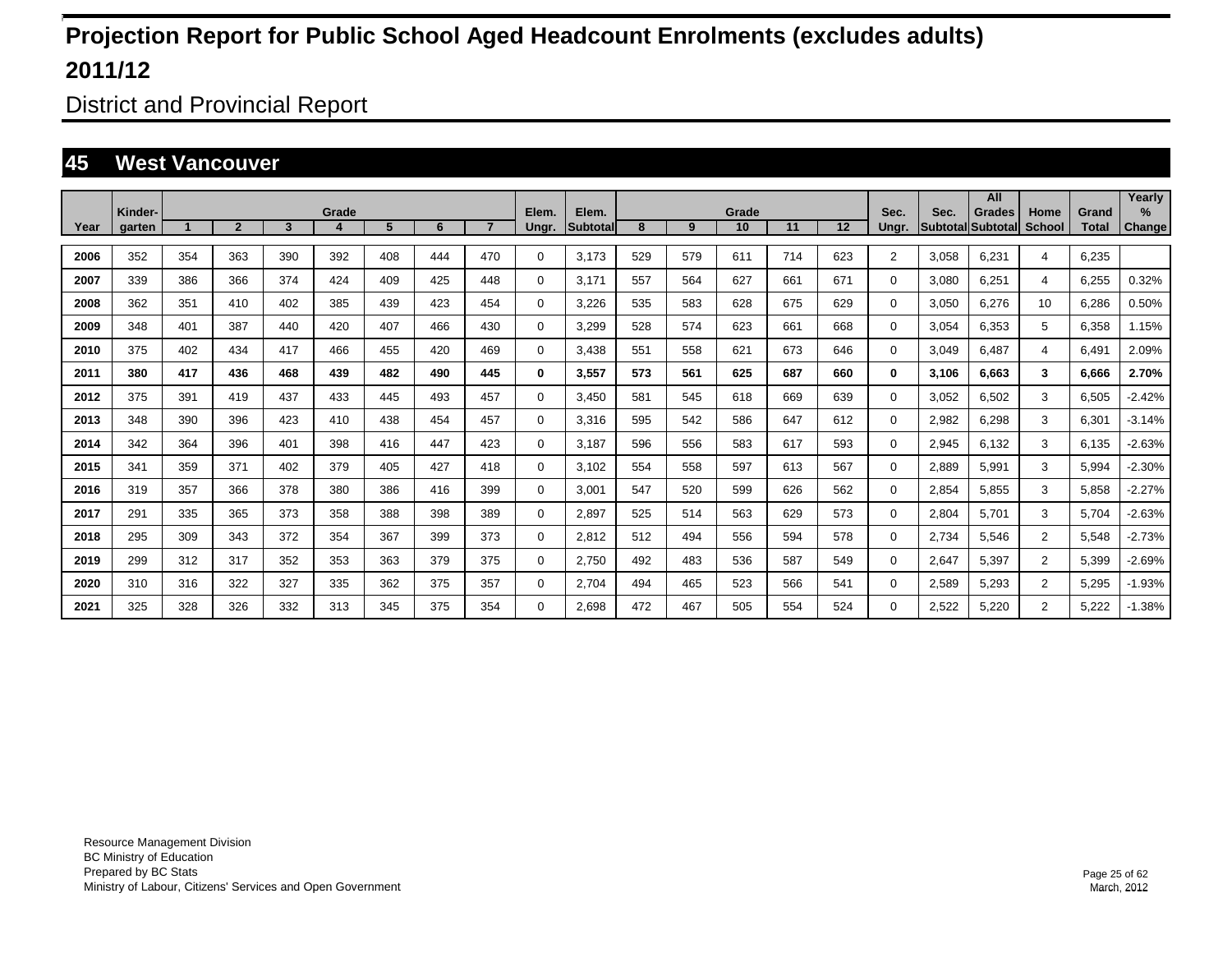District and Provincial Report

#### **45 West Vancouver**

|      |                   |     |                |                 |            |     |     |     |                |                           |     |     |             |     |     |                |       | All                                       |                |                       | Yearly                         |
|------|-------------------|-----|----------------|-----------------|------------|-----|-----|-----|----------------|---------------------------|-----|-----|-------------|-----|-----|----------------|-------|-------------------------------------------|----------------|-----------------------|--------------------------------|
| Year | Kinder-<br>garten |     | $\overline{2}$ | $3\phantom{.0}$ | Grade<br>4 | 5   | 6   |     | Elem.<br>Ungr. | Elem.<br><b>Subtotall</b> | 8   | 9   | Grade<br>10 | 11  | 12  | Sec.<br>Ungr.  | Sec.  | <b>Grades</b><br><b>Subtotal Subtotal</b> | Home<br>School | Grand<br><b>Total</b> | $\frac{9}{6}$<br><b>Change</b> |
|      |                   |     |                |                 |            |     |     |     |                |                           |     |     |             |     |     |                |       |                                           |                |                       |                                |
| 2006 | 352               | 354 | 363            | 390             | 392        | 408 | 444 | 470 | $\Omega$       | 3,173                     | 529 | 579 | 611         | 714 | 623 | $\overline{2}$ | 3,058 | 6,231                                     | 4              | 6,235                 |                                |
| 2007 | 339               | 386 | 366            | 374             | 424        | 409 | 425 | 448 | $\Omega$       | 3,171                     | 557 | 564 | 627         | 661 | 671 | 0              | 3,080 | 6,251                                     | 4              | 6,255                 | 0.32%                          |
| 2008 | 362               | 351 | 410            | 402             | 385        | 439 | 423 | 454 | 0              | 3,226                     | 535 | 583 | 628         | 675 | 629 | 0              | 3,050 | 6,276                                     | 10             | 6,286                 | 0.50%                          |
| 2009 | 348               | 401 | 387            | 440             | 420        | 407 | 466 | 430 | 0              | 3,299                     | 528 | 574 | 623         | 661 | 668 | 0              | 3,054 | 6,353                                     | 5              | 6,358                 | 1.15%                          |
| 2010 | 375               | 402 | 434            | 417             | 466        | 455 | 420 | 469 | 0              | 3,438                     | 551 | 558 | 621         | 673 | 646 | 0              | 3,049 | 6,487                                     | 4              | 6,491                 | 2.09%                          |
| 2011 | 380               | 417 | 436            | 468             | 439        | 482 | 490 | 445 | $\bf{0}$       | 3,557                     | 573 | 561 | 625         | 687 | 660 | 0              | 3,106 | 6.663                                     | 3              | 6,666                 | 2.70%                          |
| 2012 | 375               | 391 | 419            | 437             | 433        | 445 | 493 | 457 | 0              | 3,450                     | 581 | 545 | 618         | 669 | 639 | 0              | 3,052 | 6,502                                     | 3              | 6,505                 | $-2.42%$                       |
| 2013 | 348               | 390 | 396            | 423             | 410        | 438 | 454 | 457 | 0              | 3,316                     | 595 | 542 | 586         | 647 | 612 | 0              | 2,982 | 6,298                                     | 3              | 6,301                 | $-3.14%$                       |
| 2014 | 342               | 364 | 396            | 401             | 398        | 416 | 447 | 423 | 0              | 3,187                     | 596 | 556 | 583         | 617 | 593 | 0              | 2,945 | 6,132                                     | 3              | 6,135                 | $-2.63%$                       |
| 2015 | 341               | 359 | 371            | 402             | 379        | 405 | 427 | 418 | 0              | 3,102                     | 554 | 558 | 597         | 613 | 567 | 0              | 2,889 | 5,991                                     | 3              | 5,994                 | $-2.30%$                       |
| 2016 | 319               | 357 | 366            | 378             | 380        | 386 | 416 | 399 | 0              | 3,001                     | 547 | 520 | 599         | 626 | 562 | 0              | 2,854 | 5,855                                     | 3              | 5,858                 | $-2.27%$                       |
| 2017 | 291               | 335 | 365            | 373             | 358        | 388 | 398 | 389 | 0              | 2,897                     | 525 | 514 | 563         | 629 | 573 | 0              | 2,804 | 5,701                                     | 3              | 5,704                 | $-2.63%$                       |
| 2018 | 295               | 309 | 343            | 372             | 354        | 367 | 399 | 373 | 0              | 2,812                     | 512 | 494 | 556         | 594 | 578 | 0              | 2,734 | 5,546                                     | $\overline{2}$ | 5,548                 | $-2.73%$                       |
| 2019 | 299               | 312 | 317            | 352             | 353        | 363 | 379 | 375 | 0              | 2,750                     | 492 | 483 | 536         | 587 | 549 | 0              | 2,647 | 5,397                                     | $\overline{2}$ | 5,399                 | $-2.69%$                       |
| 2020 | 310               | 316 | 322            | 327             | 335        | 362 | 375 | 357 | 0              | 2,704                     | 494 | 465 | 523         | 566 | 541 | 0              | 2,589 | 5,293                                     | $\overline{2}$ | 5,295                 | $-1.93%$                       |
| 2021 | 325               | 328 | 326            | 332             | 313        | 345 | 375 | 354 | $\Omega$       | 2.698                     | 472 | 467 | 505         | 554 | 524 | 0              | 2,522 | 5,220                                     | $\overline{2}$ | 5,222                 | $-1.38%$                       |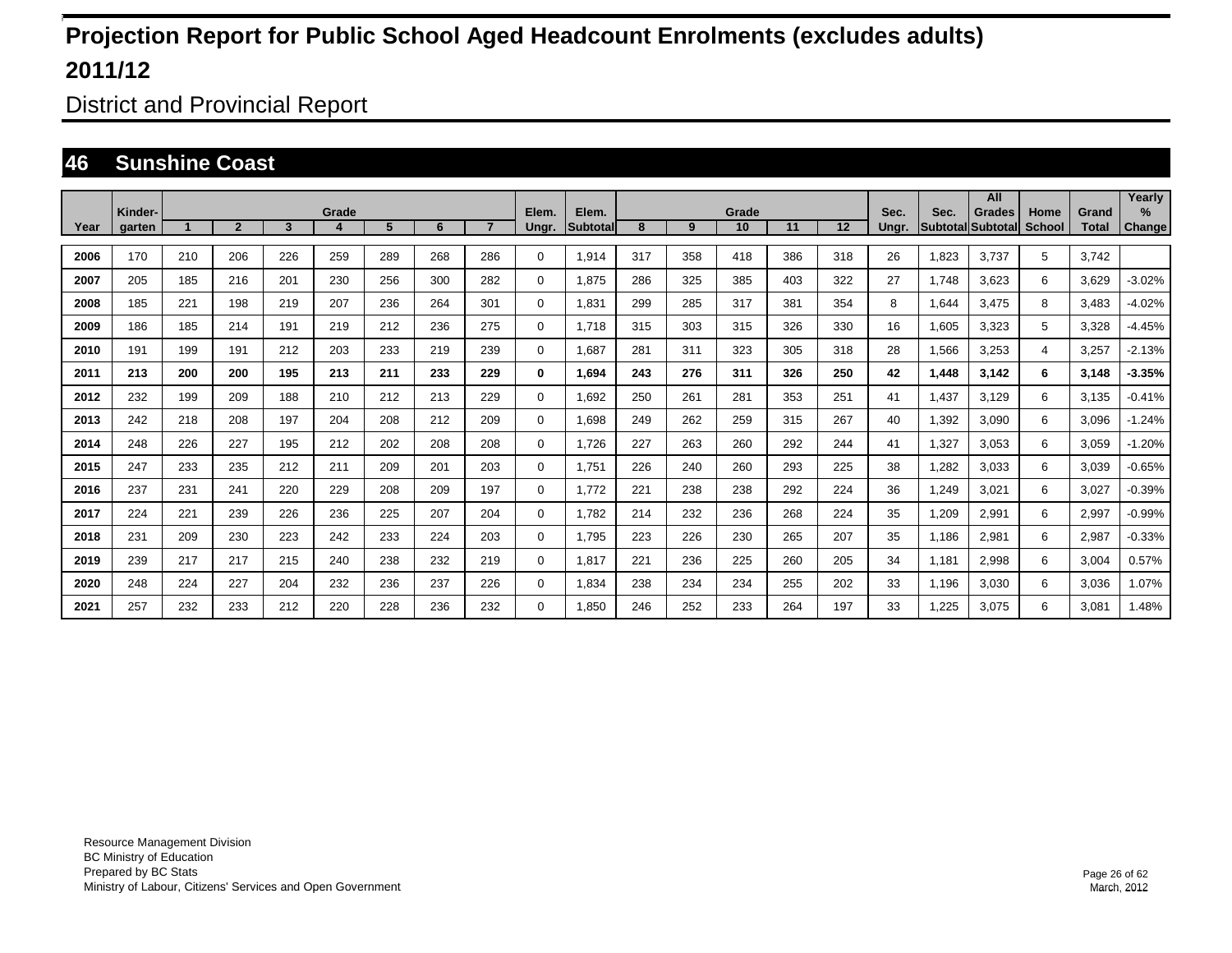District and Provincial Report

### **46 Sunshine Coast**

|      |                   |     |                |     |            |     |     |                |             |                    |     |     |             |     |     |               |                         | All                       |                |                       | Yearly        |
|------|-------------------|-----|----------------|-----|------------|-----|-----|----------------|-------------|--------------------|-----|-----|-------------|-----|-----|---------------|-------------------------|---------------------------|----------------|-----------------------|---------------|
| Year | Kinder-<br>garten |     | $\overline{2}$ | 3   | Grade<br>4 | 5   | 6   | $\overline{7}$ | Elem.       | Elem.<br>Subtotall | 8   | 9   | Grade<br>10 | 11  | 12  | Sec.<br>Ungr. | Sec.<br><b>Subtotal</b> | <b>Grades</b><br>Subtotal | Home<br>School | Grand<br><b>Total</b> | $\%$          |
|      |                   |     |                |     |            |     |     |                | Ungr.       |                    |     |     |             |     |     |               |                         |                           |                |                       | <b>Change</b> |
| 2006 | 170               | 210 | 206            | 226 | 259        | 289 | 268 | 286            | 0           | 1,914              | 317 | 358 | 418         | 386 | 318 | 26            | 1,823                   | 3.737                     | 5              | 3.742                 |               |
| 2007 | 205               | 185 | 216            | 201 | 230        | 256 | 300 | 282            | 0           | 1.875              | 286 | 325 | 385         | 403 | 322 | 27            | 1.748                   | 3.623                     | 6              | 3,629                 | $-3.02%$      |
| 2008 | 185               | 221 | 198            | 219 | 207        | 236 | 264 | 301            | $\mathbf 0$ | 1,831              | 299 | 285 | 317         | 381 | 354 | 8             | 1,644                   | 3,475                     | 8              | 3,483                 | $-4.02%$      |
| 2009 | 186               | 185 | 214            | 191 | 219        | 212 | 236 | 275            | $\mathbf 0$ | 1,718              | 315 | 303 | 315         | 326 | 330 | 16            | 1,605                   | 3,323                     | 5              | 3,328                 | $-4.45%$      |
| 2010 | 191               | 199 | 191            | 212 | 203        | 233 | 219 | 239            | $\mathbf 0$ | 1,687              | 281 | 311 | 323         | 305 | 318 | 28            | 1,566                   | 3,253                     | 4              | 3,257                 | $-2.13%$      |
| 2011 | 213               | 200 | 200            | 195 | 213        | 211 | 233 | 229            | 0           | 1,694              | 243 | 276 | 311         | 326 | 250 | 42            | 1,448                   | 3,142                     | 6              | 3,148                 | $-3.35%$      |
| 2012 | 232               | 199 | 209            | 188 | 210        | 212 | 213 | 229            | $\mathbf 0$ | 1,692              | 250 | 261 | 281         | 353 | 251 | 41            | 1,437                   | 3,129                     | 6              | 3,135                 | $-0.41%$      |
| 2013 | 242               | 218 | 208            | 197 | 204        | 208 | 212 | 209            | $\mathbf 0$ | 1.698              | 249 | 262 | 259         | 315 | 267 | 40            | 1,392                   | 3,090                     | 6              | 3,096                 | $-1.24%$      |
| 2014 | 248               | 226 | 227            | 195 | 212        | 202 | 208 | 208            | 0           | 1.726              | 227 | 263 | 260         | 292 | 244 | 41            | 1,327                   | 3.053                     | 6              | 3,059                 | $-1.20%$      |
| 2015 | 247               | 233 | 235            | 212 | 211        | 209 | 201 | 203            | 0           | 1,751              | 226 | 240 | 260         | 293 | 225 | 38            | 1,282                   | 3,033                     | 6              | 3,039                 | $-0.65%$      |
| 2016 | 237               | 231 | 241            | 220 | 229        | 208 | 209 | 197            | $\mathbf 0$ | 1.772              | 221 | 238 | 238         | 292 | 224 | 36            | 1.249                   | 3,021                     | 6              | 3,027                 | $-0.39%$      |
| 2017 | 224               | 221 | 239            | 226 | 236        | 225 | 207 | 204            | $\mathbf 0$ | 1.782              | 214 | 232 | 236         | 268 | 224 | 35            | 1,209                   | 2,991                     | 6              | 2,997                 | $-0.99%$      |
| 2018 | 231               | 209 | 230            | 223 | 242        | 233 | 224 | 203            | $\mathbf 0$ | 1,795              | 223 | 226 | 230         | 265 | 207 | 35            | 1.186                   | 2,981                     | 6              | 2,987                 | $-0.33%$      |
| 2019 | 239               | 217 | 217            | 215 | 240        | 238 | 232 | 219            | $\mathbf 0$ | 1.817              | 221 | 236 | 225         | 260 | 205 | 34            | 1.181                   | 2.998                     | 6              | 3,004                 | 0.57%         |
| 2020 | 248               | 224 | 227            | 204 | 232        | 236 | 237 | 226            | $\mathbf 0$ | 1,834              | 238 | 234 | 234         | 255 | 202 | 33            | 1,196                   | 3,030                     | 6              | 3,036                 | 1.07%         |
| 2021 | 257               | 232 | 233            | 212 | 220        | 228 | 236 | 232            | 0           | 1.850              | 246 | 252 | 233         | 264 | 197 | 33            | ,225                    | 3.075                     | 6              | 3,081                 | 1.48%         |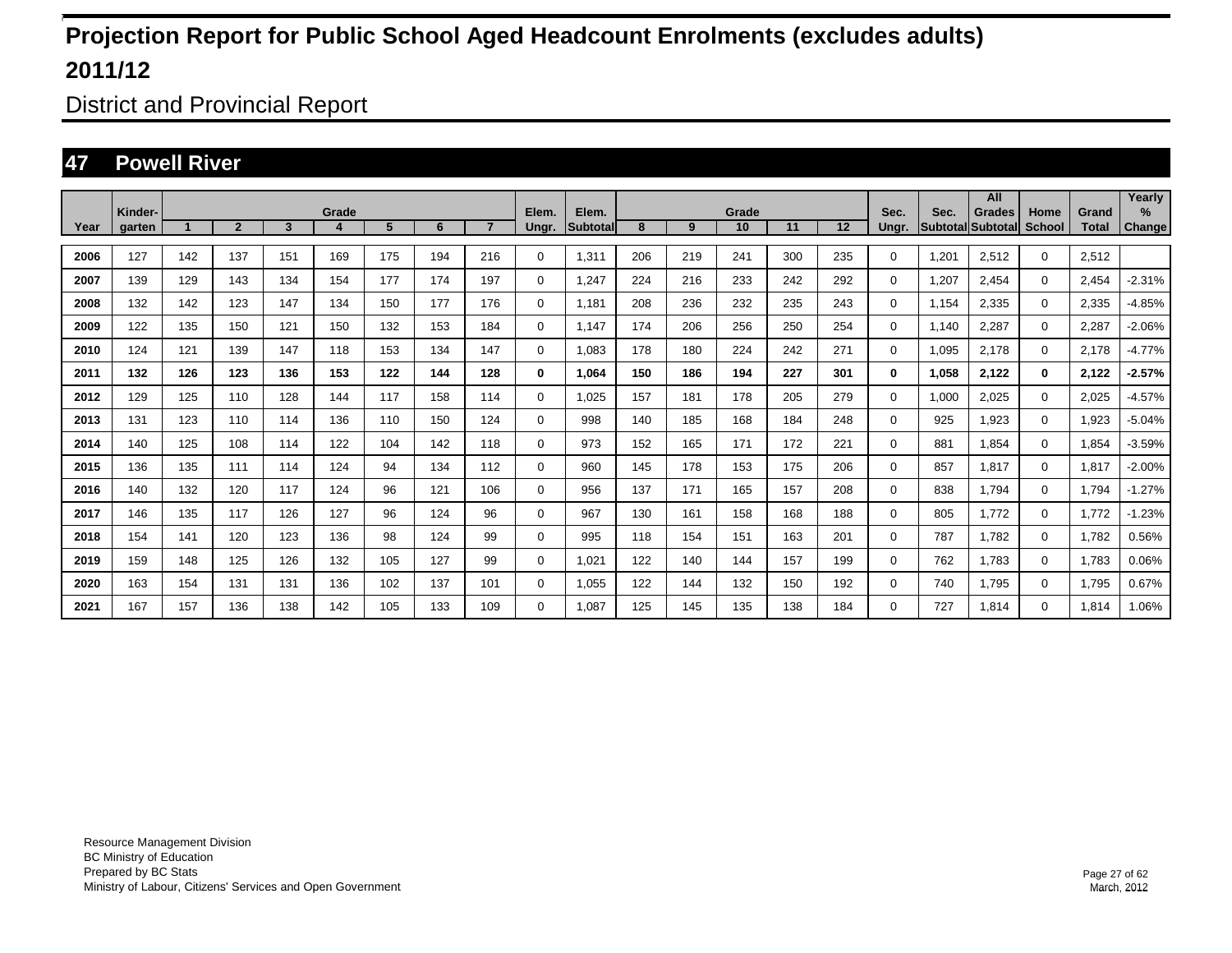District and Provincial Report

### **47 Powell River**

|      |                   |     |                |     |            |     |     |                |                |                    |     |     |             |     |     |               |                                  | All           |                |                       | Yearly      |
|------|-------------------|-----|----------------|-----|------------|-----|-----|----------------|----------------|--------------------|-----|-----|-------------|-----|-----|---------------|----------------------------------|---------------|----------------|-----------------------|-------------|
| Year | Kinder-<br>garten |     | $\overline{2}$ | 3   | Grade<br>4 | 5   | 6   | $\overline{7}$ | Elem.<br>Ungr. | Elem.<br>Subtotall | 8   | 9   | Grade<br>10 | 11  | 12  | Sec.<br>Ungr. | Sec.<br><b>Subtotal Subtotal</b> | <b>Grades</b> | Home<br>School | Grand<br><b>Total</b> | %<br>Change |
|      |                   |     |                |     |            |     |     |                |                |                    |     |     |             |     |     |               |                                  |               |                |                       |             |
| 2006 | 127               | 142 | 137            | 151 | 169        | 175 | 194 | 216            | 0              | 1,311              | 206 | 219 | 241         | 300 | 235 | 0             | 1,201                            | 2,512         | $\mathbf{0}$   | 2,512                 |             |
| 2007 | 139               | 129 | 143            | 134 | 154        | 177 | 174 | 197            | $\mathbf 0$    | 1.247              | 224 | 216 | 233         | 242 | 292 | $\Omega$      | 1,207                            | 2.454         | $\mathbf 0$    | 2.454                 | $-2.31%$    |
| 2008 | 132               | 142 | 123            | 147 | 134        | 150 | 177 | 176            | 0              | 1,181              | 208 | 236 | 232         | 235 | 243 | 0             | 1,154                            | 2,335         | $\mathbf 0$    | 2,335                 | $-4.85%$    |
| 2009 | 122               | 135 | 150            | 121 | 150        | 132 | 153 | 184            | 0              | 1,147              | 174 | 206 | 256         | 250 | 254 | 0             | 1,140                            | 2,287         | $\mathbf 0$    | 2,287                 | $-2.06%$    |
| 2010 | 124               | 121 | 139            | 147 | 118        | 153 | 134 | 147            | $\mathbf 0$    | 1,083              | 178 | 180 | 224         | 242 | 271 | 0             | 1,095                            | 2,178         | $\mathbf 0$    | 2,178                 | $-4.77%$    |
| 2011 | 132               | 126 | 123            | 136 | 153        | 122 | 144 | 128            | 0              | 1,064              | 150 | 186 | 194         | 227 | 301 | 0             | 1,058                            | 2,122         | $\bf{0}$       | 2,122                 | $-2.57%$    |
| 2012 | 129               | 125 | 110            | 128 | 144        | 117 | 158 | 114            | $\mathbf 0$    | 1.025              | 157 | 181 | 178         | 205 | 279 | $\Omega$      | 1,000                            | 2,025         | $\mathbf 0$    | 2,025                 | $-4.57%$    |
| 2013 | 131               | 123 | 110            | 114 | 136        | 110 | 150 | 124            | $\mathbf 0$    | 998                | 140 | 185 | 168         | 184 | 248 | 0             | 925                              | 1.923         | $\mathbf 0$    | 1,923                 | $-5.04%$    |
| 2014 | 140               | 125 | 108            | 114 | 122        | 104 | 142 | 118            | 0              | 973                | 152 | 165 | 171         | 172 | 221 | 0             | 881                              | 1,854         | 0              | 1,854                 | $-3.59%$    |
| 2015 | 136               | 135 | 111            | 114 | 124        | 94  | 134 | 112            | $\mathbf 0$    | 960                | 145 | 178 | 153         | 175 | 206 | 0             | 857                              | 1,817         | $\mathbf 0$    | 1,817                 | $-2.00%$    |
| 2016 | 140               | 132 | 120            | 117 | 124        | 96  | 121 | 106            | $\mathbf 0$    | 956                | 137 | 171 | 165         | 157 | 208 | 0             | 838                              | 1.794         | $\mathbf 0$    | 1,794                 | $-1.27%$    |
| 2017 | 146               | 135 | 117            | 126 | 127        | 96  | 124 | 96             | $\mathbf 0$    | 967                | 130 | 161 | 158         | 168 | 188 | 0             | 805                              | 1.772         | $\mathbf 0$    | 1,772                 | $-1.23%$    |
| 2018 | 154               | 141 | 120            | 123 | 136        | 98  | 124 | 99             | $\mathbf 0$    | 995                | 118 | 154 | 151         | 163 | 201 | 0             | 787                              | 1.782         | $\mathbf 0$    | 1,782                 | 0.56%       |
| 2019 | 159               | 148 | 125            | 126 | 132        | 105 | 127 | 99             | $\mathbf 0$    | 1,021              | 122 | 140 | 144         | 157 | 199 | 0             | 762                              | 1.783         | $\mathbf 0$    | 1.783                 | 0.06%       |
| 2020 | 163               | 154 | 131            | 131 | 136        | 102 | 137 | 101            | $\mathbf 0$    | 1,055              | 122 | 144 | 132         | 150 | 192 | 0             | 740                              | 1,795         | $\mathbf 0$    | 1,795                 | 0.67%       |
| 2021 | 167               | 157 | 136            | 138 | 142        | 105 | 133 | 109            | $\mathbf 0$    | 1.087              | 125 | 145 | 135         | 138 | 184 | 0             | 727                              | 1,814         | $\mathbf 0$    | 1,814                 | 1.06%       |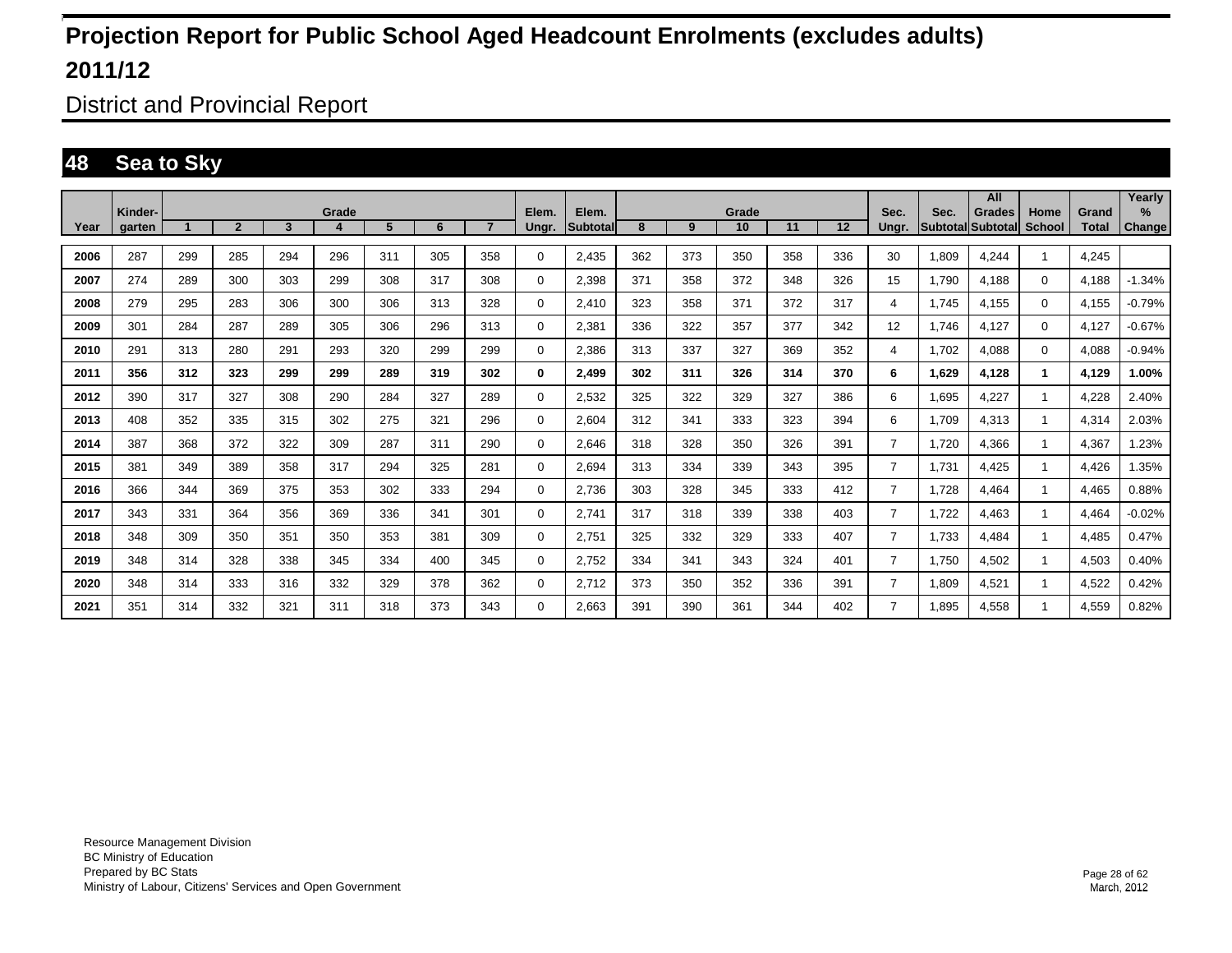District and Provincial Report

### **48 Sea to Sky**

|      |                   |     |                |     |       |     |     |                |                |                          |     |     |             |     |     |                |       | All                         |                |                       | Yearly         |
|------|-------------------|-----|----------------|-----|-------|-----|-----|----------------|----------------|--------------------------|-----|-----|-------------|-----|-----|----------------|-------|-----------------------------|----------------|-----------------------|----------------|
| Year | Kinder-<br>garten |     | $\overline{2}$ | 3   | Grade | 5   | 6   | $\overline{7}$ | Elem.<br>Ungr. | Elem.<br><b>Subtotal</b> | 8   | 9   | Grade<br>10 | 11  | 12  | Sec.<br>Ungr.  | Sec.  | Grades<br>Subtotal Subtotal | Home<br>School | Grand<br><b>Total</b> | $\%$<br>Change |
|      |                   |     |                |     |       |     |     |                |                |                          |     |     |             |     |     |                |       |                             |                |                       |                |
| 2006 | 287               | 299 | 285            | 294 | 296   | 311 | 305 | 358            | 0              | 2,435                    | 362 | 373 | 350         | 358 | 336 | 30             | 1,809 | 4.244                       | $\mathbf{1}$   | 4,245                 |                |
| 2007 | 274               | 289 | 300            | 303 | 299   | 308 | 317 | 308            | 0              | 2,398                    | 371 | 358 | 372         | 348 | 326 | 15             | 1.790 | 4,188                       | $\mathbf 0$    | 4,188                 | $-1.34%$       |
| 2008 | 279               | 295 | 283            | 306 | 300   | 306 | 313 | 328            | 0              | 2.410                    | 323 | 358 | 371         | 372 | 317 | 4              | 1.745 | 4,155                       | $\mathbf 0$    | 4,155                 | $-0.79%$       |
| 2009 | 301               | 284 | 287            | 289 | 305   | 306 | 296 | 313            | 0              | 2,381                    | 336 | 322 | 357         | 377 | 342 | 12             | 1.746 | 4,127                       | $\mathbf 0$    | 4,127                 | $-0.67%$       |
| 2010 | 291               | 313 | 280            | 291 | 293   | 320 | 299 | 299            | 0              | 2,386                    | 313 | 337 | 327         | 369 | 352 | 4              | 1,702 | 4,088                       | $\mathbf 0$    | 4,088                 | $-0.94%$       |
| 2011 | 356               | 312 | 323            | 299 | 299   | 289 | 319 | 302            | 0              | 2,499                    | 302 | 311 | 326         | 314 | 370 | 6              | 1,629 | 4.128                       | 1              | 4,129                 | 1.00%          |
| 2012 | 390               | 317 | 327            | 308 | 290   | 284 | 327 | 289            | 0              | 2,532                    | 325 | 322 | 329         | 327 | 386 | 6              | 1.695 | 4,227                       | -1             | 4,228                 | 2.40%          |
| 2013 | 408               | 352 | 335            | 315 | 302   | 275 | 321 | 296            | 0              | 2,604                    | 312 | 341 | 333         | 323 | 394 | 6              | 1.709 | 4.313                       |                | 4,314                 | 2.03%          |
| 2014 | 387               | 368 | 372            | 322 | 309   | 287 | 311 | 290            | 0              | 2.646                    | 318 | 328 | 350         | 326 | 391 | $\overline{7}$ | 1.720 | 4.366                       |                | 4,367                 | 1.23%          |
| 2015 | 381               | 349 | 389            | 358 | 317   | 294 | 325 | 281            | 0              | 2,694                    | 313 | 334 | 339         | 343 | 395 | $\overline{7}$ | 1,731 | 4,425                       |                | 4,426                 | 1.35%          |
| 2016 | 366               | 344 | 369            | 375 | 353   | 302 | 333 | 294            | 0              | 2,736                    | 303 | 328 | 345         | 333 | 412 | $\overline{7}$ | 1,728 | 4,464                       |                | 4,465                 | 0.88%          |
| 2017 | 343               | 331 | 364            | 356 | 369   | 336 | 341 | 301            | 0              | 2,741                    | 317 | 318 | 339         | 338 | 403 | $\overline{7}$ | 1,722 | 4,463                       |                | 4,464                 | $-0.02%$       |
| 2018 | 348               | 309 | 350            | 351 | 350   | 353 | 381 | 309            | 0              | 2,751                    | 325 | 332 | 329         | 333 | 407 | $\overline{7}$ | 1,733 | 4,484                       |                | 4,485                 | 0.47%          |
| 2019 | 348               | 314 | 328            | 338 | 345   | 334 | 400 | 345            | 0              | 2,752                    | 334 | 341 | 343         | 324 | 401 | $\overline{7}$ | 1,750 | 4,502                       |                | 4,503                 | 0.40%          |
| 2020 | 348               | 314 | 333            | 316 | 332   | 329 | 378 | 362            | 0              | 2,712                    | 373 | 350 | 352         | 336 | 391 | $\overline{7}$ | 1.809 | 4,521                       |                | 4,522                 | 0.42%          |
| 2021 | 351               | 314 | 332            | 321 | 311   | 318 | 373 | 343            | $\Omega$       | 2,663                    | 391 | 390 | 361         | 344 | 402 | 7              | .895  | 4,558                       |                | 4,559                 | 0.82%          |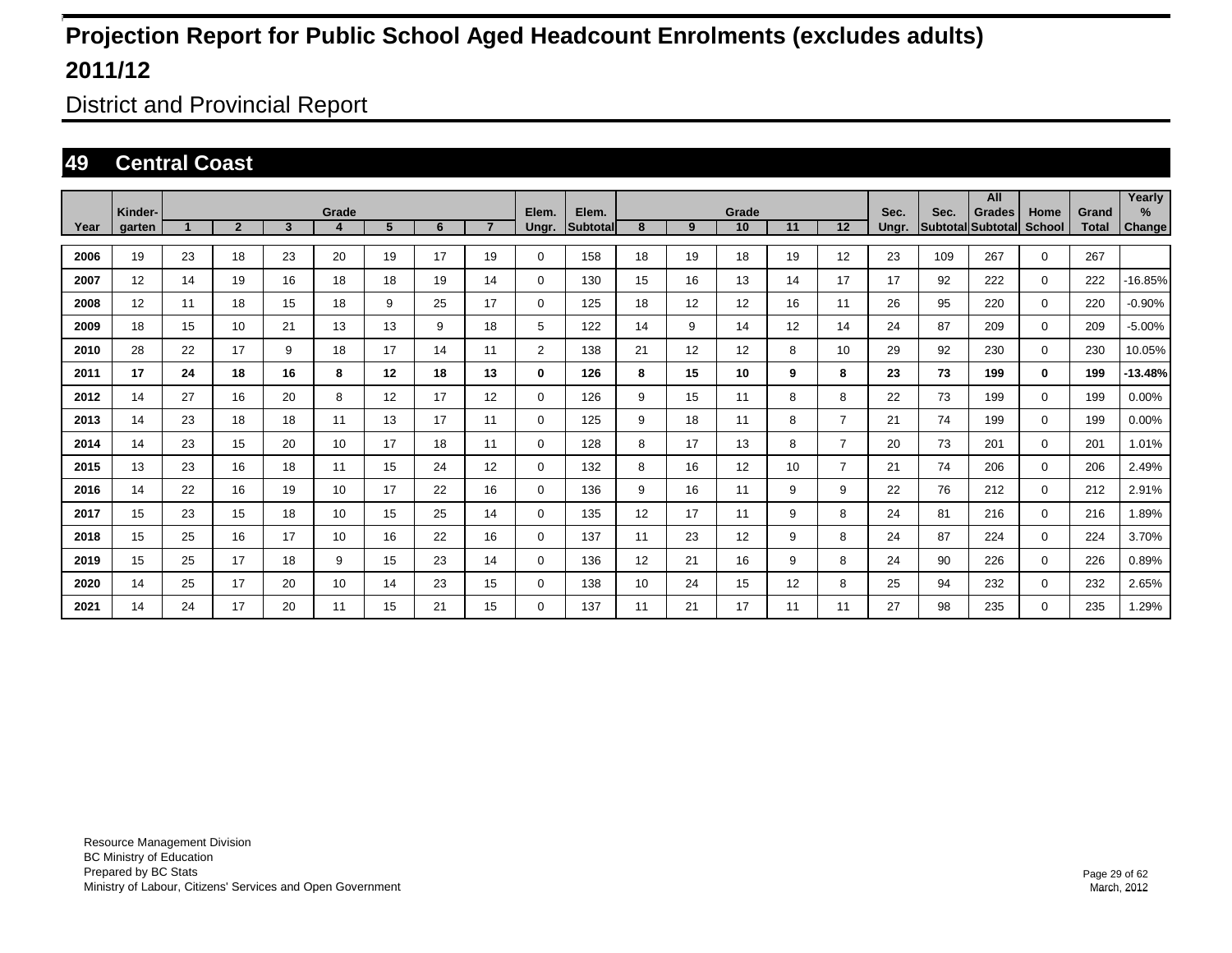District and Provincial Report

### **49 Central Coast**

|      |                   |    |                |                         |            |    |    |                 |                |                          |    |    |             |    |                |               |      | All                                |                       |                       | Yearly      |
|------|-------------------|----|----------------|-------------------------|------------|----|----|-----------------|----------------|--------------------------|----|----|-------------|----|----------------|---------------|------|------------------------------------|-----------------------|-----------------------|-------------|
| Year | Kinder-<br>garten |    | $\overline{2}$ | $\overline{\mathbf{3}}$ | Grade<br>4 | 5  | 6  | $\overline{7}$  | Elem.<br>Ungr. | Elem.<br><b>Subtotal</b> | 8  | 9  | Grade<br>10 | 11 | 12             | Sec.<br>Ungr. | Sec. | <b>Grades</b><br>Subtotal Subtotal | Home<br><b>School</b> | Grand<br><b>Total</b> | %<br>Change |
|      |                   |    |                |                         |            |    |    |                 |                |                          |    |    |             |    |                |               |      |                                    |                       |                       |             |
| 2006 | 19                | 23 | 18             | 23                      | 20         | 19 | 17 | 19              | $\mathbf 0$    | 158                      | 18 | 19 | 18          | 19 | 12             | 23            | 109  | 267                                | $\mathbf 0$           | 267                   |             |
| 2007 | 12                | 14 | 19             | 16                      | 18         | 18 | 19 | 14              | $\mathbf 0$    | 130                      | 15 | 16 | 13          | 14 | 17             | 17            | 92   | 222                                | $\mathbf 0$           | 222                   | -16.85%     |
| 2008 | 12                | 11 | 18             | 15                      | 18         | 9  | 25 | 17              | $\mathbf 0$    | 125                      | 18 | 12 | 12          | 16 | 11             | 26            | 95   | 220                                | $\mathbf 0$           | 220                   | $-0.90\%$   |
| 2009 | 18                | 15 | 10             | 21                      | 13         | 13 | 9  | 18              | 5              | 122                      | 14 | 9  | 14          | 12 | 14             | 24            | 87   | 209                                | $\mathbf 0$           | 209                   | $-5.00\%$   |
| 2010 | 28                | 22 | 17             | 9                       | 18         | 17 | 14 | 11              | $\overline{2}$ | 138                      | 21 | 12 | 12          | 8  | 10             | 29            | 92   | 230                                | $\mathbf 0$           | 230                   | 10.05%      |
| 2011 | 17                | 24 | 18             | 16                      | 8          | 12 | 18 | 13              | $\mathbf 0$    | 126                      | 8  | 15 | 10          | 9  | 8              | 23            | 73   | 199                                | $\mathbf 0$           | 199                   | $-13.48%$   |
| 2012 | 14                | 27 | 16             | 20                      | 8          | 12 | 17 | 12 <sup>°</sup> | $\mathbf 0$    | 126                      | 9  | 15 | 11          | 8  | 8              | 22            | 73   | 199                                | $\mathbf 0$           | 199                   | 0.00%       |
| 2013 | 14                | 23 | 18             | 18                      | 11         | 13 | 17 | 11              | $\mathbf 0$    | 125                      | 9  | 18 | 11          | 8  | $\overline{7}$ | 21            | 74   | 199                                | $\mathbf 0$           | 199                   | 0.00%       |
| 2014 | 14                | 23 | 15             | 20                      | 10         | 17 | 18 | 11              | $\mathbf 0$    | 128                      | 8  | 17 | 13          | 8  | $\overline{7}$ | 20            | 73   | 201                                | $\mathbf 0$           | 201                   | 1.01%       |
| 2015 | 13                | 23 | 16             | 18                      | 11         | 15 | 24 | 12 <sup>2</sup> | 0              | 132                      | 8  | 16 | 12          | 10 | $\overline{7}$ | 21            | 74   | 206                                | $\mathbf 0$           | 206                   | 2.49%       |
| 2016 | 14                | 22 | 16             | 19                      | 10         | 17 | 22 | 16              | $\mathbf 0$    | 136                      | 9  | 16 | 11          | 9  | 9              | 22            | 76   | 212                                | $\mathbf 0$           | 212                   | 2.91%       |
| 2017 | 15                | 23 | 15             | 18                      | 10         | 15 | 25 | 14              | $\mathbf 0$    | 135                      | 12 | 17 | 11          | 9  | 8              | 24            | 81   | 216                                | $\mathbf 0$           | 216                   | 1.89%       |
| 2018 | 15                | 25 | 16             | 17                      | 10         | 16 | 22 | 16              | $\mathbf 0$    | 137                      | 11 | 23 | 12          | 9  | 8              | 24            | 87   | 224                                | $\mathbf 0$           | 224                   | 3.70%       |
| 2019 | 15                | 25 | 17             | 18                      | 9          | 15 | 23 | 14              | $\mathbf 0$    | 136                      | 12 | 21 | 16          | 9  | 8              | 24            | 90   | 226                                | $\mathbf 0$           | 226                   | 0.89%       |
| 2020 | 14                | 25 | 17             | 20                      | 10         | 14 | 23 | 15              | $\mathbf 0$    | 138                      | 10 | 24 | 15          | 12 | 8              | 25            | 94   | 232                                | $\mathbf 0$           | 232                   | 2.65%       |
| 2021 | 14                | 24 | 17             | 20                      | 11         | 15 | 21 | 15              | $\mathbf 0$    | 137                      | 11 | 21 | 17          | 11 | 11             | 27            | 98   | 235                                | $\mathbf 0$           | 235                   | 1.29%       |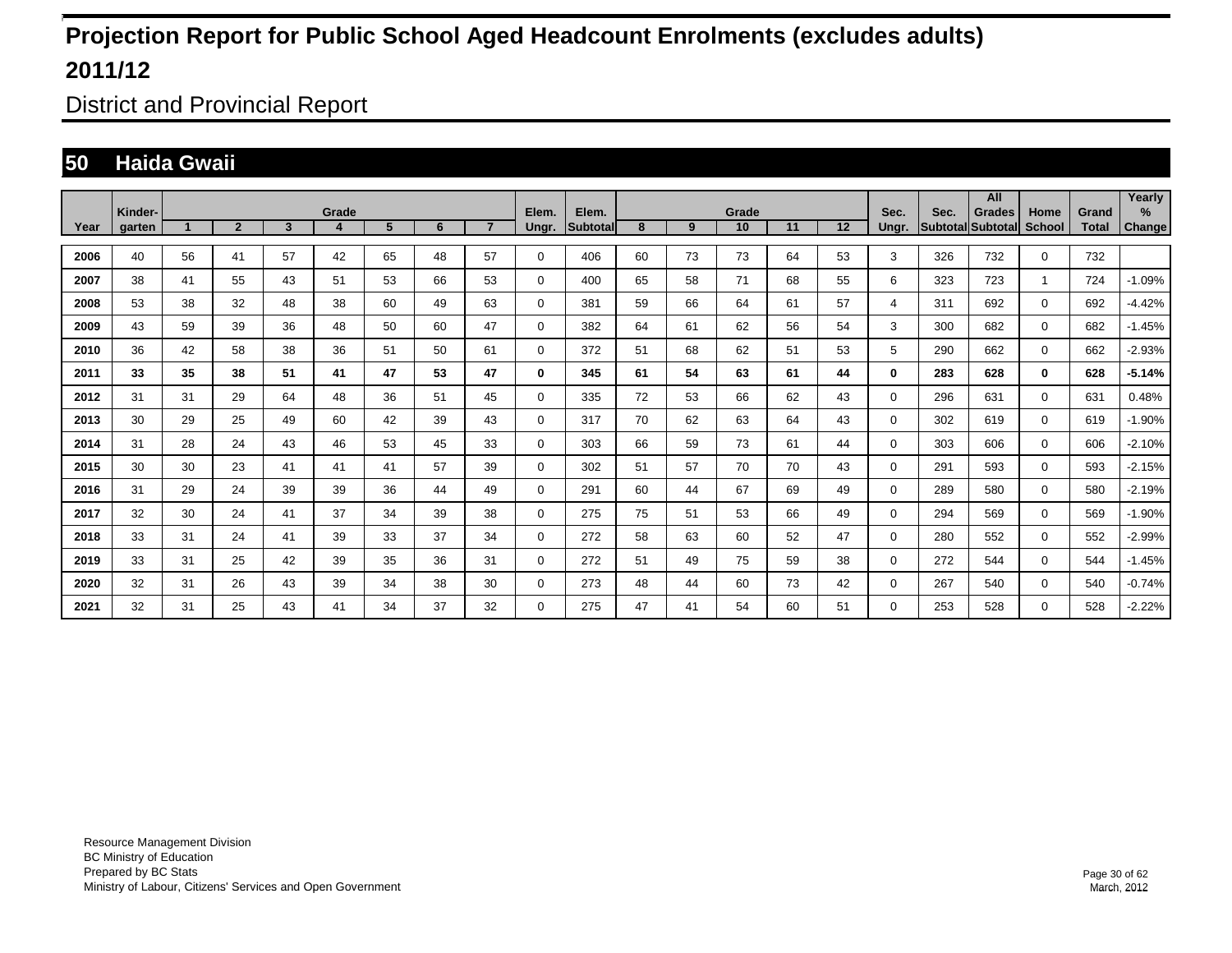District and Provincial Report

### **50 Haida Gwaii**

|      | Kinder-       |    |                |              | Grade |    |    |                | Elem.       | Elem.     |    |    | Grade |    |    |               |      | All                                |                |                       | Yearly         |
|------|---------------|----|----------------|--------------|-------|----|----|----------------|-------------|-----------|----|----|-------|----|----|---------------|------|------------------------------------|----------------|-----------------------|----------------|
| Year | <b>garten</b> |    | $\overline{2}$ | $\mathbf{3}$ | 4     | 5  | 6  | $\overline{7}$ | Ungr.       | Subtotall | 8  | 9  | 10    | 11 | 12 | Sec.<br>Unar. | Sec. | <b>Grades</b><br>Subtotal Subtotal | Home<br>School | Grand<br><b>Total</b> | $\%$<br>Change |
| 2006 | 40            | 56 | 41             | 57           | 42    | 65 | 48 | 57             | $\mathbf 0$ | 406       | 60 | 73 | 73    | 64 | 53 | 3             | 326  | 732                                | $\mathbf 0$    | 732                   |                |
| 2007 | 38            | 41 | 55             | 43           | 51    | 53 | 66 | 53             | $\mathbf 0$ | 400       | 65 | 58 | 71    | 68 | 55 | 6             | 323  | 723                                | 1              | 724                   | $-1.09%$       |
| 2008 | 53            | 38 | 32             | 48           | 38    | 60 | 49 | 63             | $\mathbf 0$ | 381       | 59 | 66 | 64    | 61 | 57 | 4             | 311  | 692                                | $\Omega$       | 692                   | $-4.42%$       |
| 2009 | 43            | 59 | 39             | 36           | 48    | 50 | 60 | 47             | $\mathbf 0$ | 382       | 64 | 61 | 62    | 56 | 54 | 3             | 300  | 682                                | $\mathbf 0$    | 682                   | $-1.45%$       |
| 2010 | 36            | 42 | 58             | 38           | 36    | 51 | 50 | 61             | $\mathbf 0$ | 372       | 51 | 68 | 62    | 51 | 53 | 5             | 290  | 662                                | $\mathbf 0$    | 662                   | $-2.93%$       |
| 2011 | 33            | 35 | 38             | 51           | 41    | 47 | 53 | 47             | 0           | 345       | 61 | 54 | 63    | 61 | 44 | 0             | 283  | 628                                | $\mathbf 0$    | 628                   | $-5.14%$       |
| 2012 | 31            | 31 | 29             | 64           | 48    | 36 | 51 | 45             | $\mathbf 0$ | 335       | 72 | 53 | 66    | 62 | 43 | $\Omega$      | 296  | 631                                | $\mathbf 0$    | 631                   | 0.48%          |
| 2013 | 30            | 29 | 25             | 49           | 60    | 42 | 39 | 43             | $\mathbf 0$ | 317       | 70 | 62 | 63    | 64 | 43 | $\Omega$      | 302  | 619                                | $\Omega$       | 619                   | $-1.90%$       |
| 2014 | 31            | 28 | 24             | 43           | 46    | 53 | 45 | 33             | 0           | 303       | 66 | 59 | 73    | 61 | 44 | $\Omega$      | 303  | 606                                | $\Omega$       | 606                   | $-2.10%$       |
| 2015 | 30            | 30 | 23             | 41           | 41    | 41 | 57 | 39             | $\mathbf 0$ | 302       | 51 | 57 | 70    | 70 | 43 | 0             | 291  | 593                                | $\mathbf 0$    | 593                   | $-2.15%$       |
| 2016 | 31            | 29 | 24             | 39           | 39    | 36 | 44 | 49             | $\mathbf 0$ | 291       | 60 | 44 | 67    | 69 | 49 | $\Omega$      | 289  | 580                                | $\mathbf 0$    | 580                   | $-2.19%$       |
| 2017 | 32            | 30 | 24             | 41           | 37    | 34 | 39 | 38             | $\mathbf 0$ | 275       | 75 | 51 | 53    | 66 | 49 | $\Omega$      | 294  | 569                                | $\mathbf 0$    | 569                   | $-1.90%$       |
| 2018 | 33            | 31 | 24             | 41           | 39    | 33 | 37 | 34             | $\mathbf 0$ | 272       | 58 | 63 | 60    | 52 | 47 | $\Omega$      | 280  | 552                                | $\mathbf 0$    | 552                   | $-2.99%$       |
| 2019 | 33            | 31 | 25             | 42           | 39    | 35 | 36 | 31             | $\mathbf 0$ | 272       | 51 | 49 | 75    | 59 | 38 | $\Omega$      | 272  | 544                                | $\Omega$       | 544                   | $-1.45%$       |
| 2020 | 32            | 31 | 26             | 43           | 39    | 34 | 38 | 30             | $\mathbf 0$ | 273       | 48 | 44 | 60    | 73 | 42 | $\Omega$      | 267  | 540                                | $\mathbf 0$    | 540                   | $-0.74%$       |
| 2021 | 32            | 31 | 25             | 43           | 41    | 34 | 37 | 32             | 0           | 275       | 47 | 41 | 54    | 60 | 51 | 0             | 253  | 528                                | $\mathbf 0$    | 528                   | $-2.22%$       |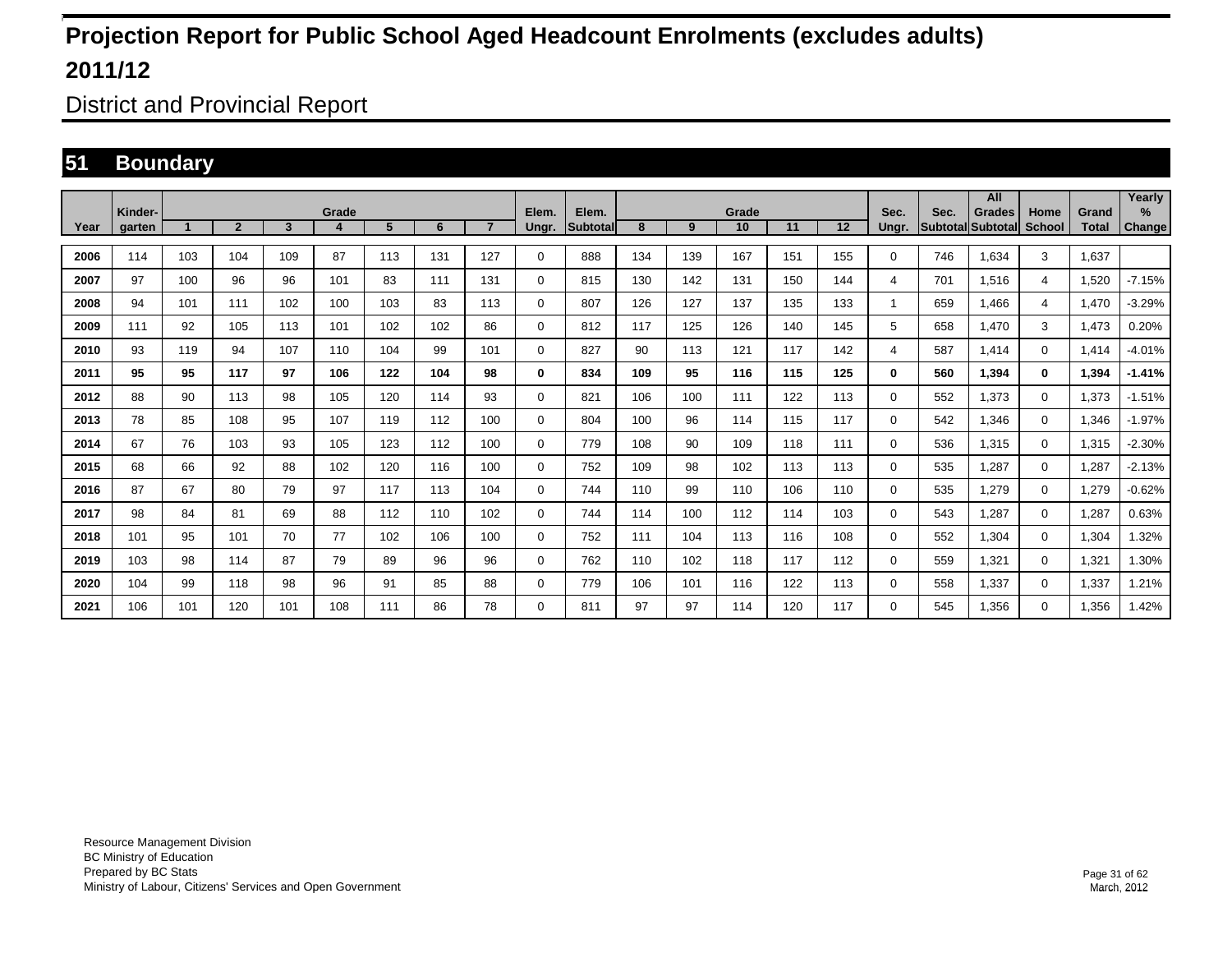District and Provincial Report

### **51 Boundary**

|      |                   |     |                |                         |       |                |     |                |                | Elem.    |     |     |             |     |     |               |      | All                                |                |                | Yearly         |
|------|-------------------|-----|----------------|-------------------------|-------|----------------|-----|----------------|----------------|----------|-----|-----|-------------|-----|-----|---------------|------|------------------------------------|----------------|----------------|----------------|
| Year | Kinder-<br>aarten |     | $\overline{2}$ | $\overline{\mathbf{3}}$ | Grade | 5 <sup>5</sup> | 6   | $\overline{7}$ | Elem.<br>Unar. | Subtotal | 8   | 9   | Grade<br>10 | 11  | 12  | Sec.<br>Unar. | Sec. | <b>Grades</b><br>Subtotal Subtotal | Home<br>School | Grand<br>Total | $\%$<br>Change |
| 2006 | 114               | 103 | 104            | 109                     | 87    | 113            | 131 | 127            | $\Omega$       | 888      | 134 | 139 | 167         | 151 | 155 | 0             | 746  | 1,634                              | 3              | 1,637          |                |
| 2007 | 97                | 100 | 96             | 96                      | 101   | 83             | 111 | 131            | 0              | 815      | 130 | 142 | 131         | 150 | 144 | 4             | 701  | 1,516                              | 4              | 1,520          | $-7.15%$       |
| 2008 | 94                | 101 | 111            | 102                     | 100   | 103            | 83  | 113            | 0              | 807      | 126 | 127 | 137         | 135 | 133 |               | 659  | 1.466                              | $\overline{4}$ | 1.470          | $-3.29%$       |
| 2009 | 111               | 92  | 105            | 113                     | 101   | 102            | 102 | 86             | 0              | 812      | 117 | 125 | 126         | 140 | 145 | 5             | 658  | 1,470                              | 3              | 1,473          | 0.20%          |
| 2010 | 93                | 119 | 94             | 107                     | 110   | 104            | 99  | 101            | 0              | 827      | 90  | 113 | 121         | 117 | 142 | 4             | 587  | 1,414                              | $\mathbf 0$    | 1,414          | $-4.01%$       |
| 2011 | 95                | 95  | 117            | 97                      | 106   | 122            | 104 | 98             | 0              | 834      | 109 | 95  | 116         | 115 | 125 | 0             | 560  | 1.394                              | $\bf{0}$       | 1,394          | $-1.41%$       |
| 2012 | 88                | 90  | 113            | 98                      | 105   | 120            | 114 | 93             | 0              | 821      | 106 | 100 | 111         | 122 | 113 | 0             | 552  | 1.373                              | $\mathbf 0$    | 1,373          | $-1.51%$       |
| 2013 | 78                | 85  | 108            | 95                      | 107   | 119            | 112 | 100            | 0              | 804      | 100 | 96  | 114         | 115 | 117 | 0             | 542  | 1,346                              | $\mathbf 0$    | 1,346          | $-1.97%$       |
| 2014 | 67                | 76  | 103            | 93                      | 105   | 123            | 112 | 100            | 0              | 779      | 108 | 90  | 109         | 118 | 111 | 0             | 536  | 1,315                              | $\mathbf 0$    | 1,315          | $-2.30%$       |
| 2015 | 68                | 66  | 92             | 88                      | 102   | 120            | 116 | 100            | 0              | 752      | 109 | 98  | 102         | 113 | 113 | 0             | 535  | 1.287                              | $\mathbf 0$    | 1,287          | $-2.13%$       |
| 2016 | 87                | 67  | 80             | 79                      | 97    | 117            | 113 | 104            | 0              | 744      | 110 | 99  | 110         | 106 | 110 | 0             | 535  | 1.279                              | $\mathbf 0$    | 1,279          | $-0.62%$       |
| 2017 | 98                | 84  | 81             | 69                      | 88    | 112            | 110 | 102            | 0              | 744      | 114 | 100 | 112         | 114 | 103 | 0             | 543  | 1,287                              | $\mathbf 0$    | 1,287          | 0.63%          |
| 2018 | 101               | 95  | 101            | 70                      | 77    | 102            | 106 | 100            | 0              | 752      | 111 | 104 | 113         | 116 | 108 | 0             | 552  | 1,304                              | $\mathbf 0$    | 1,304          | 1.32%          |
| 2019 | 103               | 98  | 114            | 87                      | 79    | 89             | 96  | 96             | 0              | 762      | 110 | 102 | 118         | 117 | 112 | 0             | 559  | 1,321                              | $\mathbf 0$    | 1,321          | 1.30%          |
| 2020 | 104               | 99  | 118            | 98                      | 96    | 91             | 85  | 88             | 0              | 779      | 106 | 101 | 116         | 122 | 113 | 0             | 558  | 1,337                              | $\mathbf 0$    | 1,337          | 1.21%          |
| 2021 | 106               | 101 | 120            | 101                     | 108   | 111            | 86  | 78             | 0              | 811      | 97  | 97  | 114         | 120 | 117 | 0             | 545  | 1,356                              | $\mathbf 0$    | 1,356          | 1.42%          |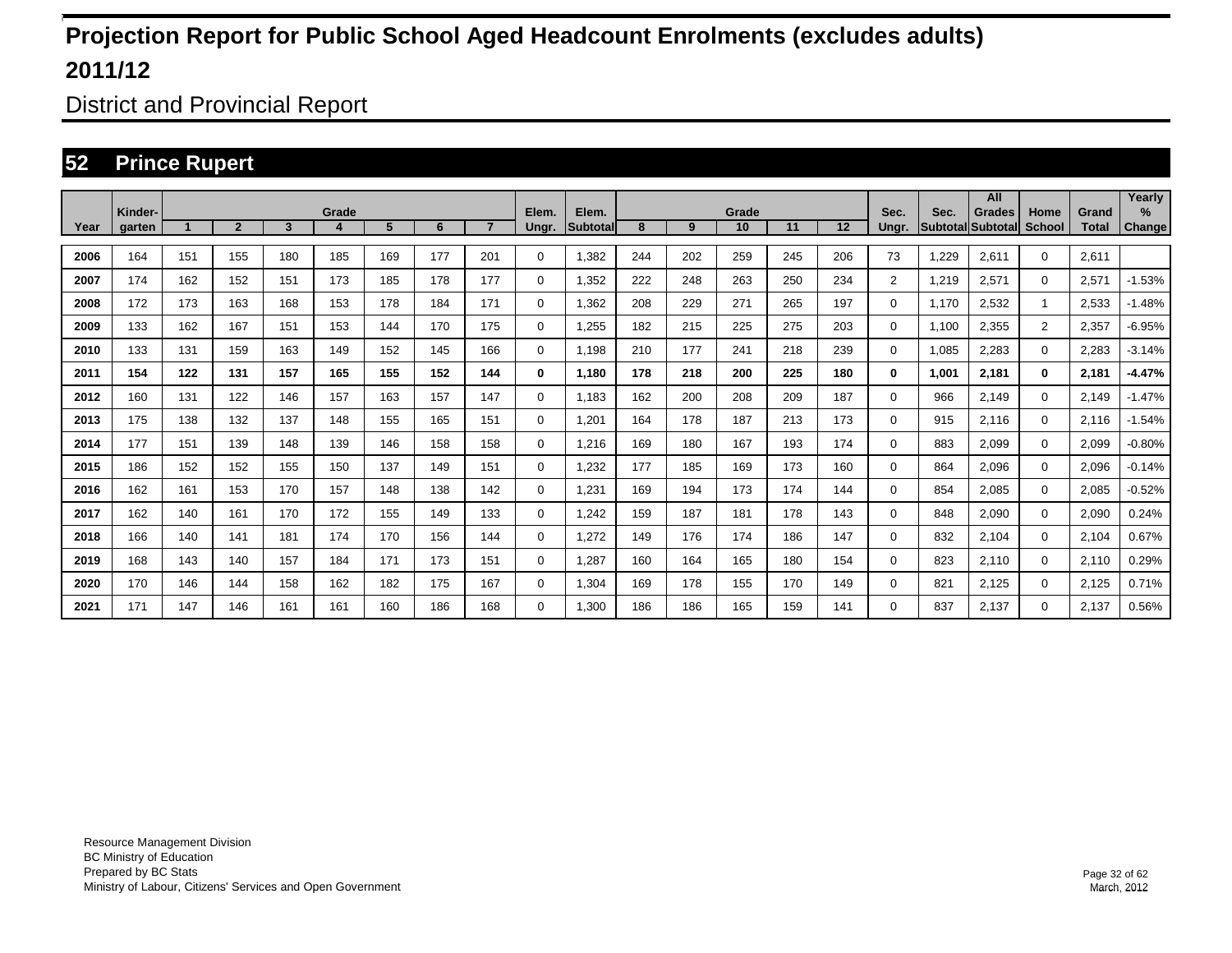District and Provincial Report

### **52 Prince Rupert**

|      |                   |     |                |                         |            |     |     |                |                |                           |     |     |             |     |     |                |                                  | All           |                       |                       | Yearly         |
|------|-------------------|-----|----------------|-------------------------|------------|-----|-----|----------------|----------------|---------------------------|-----|-----|-------------|-----|-----|----------------|----------------------------------|---------------|-----------------------|-----------------------|----------------|
| Year | Kinder-<br>garten |     | $\overline{2}$ | $\overline{\mathbf{3}}$ | Grade<br>4 | 5   | 6   | $\overline{7}$ | Elem.<br>Ungr. | Elem.<br><b>Subtotall</b> | 8   | 9   | Grade<br>10 | 11  | 12  | Sec.<br>Ungr.  | Sec.<br><b>Subtotal Subtotal</b> | <b>Grades</b> | Home<br><b>School</b> | Grand<br><b>Total</b> | $\%$<br>Change |
|      |                   |     |                |                         |            |     |     |                |                |                           |     |     |             |     |     |                |                                  |               |                       |                       |                |
| 2006 | 164               | 151 | 155            | 180                     | 185        | 169 | 177 | 201            | 0              | 1,382                     | 244 | 202 | 259         | 245 | 206 | 73             | 1,229                            | 2,611         | $\mathbf{0}$          | 2,611                 |                |
| 2007 | 174               | 162 | 152            | 151                     | 173        | 185 | 178 | 177            | $\mathbf 0$    | 1,352                     | 222 | 248 | 263         | 250 | 234 | $\overline{2}$ | 1.219                            | 2,571         | $\mathbf 0$           | 2,571                 | $-1.53%$       |
| 2008 | 172               | 173 | 163            | 168                     | 153        | 178 | 184 | 171            | $\mathbf 0$    | 1,362                     | 208 | 229 | 271         | 265 | 197 | 0              | 1.170                            | 2,532         | 1                     | 2,533                 | $-1.48%$       |
| 2009 | 133               | 162 | 167            | 151                     | 153        | 144 | 170 | 175            | 0              | .255                      | 182 | 215 | 225         | 275 | 203 | 0              | 1,100                            | 2,355         | $\overline{2}$        | 2,357                 | $-6.95%$       |
| 2010 | 133               | 131 | 159            | 163                     | 149        | 152 | 145 | 166            | 0              | 1,198                     | 210 | 177 | 241         | 218 | 239 | $\Omega$       | 1,085                            | 2,283         | $\mathbf 0$           | 2,283                 | $-3.14%$       |
| 2011 | 154               | 122 | 131            | 157                     | 165        | 155 | 152 | 144            | 0              | 1,180                     | 178 | 218 | 200         | 225 | 180 | 0              | 1,001                            | 2,181         | $\bf{0}$              | 2,181                 | $-4.47%$       |
| 2012 | 160               | 131 | 122            | 146                     | 157        | 163 | 157 | 147            | 0              | 1.183                     | 162 | 200 | 208         | 209 | 187 | 0              | 966                              | 2.149         | $\mathbf 0$           | 2,149                 | $-1.47%$       |
| 2013 | 175               | 138 | 132            | 137                     | 148        | 155 | 165 | 151            | $\mathbf 0$    | 1,201                     | 164 | 178 | 187         | 213 | 173 | 0              | 915                              | 2.116         | $\mathbf 0$           | 2,116                 | $-1.54%$       |
| 2014 | 177               | 151 | 139            | 148                     | 139        | 146 | 158 | 158            | 0              | 1.216                     | 169 | 180 | 167         | 193 | 174 | 0              | 883                              | 2.099         | $\mathbf 0$           | 2,099                 | $-0.80%$       |
| 2015 | 186               | 152 | 152            | 155                     | 150        | 137 | 149 | 151            | 0              | 1,232                     | 177 | 185 | 169         | 173 | 160 | 0              | 864                              | 2,096         | $\mathbf 0$           | 2,096                 | $-0.14%$       |
| 2016 | 162               | 161 | 153            | 170                     | 157        | 148 | 138 | 142            | $\mathbf 0$    | 1,231                     | 169 | 194 | 173         | 174 | 144 | 0              | 854                              | 2,085         | $\mathbf 0$           | 2,085                 | $-0.52%$       |
| 2017 | 162               | 140 | 161            | 170                     | 172        | 155 | 149 | 133            | 0              | 1,242                     | 159 | 187 | 181         | 178 | 143 | 0              | 848                              | 2,090         | $\mathbf 0$           | 2,090                 | 0.24%          |
| 2018 | 166               | 140 | 141            | 181                     | 174        | 170 | 156 | 144            | $\mathbf 0$    | 1,272                     | 149 | 176 | 174         | 186 | 147 | 0              | 832                              | 2,104         | $\mathbf 0$           | 2,104                 | 0.67%          |
| 2019 | 168               | 143 | 140            | 157                     | 184        | 171 | 173 | 151            | $\mathbf 0$    | .287                      | 160 | 164 | 165         | 180 | 154 | 0              | 823                              | 2,110         | $\mathbf 0$           | 2,110                 | 0.29%          |
| 2020 | 170               | 146 | 144            | 158                     | 162        | 182 | 175 | 167            | $\mathbf 0$    | 1,304                     | 169 | 178 | 155         | 170 | 149 | 0              | 821                              | 2,125         | $\mathbf 0$           | 2,125                 | 0.71%          |
| 2021 | 171               | 147 | 146            | 161                     | 161        | 160 | 186 | 168            | 0              | 1,300                     | 186 | 186 | 165         | 159 | 141 | 0              | 837                              | 2,137         | $\mathbf 0$           | 2,137                 | 0.56%          |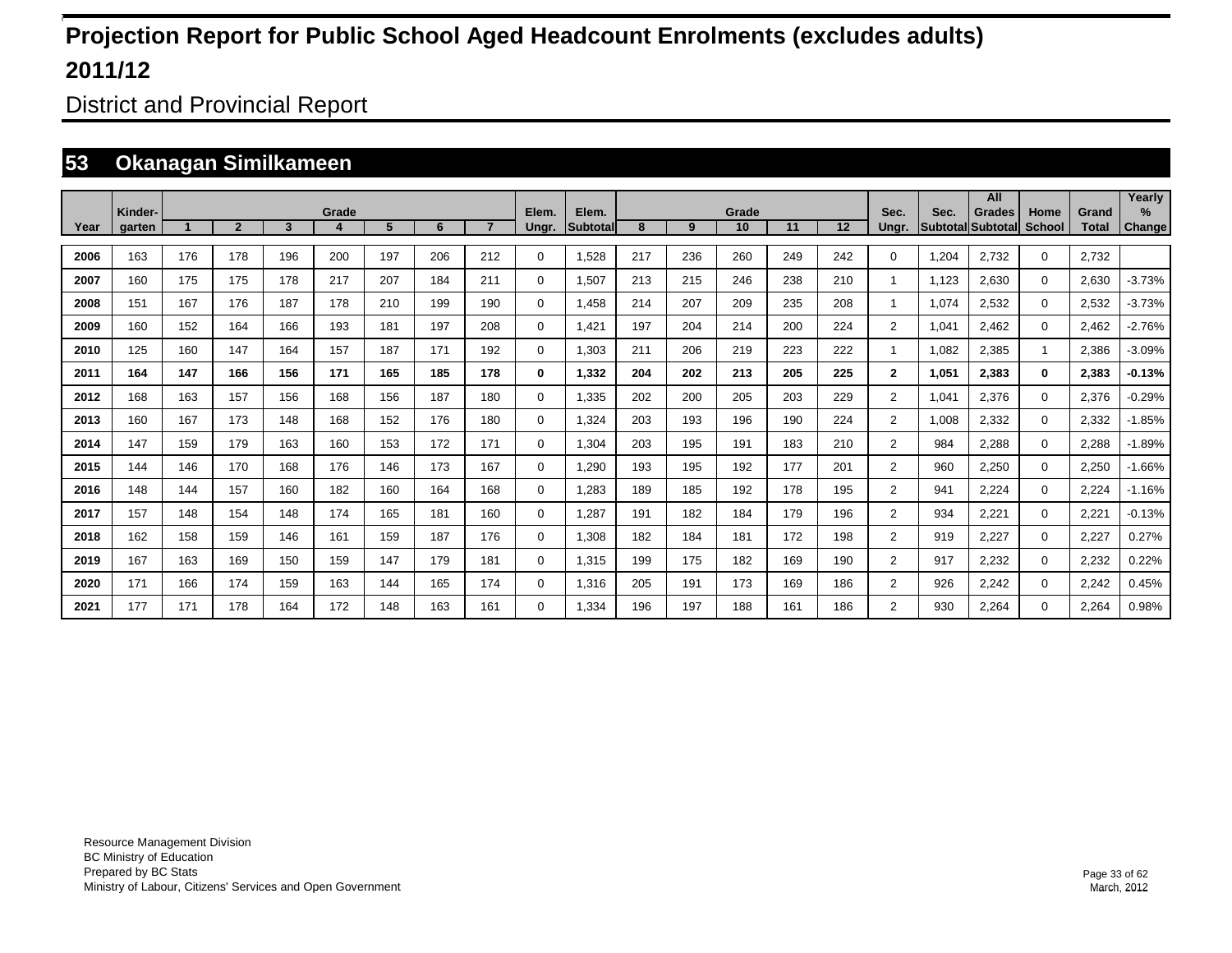District and Provincial Report

### **53 Okanagan Similkameen**

|      | Kinder- |              |                |     | Grade |     |     |                | Elem.       | Elem.     |     |     | Grade |     |     | Sec.           | Sec.  | All<br><b>Grades</b>     | Home          | Grand        | Yearly<br>$\%$ |
|------|---------|--------------|----------------|-----|-------|-----|-----|----------------|-------------|-----------|-----|-----|-------|-----|-----|----------------|-------|--------------------------|---------------|--------------|----------------|
| Year | garten  | $\mathbf{A}$ | $\overline{2}$ | 3   | 4     | 5   | 6   | $\overline{7}$ | Ungr.       | Subtotall | 8   | 9   | 10    | 11  | 12  | Unar.          |       | <b>Subtotal Subtotal</b> | <b>School</b> | <b>Total</b> | Change         |
| 2006 | 163     | 176          | 178            | 196 | 200   | 197 | 206 | 212            | 0           | 1,528     | 217 | 236 | 260   | 249 | 242 | 0              | 1,204 | 2,732                    | $\mathbf 0$   | 2,732        |                |
| 2007 | 160     | 175          | 175            | 178 | 217   | 207 | 184 | 211            | $\mathbf 0$ | 1,507     | 213 | 215 | 246   | 238 | 210 | 1              | 1,123 | 2,630                    | $\mathbf 0$   | 2,630        | $-3.73%$       |
| 2008 | 151     | 167          | 176            | 187 | 178   | 210 | 199 | 190            | $\mathbf 0$ | .458      | 214 | 207 | 209   | 235 | 208 | 1              | 1,074 | 2,532                    | $\mathbf 0$   | 2,532        | $-3.73%$       |
| 2009 | 160     | 152          | 164            | 166 | 193   | 181 | 197 | 208            | $\mathbf 0$ | ,421      | 197 | 204 | 214   | 200 | 224 | $\overline{2}$ | 1,041 | 2,462                    | $\mathbf 0$   | 2,462        | $-2.76%$       |
| 2010 | 125     | 160          | 147            | 164 | 157   | 187 | 171 | 192            | $\mathbf 0$ | 1,303     | 211 | 206 | 219   | 223 | 222 | 1              | 1,082 | 2,385                    |               | 2,386        | $-3.09%$       |
| 2011 | 164     | 147          | 166            | 156 | 171   | 165 | 185 | 178            | 0           | 1,332     | 204 | 202 | 213   | 205 | 225 | $\mathbf{2}$   | 1,051 | 2,383                    | $\bf{0}$      | 2,383        | $-0.13%$       |
| 2012 | 168     | 163          | 157            | 156 | 168   | 156 | 187 | 180            | $\mathbf 0$ | 1,335     | 202 | 200 | 205   | 203 | 229 | $\overline{2}$ | 1,041 | 2,376                    | $\mathbf 0$   | 2,376        | $-0.29%$       |
| 2013 | 160     | 167          | 173            | 148 | 168   | 152 | 176 | 180            | $\mathbf 0$ | 1.324     | 203 | 193 | 196   | 190 | 224 | $\overline{2}$ | 1,008 | 2,332                    | $\mathbf 0$   | 2,332        | $-1.85%$       |
| 2014 | 147     | 159          | 179            | 163 | 160   | 153 | 172 | 171            | 0           | 1,304     | 203 | 195 | 191   | 183 | 210 | $\overline{2}$ | 984   | 2.288                    | $\mathbf 0$   | 2,288        | $-1.89%$       |
| 2015 | 144     | 146          | 170            | 168 | 176   | 146 | 173 | 167            | 0           | 1,290     | 193 | 195 | 192   | 177 | 201 | $\overline{2}$ | 960   | 2,250                    | $\mathbf 0$   | 2,250        | $-1.66%$       |
| 2016 | 148     | 144          | 157            | 160 | 182   | 160 | 164 | 168            | 0           | 1,283     | 189 | 185 | 192   | 178 | 195 | $\overline{2}$ | 941   | 2,224                    | $\mathbf 0$   | 2,224        | $-1.16%$       |
| 2017 | 157     | 148          | 154            | 148 | 174   | 165 | 181 | 160            | 0           | 1,287     | 191 | 182 | 184   | 179 | 196 | $\overline{2}$ | 934   | 2,221                    | $\mathbf 0$   | 2,221        | $-0.13%$       |
| 2018 | 162     | 158          | 159            | 146 | 161   | 159 | 187 | 176            | 0           | 1,308     | 182 | 184 | 181   | 172 | 198 | $\overline{2}$ | 919   | 2,227                    | $\mathbf 0$   | 2,227        | 0.27%          |
| 2019 | 167     | 163          | 169            | 150 | 159   | 147 | 179 | 181            | 0           | 1,315     | 199 | 175 | 182   | 169 | 190 | $\overline{2}$ | 917   | 2,232                    | $\mathbf 0$   | 2,232        | 0.22%          |
| 2020 | 171     | 166          | 174            | 159 | 163   | 144 | 165 | 174            | $\mathbf 0$ | 1,316     | 205 | 191 | 173   | 169 | 186 | $\overline{2}$ | 926   | 2,242                    | $\mathbf 0$   | 2,242        | 0.45%          |
| 2021 | 177     | 171          | 178            | 164 | 172   | 148 | 163 | 161            | $\Omega$    | 1,334     | 196 | 197 | 188   | 161 | 186 | $\overline{2}$ | 930   | 2,264                    | $\mathbf 0$   | 2,264        | 0.98%          |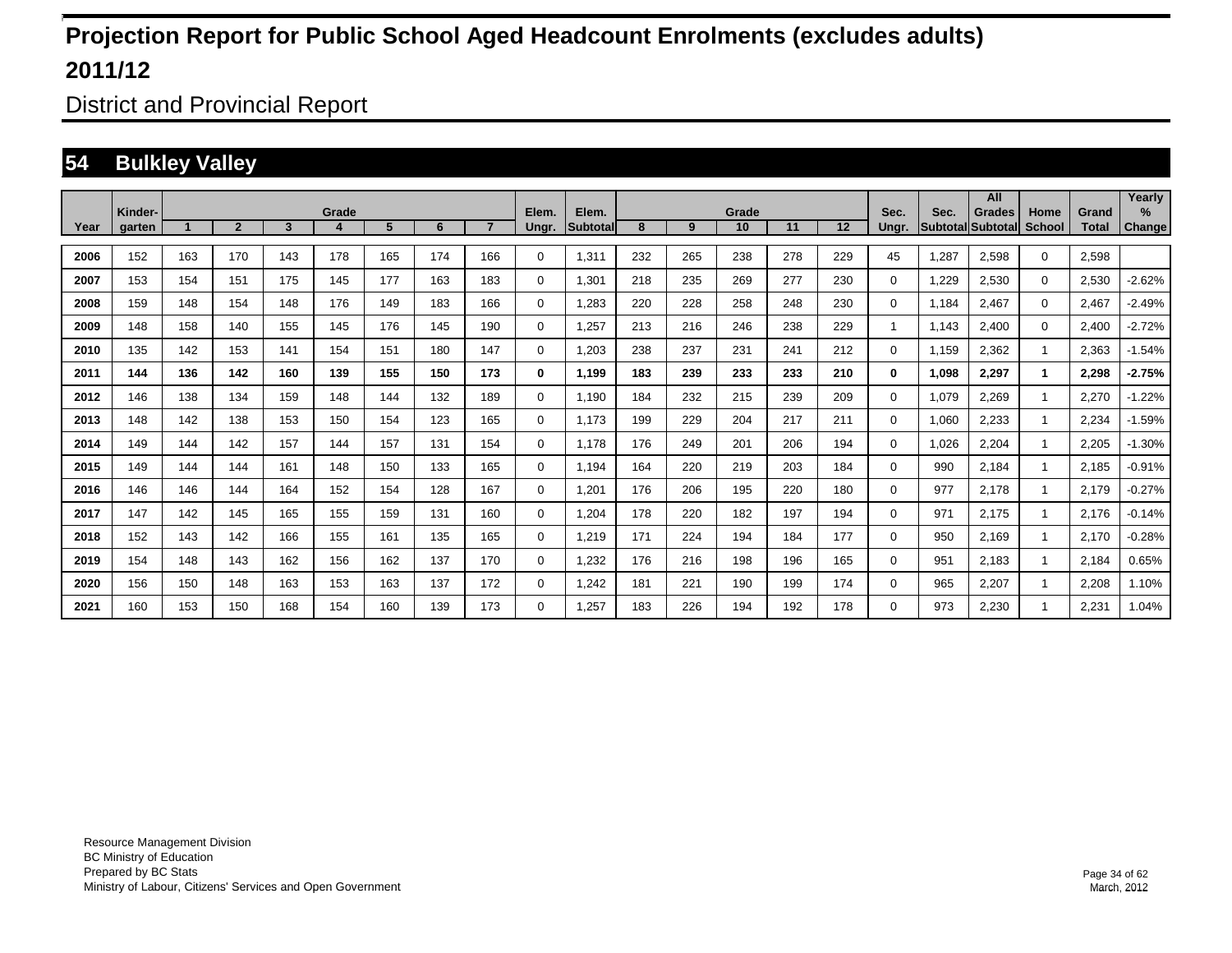District and Provincial Report

### **54 Bulkley Valley**

|      |                   |     |                |     |            |     |     |                |                |                   |     |     |             |     |     |               |       | All                                       |                       |                       | Yearly                         |
|------|-------------------|-----|----------------|-----|------------|-----|-----|----------------|----------------|-------------------|-----|-----|-------------|-----|-----|---------------|-------|-------------------------------------------|-----------------------|-----------------------|--------------------------------|
| Year | Kinder-<br>garten |     | $\overline{2}$ | 3   | Grade<br>4 | 5   | 6   | $\overline{7}$ | Elem.<br>Ungr. | Elem.<br>Subtotal | 8   | 9   | Grade<br>10 | 11  | 12  | Sec.<br>Ungr. | Sec.  | <b>Grades</b><br><b>Subtotal Subtotal</b> | Home<br><b>School</b> | Grand<br><b>Total</b> | $\frac{9}{6}$<br><b>Change</b> |
|      |                   |     |                |     |            |     |     |                |                |                   |     |     |             |     |     |               |       |                                           |                       |                       |                                |
| 2006 | 152               | 163 | 170            | 143 | 178        | 165 | 174 | 166            | $\Omega$       | 1,311             | 232 | 265 | 238         | 278 | 229 | 45            | 1,287 | 2,598                                     | $\mathbf 0$           | 2,598                 |                                |
| 2007 | 153               | 154 | 151            | 175 | 145        | 177 | 163 | 183            | $\Omega$       | 1,301             | 218 | 235 | 269         | 277 | 230 | $\Omega$      | 1,229 | 2,530                                     | $\mathbf 0$           | 2,530                 | $-2.62%$                       |
| 2008 | 159               | 148 | 154            | 148 | 176        | 149 | 183 | 166            | 0              | 1,283             | 220 | 228 | 258         | 248 | 230 | 0             | 1.184 | 2,467                                     | $\mathbf 0$           | 2,467                 | $-2.49%$                       |
| 2009 | 148               | 158 | 140            | 155 | 145        | 176 | 145 | 190            | 0              | 1,257             | 213 | 216 | 246         | 238 | 229 | 1             | 1.143 | 2.400                                     | $\mathbf 0$           | 2,400                 | $-2.72%$                       |
| 2010 | 135               | 142 | 153            | 141 | 154        | 151 | 180 | 147            | 0              | 1.203             | 238 | 237 | 231         | 241 | 212 | $\Omega$      | 1.159 | 2,362                                     |                       | 2,363                 | $-1.54%$                       |
| 2011 | 144               | 136 | 142            | 160 | 139        | 155 | 150 | 173            | 0              | 1,199             | 183 | 239 | 233         | 233 | 210 | $\bf{0}$      | 1,098 | 2,297                                     | 1                     | 2,298                 | $-2.75%$                       |
| 2012 | 146               | 138 | 134            | 159 | 148        | 144 | 132 | 189            | 0              | 1,190             | 184 | 232 | 215         | 239 | 209 | $\Omega$      | 1,079 | 2,269                                     |                       | 2,270                 | $-1.22%$                       |
| 2013 | 148               | 142 | 138            | 153 | 150        | 154 | 123 | 165            | $\Omega$       | 1.173             | 199 | 229 | 204         | 217 | 211 | $\Omega$      | 1,060 | 2,233                                     |                       | 2,234                 | $-1.59%$                       |
| 2014 | 149               | 144 | 142            | 157 | 144        | 157 | 131 | 154            | 0              | 1.178             | 176 | 249 | 201         | 206 | 194 | 0             | 1,026 | 2,204                                     |                       | 2,205                 | $-1.30%$                       |
| 2015 | 149               | 144 | 144            | 161 | 148        | 150 | 133 | 165            | 0              | 1.194             | 164 | 220 | 219         | 203 | 184 | 0             | 990   | 2,184                                     |                       | 2,185                 | $-0.91%$                       |
| 2016 | 146               | 146 | 144            | 164 | 152        | 154 | 128 | 167            | 0              | 1,201             | 176 | 206 | 195         | 220 | 180 | $\Omega$      | 977   | 2.178                                     |                       | 2,179                 | $-0.27%$                       |
| 2017 | 147               | 142 | 145            | 165 | 155        | 159 | 131 | 160            | $\Omega$       | 1,204             | 178 | 220 | 182         | 197 | 194 | $\Omega$      | 971   | 2,175                                     |                       | 2,176                 | $-0.14%$                       |
| 2018 | 152               | 143 | 142            | 166 | 155        | 161 | 135 | 165            | $\Omega$       | 1,219             | 171 | 224 | 194         | 184 | 177 | $\Omega$      | 950   | 2,169                                     |                       | 2,170                 | $-0.28%$                       |
| 2019 | 154               | 148 | 143            | 162 | 156        | 162 | 137 | 170            | $\Omega$       | 1,232             | 176 | 216 | 198         | 196 | 165 | $\Omega$      | 951   | 2,183                                     |                       | 2,184                 | 0.65%                          |
| 2020 | 156               | 150 | 148            | 163 | 153        | 163 | 137 | 172            | 0              | 1,242             | 181 | 221 | 190         | 199 | 174 | 0             | 965   | 2,207                                     |                       | 2,208                 | 1.10%                          |
| 2021 | 160               | 153 | 150            | 168 | 154        | 160 | 139 | 173            | $\Omega$       | 1.257             | 183 | 226 | 194         | 192 | 178 | $\Omega$      | 973   | 2.230                                     |                       | 2.231                 | 1.04%                          |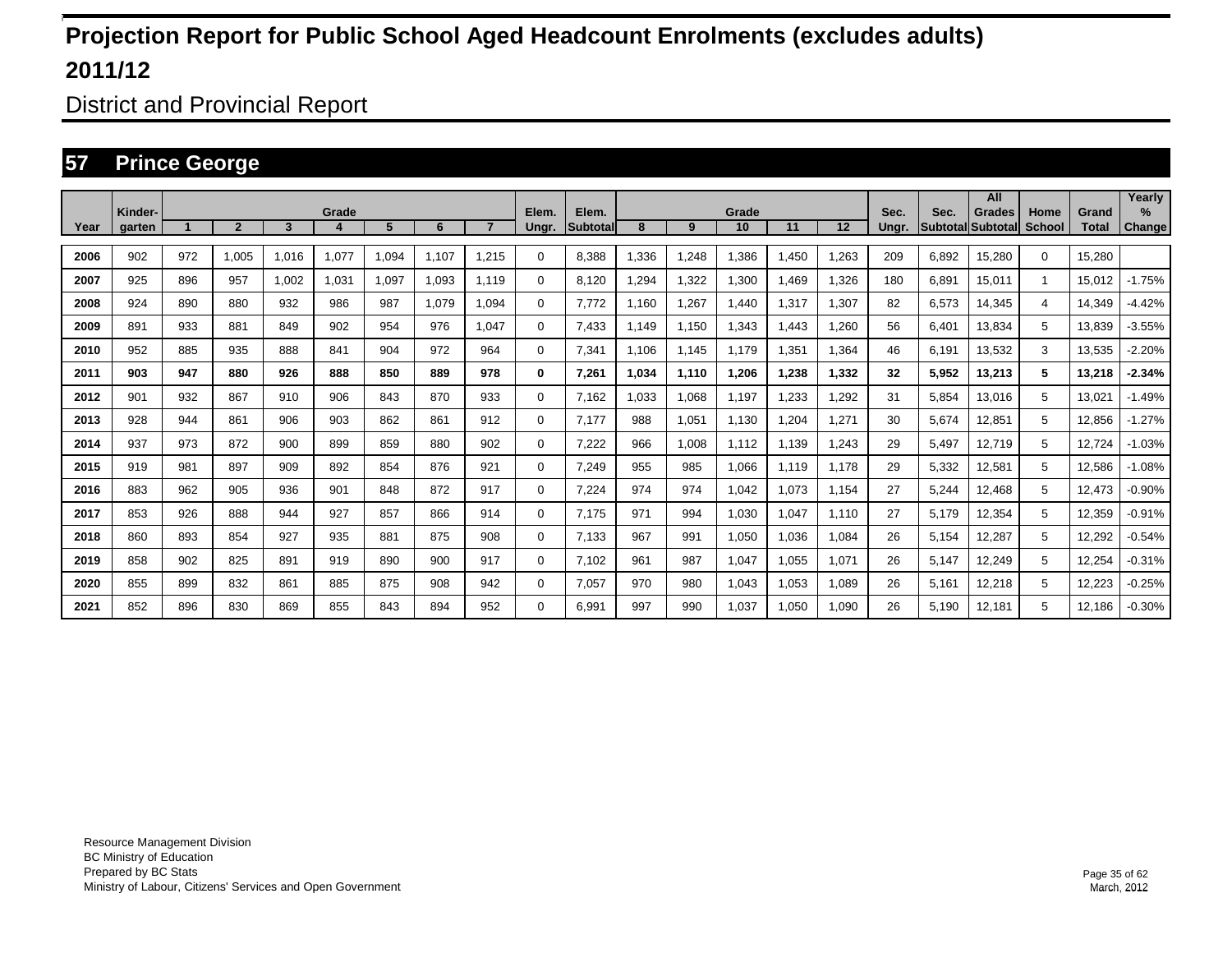District and Provincial Report

### **57 Prince George**

|      |         |     |                |       |       |       |       |                |       |                 |       |       |       |       |       |       |       | All                      |             |        | Yearly        |
|------|---------|-----|----------------|-------|-------|-------|-------|----------------|-------|-----------------|-------|-------|-------|-------|-------|-------|-------|--------------------------|-------------|--------|---------------|
|      | Kinder- |     |                |       | Grade |       |       | $\overline{7}$ | Elem. | Elem.           |       |       | Grade |       |       | Sec.  | Sec.  | Grades                   | Home        | Grand  | $\%$          |
| Year | garten  |     | $\overline{2}$ | 3     |       | 5     | 6     |                | Ungr. | <b>Subtotal</b> | 8     | 9     | 10    | 11    | 12    | Ungr. |       | <b>SubtotallSubtotal</b> | School      | Total  | <b>Change</b> |
| 2006 | 902     | 972 | 1.005          | 1.016 | 1.077 | 1.094 | 1.107 | 1.215          | 0     | 8.388           | .336  | 1,248 | 1.386 | .450  | 1,263 | 209   | 6,892 | 15,280                   | $\mathbf 0$ | 15.280 |               |
| 2007 | 925     | 896 | 957            | 1,002 | 1,031 | 1,097 | 1.093 | 1.119          | 0     | 8,120           | ,294  | 1,322 | 1,300 | .469  | 1,326 | 180   | 6.891 | 15.011                   | 1.          | 15.012 | $-1.75%$      |
| 2008 | 924     | 890 | 880            | 932   | 986   | 987   | 1.079 | 1.094          | 0     | 7.772           | .160  | 1,267 | 1.440 | ,317  | 1,307 | 82    | 6,573 | 14,345                   | 4           | 14.349 | $-4.42%$      |
| 2009 | 891     | 933 | 881            | 849   | 902   | 954   | 976   | 1.047          | 0     | 7,433           | 1.149 | 1,150 | 1.343 | .443  | 1,260 | 56    | 6.401 | 13.834                   | 5           | 13.839 | $-3.55\%$     |
| 2010 | 952     | 885 | 935            | 888   | 841   | 904   | 972   | 964            | 0     | 7,341           | 1.106 | 1,145 | 1.179 | ,351  | 1,364 | 46    | 6.191 | 13,532                   | 3           | 13,535 | $-2.20%$      |
| 2011 | 903     | 947 | 880            | 926   | 888   | 850   | 889   | 978            | 0     | 7,261           | 1.034 | 1,110 | 1,206 | 1,238 | 1,332 | 32    | 5,952 | 13,213                   | 5           | 13,218 | $-2.34%$      |
| 2012 | 901     | 932 | 867            | 910   | 906   | 843   | 870   | 933            | 0     | 7.162           | .033  | 1,068 | 1,197 | ,233  | 1,292 | 31    | 5.854 | 13.016                   | 5           | 13,021 | $-1.49%$      |
| 2013 | 928     | 944 | 861            | 906   | 903   | 862   | 861   | 912            | 0     | 7.177           | 988   | 1,051 | 1,130 | ,204  | 1,271 | 30    | 5,674 | 12,851                   | 5           | 12,856 | $-1.27%$      |
| 2014 | 937     | 973 | 872            | 900   | 899   | 859   | 880   | 902            | 0     | 7,222           | 966   | 1,008 | 1,112 | 1.139 | 1,243 | 29    | 5.497 | 12.719                   | 5           | 12,724 | $-1.03%$      |
| 2015 | 919     | 981 | 897            | 909   | 892   | 854   | 876   | 921            | 0     | 7.249           | 955   | 985   | 1.066 | 1.119 | 1,178 | 29    | 5,332 | 12,581                   | 5           | 12,586 | $-1.08%$      |
| 2016 | 883     | 962 | 905            | 936   | 901   | 848   | 872   | 917            | 0     | 7.224           | 974   | 974   | 1.042 | 1.073 | 1.154 | 27    | 5,244 | 12.468                   | 5           | 12,473 | $-0.90%$      |
| 2017 | 853     | 926 | 888            | 944   | 927   | 857   | 866   | 914            | 0     | 7.175           | 971   | 994   | 1.030 | 1.047 | 1.110 | 27    | 5.179 | 12,354                   | 5           | 12,359 | $-0.91%$      |
| 2018 | 860     | 893 | 854            | 927   | 935   | 881   | 875   | 908            | 0     | 7.133           | 967   | 991   | 1,050 | .036  | 1.084 | 26    | 5.154 | 12.287                   | 5           | 12,292 | $-0.54%$      |
| 2019 | 858     | 902 | 825            | 891   | 919   | 890   | 900   | 917            | 0     | 7.102           | 961   | 987   | 1.047 | .055  | 1,071 | 26    | 5.147 | 12,249                   | 5           | 12,254 | $-0.31%$      |
| 2020 | 855     | 899 | 832            | 861   | 885   | 875   | 908   | 942            | 0     | 7.057           | 970   | 980   | 1.043 | .053  | 1,089 | 26    | 5.161 | 12,218                   | 5           | 12,223 | $-0.25%$      |
| 2021 | 852     | 896 | 830            | 869   | 855   | 843   | 894   | 952            | 0     | 6.991           | 997   | 990   | 1.037 | .050  | 1.090 | 26    | 5.190 | 12,181                   | 5           | 12.186 | $-0.30%$      |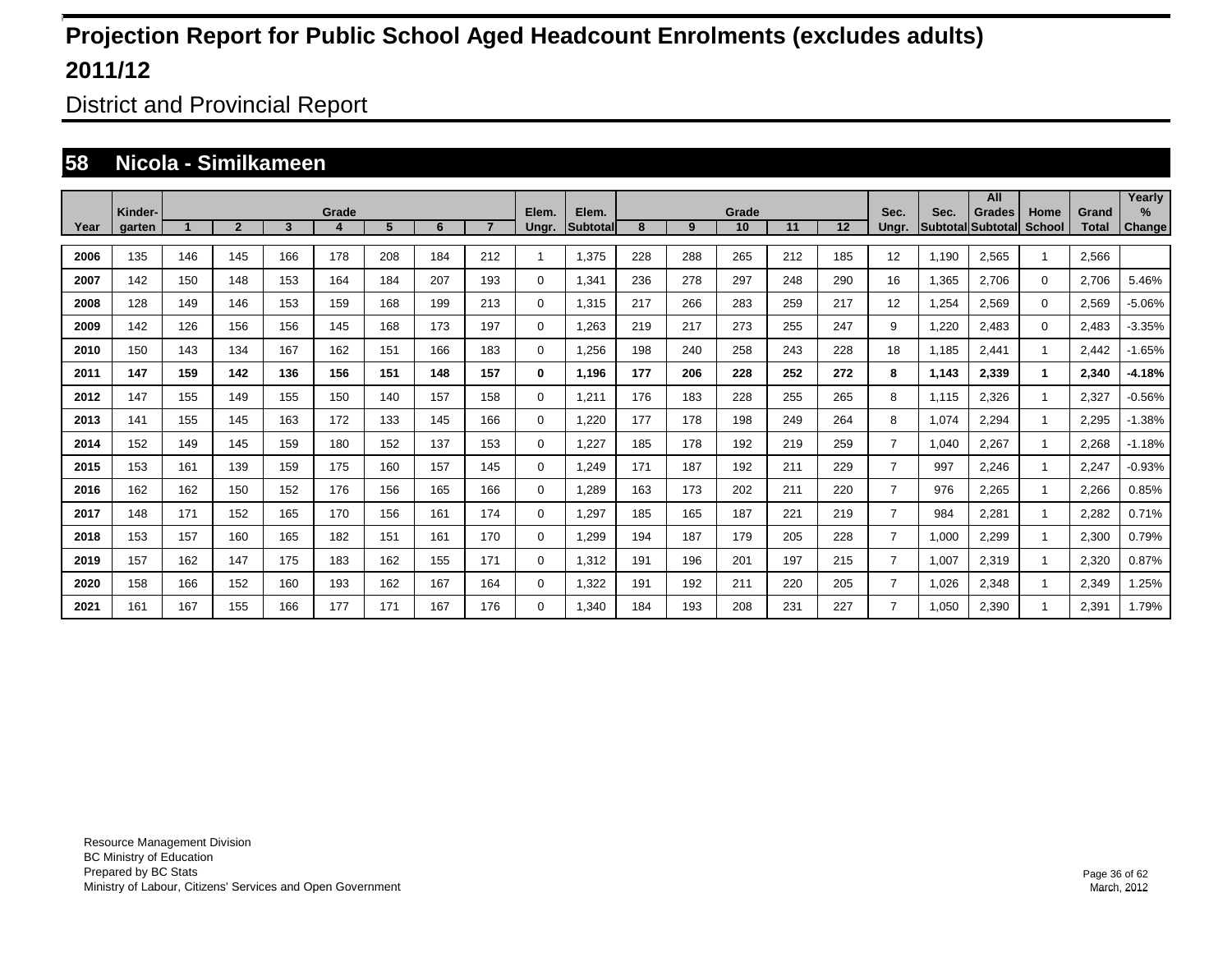District and Provincial Report

#### **58 Nicola - Similkameen**

|      |                   |     |                |     |            |                |     |                |                |                    |     |     |             |     |     |                |                         | All                       |                |                       | Yearly                |
|------|-------------------|-----|----------------|-----|------------|----------------|-----|----------------|----------------|--------------------|-----|-----|-------------|-----|-----|----------------|-------------------------|---------------------------|----------------|-----------------------|-----------------------|
| Year | Kinder-<br>garten |     | $\overline{2}$ | 3   | Grade<br>4 | 5 <sup>5</sup> | 6   | $\overline{7}$ | Elem.<br>Ungr. | Elem.<br>Subtotall | 8   | 9   | Grade<br>10 | 11  | 12  | Sec.<br>Ungr.  | Sec.<br><b>Subtotal</b> | <b>Grades</b><br>Subtotal | Home<br>School | Grand<br><b>Total</b> | $\%$<br><b>Change</b> |
|      |                   |     |                |     |            |                |     |                |                |                    |     |     |             |     |     |                |                         |                           |                |                       |                       |
| 2006 | 135               | 146 | 145            | 166 | 178        | 208            | 184 | 212            |                | 1.375              | 228 | 288 | 265         | 212 | 185 | 12             | 1.190                   | 2.565                     |                | 2.566                 |                       |
| 2007 | 142               | 150 | 148            | 153 | 164        | 184            | 207 | 193            | 0              | 1,341              | 236 | 278 | 297         | 248 | 290 | 16             | 1.365                   | 2.706                     | $\mathbf 0$    | 2,706                 | 5.46%                 |
| 2008 | 128               | 149 | 146            | 153 | 159        | 168            | 199 | 213            | 0              | 1,315              | 217 | 266 | 283         | 259 | 217 | 12             | 1,254                   | 2,569                     | $\mathbf 0$    | 2,569                 | $-5.06%$              |
| 2009 | 142               | 126 | 156            | 156 | 145        | 168            | 173 | 197            | 0              | 1,263              | 219 | 217 | 273         | 255 | 247 | 9              | 1,220                   | 2,483                     | $\mathbf 0$    | 2,483                 | $-3.35%$              |
| 2010 | 150               | 143 | 134            | 167 | 162        | 151            | 166 | 183            | $\mathbf 0$    | .256               | 198 | 240 | 258         | 243 | 228 | 18             | 1,185                   | 2,441                     |                | 2,442                 | $-1.65%$              |
| 2011 | 147               | 159 | 142            | 136 | 156        | 151            | 148 | 157            | 0              | 1,196              | 177 | 206 | 228         | 252 | 272 | 8              | 1,143                   | 2,339                     | 1              | 2,340                 | $-4.18%$              |
| 2012 | 147               | 155 | 149            | 155 | 150        | 140            | 157 | 158            | $\mathbf 0$    | 1,211              | 176 | 183 | 228         | 255 | 265 | 8              | 1,115                   | 2,326                     | $\mathbf{1}$   | 2,327                 | $-0.56%$              |
| 2013 | 141               | 155 | 145            | 163 | 172        | 133            | 145 | 166            | $\mathbf 0$    | 1.220              | 177 | 178 | 198         | 249 | 264 | 8              | 1,074                   | 2,294                     |                | 2,295                 | $-1.38%$              |
| 2014 | 152               | 149 | 145            | 159 | 180        | 152            | 137 | 153            | 0              | 1.227              | 185 | 178 | 192         | 219 | 259 | $\overline{7}$ | 1,040                   | 2.267                     | -1             | 2,268                 | $-1.18%$              |
| 2015 | 153               | 161 | 139            | 159 | 175        | 160            | 157 | 145            | $\mathbf 0$    | 1,249              | 171 | 187 | 192         | 211 | 229 | $\overline{7}$ | 997                     | 2.246                     |                | 2,247                 | $-0.93%$              |
| 2016 | 162               | 162 | 150            | 152 | 176        | 156            | 165 | 166            | $\mathbf 0$    | ,289               | 163 | 173 | 202         | 211 | 220 | $\overline{7}$ | 976                     | 2.265                     |                | 2,266                 | 0.85%                 |
| 2017 | 148               | 171 | 152            | 165 | 170        | 156            | 161 | 174            | $\mathbf 0$    | .297               | 185 | 165 | 187         | 221 | 219 | $\overline{7}$ | 984                     | 2,281                     |                | 2,282                 | 0.71%                 |
| 2018 | 153               | 157 | 160            | 165 | 182        | 151            | 161 | 170            | $\mathbf 0$    | ,299               | 194 | 187 | 179         | 205 | 228 | $\overline{7}$ | 1,000                   | 2.299                     |                | 2,300                 | 0.79%                 |
| 2019 | 157               | 162 | 147            | 175 | 183        | 162            | 155 | 171            | $\mathbf 0$    | 1.312              | 191 | 196 | 201         | 197 | 215 | $\overline{7}$ | 1.007                   | 2.319                     |                | 2,320                 | 0.87%                 |
| 2020 | 158               | 166 | 152            | 160 | 193        | 162            | 167 | 164            | $\mathbf 0$    | 1,322              | 191 | 192 | 211         | 220 | 205 | 7              | 1,026                   | 2,348                     |                | 2,349                 | .25%                  |
| 2021 | 161               | 167 | 155            | 166 | 177        | 171            | 167 | 176            | $\mathbf 0$    | .340               | 184 | 193 | 208         | 231 | 227 | 7              | 1,050                   | 2,390                     |                | 2,391                 | 1.79%                 |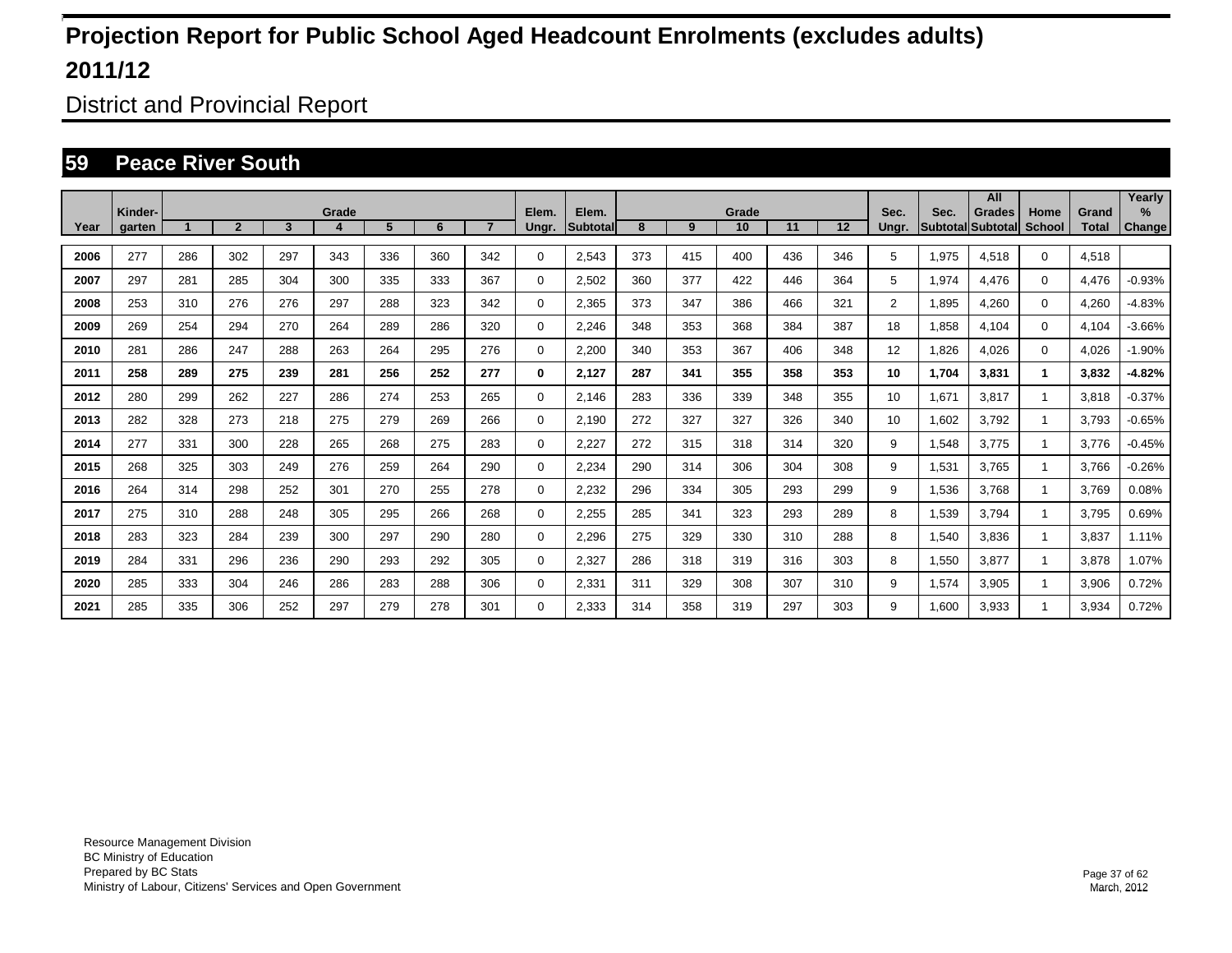District and Provincial Report

#### **59 Peace River South**

|      | Kinder- |                      |                |     | Grade |     |     |                | Elem.    | Elem.    |     |     | Grade |     |     | Sec.           | Sec.  | All                                       |                       | Grand        | Yearly<br>$\%$ |
|------|---------|----------------------|----------------|-----|-------|-----|-----|----------------|----------|----------|-----|-----|-------|-----|-----|----------------|-------|-------------------------------------------|-----------------------|--------------|----------------|
| Year | garten  | $\blacktriangleleft$ | $\overline{2}$ | 3   | 4     | 5   | 6   | $\overline{7}$ | Ungr.    | Subtotal | 8   | 9   | 10    | 11  | 12  | Unar.          |       | <b>Grades</b><br><b>Subtotal Subtotal</b> | Home<br><b>School</b> | <b>Total</b> | Change         |
| 2006 | 277     | 286                  | 302            | 297 | 343   | 336 | 360 | 342            | 0        | 2,543    | 373 | 415 | 400   | 436 | 346 | 5              | 1,975 | 4,518                                     | $\mathbf 0$           | 4,518        |                |
| 2007 | 297     | 281                  | 285            | 304 | 300   | 335 | 333 | 367            | 0        | 2,502    | 360 | 377 | 422   | 446 | 364 | 5              | 1,974 | 4,476                                     | $\mathbf 0$           | 4,476        | $-0.93%$       |
| 2008 | 253     | 310                  | 276            | 276 | 297   | 288 | 323 | 342            | 0        | 2,365    | 373 | 347 | 386   | 466 | 321 | $\overline{2}$ | 1,895 | 4,260                                     | $\mathbf 0$           | 4,260        | $-4.83%$       |
| 2009 | 269     | 254                  | 294            | 270 | 264   | 289 | 286 | 320            | 0        | 2,246    | 348 | 353 | 368   | 384 | 387 | 18             | 1,858 | 4,104                                     | $\mathbf 0$           | 4,104        | $-3.66%$       |
| 2010 | 281     | 286                  | 247            | 288 | 263   | 264 | 295 | 276            | 0        | 2,200    | 340 | 353 | 367   | 406 | 348 | 12             | 1,826 | 4,026                                     | $\mathbf 0$           | 4,026        | $-1.90%$       |
| 2011 | 258     | 289                  | 275            | 239 | 281   | 256 | 252 | 277            | 0        | 2,127    | 287 | 341 | 355   | 358 | 353 | 10             | 1,704 | 3,831                                     | 1                     | 3,832        | $-4.82%$       |
| 2012 | 280     | 299                  | 262            | 227 | 286   | 274 | 253 | 265            | 0        | 2,146    | 283 | 336 | 339   | 348 | 355 | 10             | 1,671 | 3,817                                     |                       | 3,818        | $-0.37%$       |
| 2013 | 282     | 328                  | 273            | 218 | 275   | 279 | 269 | 266            | 0        | 2,190    | 272 | 327 | 327   | 326 | 340 | 10             | 1,602 | 3,792                                     |                       | 3.793        | $-0.65%$       |
| 2014 | 277     | 331                  | 300            | 228 | 265   | 268 | 275 | 283            | 0        | 2,227    | 272 | 315 | 318   | 314 | 320 | 9              | 1,548 | 3,775                                     |                       | 3.776        | $-0.45%$       |
| 2015 | 268     | 325                  | 303            | 249 | 276   | 259 | 264 | 290            | 0        | 2,234    | 290 | 314 | 306   | 304 | 308 | 9              | 1,531 | 3.765                                     |                       | 3.766        | $-0.26%$       |
| 2016 | 264     | 314                  | 298            | 252 | 301   | 270 | 255 | 278            | 0        | 2,232    | 296 | 334 | 305   | 293 | 299 | 9              | 1,536 | 3,768                                     |                       | 3,769        | 0.08%          |
| 2017 | 275     | 310                  | 288            | 248 | 305   | 295 | 266 | 268            | 0        | 2,255    | 285 | 341 | 323   | 293 | 289 | 8              | 1,539 | 3,794                                     |                       | 3,795        | 0.69%          |
| 2018 | 283     | 323                  | 284            | 239 | 300   | 297 | 290 | 280            | 0        | 2,296    | 275 | 329 | 330   | 310 | 288 | 8              | 1,540 | 3,836                                     |                       | 3,837        | 1.11%          |
| 2019 | 284     | 331                  | 296            | 236 | 290   | 293 | 292 | 305            | 0        | 2,327    | 286 | 318 | 319   | 316 | 303 | 8              | 1,550 | 3,877                                     |                       | 3,878        | 1.07%          |
| 2020 | 285     | 333                  | 304            | 246 | 286   | 283 | 288 | 306            | 0        | 2,331    | 311 | 329 | 308   | 307 | 310 | 9              | 1,574 | 3,905                                     |                       | 3,906        | 0.72%          |
| 2021 | 285     | 335                  | 306            | 252 | 297   | 279 | 278 | 301            | $\Omega$ | 2,333    | 314 | 358 | 319   | 297 | 303 | 9              | 1.600 | 3,933                                     |                       | 3,934        | 0.72%          |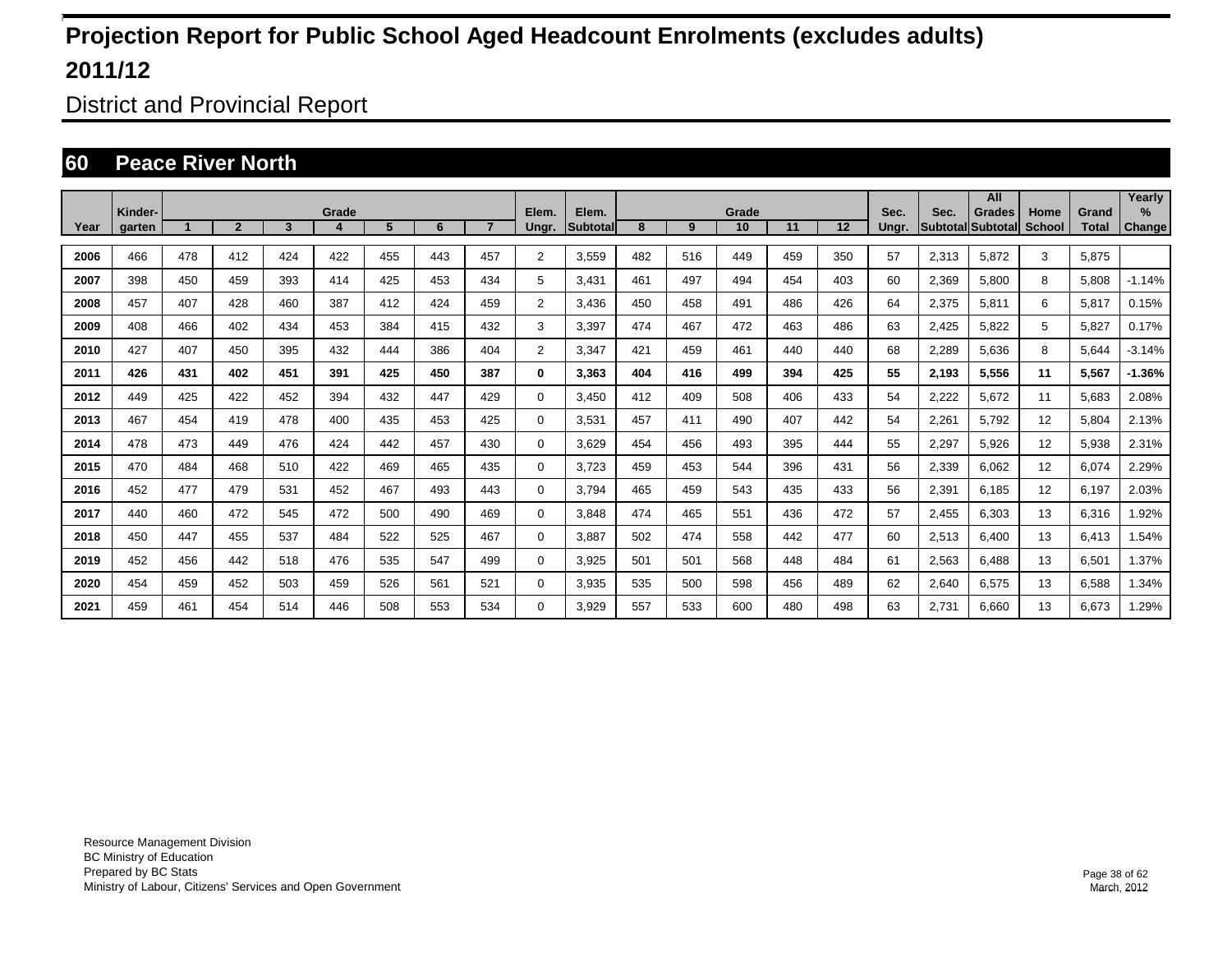District and Provincial Report

### **60 Peace River North**

|      |                   |     |                |                 |            |     |     |     |                |                    |     |     |             |     |     |               |       | All                                |                |                       | Yearly                  |
|------|-------------------|-----|----------------|-----------------|------------|-----|-----|-----|----------------|--------------------|-----|-----|-------------|-----|-----|---------------|-------|------------------------------------|----------------|-----------------------|-------------------------|
| Year | Kinder-<br>garten |     | $\overline{2}$ | $3\phantom{.0}$ | Grade<br>4 | 5   | 6   |     | Elem.<br>Ungr. | Elem.<br>Subtotall | 8   | 9   | Grade<br>10 | 11  | 12  | Sec.<br>Ungr. | Sec.  | Grades<br><b>Subtotal Subtotal</b> | Home<br>School | Grand<br><b>Total</b> | $\frac{9}{6}$<br>Change |
|      |                   |     |                |                 |            |     |     |     |                |                    |     |     |             |     |     |               |       |                                    |                |                       |                         |
| 2006 | 466               | 478 | 412            | 424             | 422        | 455 | 443 | 457 | 2              | 3,559              | 482 | 516 | 449         | 459 | 350 | 57            | 2,313 | 5,872                              | 3              | 5,875                 |                         |
| 2007 | 398               | 450 | 459            | 393             | 414        | 425 | 453 | 434 | 5              | 3,431              | 461 | 497 | 494         | 454 | 403 | 60            | 2,369 | 5,800                              | 8              | 5,808                 | $-1.14%$                |
| 2008 | 457               | 407 | 428            | 460             | 387        | 412 | 424 | 459 | 2              | 3.436              | 450 | 458 | 491         | 486 | 426 | 64            | 2,375 | 5,811                              | 6              | 5,817                 | 0.15%                   |
| 2009 | 408               | 466 | 402            | 434             | 453        | 384 | 415 | 432 | 3              | 3,397              | 474 | 467 | 472         | 463 | 486 | 63            | 2,425 | 5,822                              | 5              | 5,827                 | 0.17%                   |
| 2010 | 427               | 407 | 450            | 395             | 432        | 444 | 386 | 404 | 2              | 3,347              | 421 | 459 | 461         | 440 | 440 | 68            | 2,289 | 5,636                              | 8              | 5,644                 | $-3.14%$                |
| 2011 | 426               | 431 | 402            | 451             | 391        | 425 | 450 | 387 | $\bf{0}$       | 3,363              | 404 | 416 | 499         | 394 | 425 | 55            | 2,193 | 5,556                              | 11             | 5,567                 | $-1.36%$                |
| 2012 | 449               | 425 | 422            | 452             | 394        | 432 | 447 | 429 | 0              | 3,450              | 412 | 409 | 508         | 406 | 433 | 54            | 2,222 | 5,672                              | 11             | 5,683                 | 2.08%                   |
| 2013 | 467               | 454 | 419            | 478             | 400        | 435 | 453 | 425 | 0              | 3,531              | 457 | 411 | 490         | 407 | 442 | 54            | 2,261 | 5,792                              | 12             | 5,804                 | 2.13%                   |
| 2014 | 478               | 473 | 449            | 476             | 424        | 442 | 457 | 430 | 0              | 3,629              | 454 | 456 | 493         | 395 | 444 | 55            | 2,297 | 5,926                              | 12             | 5,938                 | 2.31%                   |
| 2015 | 470               | 484 | 468            | 510             | 422        | 469 | 465 | 435 | 0              | 3,723              | 459 | 453 | 544         | 396 | 431 | 56            | 2,339 | 6,062                              | 12             | 6,074                 | 2.29%                   |
| 2016 | 452               | 477 | 479            | 531             | 452        | 467 | 493 | 443 | 0              | 3,794              | 465 | 459 | 543         | 435 | 433 | 56            | 2,391 | 6,185                              | 12             | 6,197                 | 2.03%                   |
| 2017 | 440               | 460 | 472            | 545             | 472        | 500 | 490 | 469 | 0              | 3,848              | 474 | 465 | 551         | 436 | 472 | 57            | 2,455 | 6,303                              | 13             | 6,316                 | 1.92%                   |
| 2018 | 450               | 447 | 455            | 537             | 484        | 522 | 525 | 467 | 0              | 3,887              | 502 | 474 | 558         | 442 | 477 | 60            | 2,513 | 6,400                              | 13             | 6,413                 | 1.54%                   |
| 2019 | 452               | 456 | 442            | 518             | 476        | 535 | 547 | 499 | 0              | 3,925              | 501 | 501 | 568         | 448 | 484 | 61            | 2,563 | 6.488                              | 13             | 6,501                 | 1.37%                   |
| 2020 | 454               | 459 | 452            | 503             | 459        | 526 | 561 | 521 | 0              | 3,935              | 535 | 500 | 598         | 456 | 489 | 62            | 2,640 | 6,575                              | 13             | 6,588                 | 1.34%                   |
| 2021 | 459               | 461 | 454            | 514             | 446        | 508 | 553 | 534 | $\Omega$       | 3,929              | 557 | 533 | 600         | 480 | 498 | 63            | 2.731 | 6.660                              | 13             | 6,673                 | .29%                    |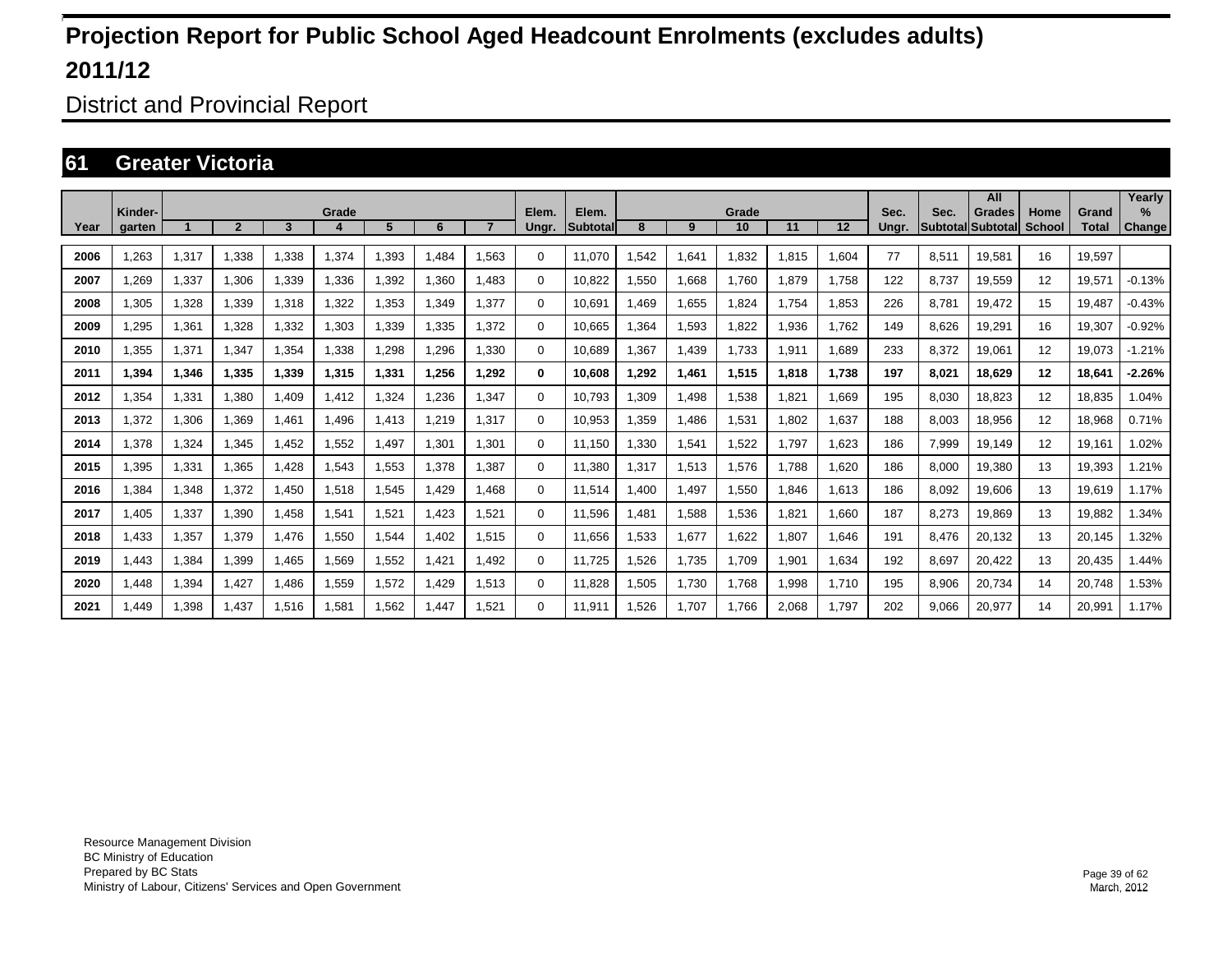District and Provincial Report

### **61 Greater Victoria**

|      |                   |       |                |       |       |       |       |                |                |                          |      |       |             |       |         |               |                         | All                              |                       |                       | Yearly                |
|------|-------------------|-------|----------------|-------|-------|-------|-------|----------------|----------------|--------------------------|------|-------|-------------|-------|---------|---------------|-------------------------|----------------------------------|-----------------------|-----------------------|-----------------------|
| Year | Kinder-<br>garten |       | $\overline{2}$ | 3     | Grade | 5     | 6     | $\overline{7}$ | Elem.<br>Ungr. | Elem.<br><b>Subtotal</b> | 8    | 9     | Grade<br>10 | 11    | $12 \,$ | Sec.<br>Unar. | Sec.<br><b>Subtotal</b> | <b>Grades</b><br><b>Subtotal</b> | Home<br><b>School</b> | Grand<br><b>Total</b> | $\%$<br><b>Change</b> |
|      |                   |       |                |       |       |       |       |                |                |                          |      |       |             |       |         |               |                         |                                  |                       |                       |                       |
| 2006 | 1.263             | 1,317 | 1.338          | 1.338 | 1.374 | .393  | 1.484 | 1,563          | $\Omega$       | 11.070                   | .542 | 1,641 | 1.832       | 1,815 | 1.604   | 77            | 8.511                   | 19.581                           | 16                    | 19.597                |                       |
| 2007 | 1,269             | 1,337 | 1,306          | 1,339 | 1,336 | 1,392 | 1,360 | .483           | 0              | 10,822                   | ,550 | 1,668 | 1,760       | 1,879 | 1.758   | 122           | 8.737                   | 19,559                           | 12                    | 19,571                | $-0.13%$              |
| 2008 | 1,305             | 1,328 | 1,339          | 1,318 | 1,322 | 1,353 | 1.349 | .377           | $\Omega$       | 10.691                   | .469 | 1,655 | 1,824       | 1.754 | 1,853   | 226           | 8.781                   | 19.472                           | 15                    | 19.487                | $-0.43%$              |
| 2009 | ,295              | 1,361 | 1,328          | 1,332 | 1.303 | 1.339 | 1,335 | .372           | $\mathbf 0$    | 10.665                   | .364 | 1,593 | 1,822       | 1.936 | 1.762   | 149           | 8.626                   | 19.291                           | 16                    | 19,307                | $-0.92%$              |
| 2010 | 1.355             | 1,371 | 1.347          | 1,354 | 1.338 | 1.298 | .296  | .330           | $\mathbf 0$    | 10.689                   | .367 | 1.439 | 1.733       | 1,911 | 1.689   | 233           | 8.372                   | 19.061                           | $12 \overline{ }$     | 19.073                | $-1.21%$              |
| 2011 | 1,394             | 1,346 | 1,335          | 1,339 | 1,315 | 1,331 | 1,256 | 1,292          | $\bf{0}$       | 10,608                   | .292 | 1,461 | 1,515       | 1,818 | 1,738   | 197           | 8,021                   | 18,629                           | $12 \overline{ }$     | 18,641                | $-2.26%$              |
| 2012 | 1,354             | 1,331 | 1,380          | 1,409 | 1,412 | 1,324 | ,236  | .347           | $\Omega$       | 10,793                   | ,309 | 1,498 | 1,538       | 1,821 | 1,669   | 195           | 8,030                   | 18,823                           | 12                    | 18,835                | 1.04%                 |
| 2013 | 1,372             | 1,306 | 1.369          | 1,461 | 1.496 | 1.413 | 1.219 | 1.317          | $\mathbf 0$    | 10.953                   | ,359 | 1.486 | 1,531       | 1.802 | 1,637   | 188           | 8.003                   | 18,956                           | 12                    | 18,968                | 0.71%                 |
| 2014 | 1.378             | 1,324 | 1.345          | 1.452 | 1.552 | 1.497 | 1.301 | 1.301          | 0              | 11.150                   | ,330 | 1,541 | 1,522       | 1.797 | 1.623   | 186           | 7,999                   | 19.149                           | 12                    | 19.161                | 1.02%                 |
| 2015 | 1,395             | 1,331 | 1,365          | 1,428 | 1,543 | 1,553 | 1,378 | .387           | $\mathbf 0$    | 11,380                   | ,317 | 1,513 | 1,576       | 1,788 | 1,620   | 186           | 8,000                   | 19,380                           | 13                    | 19,393                | .21%                  |
| 2016 | ,384              | 1,348 | 1,372          | 1,450 | 1,518 | 1,545 | 1,429 | .468           | 0              | 11.514                   | ,400 | 1,497 | 1,550       | 1,846 | 1,613   | 186           | 8,092                   | 19,606                           | 13                    | 19,619                | 1.17%                 |
| 2017 | 1.405             | 1,337 | 1,390          | 1.458 | 1,541 | 1,521 | 1,423 | .521           | 0              | 11.596                   | .481 | 1,588 | 1,536       | 1.821 | 1.660   | 187           | 8,273                   | 19.869                           | 13                    | 19,882                | 1.34%                 |
| 2018 | 1.433             | 1,357 | 1.379          | 1.476 | 1,550 | 1,544 | 1.402 | 1.515          | 0              | 11.656                   | .533 | 1,677 | 1,622       | 1.807 | 1.646   | 191           | 8.476                   | 20,132                           | 13                    | 20,145                | 1.32%                 |
| 2019 | 1,443             | 1,384 | 1,399          | 1,465 | 1,569 | 1,552 | 1,421 | 1,492          | $\Omega$       | 11,725                   | ,526 | 1,735 | 1,709       | 1,901 | 1,634   | 192           | 8,697                   | 20,422                           | 13                    | 20,435                | 1.44%                 |
| 2020 | 1.448             | 1,394 | 1,427          | 1,486 | 1,559 | 1,572 | 1,429 | 1,513          | 0              | 11.828                   | ,505 | 1,730 | 1,768       | 1,998 | 1.710   | 195           | 8,906                   | 20,734                           | 14                    | 20,748                | 1.53%                 |
| 2021 | 1.449             | 1,398 | 1.437          | 1.516 | 1.581 | 1.562 | 1.447 | 1.521          | $\Omega$       | 11.911                   | .526 | 1.707 | 1.766       | 2.068 | 1.797   | 202           | 9.066                   | 20.977                           | 14                    | 20,991                | 1.17%                 |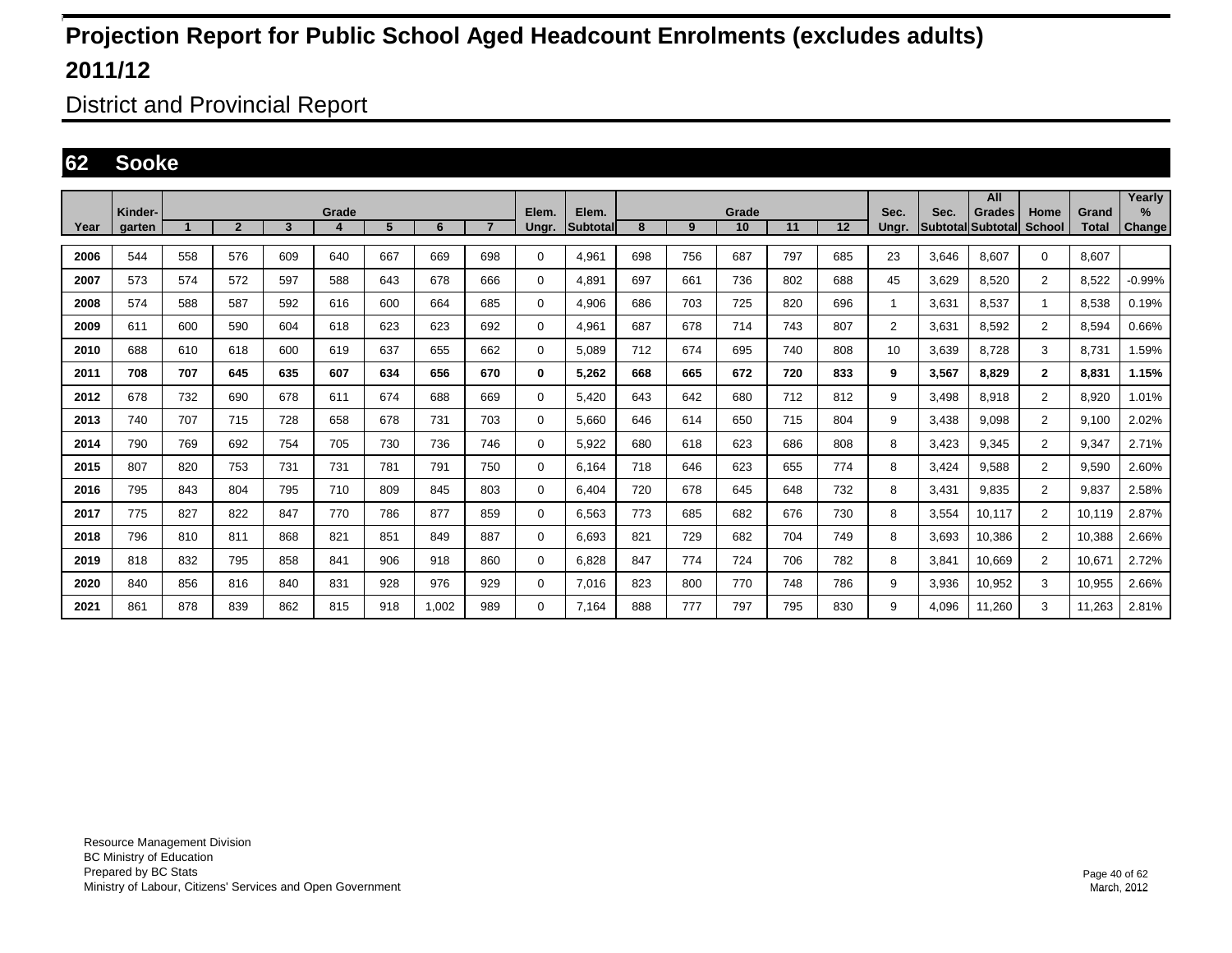District and Provincial Report

#### **62 Sooke**

|      | Kinder- |     |                |     | Grade |     |       |                | Elem.       | Elem.    |     |     | Grade |     |     | Sec.           | Sec.                     | All<br><b>Grades</b> | Home           | Grand        | Yearly<br>$\%$ |
|------|---------|-----|----------------|-----|-------|-----|-------|----------------|-------------|----------|-----|-----|-------|-----|-----|----------------|--------------------------|----------------------|----------------|--------------|----------------|
| Year | garten  |     | $\overline{2}$ | 3   | 4     | 5   | 6     | $\overline{7}$ | Ungr.       | Subtotal | 8   | 9   | 10    | 11  | 12  | Ungr.          | <b>Subtotal Subtotal</b> |                      | <b>School</b>  | <b>Total</b> | <b>Change</b>  |
| 2006 | 544     | 558 | 576            | 609 | 640   | 667 | 669   | 698            | 0           | 4,961    | 698 | 756 | 687   | 797 | 685 | 23             | 3.646                    | 8,607                | $\mathbf 0$    | 8.607        |                |
| 2007 | 573     | 574 | 572            | 597 | 588   | 643 | 678   | 666            | 0           | 4,891    | 697 | 661 | 736   | 802 | 688 | 45             | 3,629                    | 8,520                | $\overline{2}$ | 8,522        | $-0.99%$       |
| 2008 | 574     | 588 | 587            | 592 | 616   | 600 | 664   | 685            | $\mathbf 0$ | 4,906    | 686 | 703 | 725   | 820 | 696 | $\mathbf{1}$   | 3,631                    | 8,537                | 1              | 8,538        | 0.19%          |
| 2009 | 611     | 600 | 590            | 604 | 618   | 623 | 623   | 692            | 0           | 4.961    | 687 | 678 | 714   | 743 | 807 | $\overline{2}$ | 3.631                    | 8.592                | $\overline{2}$ | 8.594        | 0.66%          |
| 2010 | 688     | 610 | 618            | 600 | 619   | 637 | 655   | 662            | $\mathbf 0$ | 5.089    | 712 | 674 | 695   | 740 | 808 | 10             | 3,639                    | 8,728                | 3              | 8,731        | 1.59%          |
| 2011 | 708     | 707 | 645            | 635 | 607   | 634 | 656   | 670            | 0           | 5.262    | 668 | 665 | 672   | 720 | 833 | 9              | 3.567                    | 8.829                | $\mathbf{2}$   | 8.831        | 1.15%          |
| 2012 | 678     | 732 | 690            | 678 | 611   | 674 | 688   | 669            | 0           | 5,420    | 643 | 642 | 680   | 712 | 812 | 9              | 3,498                    | 8,918                | $\overline{2}$ | 8,920        | 1.01%          |
| 2013 | 740     | 707 | 715            | 728 | 658   | 678 | 731   | 703            | 0           | 5.660    | 646 | 614 | 650   | 715 | 804 | 9              | 3.438                    | 9.098                | $\overline{2}$ | 9,100        | 2.02%          |
| 2014 | 790     | 769 | 692            | 754 | 705   | 730 | 736   | 746            | 0           | 5,922    | 680 | 618 | 623   | 686 | 808 | 8              | 3,423                    | 9,345                | $\overline{2}$ | 9,347        | 2.71%          |
| 2015 | 807     | 820 | 753            | 731 | 731   | 781 | 791   | 750            | 0           | 6.164    | 718 | 646 | 623   | 655 | 774 | 8              | 3.424                    | 9,588                | $\overline{2}$ | 9,590        | 2.60%          |
| 2016 | 795     | 843 | 804            | 795 | 710   | 809 | 845   | 803            | $\mathbf 0$ | 6.404    | 720 | 678 | 645   | 648 | 732 | 8              | 3.431                    | 9.835                | $\overline{2}$ | 9,837        | 2.58%          |
| 2017 | 775     | 827 | 822            | 847 | 770   | 786 | 877   | 859            | 0           | 6,563    | 773 | 685 | 682   | 676 | 730 | 8              | 3,554                    | 10,117               | $\overline{2}$ | 10,119       | 2.87%          |
| 2018 | 796     | 810 | 811            | 868 | 821   | 851 | 849   | 887            | 0           | 6.693    | 821 | 729 | 682   | 704 | 749 | 8              | 3.693                    | 10,386               | $\overline{2}$ | 10.388       | 2.66%          |
| 2019 | 818     | 832 | 795            | 858 | 841   | 906 | 918   | 860            | 0           | 6,828    | 847 | 774 | 724   | 706 | 782 | 8              | 3,841                    | 10,669               | $\overline{2}$ | 10,671       | 2.72%          |
| 2020 | 840     | 856 | 816            | 840 | 831   | 928 | 976   | 929            | 0           | 7,016    | 823 | 800 | 770   | 748 | 786 | 9              | 3,936                    | 10,952               | 3              | 10,955       | 2.66%          |
| 2021 | 861     | 878 | 839            | 862 | 815   | 918 | 1,002 | 989            | 0           | 7.164    | 888 | 777 | 797   | 795 | 830 | 9              | 4,096                    | 11,260               | 3              | 11,263       | 2.81%          |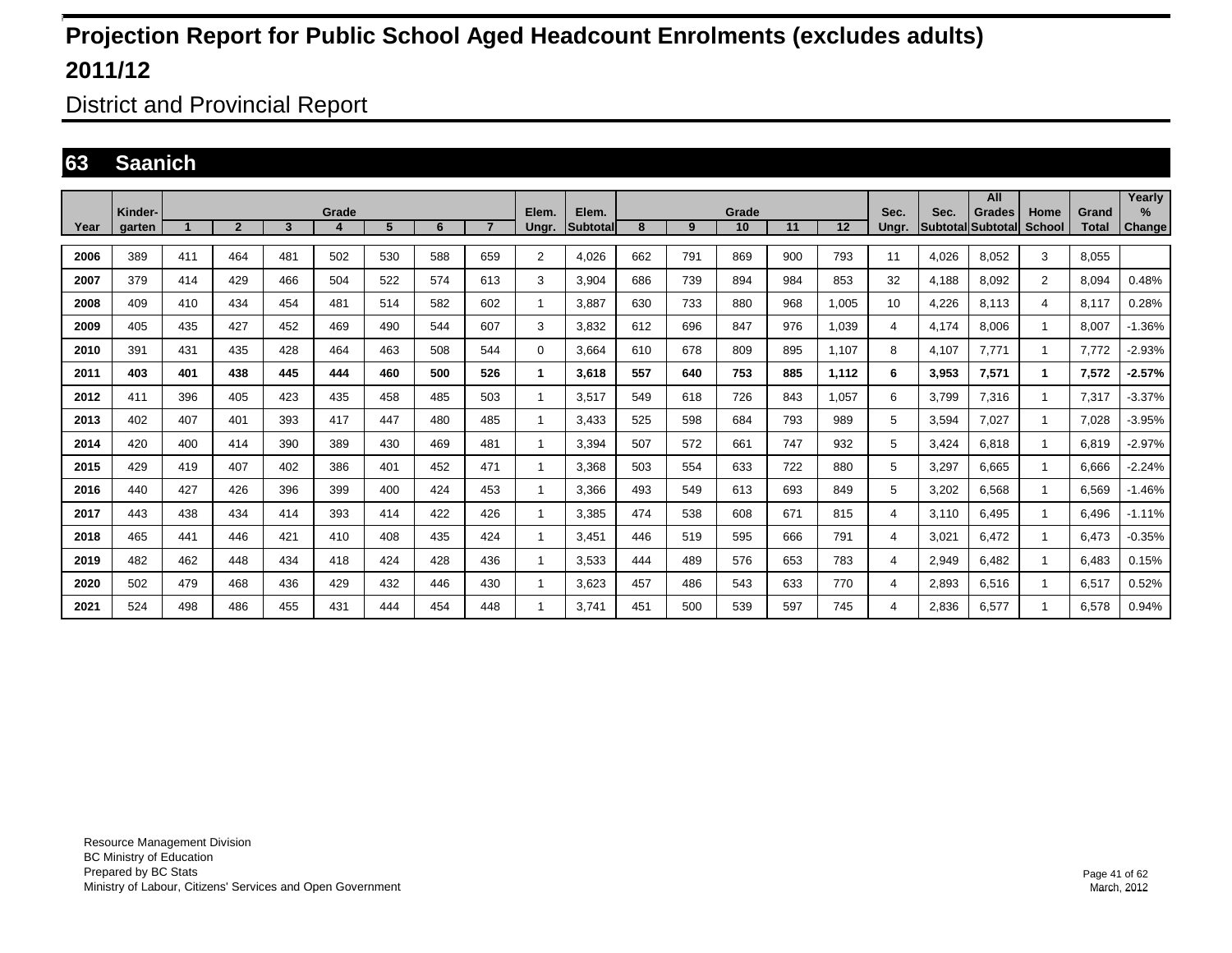District and Provincial Report

### **63 Saanich**

|      | Kinder- |                      |                |     | Grade |     |     |                | Elem.          | Elem.           |     |     | Grade |     |       | Sec.  | Sec.  | All<br>Grades            | Home         | Grand        | Yearly<br>$\%$ |
|------|---------|----------------------|----------------|-----|-------|-----|-----|----------------|----------------|-----------------|-----|-----|-------|-----|-------|-------|-------|--------------------------|--------------|--------------|----------------|
| Year | garten  | $\blacktriangleleft$ | $\overline{2}$ | 3   | 4     | 5   | 6   | $\overline{7}$ | Ungr.          | <b>Subtotal</b> | 8   | 9   | 10    | 11  | 12    | Unar. |       | <b>Subtotal Subtotal</b> | School       | <b>Total</b> | Change         |
| 2006 | 389     | 411                  | 464            | 481 | 502   | 530 | 588 | 659            | $\overline{2}$ | 4.026           | 662 | 791 | 869   | 900 | 793   | 11    | 4.026 | 8.052                    | 3            | 8.055        |                |
| 2007 | 379     | 414                  | 429            | 466 | 504   | 522 | 574 | 613            | 3              | 3,904           | 686 | 739 | 894   | 984 | 853   | 32    | 4,188 | 8,092                    | 2            | 8,094        | 0.48%          |
| 2008 | 409     | 410                  | 434            | 454 | 481   | 514 | 582 | 602            | 1              | 3.887           | 630 | 733 | 880   | 968 | 1,005 | 10    | 4,226 | 8,113                    | 4            | 8.117        | 0.28%          |
| 2009 | 405     | 435                  | 427            | 452 | 469   | 490 | 544 | 607            | 3              | 3.832           | 612 | 696 | 847   | 976 | 1,039 | 4     | 4,174 | 8.006                    | -1           | 8.007        | $-1.36%$       |
| 2010 | 391     | 431                  | 435            | 428 | 464   | 463 | 508 | 544            | $\Omega$       | 3.664           | 610 | 678 | 809   | 895 | 1,107 | 8     | 4.107 | 7.771                    | $\mathbf{1}$ | 7.772        | $-2.93%$       |
| 2011 | 403     | 401                  | 438            | 445 | 444   | 460 | 500 | 526            | $\mathbf 1$    | 3.618           | 557 | 640 | 753   | 885 | 1,112 | 6     | 3,953 | 7,571                    | 1            | 7.572        | $-2.57%$       |
| 2012 | 411     | 396                  | 405            | 423 | 435   | 458 | 485 | 503            | 1              | 3,517           | 549 | 618 | 726   | 843 | 1,057 | 6     | 3,799 | 7,316                    | -1           | 7,317        | $-3.37%$       |
| 2013 | 402     | 407                  | 401            | 393 | 417   | 447 | 480 | 485            | 1              | 3,433           | 525 | 598 | 684   | 793 | 989   | 5     | 3,594 | 7,027                    | -1           | 7,028        | $-3.95%$       |
| 2014 | 420     | 400                  | 414            | 390 | 389   | 430 | 469 | 481            | 1              | 3,394           | 507 | 572 | 661   | 747 | 932   | 5     | 3.424 | 6.818                    | -1           | 6.819        | $-2.97%$       |
| 2015 | 429     | 419                  | 407            | 402 | 386   | 401 | 452 | 471            | 1              | 3,368           | 503 | 554 | 633   | 722 | 880   | 5     | 3,297 | 6,665                    | -1           | 6,666        | $-2.24%$       |
| 2016 | 440     | 427                  | 426            | 396 | 399   | 400 | 424 | 453            | 1              | 3,366           | 493 | 549 | 613   | 693 | 849   | 5     | 3,202 | 6.568                    | -1           | 6,569        | $-1.46%$       |
| 2017 | 443     | 438                  | 434            | 414 | 393   | 414 | 422 | 426            | 1              | 3,385           | 474 | 538 | 608   | 671 | 815   | 4     | 3.110 | 6.495                    | -1           | 6.496        | $-1.11%$       |
| 2018 | 465     | 441                  | 446            | 421 | 410   | 408 | 435 | 424            | 1              | 3,451           | 446 | 519 | 595   | 666 | 791   | 4     | 3,021 | 6,472                    | -1           | 6,473        | $-0.35%$       |
| 2019 | 482     | 462                  | 448            | 434 | 418   | 424 | 428 | 436            | 1              | 3,533           | 444 | 489 | 576   | 653 | 783   | 4     | 2,949 | 6,482                    | -1           | 6,483        | 0.15%          |
| 2020 | 502     | 479                  | 468            | 436 | 429   | 432 | 446 | 430            | 1              | 3,623           | 457 | 486 | 543   | 633 | 770   | 4     | 2,893 | 6,516                    | -1           | 6,517        | 0.52%          |
| 2021 | 524     | 498                  | 486            | 455 | 431   | 444 | 454 | 448            |                | 3.741           | 451 | 500 | 539   | 597 | 745   | 4     | 2,836 | 6,577                    |              | 6,578        | 0.94%          |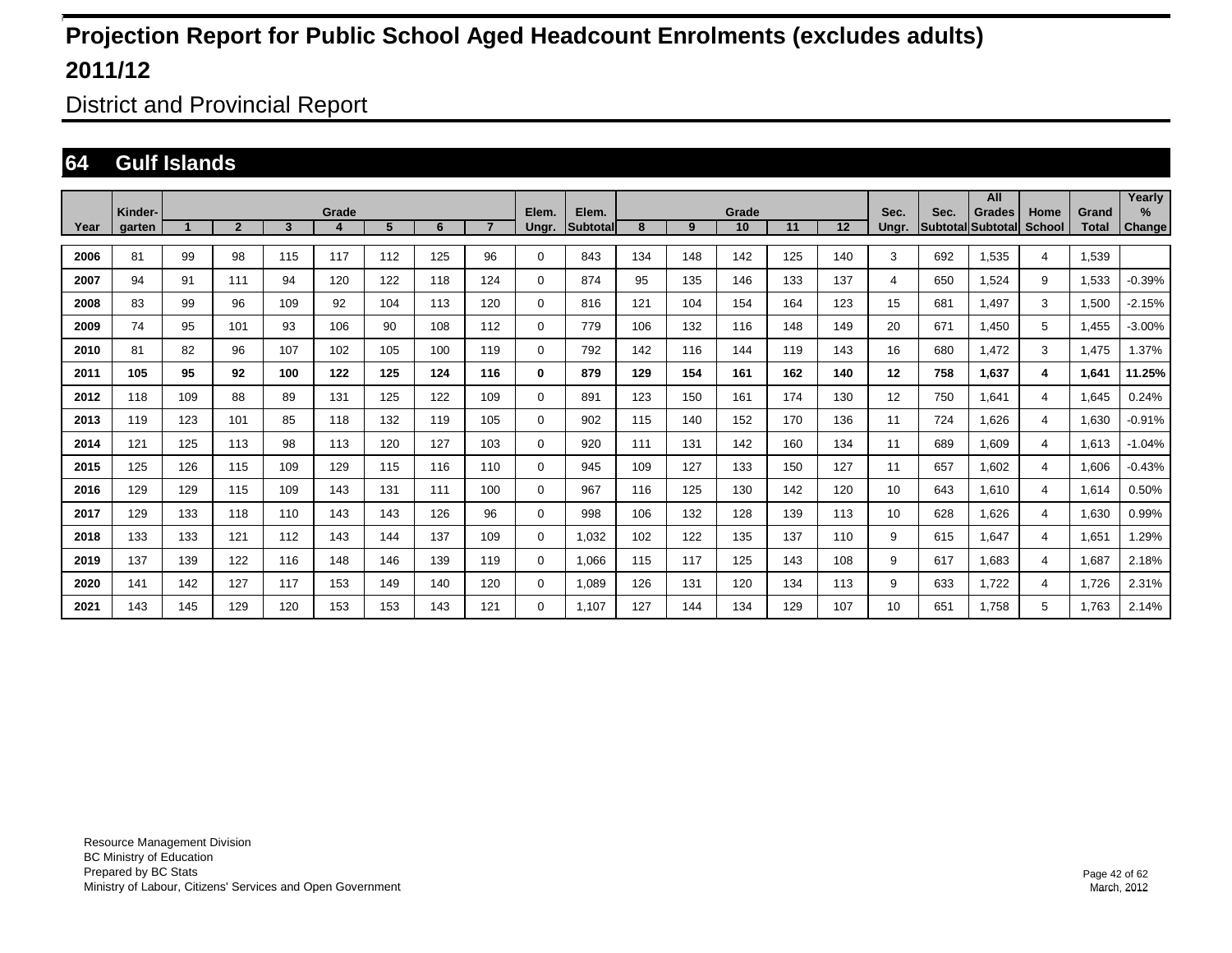District and Provincial Report

### **64 Gulf Islands**

|      |         |     |                |     |       |                |     |                |             |                 |     |     |       |     |     |       |      | All               |        |              | Yearly    |
|------|---------|-----|----------------|-----|-------|----------------|-----|----------------|-------------|-----------------|-----|-----|-------|-----|-----|-------|------|-------------------|--------|--------------|-----------|
|      | Kinder- |     |                |     | Grade |                |     | $\overline{7}$ | Elem.       | Elem.           |     |     | Grade |     |     | Sec.  | Sec. | Grades            | Home   | Grand        | $\%$      |
| Year | garten  |     | $\overline{2}$ | 3   |       | 5 <sup>5</sup> | 6   |                | Ungr.       | <b>Subtotal</b> | 8   | 9   | 10    | 11  | 12  | Ungr. |      | Subtotal Subtotal | School | <b>Total</b> | Change    |
| 2006 | 81      | 99  | 98             | 115 | 117   | 112            | 125 | 96             | 0           | 843             | 134 | 148 | 142   | 125 | 140 | 3     | 692  | 1.535             | 4      | 1,539        |           |
| 2007 | 94      | 91  | 111            | 94  | 120   | 122            | 118 | 124            | $\mathbf 0$ | 874             | 95  | 135 | 146   | 133 | 137 | 4     | 650  | 1,524             | 9      | 1,533        | $-0.39%$  |
| 2008 | 83      | 99  | 96             | 109 | 92    | 104            | 113 | 120            | 0           | 816             | 121 | 104 | 154   | 164 | 123 | 15    | 681  | 1.497             | 3      | 1,500        | $-2.15%$  |
| 2009 | 74      | 95  | 101            | 93  | 106   | 90             | 108 | 112            | $\mathbf 0$ | 779             | 106 | 132 | 116   | 148 | 149 | 20    | 671  | .450              | 5      | 1,455        | $-3.00\%$ |
| 2010 | 81      | 82  | 96             | 107 | 102   | 105            | 100 | 119            | 0           | 792             | 142 | 116 | 144   | 119 | 143 | 16    | 680  | .472              | 3      | 1.475        | 1.37%     |
| 2011 | 105     | 95  | 92             | 100 | 122   | 125            | 124 | 116            | 0           | 879             | 129 | 154 | 161   | 162 | 140 | 12    | 758  | 1,637             | 4      | 1,641        | 11.25%    |
| 2012 | 118     | 109 | 88             | 89  | 131   | 125            | 122 | 109            | 0           | 891             | 123 | 150 | 161   | 174 | 130 | 12    | 750  | 1,641             | 4      | 1,645        | 0.24%     |
| 2013 | 119     | 123 | 101            | 85  | 118   | 132            | 119 | 105            | $\mathbf 0$ | 902             | 115 | 140 | 152   | 170 | 136 | 11    | 724  | 1,626             | 4      | 1,630        | $-0.91%$  |
| 2014 | 121     | 125 | 113            | 98  | 113   | 120            | 127 | 103            | 0           | 920             | 111 | 131 | 142   | 160 | 134 | 11    | 689  | 1.609             | 4      | 1,613        | $-1.04%$  |
| 2015 | 125     | 126 | 115            | 109 | 129   | 115            | 116 | 110            | 0           | 945             | 109 | 127 | 133   | 150 | 127 | 11    | 657  | 1,602             | 4      | 1,606        | $-0.43%$  |
| 2016 | 129     | 129 | 115            | 109 | 143   | 131            | 111 | 100            | 0           | 967             | 116 | 125 | 130   | 142 | 120 | 10    | 643  | 1,610             | 4      | 1,614        | 0.50%     |
| 2017 | 129     | 133 | 118            | 110 | 143   | 143            | 126 | 96             | $\mathbf 0$ | 998             | 106 | 132 | 128   | 139 | 113 | 10    | 628  | 1.626             | 4      | 1,630        | 0.99%     |
| 2018 | 133     | 133 | 121            | 112 | 143   | 144            | 137 | 109            | 0           | 1.032           | 102 | 122 | 135   | 137 | 110 | 9     | 615  | 1.647             | 4      | 1,651        | 1.29%     |
| 2019 | 137     | 139 | 122            | 116 | 148   | 146            | 139 | 119            | 0           | 1,066           | 115 | 117 | 125   | 143 | 108 | 9     | 617  | 1,683             | 4      | 1,687        | 2.18%     |
| 2020 | 141     | 142 | 127            | 117 | 153   | 149            | 140 | 120            | 0           | 1,089           | 126 | 131 | 120   | 134 | 113 | 9     | 633  | 1.722             | 4      | 1,726        | 2.31%     |
| 2021 | 143     | 145 | 129            | 120 | 153   | 153            | 143 | 121            | 0           | 1.107           | 127 | 144 | 134   | 129 | 107 | 10    | 651  | 1.758             | 5      | 1.763        | 2.14%     |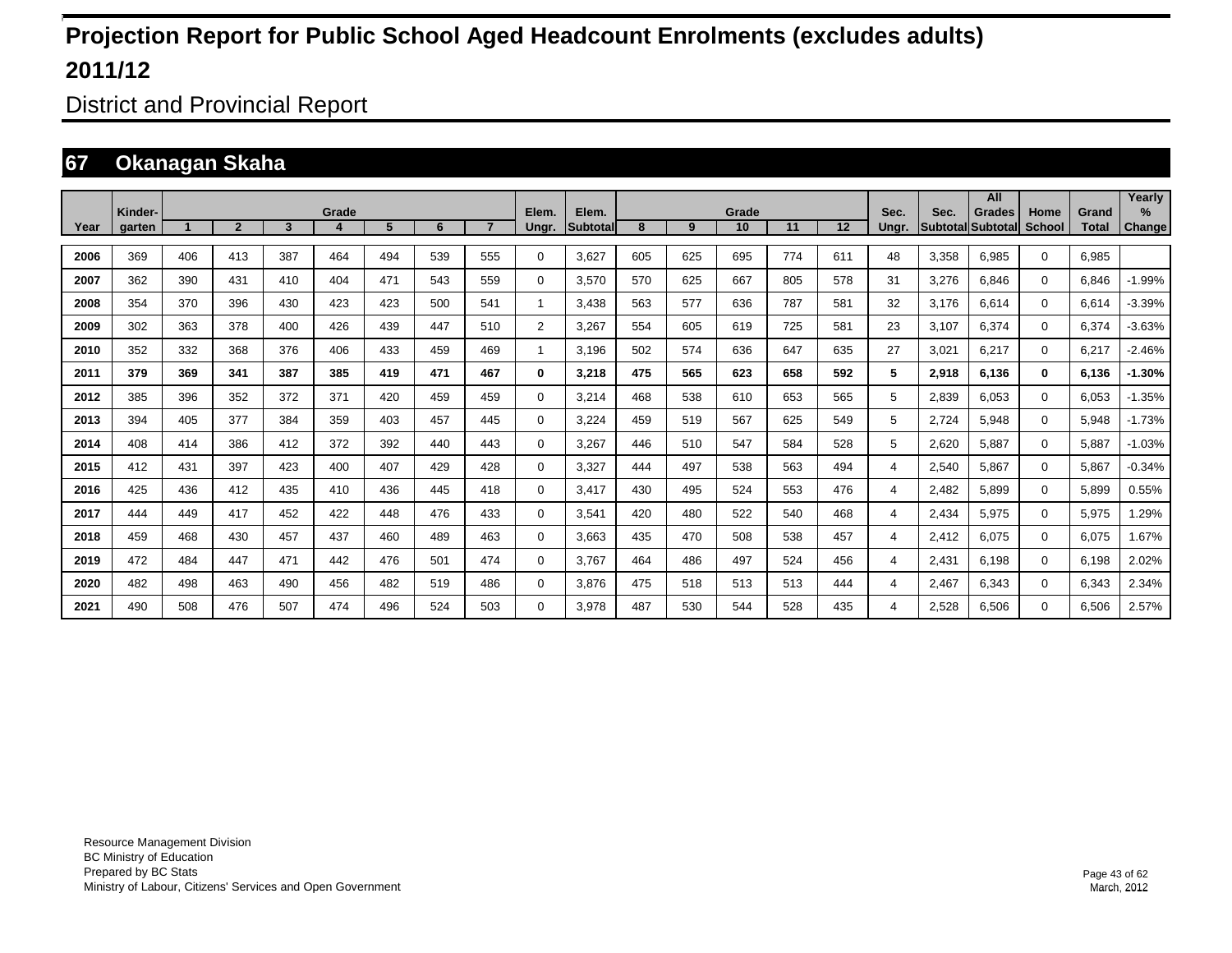District and Provincial Report

### **67 Okanagan Skaha**

|      |                   |     |                |     |       |     |     |                |                |                   |     |     |             |     |         |               |                         | All                       |                       |                       | Yearly         |
|------|-------------------|-----|----------------|-----|-------|-----|-----|----------------|----------------|-------------------|-----|-----|-------------|-----|---------|---------------|-------------------------|---------------------------|-----------------------|-----------------------|----------------|
| Year | Kinder-<br>garten |     | $\overline{2}$ | 3   | Grade | 5   | 6   | $\overline{7}$ | Elem.<br>Ungr. | Elem.<br>Subtotal | 8   | 9   | Grade<br>10 | 11  | $12 \,$ | Sec.<br>Ungr. | Sec.<br><b>Subtotal</b> | <b>Grades</b><br>Subtotal | Home<br><b>School</b> | Grand<br><b>Total</b> | $\%$<br>Change |
|      |                   |     |                |     |       |     |     |                |                |                   |     |     |             |     |         |               |                         |                           |                       |                       |                |
| 2006 | 369               | 406 | 413            | 387 | 464   | 494 | 539 | 555            | $\Omega$       | 3.627             | 605 | 625 | 695         | 774 | 611     | 48            | 3.358                   | 6.985                     | $\mathbf 0$           | 6.985                 |                |
| 2007 | 362               | 390 | 431            | 410 | 404   | 471 | 543 | 559            | 0              | 3.570             | 570 | 625 | 667         | 805 | 578     | 31            | 3.276                   | 6.846                     | $\mathbf 0$           | 6.846                 | $-1.99%$       |
| 2008 | 354               | 370 | 396            | 430 | 423   | 423 | 500 | 541            | 1              | 3,438             | 563 | 577 | 636         | 787 | 581     | 32            | 3,176                   | 6,614                     | $\mathbf 0$           | 6,614                 | $-3.39%$       |
| 2009 | 302               | 363 | 378            | 400 | 426   | 439 | 447 | 510            | $\overline{2}$ | 3,267             | 554 | 605 | 619         | 725 | 581     | 23            | 3,107                   | 6,374                     | $\mathbf 0$           | 6,374                 | $-3.63%$       |
| 2010 | 352               | 332 | 368            | 376 | 406   | 433 | 459 | 469            | 1              | 3,196             | 502 | 574 | 636         | 647 | 635     | 27            | 3,021                   | 6,217                     | $\mathbf 0$           | 6,217                 | $-2.46%$       |
| 2011 | 379               | 369 | 341            | 387 | 385   | 419 | 471 | 467            | 0              | 3,218             | 475 | 565 | 623         | 658 | 592     | 5             | 2,918                   | 6,136                     | $\bf{0}$              | 6,136                 | $-1.30%$       |
| 2012 | 385               | 396 | 352            | 372 | 371   | 420 | 459 | 459            | 0              | 3.214             | 468 | 538 | 610         | 653 | 565     | 5             | 2,839                   | 6.053                     | $\Omega$              | 6,053                 | $-1.35%$       |
| 2013 | 394               | 405 | 377            | 384 | 359   | 403 | 457 | 445            | 0              | 3.224             | 459 | 519 | 567         | 625 | 549     | 5             | 2.724                   | 5,948                     | $\mathbf 0$           | 5,948                 | $-1.73%$       |
| 2014 | 408               | 414 | 386            | 412 | 372   | 392 | 440 | 443            | 0              | 3,267             | 446 | 510 | 547         | 584 | 528     | 5             | 2,620                   | 5.887                     | 0                     | 5,887                 | $-1.03%$       |
| 2015 | 412               | 431 | 397            | 423 | 400   | 407 | 429 | 428            | 0              | 3,327             | 444 | 497 | 538         | 563 | 494     | 4             | 2,540                   | 5.867                     | $\mathbf 0$           | 5,867                 | $-0.34%$       |
| 2016 | 425               | 436 | 412            | 435 | 410   | 436 | 445 | 418            | 0              | 3.417             | 430 | 495 | 524         | 553 | 476     | 4             | 2.482                   | 5.899                     | $\mathbf 0$           | 5,899                 | 0.55%          |
| 2017 | 444               | 449 | 417            | 452 | 422   | 448 | 476 | 433            | 0              | 3,541             | 420 | 480 | 522         | 540 | 468     | 4             | 2.434                   | 5,975                     | $\mathbf 0$           | 5,975                 | 1.29%          |
| 2018 | 459               | 468 | 430            | 457 | 437   | 460 | 489 | 463            | 0              | 3.663             | 435 | 470 | 508         | 538 | 457     | 4             | 2.412                   | 6.075                     | $\mathbf 0$           | 6,075                 | 1.67%          |
| 2019 | 472               | 484 | 447            | 471 | 442   | 476 | 501 | 474            | 0              | 3.767             | 464 | 486 | 497         | 524 | 456     | 4             | 2.431                   | 6.198                     | $\mathbf 0$           | 6,198                 | 2.02%          |
| 2020 | 482               | 498 | 463            | 490 | 456   | 482 | 519 | 486            | 0              | 3,876             | 475 | 518 | 513         | 513 | 444     | 4             | 2,467                   | 6,343                     | $\mathbf 0$           | 6,343                 | 2.34%          |
| 2021 | 490               | 508 | 476            | 507 | 474   | 496 | 524 | 503            | $\Omega$       | 3.978             | 487 | 530 | 544         | 528 | 435     | 4             | 2,528                   | 6.506                     | $\mathbf 0$           | 6,506                 | 2.57%          |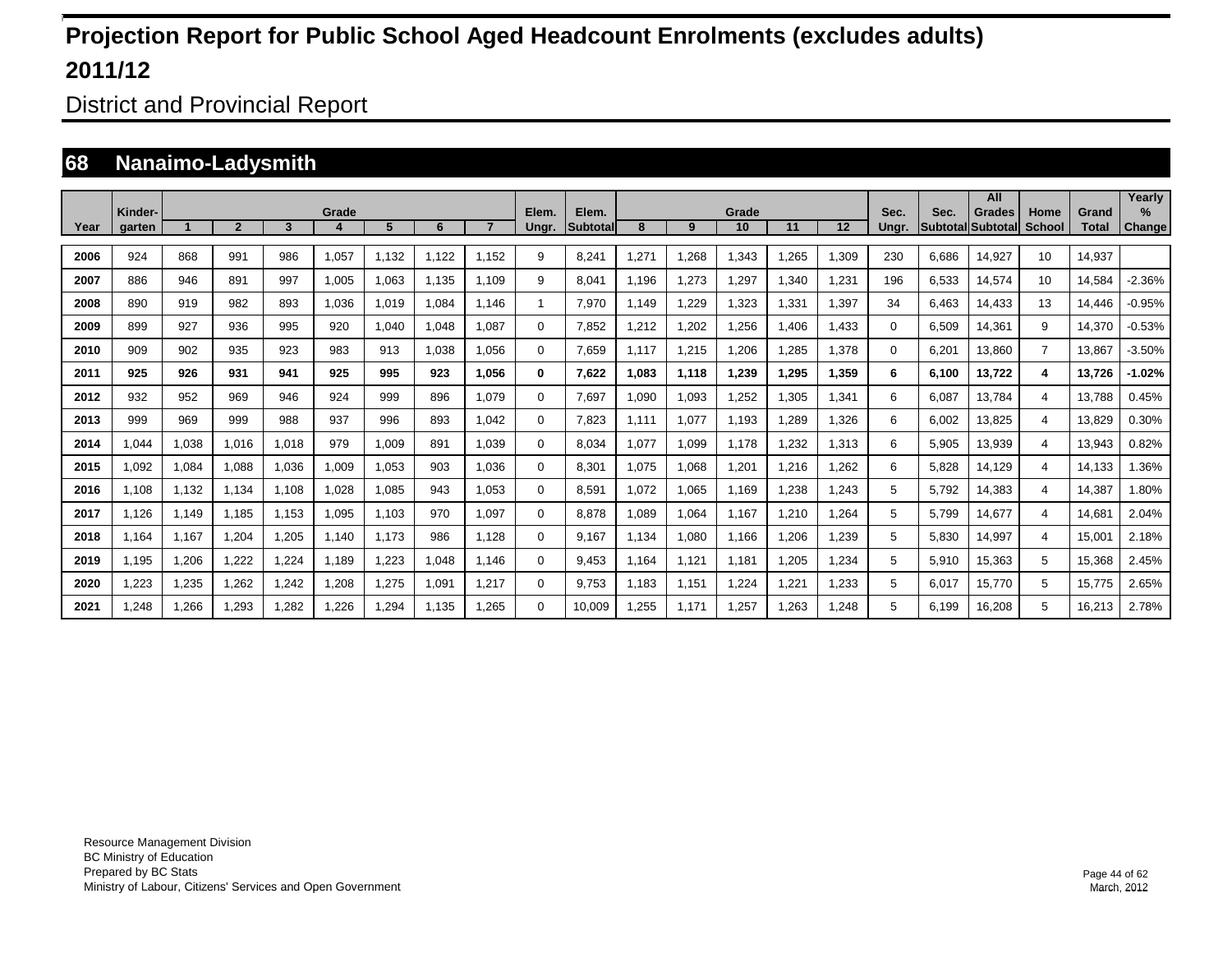District and Provincial Report

### **68 Nanaimo-Ladysmith**

|      | Kinder- |       |                |       | Grade |       |       |       | Elem.    | Elem.           |       |       | Grade |       |       | Sec.     | Sec.  | All<br><b>Grades</b> |                       |                       | Yearlv<br>$\frac{9}{6}$ |
|------|---------|-------|----------------|-------|-------|-------|-------|-------|----------|-----------------|-------|-------|-------|-------|-------|----------|-------|----------------------|-----------------------|-----------------------|-------------------------|
| Year | garten  |       | $\overline{2}$ | 3     |       | 5     | 6     |       | Ungr.    | <b>Subtotal</b> | 8     | 9     | 10    | 11    | 12    | Ungr.    |       | Subtotal Subtotal    | Home<br><b>School</b> | Grand<br><b>Total</b> | <b>Change</b>           |
| 2006 | 924     | 868   | 991            | 986   | 1,057 | 1.132 | 1.122 | 1.152 | 9        | 8,241           | ,271  | 1,268 | 1,343 | .265  | 1,309 | 230      | 6.686 | 14,927               | 10                    | 14.937                |                         |
| 2007 | 886     | 946   | 891            | 997   | 1,005 | 1,063 | 1.135 | 1.109 | 9        | 8,041           | 1.196 | 1,273 | .297  | ,340  | 1,231 | 196      | 6,533 | 14,574               | 10                    | 14,584                | $-2.36%$                |
| 2008 | 890     | 919   | 982            | 893   | 1.036 | 1.019 | 1,084 | 1.146 | 1        | 7.970           | 1,149 | 1,229 | 1,323 | ,331  | 1,397 | 34       | 6.463 | 14,433               | 13                    | 14,446                | $-0.95%$                |
| 2009 | 899     | 927   | 936            | 995   | 920   | 1,040 | 1,048 | 1.087 | 0        | 7.852           | ,212  | 1,202 | .256  | .406  | 1,433 | $\Omega$ | 6,509 | 14,361               | 9                     | 14.370                | $-0.53%$                |
| 2010 | 909     | 902   | 935            | 923   | 983   | 913   | 1,038 | 1.056 | 0        | 7.659           | 1.117 | 1,215 | .206  | ,285  | 1,378 | $\Omega$ | 6,201 | 13.860               | $\overline{7}$        | 13.867                | $-3.50%$                |
| 2011 | 925     | 926   | 931            | 941   | 925   | 995   | 923   | 1.056 | 0        | 7.622           | 1.083 | 1,118 | 1,239 | 1.295 | 1,359 | 6        | 6.100 | 13.722               | 4                     | 13.726                | $-1.02%$                |
| 2012 | 932     | 952   | 969            | 946   | 924   | 999   | 896   | 1.079 | $\Omega$ | 7.697           | 1.090 | 1,093 | 1,252 | .305  | 1,341 | 6        | 6.087 | 13.784               | 4                     | 13.788                | 0.45%                   |
| 2013 | 999     | 969   | 999            | 988   | 937   | 996   | 893   | 1.042 | $\Omega$ | 7,823           | 1,111 | 1,077 | 1,193 | ,289  | 1,326 | 6        | 6,002 | 13,825               | 4                     | 13,829                | 0.30%                   |
| 2014 | 0.044   | 1,038 | 1.016          | 1,018 | 979   | 1,009 | 891   | 1.039 | 0        | 8,034           | 1,077 | 1,099 | 1.178 | 1,232 | 1,313 | 6        | 5,905 | 13,939               | 4                     | 13,943                | 0.82%                   |
| 2015 | 1,092   | 1,084 | 1,088          | 1,036 | 1,009 | 1,053 | 903   | 1.036 | $\Omega$ | 8,301           | 1,075 | 1,068 | 1,201 | 1,216 | 1,262 | 6        | 5,828 | 14,129               | 4                     | 14,133                | 1.36%                   |
| 2016 | 1.108   | 1,132 | 1,134          | 1,108 | 1,028 | 1,085 | 943   | 1,053 | $\Omega$ | 8,591           | 1,072 | 1,065 | 1,169 | 1,238 | 1,243 | 5        | 5,792 | 14,383               | 4                     | 14,387                | 1.80%                   |
| 2017 | 1,126   | 1,149 | 1,185          | 1,153 | 1,095 | 1,103 | 970   | 1,097 | 0        | 8,878           | 1,089 | 1,064 | 1,167 | 1,210 | 1,264 | 5        | 5,799 | 14,677               | 4                     | 14,681                | 2.04%                   |
| 2018 | 1.164   | 1,167 | 1,204          | 1,205 | 1.140 | 1.173 | 986   | 1,128 | 0        | 9.167           | 1,134 | 1,080 | 1,166 | 1,206 | 1,239 | 5        | 5,830 | 14,997               | 4                     | 15,001                | 2.18%                   |
| 2019 | 1,195   | 1,206 | 1,222          | 1,224 | 1.189 | .223  | 1,048 | 1.146 | 0        | 9.453           | 1.164 | 1,121 | 1,181 | 1,205 | 1,234 | 5        | 5,910 | 15,363               | 5                     | 15,368                | 2.45%                   |
| 2020 | ,223    | 1,235 | 1,262          | 1,242 | 1,208 | 1,275 | 1,091 | 1,217 | 0        | 9.753           | 1.183 | 1,151 | 1,224 | 1,221 | 1,233 | 5        | 6.017 | 15.770               | 5                     | 15.775                | 2.65%                   |
| 2021 | .248    | 1.266 | 1.293          | 1.282 | 1.226 | .294  | 1.135 | 1.265 | $\Omega$ | 10.009          | .255  | 1.171 | 1.257 | 1.263 | 1.248 | 5        | 6.199 | 16.208               | 5                     | 16.213                | 2.78%                   |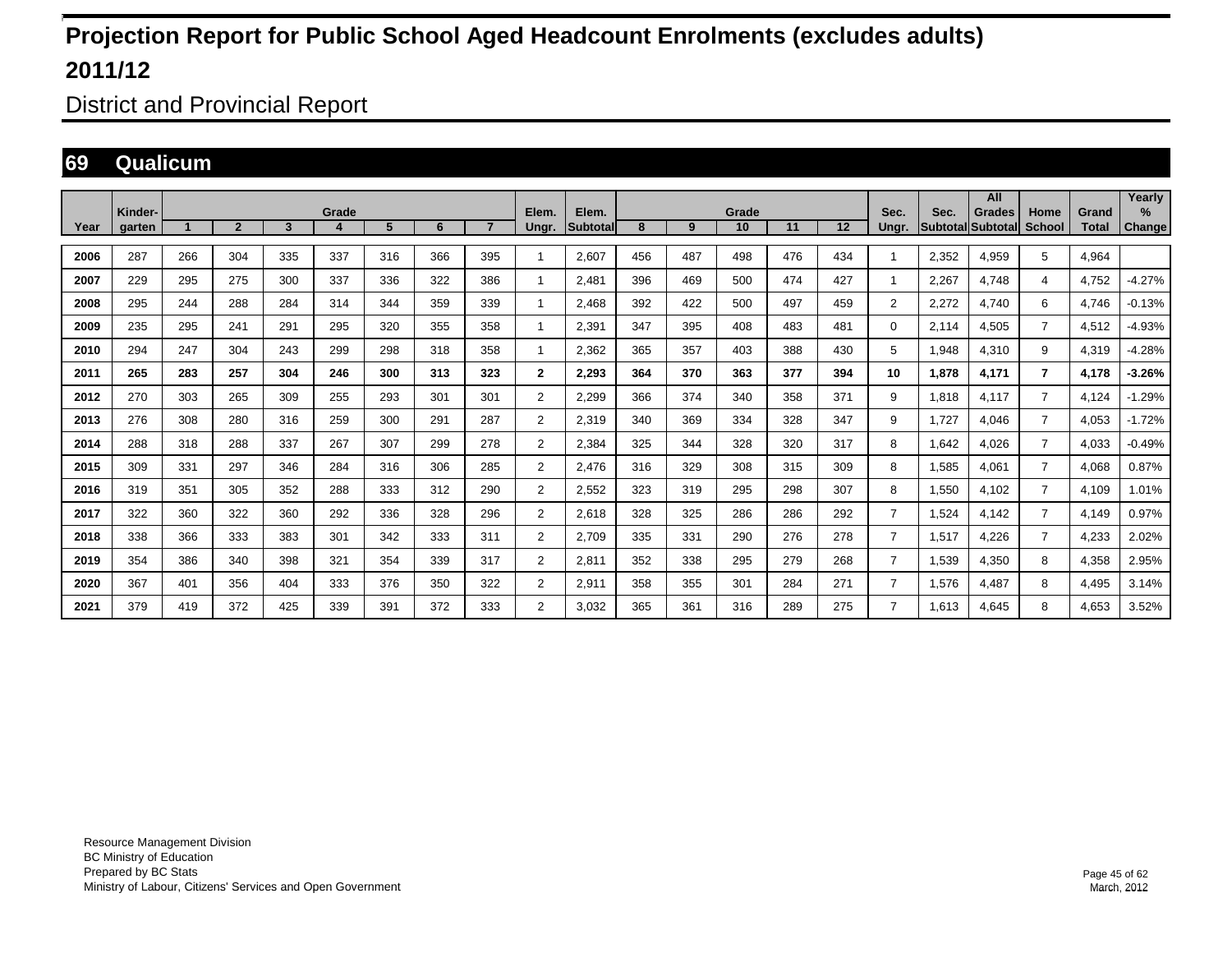District and Provincial Report

#### **69 Qualicum**

|      | Kinder- |                      |                |     | Grade |     |     |                | Elem.                    | Elem.            |     |     | Grade |     |     | Sec.           | Sec.                     | All<br><b>Grades</b> | Home           | Grand        | Yearly<br>$\%$ |
|------|---------|----------------------|----------------|-----|-------|-----|-----|----------------|--------------------------|------------------|-----|-----|-------|-----|-----|----------------|--------------------------|----------------------|----------------|--------------|----------------|
| Year | aarten  | $\blacktriangleleft$ | $\overline{2}$ | 3   | 4     | 5   | 6   | $\overline{7}$ | Ungr.                    | <b>Subtotall</b> | 8   | 9   | 10    | 11  | 12  | Unar.          | <b>SubtotallSubtotal</b> |                      | <b>School</b>  | <b>Total</b> | Change         |
| 2006 | 287     | 266                  | 304            | 335 | 337   | 316 | 366 | 395            | $\overline{\phantom{a}}$ | 2.607            | 456 | 487 | 498   | 476 | 434 | 1              | 2,352                    | 4.959                | 5              | 4.964        |                |
| 2007 | 229     | 295                  | 275            | 300 | 337   | 336 | 322 | 386            | $\overline{\phantom{a}}$ | 2.481            | 396 | 469 | 500   | 474 | 427 | 1              | 2,267                    | 4.748                | 4              | 4,752        | $-4.27%$       |
| 2008 | 295     | 244                  | 288            | 284 | 314   | 344 | 359 | 339            | 1                        | 2.468            | 392 | 422 | 500   | 497 | 459 | $\overline{2}$ | 2,272                    | 4.740                | 6              | 4.746        | $-0.13%$       |
| 2009 | 235     | 295                  | 241            | 291 | 295   | 320 | 355 | 358            | 1                        | 2.391            | 347 | 395 | 408   | 483 | 481 | 0              | 2.114                    | 4.505                | $\overline{7}$ | 4,512        | $-4.93%$       |
| 2010 | 294     | 247                  | 304            | 243 | 299   | 298 | 318 | 358            | 1                        | 2,362            | 365 | 357 | 403   | 388 | 430 | 5              | 1,948                    | 4,310                | 9              | 4,319        | $-4.28%$       |
| 2011 | 265     | 283                  | 257            | 304 | 246   | 300 | 313 | 323            | $\mathbf{2}$             | 2,293            | 364 | 370 | 363   | 377 | 394 | 10             | 1.878                    | 4,171                | 7              | 4,178        | -3.26%         |
| 2012 | 270     | 303                  | 265            | 309 | 255   | 293 | 301 | 301            | $\overline{2}$           | 2,299            | 366 | 374 | 340   | 358 | 371 | 9              | 1,818                    | 4,117                | $\overline{7}$ | 4,124        | $-1.29%$       |
| 2013 | 276     | 308                  | 280            | 316 | 259   | 300 | 291 | 287            | $\overline{2}$           | 2,319            | 340 | 369 | 334   | 328 | 347 | 9              | 1,727                    | 4.046                | $\overline{7}$ | 4,053        | $-1.72%$       |
| 2014 | 288     | 318                  | 288            | 337 | 267   | 307 | 299 | 278            | $\overline{2}$           | 2,384            | 325 | 344 | 328   | 320 | 317 | 8              | 1.642                    | 4.026                | $\overline{7}$ | 4,033        | $-0.49%$       |
| 2015 | 309     | 331                  | 297            | 346 | 284   | 316 | 306 | 285            | $\overline{2}$           | 2,476            | 316 | 329 | 308   | 315 | 309 | 8              | 1,585                    | 4,061                | $\overline{7}$ | 4,068        | 0.87%          |
| 2016 | 319     | 351                  | 305            | 352 | 288   | 333 | 312 | 290            | $\overline{2}$           | 2,552            | 323 | 319 | 295   | 298 | 307 | 8              | 1,550                    | 4,102                | $\overline{7}$ | 4,109        | 1.01%          |
| 2017 | 322     | 360                  | 322            | 360 | 292   | 336 | 328 | 296            | 2                        | 2.618            | 328 | 325 | 286   | 286 | 292 | $\overline{7}$ | 1,524                    | 4.142                | $\overline{7}$ | 4,149        | 0.97%          |
| 2018 | 338     | 366                  | 333            | 383 | 301   | 342 | 333 | 311            | $\overline{2}$           | 2,709            | 335 | 331 | 290   | 276 | 278 | $\overline{7}$ | 1,517                    | 4,226                | $\overline{7}$ | 4,233        | 2.02%          |
| 2019 | 354     | 386                  | 340            | 398 | 321   | 354 | 339 | 317            | 2                        | 2,811            | 352 | 338 | 295   | 279 | 268 | $\overline{7}$ | 1,539                    | 4,350                | 8              | 4,358        | 2.95%          |
| 2020 | 367     | 401                  | 356            | 404 | 333   | 376 | 350 | 322            | 2                        | 2,911            | 358 | 355 | 301   | 284 | 271 | 7              | 1,576                    | 4.487                | 8              | 4,495        | 3.14%          |
| 2021 | 379     | 419                  | 372            | 425 | 339   | 391 | 372 | 333            | 2                        | 3,032            | 365 | 361 | 316   | 289 | 275 | 7              | 1.613                    | 4.645                | 8              | 4,653        | 3.52%          |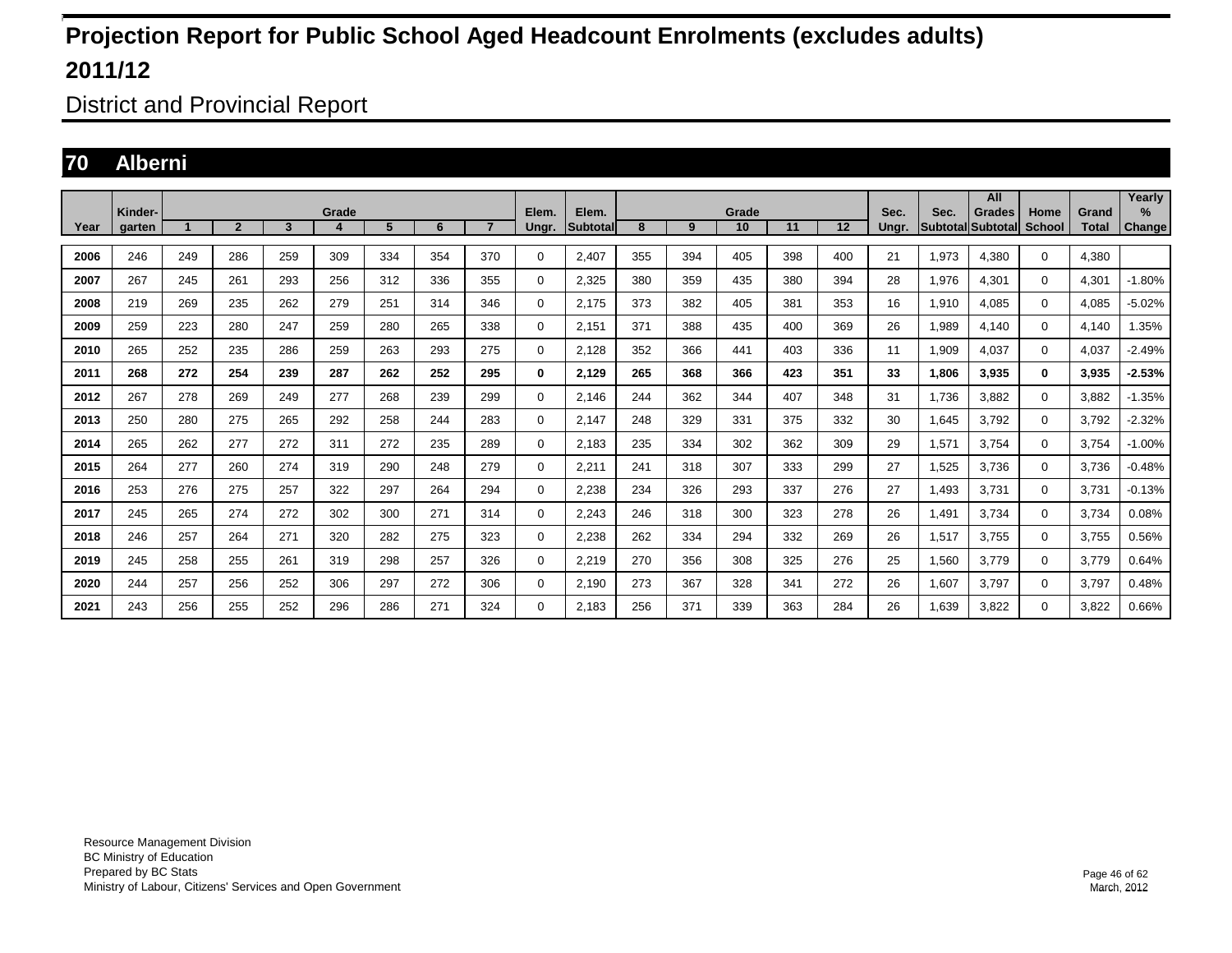District and Provincial Report

### **70 Alberni**

|      |                   |     |                |     |            |     |     |                |                |                    |     |     |             |     |     |               |                           | All           |                       |                       | Yearly         |
|------|-------------------|-----|----------------|-----|------------|-----|-----|----------------|----------------|--------------------|-----|-----|-------------|-----|-----|---------------|---------------------------|---------------|-----------------------|-----------------------|----------------|
| Year | Kinder-<br>aarten |     | $\overline{2}$ | 3   | Grade<br>4 | 5   | 6   | $\overline{7}$ | Elem.<br>Ungr. | Elem.<br>Subtotall | 8   | 9   | Grade<br>10 | 11  | 12  | Sec.<br>Unar. | Sec.<br>Subtotal Subtotal | <b>Grades</b> | Home<br><b>School</b> | Grand<br><b>Total</b> | $\%$<br>Change |
| 2006 | 246               | 249 | 286            | 259 | 309        | 334 | 354 | 370            | 0              | 2,407              | 355 | 394 | 405         | 398 | 400 | 21            | 1,973                     | 4,380         | $\mathbf{0}$          | 4,380                 |                |
| 2007 | 267               | 245 | 261            | 293 | 256        | 312 | 336 | 355            | 0              | 2,325              | 380 | 359 | 435         | 380 | 394 | 28            | 1,976                     | 4,301         | $\mathbf 0$           | 4,301                 | $-1.80%$       |
| 2008 | 219               | 269 | 235            | 262 | 279        | 251 | 314 | 346            | 0              | 2.175              | 373 | 382 | 405         | 381 | 353 | 16            | 1,910                     | 4.085         | $\mathbf 0$           | 4,085                 | $-5.02%$       |
| 2009 | 259               | 223 | 280            | 247 | 259        | 280 | 265 | 338            | 0              | 2,151              | 371 | 388 | 435         | 400 | 369 | 26            | 1,989                     | 4,140         | $\mathbf{0}$          | 4,140                 | 1.35%          |
| 2010 | 265               | 252 | 235            | 286 | 259        | 263 | 293 | 275            | $\mathbf 0$    | 2,128              | 352 | 366 | 441         | 403 | 336 | 11            | 1,909                     | 4,037         | $\mathbf 0$           | 4,037                 | $-2.49%$       |
| 2011 | 268               | 272 | 254            | 239 | 287        | 262 | 252 | 295            | 0              | 2,129              | 265 | 368 | 366         | 423 | 351 | 33            | 1,806                     | 3,935         | $\mathbf 0$           | 3,935                 | $-2.53%$       |
| 2012 | 267               | 278 | 269            | 249 | 277        | 268 | 239 | 299            | $\mathbf 0$    | 2.146              | 244 | 362 | 344         | 407 | 348 | 31            | 1.736                     | 3.882         | $\mathbf 0$           | 3.882                 | $-1.35%$       |
| 2013 | 250               | 280 | 275            | 265 | 292        | 258 | 244 | 283            | $\mathbf 0$    | 2,147              | 248 | 329 | 331         | 375 | 332 | 30            | 1,645                     | 3,792         | $\mathbf 0$           | 3,792                 | $-2.32%$       |
| 2014 | 265               | 262 | 277            | 272 | 311        | 272 | 235 | 289            | 0              | 2.183              | 235 | 334 | 302         | 362 | 309 | 29            | 1,571                     | 3,754         | 0                     | 3,754                 | $-1.00%$       |
| 2015 | 264               | 277 | 260            | 274 | 319        | 290 | 248 | 279            | 0              | 2,211              | 241 | 318 | 307         | 333 | 299 | 27            | 1,525                     | 3,736         | $\mathbf 0$           | 3.736                 | $-0.48%$       |
| 2016 | 253               | 276 | 275            | 257 | 322        | 297 | 264 | 294            | 0              | 2,238              | 234 | 326 | 293         | 337 | 276 | 27            | 1,493                     | 3,731         | $\mathbf 0$           | 3.731                 | $-0.13%$       |
| 2017 | 245               | 265 | 274            | 272 | 302        | 300 | 271 | 314            | 0              | 2,243              | 246 | 318 | 300         | 323 | 278 | 26            | 1,491                     | 3,734         | $\mathbf 0$           | 3,734                 | 0.08%          |
| 2018 | 246               | 257 | 264            | 271 | 320        | 282 | 275 | 323            | $\mathbf 0$    | 2,238              | 262 | 334 | 294         | 332 | 269 | 26            | 1,517                     | 3,755         | $\mathbf 0$           | 3,755                 | 0.56%          |
| 2019 | 245               | 258 | 255            | 261 | 319        | 298 | 257 | 326            | $\mathbf 0$    | 2,219              | 270 | 356 | 308         | 325 | 276 | 25            | 1,560                     | 3,779         | $\mathbf 0$           | 3,779                 | 0.64%          |
| 2020 | 244               | 257 | 256            | 252 | 306        | 297 | 272 | 306            | $\mathbf 0$    | 2,190              | 273 | 367 | 328         | 341 | 272 | 26            | 1,607                     | 3.797         | $\mathbf 0$           | 3,797                 | 0.48%          |
| 2021 | 243               | 256 | 255            | 252 | 296        | 286 | 271 | 324            | $\Omega$       | 2.183              | 256 | 371 | 339         | 363 | 284 | 26            | 1.639                     | 3,822         | $\mathbf 0$           | 3,822                 | 0.66%          |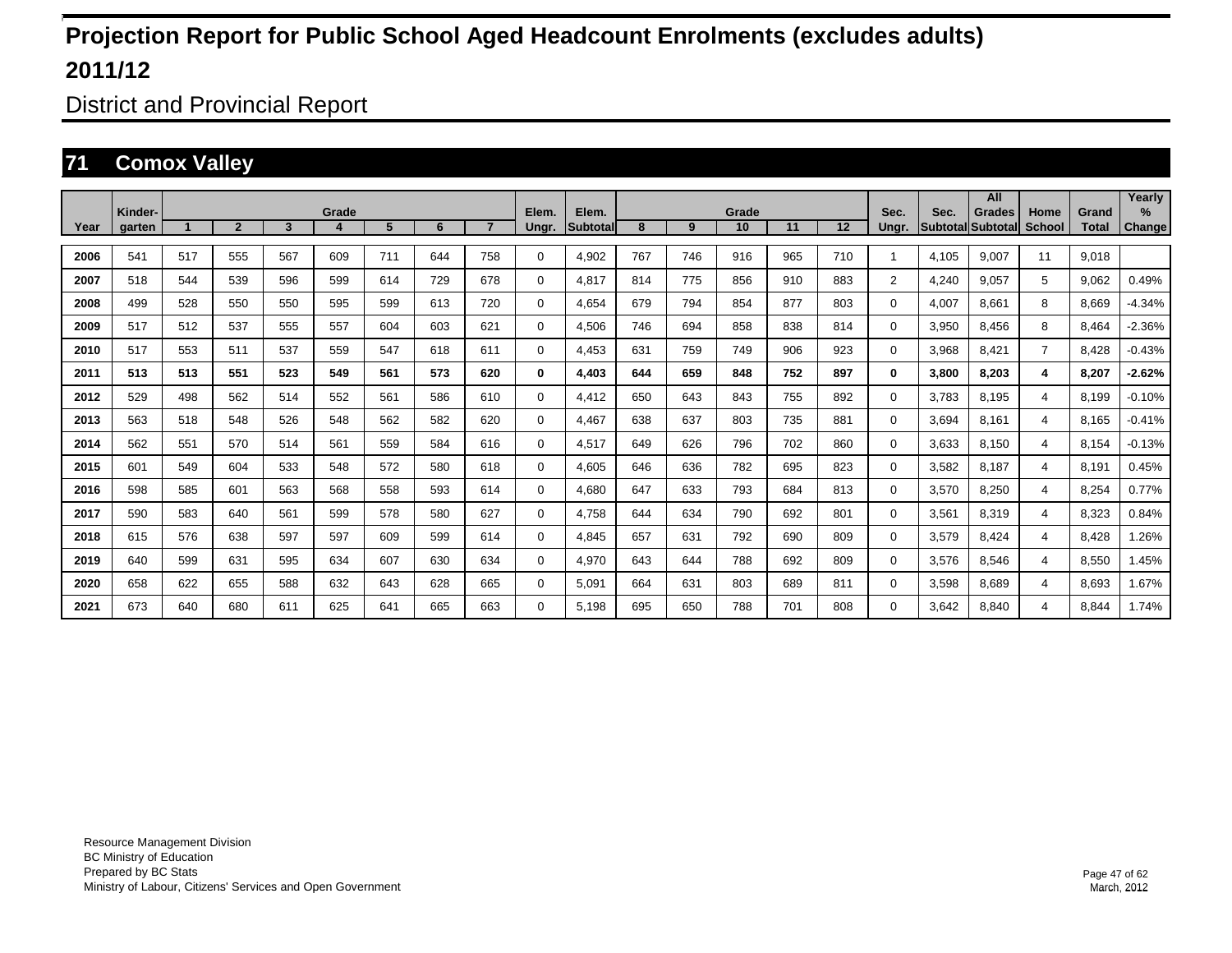District and Provincial Report

### **71 Comox Valley**

|      |                   |     |                |     |       |     |     |                |                |                          |     |     |             |     |     |                |                                  | All           |                       |                       | Yearly                |
|------|-------------------|-----|----------------|-----|-------|-----|-----|----------------|----------------|--------------------------|-----|-----|-------------|-----|-----|----------------|----------------------------------|---------------|-----------------------|-----------------------|-----------------------|
| Year | Kinder-<br>garten |     | $\overline{2}$ | 3   | Grade | 5   | 6   | 7 <sup>2</sup> | Elem.<br>Ungr. | Elem.<br><b>Subtotal</b> | 8   | 9   | Grade<br>10 | 11  | 12  | Sec.<br>Ungr.  | Sec.<br><b>Subtotal Subtotal</b> | <b>Grades</b> | Home<br><b>School</b> | Grand<br><b>Total</b> | $\%$<br><b>Change</b> |
|      |                   |     |                |     |       |     |     |                |                |                          |     |     |             |     |     |                |                                  |               |                       |                       |                       |
| 2006 | 541               | 517 | 555            | 567 | 609   | 711 | 644 | 758            | 0              | 4,902                    | 767 | 746 | 916         | 965 | 710 |                | 4.105                            | 9,007         | 11                    | 9,018                 |                       |
| 2007 | 518               | 544 | 539            | 596 | 599   | 614 | 729 | 678            | 0              | 4.817                    | 814 | 775 | 856         | 910 | 883 | $\overline{2}$ | 4.240                            | 9.057         | 5                     | 9,062                 | 0.49%                 |
| 2008 | 499               | 528 | 550            | 550 | 595   | 599 | 613 | 720            | 0              | 4.654                    | 679 | 794 | 854         | 877 | 803 | 0              | 4.007                            | 8.661         | 8                     | 8.669                 | $-4.34%$              |
| 2009 | 517               | 512 | 537            | 555 | 557   | 604 | 603 | 621            | 0              | 4,506                    | 746 | 694 | 858         | 838 | 814 | 0              | 3,950                            | 8,456         | 8                     | 8,464                 | $-2.36%$              |
| 2010 | 517               | 553 | 511            | 537 | 559   | 547 | 618 | 611            | 0              | 4,453                    | 631 | 759 | 749         | 906 | 923 | $\Omega$       | 3,968                            | 8,421         | $\overline{7}$        | 8,428                 | $-0.43%$              |
| 2011 | 513               | 513 | 551            | 523 | 549   | 561 | 573 | 620            | 0              | 4,403                    | 644 | 659 | 848         | 752 | 897 | 0              | 3,800                            | 8.203         | 4                     | 8,207                 | $-2.62%$              |
| 2012 | 529               | 498 | 562            | 514 | 552   | 561 | 586 | 610            | 0              | 4,412                    | 650 | 643 | 843         | 755 | 892 | 0              | 3.783                            | 8.195         | 4                     | 8.199                 | $-0.10%$              |
| 2013 | 563               | 518 | 548            | 526 | 548   | 562 | 582 | 620            | 0              | 4.467                    | 638 | 637 | 803         | 735 | 881 | 0              | 3.694                            | 8.161         | 4                     | 8.165                 | $-0.41%$              |
| 2014 | 562               | 551 | 570            | 514 | 561   | 559 | 584 | 616            | 0              | 4.517                    | 649 | 626 | 796         | 702 | 860 | 0              | 3.633                            | 8.150         | 4                     | 8.154                 | $-0.13%$              |
| 2015 | 601               | 549 | 604            | 533 | 548   | 572 | 580 | 618            | 0              | 4,605                    | 646 | 636 | 782         | 695 | 823 | $\Omega$       | 3,582                            | 8,187         | 4                     | 8,191                 | 0.45%                 |
| 2016 | 598               | 585 | 601            | 563 | 568   | 558 | 593 | 614            | 0              | 4,680                    | 647 | 633 | 793         | 684 | 813 | $\Omega$       | 3,570                            | 8,250         | 4                     | 8,254                 | 0.77%                 |
| 2017 | 590               | 583 | 640            | 561 | 599   | 578 | 580 | 627            | 0              | 4,758                    | 644 | 634 | 790         | 692 | 801 | 0              | 3,561                            | 8,319         | $\overline{4}$        | 8,323                 | 0.84%                 |
| 2018 | 615               | 576 | 638            | 597 | 597   | 609 | 599 | 614            | 0              | 4,845                    | 657 | 631 | 792         | 690 | 809 | 0              | 3,579                            | 8,424         | $\overline{4}$        | 8,428                 | .26%                  |
| 2019 | 640               | 599 | 631            | 595 | 634   | 607 | 630 | 634            | 0              | 4.970                    | 643 | 644 | 788         | 692 | 809 | 0              | 3,576                            | 8.546         | $\overline{4}$        | 8,550                 | 1.45%                 |
| 2020 | 658               | 622 | 655            | 588 | 632   | 643 | 628 | 665            | 0              | 5.091                    | 664 | 631 | 803         | 689 | 811 | $\Omega$       | 3.598                            | 8.689         | 4                     | 8.693                 | 1.67%                 |
| 2021 | 673               | 640 | 680            | 611 | 625   | 641 | 665 | 663            | $\Omega$       | 5,198                    | 695 | 650 | 788         | 701 | 808 | 0              | 3.642                            | 8.840         | 4                     | 8,844                 | 1.74%                 |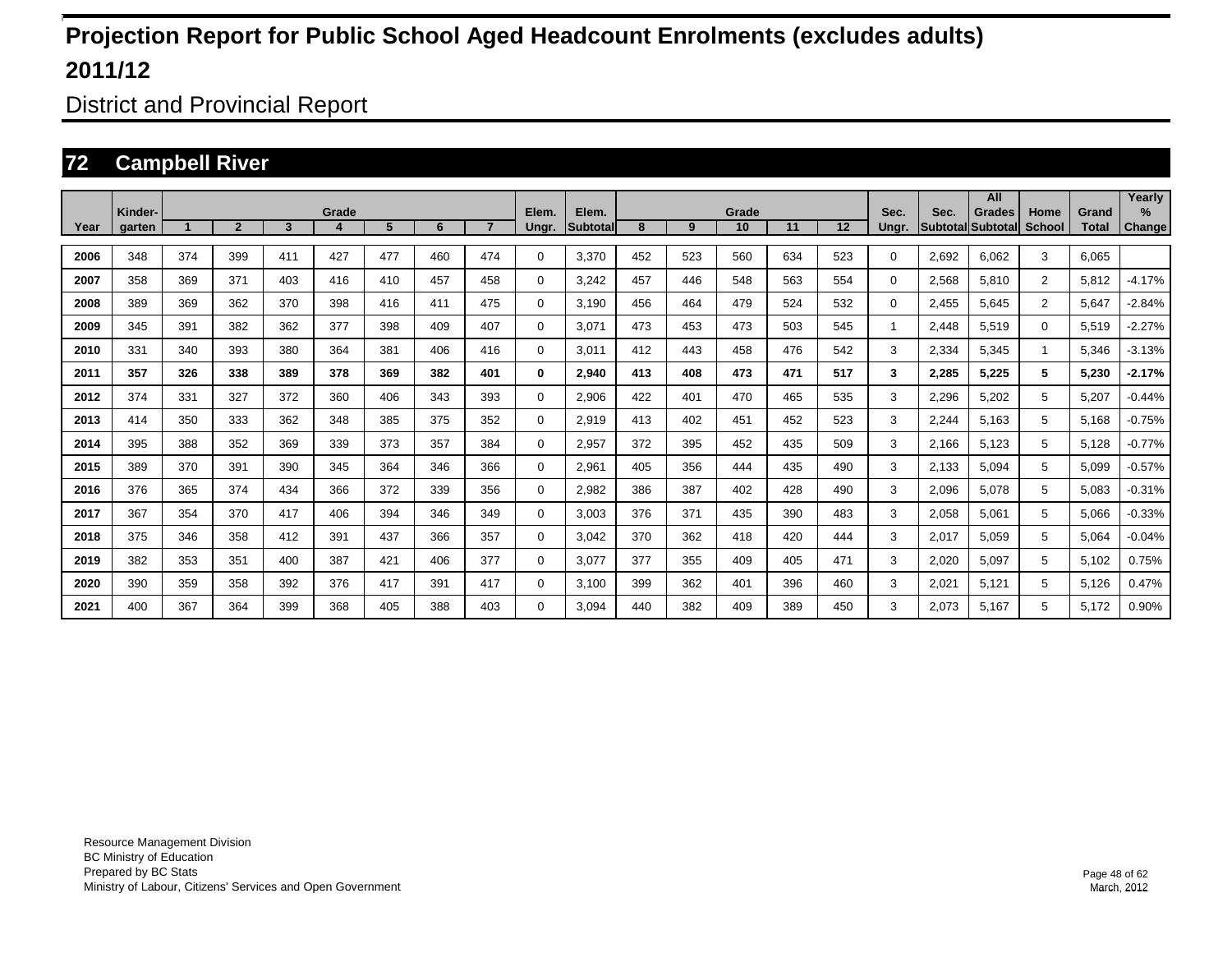District and Provincial Report

### **72 Campbell River**

|      |                   |     |                |                 |       |     |     |     |                |                           |     |     |             |     |     |               |       | All                                |                |                       | Yearly                         |
|------|-------------------|-----|----------------|-----------------|-------|-----|-----|-----|----------------|---------------------------|-----|-----|-------------|-----|-----|---------------|-------|------------------------------------|----------------|-----------------------|--------------------------------|
| Year | Kinder-<br>garten |     | $\overline{2}$ | $3\phantom{.0}$ | Grade | 5   | 6   |     | Elem.<br>Ungr. | Elem.<br><b>Subtotall</b> | 8   | 9   | Grade<br>10 | 11  | 12  | Sec.<br>Ungr. | Sec.  | Grades<br><b>Subtotal Subtotal</b> | Home<br>School | Grand<br><b>Total</b> | $\frac{9}{6}$<br><b>Change</b> |
|      |                   |     |                |                 |       |     |     |     |                |                           |     |     |             |     |     |               |       |                                    |                |                       |                                |
| 2006 | 348               | 374 | 399            | 411             | 427   | 477 | 460 | 474 | $\Omega$       | 3,370                     | 452 | 523 | 560         | 634 | 523 | $\Omega$      | 2,692 | 6,062                              | 3              | 6,065                 |                                |
| 2007 | 358               | 369 | 371            | 403             | 416   | 410 | 457 | 458 | 0              | 3,242                     | 457 | 446 | 548         | 563 | 554 | 0             | 2,568 | 5,810                              | $\overline{2}$ | 5,812                 | $-4.17%$                       |
| 2008 | 389               | 369 | 362            | 370             | 398   | 416 | 411 | 475 | 0              | 3,190                     | 456 | 464 | 479         | 524 | 532 | 0             | 2,455 | 5,645                              | $\overline{2}$ | 5,647                 | $-2.84%$                       |
| 2009 | 345               | 391 | 382            | 362             | 377   | 398 | 409 | 407 | $\Omega$       | 3,071                     | 473 | 453 | 473         | 503 | 545 | 1             | 2,448 | 5,519                              | $\Omega$       | 5,519                 | $-2.27%$                       |
| 2010 | 331               | 340 | 393            | 380             | 364   | 381 | 406 | 416 | 0              | 3,011                     | 412 | 443 | 458         | 476 | 542 | 3             | 2,334 | 5,345                              |                | 5,346                 | $-3.13%$                       |
| 2011 | 357               | 326 | 338            | 389             | 378   | 369 | 382 | 401 | $\bf{0}$       | 2,940                     | 413 | 408 | 473         | 471 | 517 | 3             | 2,285 | 5,225                              | 5              | 5,230                 | $-2.17%$                       |
| 2012 | 374               | 331 | 327            | 372             | 360   | 406 | 343 | 393 | 0              | 2,906                     | 422 | 401 | 470         | 465 | 535 | 3             | 2,296 | 5,202                              | 5              | 5,207                 | $-0.44%$                       |
| 2013 | 414               | 350 | 333            | 362             | 348   | 385 | 375 | 352 | 0              | 2,919                     | 413 | 402 | 451         | 452 | 523 | 3             | 2,244 | 5,163                              | 5              | 5,168                 | $-0.75%$                       |
| 2014 | 395               | 388 | 352            | 369             | 339   | 373 | 357 | 384 | 0              | 2,957                     | 372 | 395 | 452         | 435 | 509 | 3             | 2,166 | 5,123                              | 5              | 5,128                 | $-0.77%$                       |
| 2015 | 389               | 370 | 391            | 390             | 345   | 364 | 346 | 366 | 0              | 2,961                     | 405 | 356 | 444         | 435 | 490 | 3             | 2,133 | 5,094                              | 5              | 5,099                 | $-0.57%$                       |
| 2016 | 376               | 365 | 374            | 434             | 366   | 372 | 339 | 356 | 0              | 2,982                     | 386 | 387 | 402         | 428 | 490 | 3             | 2,096 | 5,078                              | 5              | 5,083                 | $-0.31%$                       |
| 2017 | 367               | 354 | 370            | 417             | 406   | 394 | 346 | 349 | 0              | 3,003                     | 376 | 371 | 435         | 390 | 483 | 3             | 2,058 | 5,061                              | 5              | 5,066                 | $-0.33%$                       |
| 2018 | 375               | 346 | 358            | 412             | 391   | 437 | 366 | 357 | 0              | 3,042                     | 370 | 362 | 418         | 420 | 444 | 3             | 2,017 | 5,059                              | 5              | 5,064                 | $-0.04%$                       |
| 2019 | 382               | 353 | 351            | 400             | 387   | 421 | 406 | 377 | 0              | 3,077                     | 377 | 355 | 409         | 405 | 471 | 3             | 2,020 | 5,097                              | 5              | 5,102                 | 0.75%                          |
| 2020 | 390               | 359 | 358            | 392             | 376   | 417 | 391 | 417 | $\Omega$       | 3,100                     | 399 | 362 | 401         | 396 | 460 | 3             | 2,021 | 5,121                              | 5              | 5,126                 | 0.47%                          |
| 2021 | 400               | 367 | 364            | 399             | 368   | 405 | 388 | 403 | $\Omega$       | 3.094                     | 440 | 382 | 409         | 389 | 450 | 3             | 2,073 | 5,167                              | 5              | 5,172                 | 0.90%                          |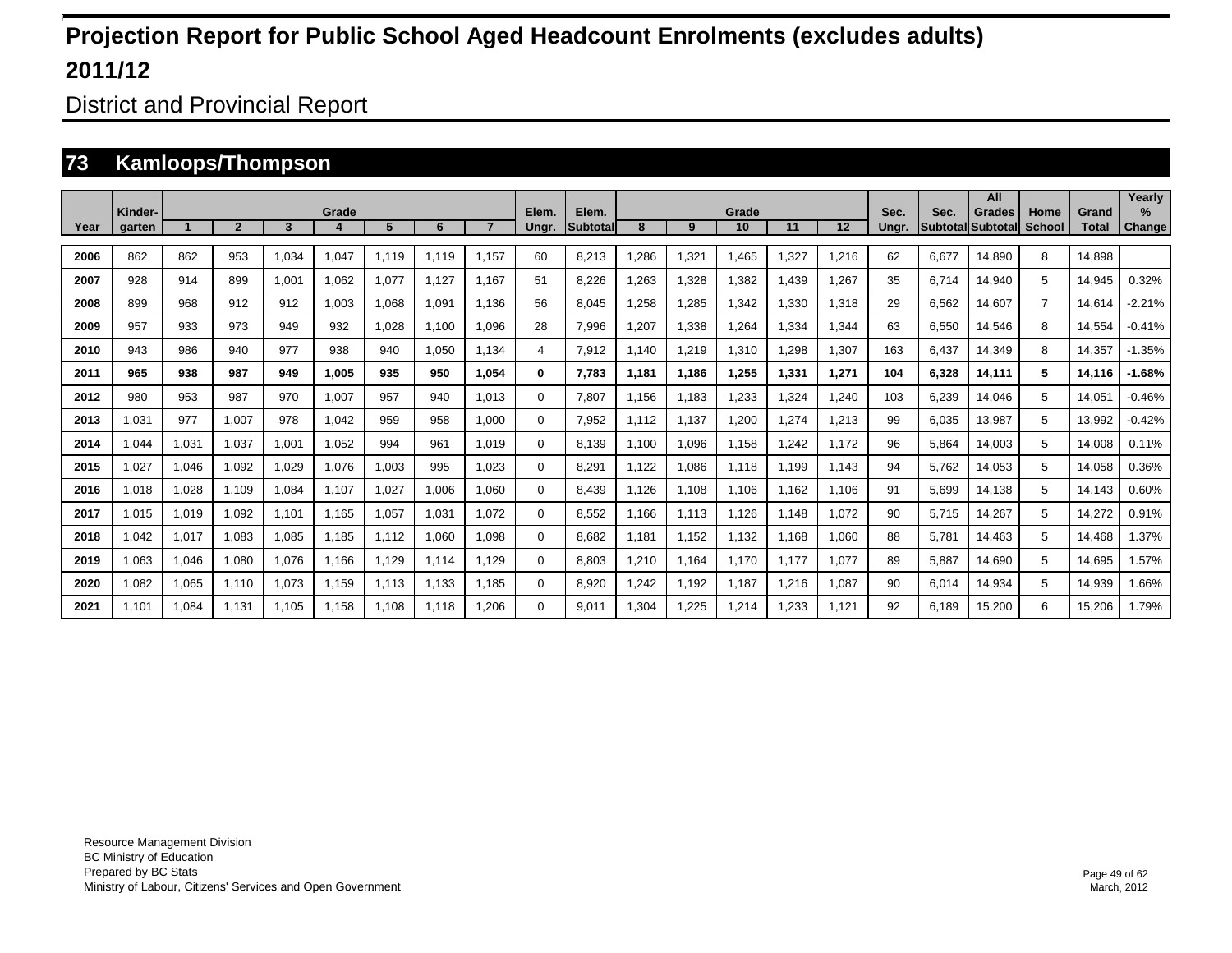District and Provincial Report

### **73 Kamloops/Thompson**

|      | Kinder- |       |                |       | Grade |       |       |       | Elem.    | Elem.           |       |       | Grade |       |       | Sec.  | Sec.  | All<br><b>Grades</b>     | Home           | Grand        | Yearly<br>$\%$ |
|------|---------|-------|----------------|-------|-------|-------|-------|-------|----------|-----------------|-------|-------|-------|-------|-------|-------|-------|--------------------------|----------------|--------------|----------------|
| Year | garten  |       | $\overline{2}$ | 3     |       | 5     | 6     |       | Ungr.    | <b>Subtotal</b> | 8     | 9     | 10    | 11    | 12    | Unar. |       | <b>Subtotal Subtotal</b> | <b>School</b>  | <b>Total</b> | Change         |
| 2006 | 862     | 862   | 953            | 1.034 | 1,047 | 1.119 | 1,119 | 1.157 | 60       | 8,213           | .286  | 1,321 | 1.465 | 327   | 1,216 | 62    | 6.677 | 14,890                   | 8              | 14.898       |                |
| 2007 | 928     | 914   | 899            | 1,001 | 1,062 | 1,077 | 1.127 | 1.167 | 51       | 8,226           | .263  | 1,328 | 1,382 | ,439  | 1,267 | 35    | 6.714 | 14,940                   | 5              | 14,945       | 0.32%          |
| 2008 | 899     | 968   | 912            | 912   | 1,003 | 1,068 | 1,091 | 1.136 | 56       | 8,045           | .258  | 1,285 | 1,342 | ,330  | 1,318 | 29    | 6,562 | 14,607                   | $\overline{7}$ | 14,614       | $-2.21%$       |
| 2009 | 957     | 933   | 973            | 949   | 932   | 1,028 | 1,100 | 1,096 | 28       | 7,996           | ,207  | 1,338 | .264  | ,334  | 1,344 | 63    | 6,550 | 14,546                   | 8              | 14,554       | $-0.41%$       |
| 2010 | 943     | 986   | 940            | 977   | 938   | 940   | 1,050 | 1,134 | 4        | 7,912           | 1.140 | 1,219 | 1,310 | ,298  | 1,307 | 163   | 6,437 | 14,349                   | 8              | 14,357       | $-1.35%$       |
| 2011 | 965     | 938   | 987            | 949   | 1,005 | 935   | 950   | 1,054 | 0        | 7,783           | 1,181 | 1,186 | 1,255 | 1,331 | 1,271 | 104   | 6,328 | 14,111                   | 5              | 14,116       | $-1.68%$       |
| 2012 | 980     | 953   | 987            | 970   | 1,007 | 957   | 940   | 1.013 | $\Omega$ | 7,807           | 1,156 | 1,183 | .233  | ,324  | 1,240 | 103   | 6,239 | 14,046                   | 5              | 14,051       | $-0.46%$       |
| 2013 | 1.031   | 977   | 1.007          | 978   | 1.042 | 959   | 958   | 1.000 | 0        | 7,952           | 1.112 | 1.137 | 1,200 | .274  | 1,213 | 99    | 6.035 | 13.987                   | 5              | 13,992       | $-0.42%$       |
| 2014 | .044    | 1,031 | 1.037          | 1.001 | 1.052 | 994   | 961   | 1.019 | 0        | 8.139           | 1.100 | 1,096 | 1.158 | 1.242 | 1.172 | 96    | 5.864 | 14,003                   | 5              | 14,008       | 0.11%          |
| 2015 | 1.027   | 1,046 | 1.092          | 1.029 | 1,076 | 1,003 | 995   | 1.023 | 0        | 8,291           | 1.122 | 1,086 | 1.118 | 1.199 | 1.143 | 94    | 5.762 | 14,053                   | 5              | 14.058       | 0.36%          |
| 2016 | 1.018   | 1,028 | 1,109          | 1.084 | 1.107 | 1,027 | 1,006 | 1.060 | 0        | 8.439           | 1.126 | 1,108 | 1.106 | 1.162 | 1.106 | 91    | 5.699 | 14,138                   | 5              | 14,143       | 0.60%          |
| 2017 | 1.015   | 1,019 | 1,092          | 1,101 | 1.165 | 1,057 | 1,031 | 1.072 | 0        | 8,552           | 1.166 | 1.113 | 1,126 | 1.148 | 1,072 | 90    | 5.715 | 14,267                   | 5              | 14,272       | 0.91%          |
| 2018 | .042    | 1,017 | 1,083          | 1,085 | 1.185 | 1.112 | 1,060 | 1.098 | 0        | 8.682           | 1.181 | 1,152 | 1,132 | 1.168 | 1,060 | 88    | 5.781 | 14,463                   | 5              | 14.468       | 1.37%          |
| 2019 | 1,063   | 1,046 | 1,080          | 1,076 | 1.166 | 1,129 | 1.114 | 1.129 | 0        | 8.803           | ,210  | 1,164 | 1.170 | 1.177 | 1,077 | 89    | 5.887 | 14,690                   | 5              | 14.695       | 1.57%          |
| 2020 | 1,082   | 1,065 | 1,110          | 1,073 | 1,159 | 1,113 | 1.133 | 1.185 | $\Omega$ | 8,920           | ,242  | 1,192 | 1,187 | 1,216 | 1,087 | 90    | 6,014 | 14,934                   | 5              | 14,939       | .66%           |
| 2021 | 1.101   | 1,084 | 1.131          | 1.105 | 1.158 | 1.108 | 1,118 | .206  | $\Omega$ | 9.011           | ,304  | 1,225 | .214  | ,233  | 1,121 | 92    | 6.189 | 15,200                   | 6              | 15,206       | 1.79%          |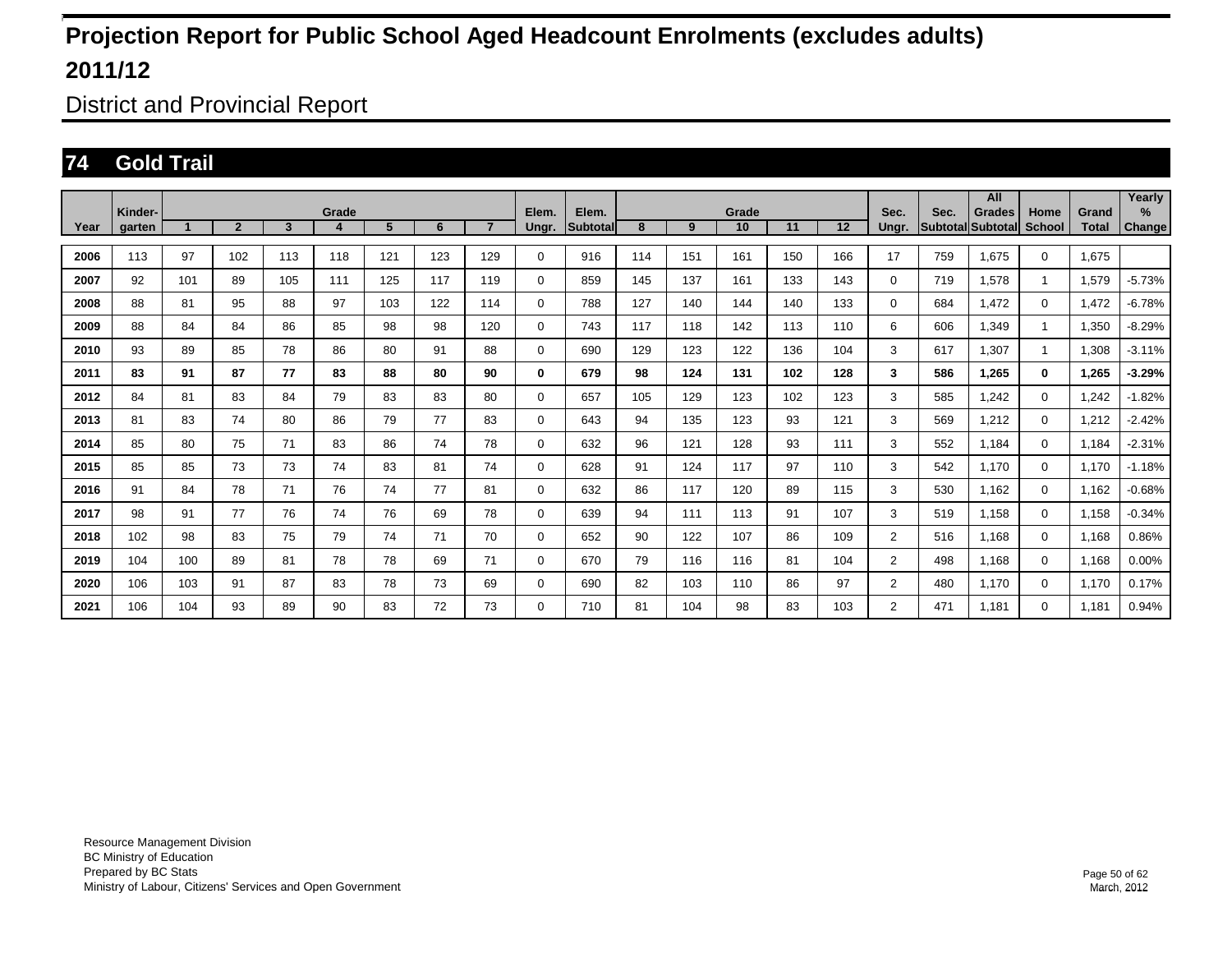District and Provincial Report

### **74 Gold Trail**

|      | Kinder- |     |                |                | Grade |     |     |                | Elem.       | Elem.    |     |     |             |     |     |                |      | All                                |                |                | Yearly         |
|------|---------|-----|----------------|----------------|-------|-----|-----|----------------|-------------|----------|-----|-----|-------------|-----|-----|----------------|------|------------------------------------|----------------|----------------|----------------|
| Year | aarten  |     | $\overline{2}$ | $\overline{3}$ | 4     | 5   | 6   | $\overline{7}$ | Ungr.       | Subtotal | 8   | 9   | Grade<br>10 | 11  | 12  | Sec.<br>Unar.  | Sec. | <b>Grades</b><br>Subtotal Subtotal | Home<br>School | Grand<br>Total | $\%$<br>Change |
| 2006 | 113     | 97  | 102            | 113            | 118   | 121 | 123 | 129            | 0           | 916      | 114 | 151 | 161         | 150 | 166 | 17             | 759  | 1,675                              | $\Omega$       | 1.675          |                |
| 2007 | 92      | 101 | 89             | 105            | 111   | 125 | 117 | 119            | 0           | 859      | 145 | 137 | 161         | 133 | 143 | $\Omega$       | 719  | 1,578                              | $\mathbf{1}$   | 1,579          | $-5.73%$       |
| 2008 | 88      | 81  | 95             | 88             | 97    | 103 | 122 | 114            | 0           | 788      | 127 | 140 | 144         | 140 | 133 | $\Omega$       | 684  | 1.472                              | $\mathbf 0$    | 1.472          | $-6.78%$       |
| 2009 | 88      | 84  | 84             | 86             | 85    | 98  | 98  | 120            | 0           | 743      | 117 | 118 | 142         | 113 | 110 | 6              | 606  | 1,349                              | $\mathbf{1}$   | 1,350          | $-8.29%$       |
| 2010 | 93      | 89  | 85             | 78             | 86    | 80  | 91  | 88             | 0           | 690      | 129 | 123 | 122         | 136 | 104 | 3              | 617  | 1,307                              | $\mathbf{1}$   | 1,308          | $-3.11%$       |
| 2011 | 83      | 91  | 87             | 77             | 83    | 88  | 80  | 90             | 0           | 679      | 98  | 124 | 131         | 102 | 128 | 3              | 586  | 1.265                              | $\bf{0}$       | 1,265          | $-3.29%$       |
| 2012 | 84      | 81  | 83             | 84             | 79    | 83  | 83  | 80             | 0           | 657      | 105 | 129 | 123         | 102 | 123 | 3              | 585  | 1.242                              | $\mathbf 0$    | 1.242          | $-1.82%$       |
| 2013 | 81      | 83  | 74             | 80             | 86    | 79  | 77  | 83             | 0           | 643      | 94  | 135 | 123         | 93  | 121 | 3              | 569  | 1,212                              | $\mathbf 0$    | 1,212          | $-2.42%$       |
| 2014 | 85      | 80  | 75             | 71             | 83    | 86  | 74  | 78             | 0           | 632      | 96  | 121 | 128         | 93  | 111 | 3              | 552  | 1.184                              | $\mathbf 0$    | 1,184          | $-2.31%$       |
| 2015 | 85      | 85  | 73             | 73             | 74    | 83  | 81  | 74             | 0           | 628      | 91  | 124 | 117         | 97  | 110 | 3              | 542  | 1.170                              | $\mathbf 0$    | 1.170          | $-1.18%$       |
| 2016 | 91      | 84  | 78             | 71             | 76    | 74  | 77  | 81             | 0           | 632      | 86  | 117 | 120         | 89  | 115 | 3              | 530  | 1.162                              | $\mathbf 0$    | 1.162          | $-0.68%$       |
| 2017 | 98      | 91  | 77             | 76             | 74    | 76  | 69  | 78             | 0           | 639      | 94  | 111 | 113         | 91  | 107 | 3              | 519  | 1,158                              | $\mathbf 0$    | 1,158          | $-0.34%$       |
| 2018 | 102     | 98  | 83             | 75             | 79    | 74  | 71  | 70             | 0           | 652      | 90  | 122 | 107         | 86  | 109 | $\overline{2}$ | 516  | 1,168                              | $\mathbf 0$    | 1,168          | 0.86%          |
| 2019 | 104     | 100 | 89             | 81             | 78    | 78  | 69  | 71             | $\mathbf 0$ | 670      | 79  | 116 | 116         | 81  | 104 | $\overline{2}$ | 498  | 1.168                              | $\mathbf 0$    | 1,168          | 0.00%          |
| 2020 | 106     | 103 | 91             | 87             | 83    | 78  | 73  | 69             | $\mathbf 0$ | 690      | 82  | 103 | 110         | 86  | 97  | $\overline{2}$ | 480  | 1.170                              | $\mathbf 0$    | 1.170          | 0.17%          |
| 2021 | 106     | 104 | 93             | 89             | 90    | 83  | 72  | 73             | 0           | 710      | 81  | 104 | 98          | 83  | 103 | $\overline{2}$ | 471  | 1.181                              | $\Omega$       | 1.181          | 0.94%          |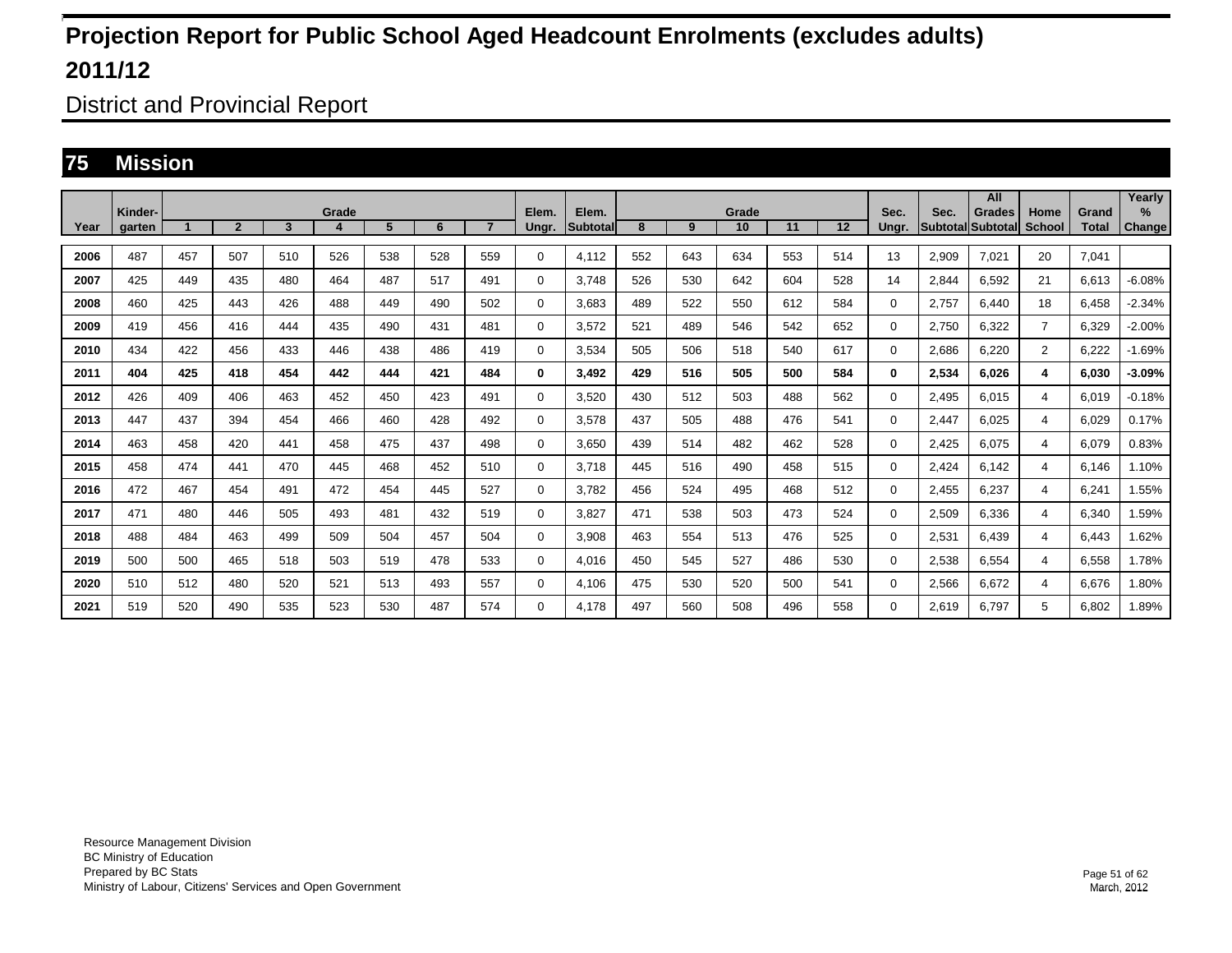District and Provincial Report

### **75 Mission**

|      | Kinder- |                      |                |     | Grade |                |     |                | Elem.    | Elem.           |     |     | Grade |     |     | Sec.     | Sec.  | All<br>Grades            | Home           | Grand        | Yearly<br>$\%$ |
|------|---------|----------------------|----------------|-----|-------|----------------|-----|----------------|----------|-----------------|-----|-----|-------|-----|-----|----------|-------|--------------------------|----------------|--------------|----------------|
| Year | garten  | $\blacktriangleleft$ | $\overline{2}$ | 3   | 4     | 5 <sup>5</sup> | 6   | $\overline{7}$ | Ungr.    | <b>Subtotal</b> | 8   | 9   | 10    | 11  | 12  | Unar.    |       | <b>SubtotallSubtotal</b> | School         | <b>Total</b> | Change         |
| 2006 | 487     | 457                  | 507            | 510 | 526   | 538            | 528 | 559            | 0        | 4.112           | 552 | 643 | 634   | 553 | 514 | 13       | 2,909 | 7.021                    | 20             | 7.041        |                |
| 2007 | 425     | 449                  | 435            | 480 | 464   | 487            | 517 | 491            | $\Omega$ | 3.748           | 526 | 530 | 642   | 604 | 528 | 14       | 2,844 | 6,592                    | 21             | 6,613        | $-6.08%$       |
| 2008 | 460     | 425                  | 443            | 426 | 488   | 449            | 490 | 502            | 0        | 3.683           | 489 | 522 | 550   | 612 | 584 | 0        | 2.757 | 6.440                    | 18             | 6.458        | $-2.34%$       |
| 2009 | 419     | 456                  | 416            | 444 | 435   | 490            | 431 | 481            | 0        | 3.572           | 521 | 489 | 546   | 542 | 652 | 0        | 2.750 | 6.322                    | $\overline{7}$ | 6.329        | $-2.00%$       |
| 2010 | 434     | 422                  | 456            | 433 | 446   | 438            | 486 | 419            | 0        | 3,534           | 505 | 506 | 518   | 540 | 617 | $\Omega$ | 2,686 | 6,220                    | 2              | 6,222        | $-1.69%$       |
| 2011 | 404     | 425                  | 418            | 454 | 442   | 444            | 421 | 484            | 0        | 3.492           | 429 | 516 | 505   | 500 | 584 | 0        | 2,534 | 6.026                    | 4              | 6.030        | -3.09%         |
| 2012 | 426     | 409                  | 406            | 463 | 452   | 450            | 423 | 491            | 0        | 3,520           | 430 | 512 | 503   | 488 | 562 | 0        | 2,495 | 6,015                    | 4              | 6,019        | $-0.18%$       |
| 2013 | 447     | 437                  | 394            | 454 | 466   | 460            | 428 | 492            | 0        | 3,578           | 437 | 505 | 488   | 476 | 541 | $\Omega$ | 2,447 | 6,025                    | 4              | 6,029        | 0.17%          |
| 2014 | 463     | 458                  | 420            | 441 | 458   | 475            | 437 | 498            | 0        | 3,650           | 439 | 514 | 482   | 462 | 528 | 0        | 2,425 | 6.075                    | 4              | 6,079        | 0.83%          |
| 2015 | 458     | 474                  | 441            | 470 | 445   | 468            | 452 | 510            | 0        | 3,718           | 445 | 516 | 490   | 458 | 515 | $\Omega$ | 2,424 | 6,142                    | 4              | 6,146        | 1.10%          |
| 2016 | 472     | 467                  | 454            | 491 | 472   | 454            | 445 | 527            | 0        | 3,782           | 456 | 524 | 495   | 468 | 512 | $\Omega$ | 2,455 | 6,237                    | 4              | 6,241        | 1.55%          |
| 2017 | 471     | 480                  | 446            | 505 | 493   | 481            | 432 | 519            | 0        | 3,827           | 471 | 538 | 503   | 473 | 524 | 0        | 2,509 | 6.336                    | 4              | 6.340        | 1.59%          |
| 2018 | 488     | 484                  | 463            | 499 | 509   | 504            | 457 | 504            | 0        | 3,908           | 463 | 554 | 513   | 476 | 525 | 0        | 2,531 | 6,439                    | 4              | 6,443        | 1.62%          |
| 2019 | 500     | 500                  | 465            | 518 | 503   | 519            | 478 | 533            | 0        | 4,016           | 450 | 545 | 527   | 486 | 530 | 0        | 2,538 | 6,554                    | 4              | 6,558        | 1.78%          |
| 2020 | 510     | 512                  | 480            | 520 | 521   | 513            | 493 | 557            | 0        | 4.106           | 475 | 530 | 520   | 500 | 541 | 0        | 2,566 | 6,672                    | 4              | 6,676        | 1.80%          |
| 2021 | 519     | 520                  | 490            | 535 | 523   | 530            | 487 | 574            | 0        | 4.178           | 497 | 560 | 508   | 496 | 558 | 0        | 2,619 | 6.797                    | 5              | 6,802        | 1.89%          |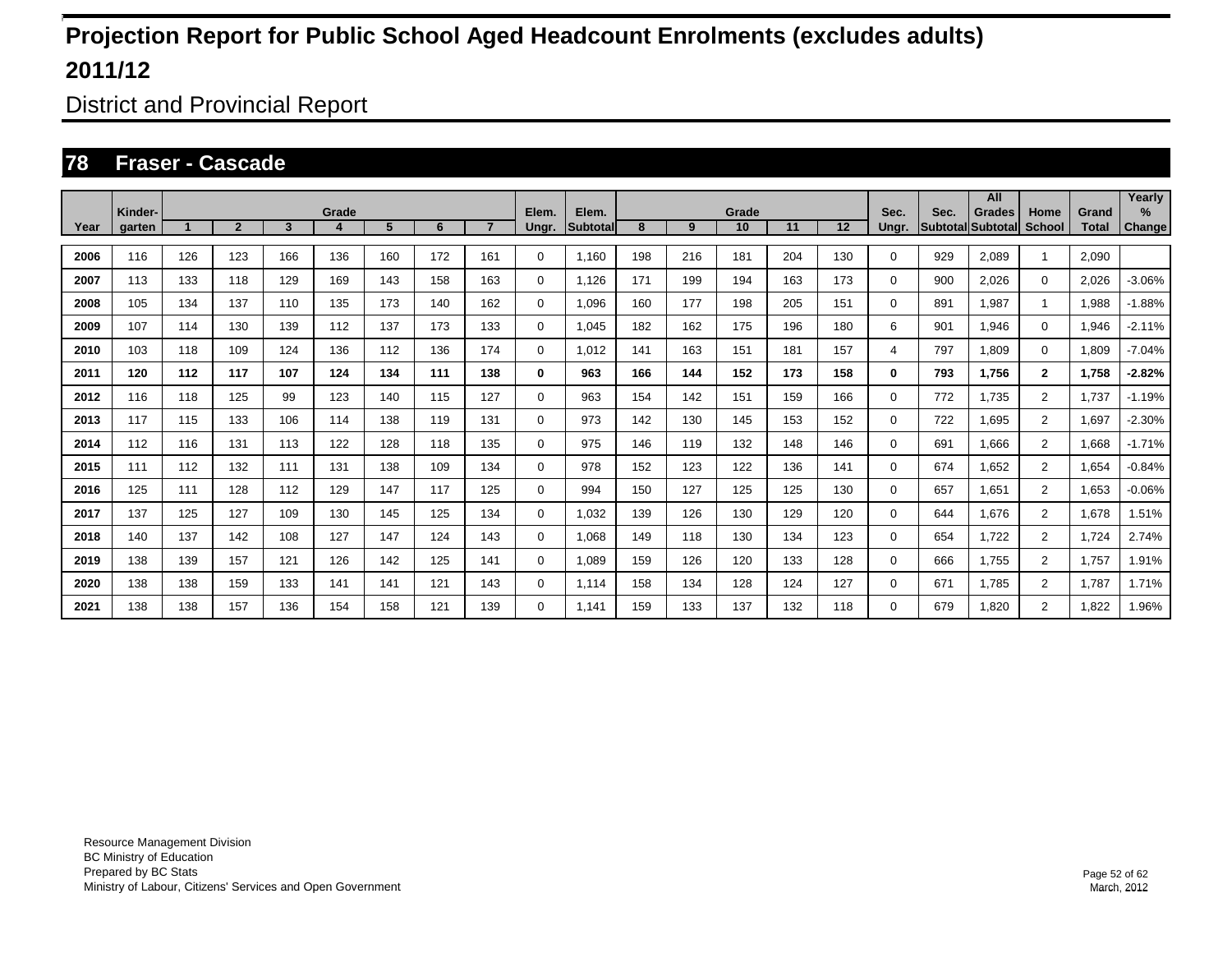District and Provincial Report

#### **78 Fraser - Cascade**

|      |                   |     |                |     |       |     |     |                |                |                          |     |     |             |     |     |               |      | All                                |                |                       | Yearly         |
|------|-------------------|-----|----------------|-----|-------|-----|-----|----------------|----------------|--------------------------|-----|-----|-------------|-----|-----|---------------|------|------------------------------------|----------------|-----------------------|----------------|
| Year | Kinder-<br>garten |     | $\overline{2}$ | 3   | Grade | 5   | 6   | $\overline{7}$ | Elem.<br>Ungr. | Elem.<br><b>Subtotal</b> | 8   | 9   | Grade<br>10 | 11  | 12  | Sec.<br>Ungr. | Sec. | <b>Grades</b><br>Subtotal Subtotal | Home<br>School | Grand<br><b>Total</b> | $\%$<br>Change |
|      |                   |     |                |     |       |     |     |                |                |                          |     |     |             |     |     |               |      |                                    |                |                       |                |
| 2006 | 116               | 126 | 123            | 166 | 136   | 160 | 172 | 161            | 0              | 1.160                    | 198 | 216 | 181         | 204 | 130 | 0             | 929  | 2,089                              | 1              | 2,090                 |                |
| 2007 | 113               | 133 | 118            | 129 | 169   | 143 | 158 | 163            | 0              | 1,126                    | 171 | 199 | 194         | 163 | 173 | 0             | 900  | 2,026                              | $\mathbf 0$    | 2,026                 | $-3.06%$       |
| 2008 | 105               | 134 | 137            | 110 | 135   | 173 | 140 | 162            | 0              | 1.096                    | 160 | 177 | 198         | 205 | 151 | 0             | 891  | 1.987                              | 1              | 1,988                 | $-1.88%$       |
| 2009 | 107               | 114 | 130            | 139 | 112   | 137 | 173 | 133            | 0              | 1,045                    | 182 | 162 | 175         | 196 | 180 | 6             | 901  | <b>946.</b>                        | $\mathbf 0$    | 1,946                 | $-2.11%$       |
| 2010 | 103               | 118 | 109            | 124 | 136   | 112 | 136 | 174            | 0              | 1,012                    | 141 | 163 | 151         | 181 | 157 | 4             | 797  | 1,809                              | $\mathbf 0$    | 1,809                 | $-7.04%$       |
| 2011 | 120               | 112 | 117            | 107 | 124   | 134 | 111 | 138            | 0              | 963                      | 166 | 144 | 152         | 173 | 158 | 0             | 793  | 1,756                              | $\mathbf{2}$   | 1,758                 | $-2.82%$       |
| 2012 | 116               | 118 | 125            | 99  | 123   | 140 | 115 | 127            | 0              | 963                      | 154 | 142 | 151         | 159 | 166 | 0             | 772  | 1.735                              | $\overline{2}$ | 1.737                 | $-1.19%$       |
| 2013 | 117               | 115 | 133            | 106 | 114   | 138 | 119 | 131            | 0              | 973                      | 142 | 130 | 145         | 153 | 152 | 0             | 722  | 1.695                              | $\overline{2}$ | 1,697                 | $-2.30%$       |
| 2014 | 112               | 116 | 131            | 113 | 122   | 128 | 118 | 135            | 0              | 975                      | 146 | 119 | 132         | 148 | 146 | 0             | 691  | 1.666                              | $\overline{2}$ | 1.668                 | $-1.71%$       |
| 2015 | 111               | 112 | 132            | 111 | 131   | 138 | 109 | 134            | 0              | 978                      | 152 | 123 | 122         | 136 | 141 | 0             | 674  | 1,652                              | $\overline{2}$ | 1,654                 | $-0.84%$       |
| 2016 | 125               | 111 | 128            | 112 | 129   | 147 | 117 | 125            | 0              | 994                      | 150 | 127 | 125         | 125 | 130 | 0             | 657  | 1,651                              | $\overline{2}$ | 1,653                 | $-0.06%$       |
| 2017 | 137               | 125 | 127            | 109 | 130   | 145 | 125 | 134            | 0              | 1,032                    | 139 | 126 | 130         | 129 | 120 | 0             | 644  | 1,676                              | $\overline{2}$ | 1,678                 | 1.51%          |
| 2018 | 140               | 137 | 142            | 108 | 127   | 147 | 124 | 143            | 0              | 1,068                    | 149 | 118 | 130         | 134 | 123 | 0             | 654  | 1,722                              | 2              | 1,724                 | 2.74%          |
| 2019 | 138               | 139 | 157            | 121 | 126   | 142 | 125 | 141            | 0              | 1.089                    | 159 | 126 | 120         | 133 | 128 | 0             | 666  | 1.755                              | $\overline{2}$ | 1,757                 | 1.91%          |
| 2020 | 138               | 138 | 159            | 133 | 141   | 141 | 121 | 143            | 0              | 1,114                    | 158 | 134 | 128         | 124 | 127 | 0             | 671  | 1.785                              | $\overline{2}$ | 1.787                 | 1.71%          |
| 2021 | 138               | 138 | 157            | 136 | 154   | 158 | 121 | 139            | 0              | 1.141                    | 159 | 133 | 137         | 132 | 118 | 0             | 679  | 1,820                              | $\overline{2}$ | 1,822                 | 1.96%          |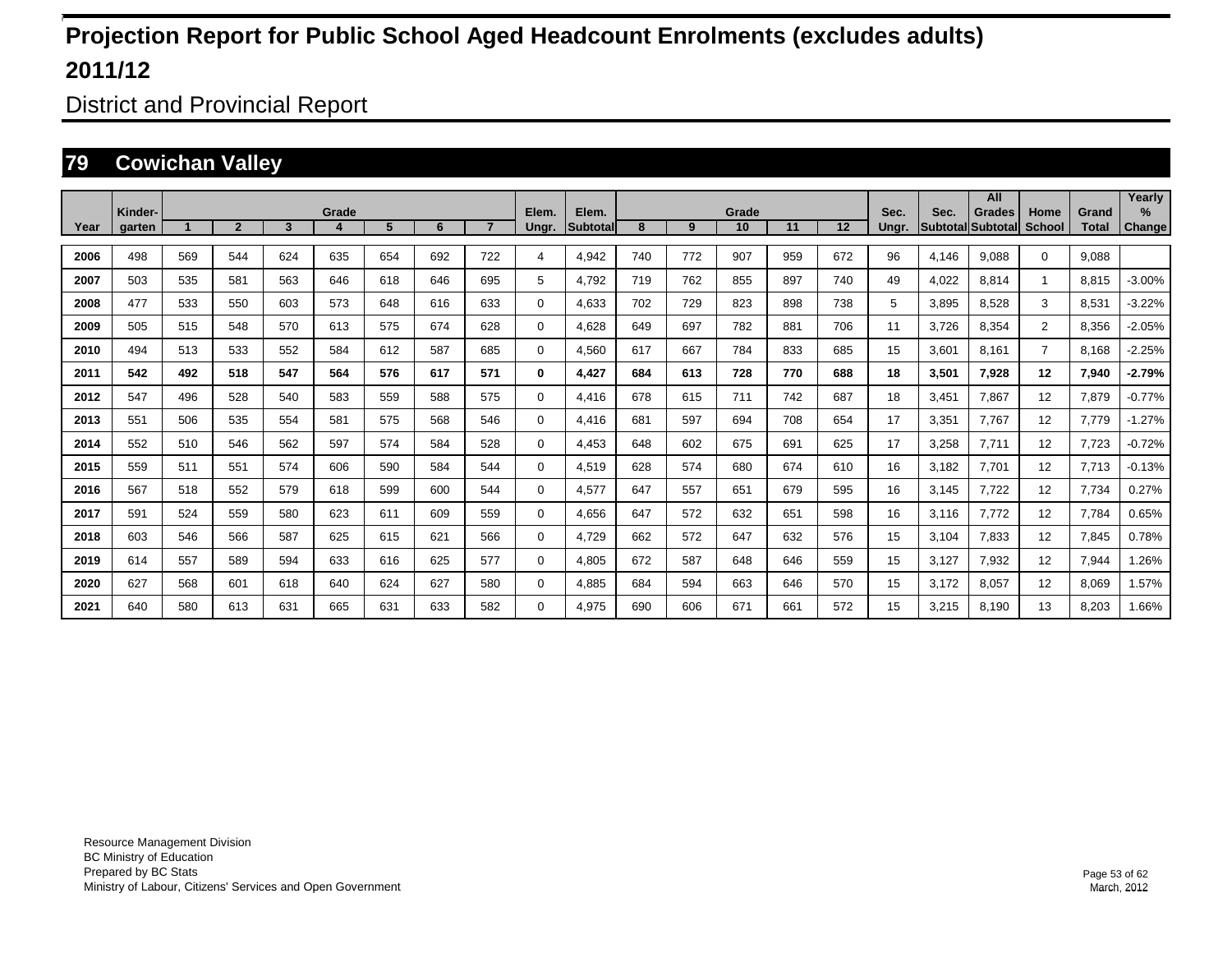District and Provincial Report

### **79 Cowichan Valley**

|      |                   |     |                |     |            |                |     |                |                |                    |     |     |             |     |     |               |                         | All                       |                       |                       | Yearly                |
|------|-------------------|-----|----------------|-----|------------|----------------|-----|----------------|----------------|--------------------|-----|-----|-------------|-----|-----|---------------|-------------------------|---------------------------|-----------------------|-----------------------|-----------------------|
| Year | Kinder-<br>garten |     | $\overline{2}$ | 3   | Grade<br>4 | 5 <sup>5</sup> | 6   | $\overline{7}$ | Elem.<br>Ungr. | Elem.<br>Subtotall | 8   | 9   | Grade<br>10 | 11  | 12  | Sec.<br>Ungr. | Sec.<br><b>Subtotal</b> | <b>Grades</b><br>Subtotal | Home<br><b>School</b> | Grand<br><b>Total</b> | $\%$<br><b>Change</b> |
|      |                   |     |                |     |            |                |     |                |                |                    |     |     |             |     |     |               |                         |                           |                       |                       |                       |
| 2006 | 498               | 569 | 544            | 624 | 635        | 654            | 692 | 722            | $\overline{4}$ | 4.942              | 740 | 772 | 907         | 959 | 672 | 96            | 4.146                   | 9.088                     | $\mathbf 0$           | 9.088                 |                       |
| 2007 | 503               | 535 | 581            | 563 | 646        | 618            | 646 | 695            | 5              | 4.792              | 719 | 762 | 855         | 897 | 740 | 49            | 4,022                   | 8.814                     |                       | 8.815                 | $-3.00%$              |
| 2008 | 477               | 533 | 550            | 603 | 573        | 648            | 616 | 633            | 0              | 4,633              | 702 | 729 | 823         | 898 | 738 | 5             | 3,895                   | 8,528                     | 3                     | 8,531                 | $-3.22%$              |
| 2009 | 505               | 515 | 548            | 570 | 613        | 575            | 674 | 628            | 0              | 4,628              | 649 | 697 | 782         | 881 | 706 | 11            | 3,726                   | 8,354                     | $\overline{2}$        | 8,356                 | $-2.05%$              |
| 2010 | 494               | 513 | 533            | 552 | 584        | 612            | 587 | 685            | $\mathbf 0$    | 4,560              | 617 | 667 | 784         | 833 | 685 | 15            | 3,601                   | 8,161                     | $\overline{7}$        | 8,168                 | $-2.25%$              |
| 2011 | 542               | 492 | 518            | 547 | 564        | 576            | 617 | 571            | 0              | 4,427              | 684 | 613 | 728         | 770 | 688 | 18            | 3,501                   | 7,928                     | 12                    | 7,940                 | $-2.79%$              |
| 2012 | 547               | 496 | 528            | 540 | 583        | 559            | 588 | 575            | $\mathbf 0$    | 4,416              | 678 | 615 | 711         | 742 | 687 | 18            | 3,451                   | 7,867                     | 12                    | 7,879                 | $-0.77%$              |
| 2013 | 551               | 506 | 535            | 554 | 581        | 575            | 568 | 546            | $\mathbf 0$    | 4.416              | 681 | 597 | 694         | 708 | 654 | 17            | 3,351                   | 7.767                     | 12                    | 7,779                 | $-1.27%$              |
| 2014 | 552               | 510 | 546            | 562 | 597        | 574            | 584 | 528            | 0              | 4,453              | 648 | 602 | 675         | 691 | 625 | 17            | 3,258                   | 7,711                     | 12                    | 7,723                 | $-0.72%$              |
| 2015 | 559               | 511 | 551            | 574 | 606        | 590            | 584 | 544            | 0              | 4,519              | 628 | 574 | 680         | 674 | 610 | 16            | 3.182                   | 7,701                     | 12                    | 7,713                 | $-0.13%$              |
| 2016 | 567               | 518 | 552            | 579 | 618        | 599            | 600 | 544            | 0              | 4,577              | 647 | 557 | 651         | 679 | 595 | 16            | 3.145                   | 7,722                     | 12                    | 7,734                 | 0.27%                 |
| 2017 | 591               | 524 | 559            | 580 | 623        | 611            | 609 | 559            | 0              | 4.656              | 647 | 572 | 632         | 651 | 598 | 16            | 3.116                   | 7.772                     | 12                    | 7,784                 | 0.65%                 |
| 2018 | 603               | 546 | 566            | 587 | 625        | 615            | 621 | 566            | $\mathbf 0$    | 4.729              | 662 | 572 | 647         | 632 | 576 | 15            | 3.104                   | 7.833                     | 12                    | 7,845                 | 0.78%                 |
| 2019 | 614               | 557 | 589            | 594 | 633        | 616            | 625 | 577            | $\mathbf 0$    | 4.805              | 672 | 587 | 648         | 646 | 559 | 15            | 3.127                   | 7.932                     | 12                    | 7,944                 | .26%                  |
| 2020 | 627               | 568 | 601            | 618 | 640        | 624            | 627 | 580            | $\mathbf 0$    | 4,885              | 684 | 594 | 663         | 646 | 570 | 15            | 3,172                   | 8,057                     | 12                    | 8,069                 | 1.57%                 |
| 2021 | 640               | 580 | 613            | 631 | 665        | 631            | 633 | 582            | $\Omega$       | 4,975              | 690 | 606 | 671         | 661 | 572 | 15            | 3,215                   | 8.190                     | 13                    | 8,203                 | 1.66%                 |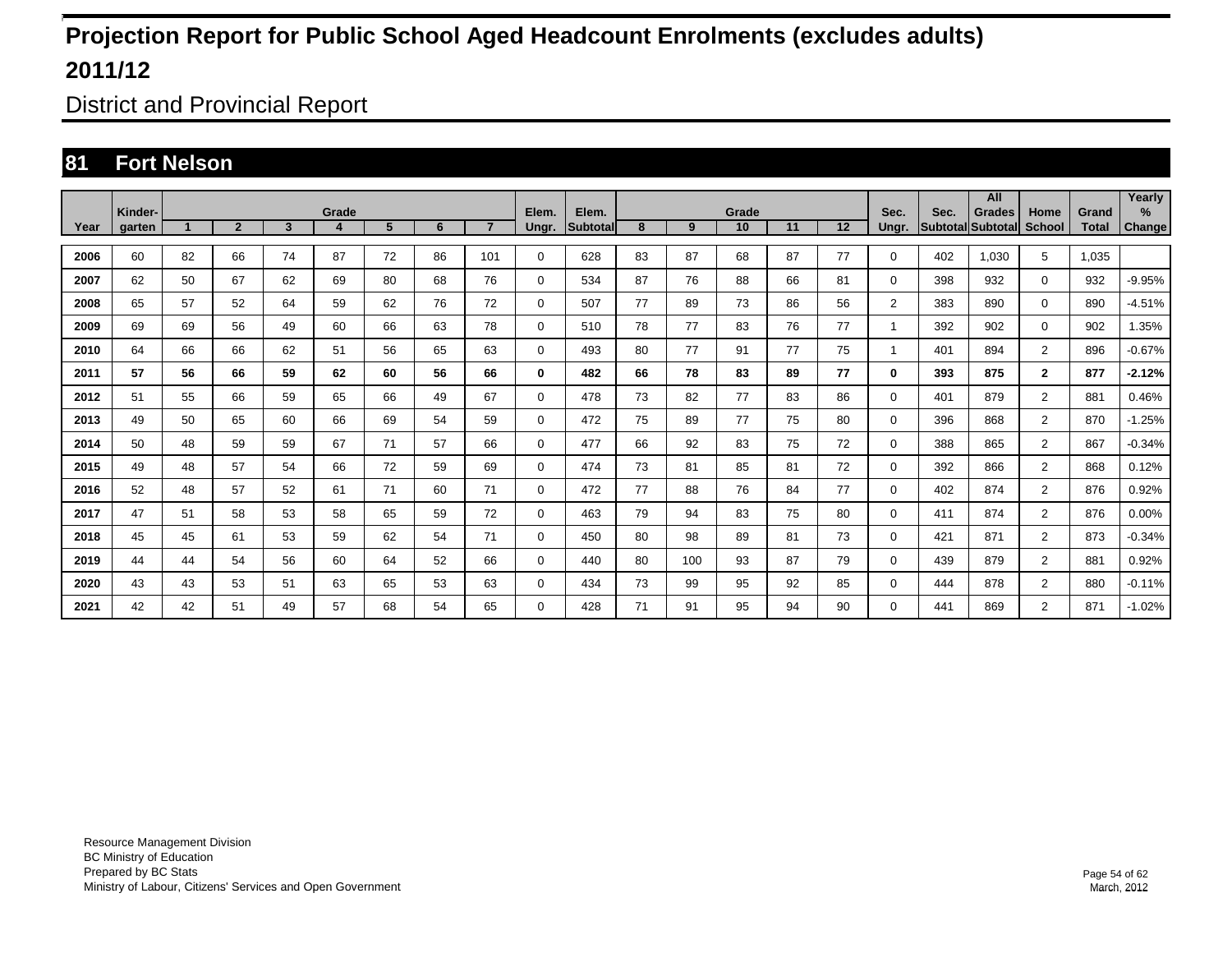District and Provincial Report

### **81 Fort Nelson**

|      |                   |    |                |                         |            |    |    |                |                |                   |    |     |             |    |    |                |      | All                         |                       |                | Yearly         |
|------|-------------------|----|----------------|-------------------------|------------|----|----|----------------|----------------|-------------------|----|-----|-------------|----|----|----------------|------|-----------------------------|-----------------------|----------------|----------------|
| Year | Kinder-<br>garten |    | $\overline{2}$ | $\overline{\mathbf{3}}$ | Grade<br>4 | 5  | 6  | $\overline{7}$ | Elem.<br>Ungr. | Elem.<br>Subtotal | 8  | 9   | Grade<br>10 | 11 | 12 | Sec.<br>Ungr.  | Sec. | Grades<br>Subtotal Subtotal | Home<br><b>School</b> | Grand<br>Total | $\%$<br>Change |
|      |                   |    |                |                         |            |    |    |                |                |                   |    |     |             |    |    |                |      |                             |                       |                |                |
| 2006 | 60                | 82 | 66             | 74                      | 87         | 72 | 86 | 101            | 0              | 628               | 83 | 87  | 68          | 87 | 77 | 0              | 402  | 1.030                       | 5                     | 1.035          |                |
| 2007 | 62                | 50 | 67             | 62                      | 69         | 80 | 68 | 76             | $\mathbf 0$    | 534               | 87 | 76  | 88          | 66 | 81 | $\Omega$       | 398  | 932                         | $\mathbf 0$           | 932            | $-9.95%$       |
| 2008 | 65                | 57 | 52             | 64                      | 59         | 62 | 76 | 72             | $\mathbf 0$    | 507               | 77 | 89  | 73          | 86 | 56 | $\overline{2}$ | 383  | 890                         | $\mathbf 0$           | 890            | $-4.51%$       |
| 2009 | 69                | 69 | 56             | 49                      | 60         | 66 | 63 | 78             | $\mathbf 0$    | 510               | 78 | 77  | 83          | 76 | 77 | 1              | 392  | 902                         | $\mathbf 0$           | 902            | 1.35%          |
| 2010 | 64                | 66 | 66             | 62                      | 51         | 56 | 65 | 63             | $\mathbf 0$    | 493               | 80 | 77  | 91          | 77 | 75 | 1              | 401  | 894                         | $\overline{2}$        | 896            | $-0.67%$       |
| 2011 | 57                | 56 | 66             | 59                      | 62         | 60 | 56 | 66             | 0              | 482               | 66 | 78  | 83          | 89 | 77 | 0              | 393  | 875                         | $\overline{2}$        | 877            | $-2.12%$       |
| 2012 | 51                | 55 | 66             | 59                      | 65         | 66 | 49 | 67             | 0              | 478               | 73 | 82  | 77          | 83 | 86 | 0              | 401  | 879                         | $\overline{2}$        | 881            | 0.46%          |
| 2013 | 49                | 50 | 65             | 60                      | 66         | 69 | 54 | 59             | 0              | 472               | 75 | 89  | 77          | 75 | 80 | 0              | 396  | 868                         | $\overline{2}$        | 870            | $-1.25%$       |
| 2014 | 50                | 48 | 59             | 59                      | 67         | 71 | 57 | 66             | 0              | 477               | 66 | 92  | 83          | 75 | 72 | 0              | 388  | 865                         | $\overline{2}$        | 867            | $-0.34%$       |
| 2015 | 49                | 48 | 57             | 54                      | 66         | 72 | 59 | 69             | 0              | 474               | 73 | 81  | 85          | 81 | 72 | 0              | 392  | 866                         | $\overline{2}$        | 868            | 0.12%          |
| 2016 | 52                | 48 | 57             | 52                      | 61         | 71 | 60 | 71             | $\mathbf 0$    | 472               | 77 | 88  | 76          | 84 | 77 | 0              | 402  | 874                         | $\overline{2}$        | 876            | 0.92%          |
| 2017 | 47                | 51 | 58             | 53                      | 58         | 65 | 59 | 72             | $\mathbf 0$    | 463               | 79 | 94  | 83          | 75 | 80 | 0              | 411  | 874                         | $\overline{2}$        | 876            | 0.00%          |
| 2018 | 45                | 45 | 61             | 53                      | 59         | 62 | 54 | 71             | $\mathbf 0$    | 450               | 80 | 98  | 89          | 81 | 73 | 0              | 421  | 871                         | $\overline{2}$        | 873            | $-0.34%$       |
| 2019 | 44                | 44 | 54             | 56                      | 60         | 64 | 52 | 66             | $\mathbf 0$    | 440               | 80 | 100 | 93          | 87 | 79 | 0              | 439  | 879                         | $\overline{2}$        | 881            | 0.92%          |
| 2020 | 43                | 43 | 53             | 51                      | 63         | 65 | 53 | 63             | $\mathbf 0$    | 434               | 73 | 99  | 95          | 92 | 85 | 0              | 444  | 878                         | $\overline{2}$        | 880            | $-0.11%$       |
| 2021 | 42                | 42 | 51             | 49                      | 57         | 68 | 54 | 65             | $\mathbf 0$    | 428               | 71 | 91  | 95          | 94 | 90 | 0              | 441  | 869                         | $\overline{2}$        | 871            | $-1.02%$       |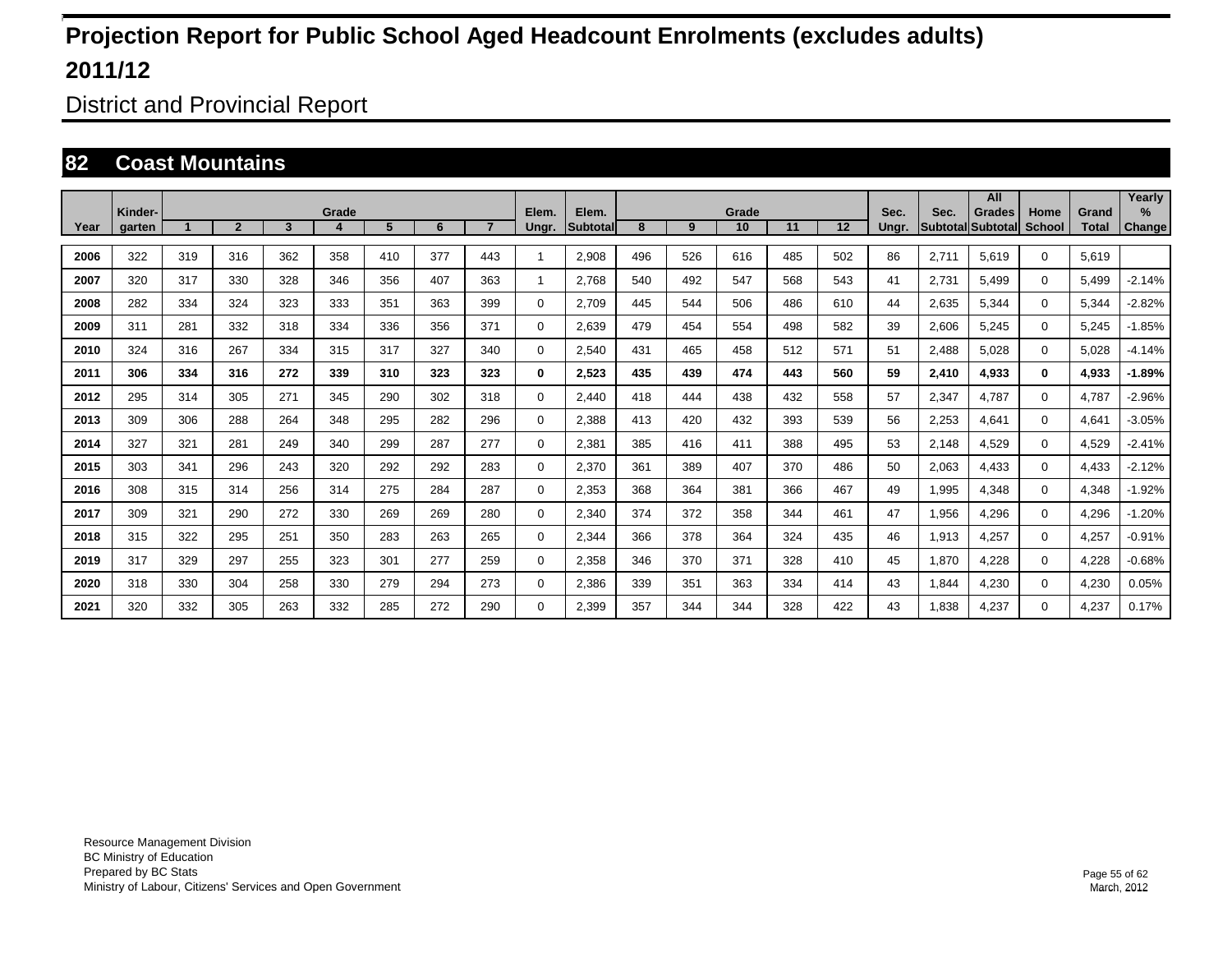District and Provincial Report

#### **82 Coast Mountains**

|      |                   |     |                |     |       |     |     |     |                |                          |     |     |             |     |         |               |             | All                                |                |                       | Yearly                  |
|------|-------------------|-----|----------------|-----|-------|-----|-----|-----|----------------|--------------------------|-----|-----|-------------|-----|---------|---------------|-------------|------------------------------------|----------------|-----------------------|-------------------------|
| Year | Kinder-<br>garten |     | $\overline{2}$ | 3   | Grade | 5   | 6   |     | Elem.<br>Ungr. | Elem.<br><b>Subtotal</b> | 8   | 9   | Grade<br>10 | 11  | $12 \,$ | Sec.<br>Ungr. | Sec.        | Grades<br><b>Subtotal Subtotal</b> | Home<br>School | Grand<br><b>Total</b> | $\frac{9}{6}$<br>Change |
|      |                   |     |                |     |       |     |     |     |                |                          |     |     |             |     |         |               |             |                                    |                |                       |                         |
| 2006 | 322               | 319 | 316            | 362 | 358   | 410 | 377 | 443 | 1              | 2,908                    | 496 | 526 | 616         | 485 | 502     | 86            | 2,711       | 5,619                              | $\Omega$       | 5,619                 |                         |
| 2007 | 320               | 317 | 330            | 328 | 346   | 356 | 407 | 363 | 1              | 2.768                    | 540 | 492 | 547         | 568 | 543     | 41            | 2,731       | 5,499                              | $\Omega$       | 5,499                 | $-2.14%$                |
| 2008 | 282               | 334 | 324            | 323 | 333   | 351 | 363 | 399 | 0              | 2,709                    | 445 | 544 | 506         | 486 | 610     | 44            | 2,635       | 5,344                              | $\Omega$       | 5,344                 | $-2.82%$                |
| 2009 | 311               | 281 | 332            | 318 | 334   | 336 | 356 | 371 | 0              | 2,639                    | 479 | 454 | 554         | 498 | 582     | 39            | 2,606       | 5,245                              | $\mathbf 0$    | 5,245                 | $-1.85%$                |
| 2010 | 324               | 316 | 267            | 334 | 315   | 317 | 327 | 340 | 0              | 2,540                    | 431 | 465 | 458         | 512 | 571     | 51            | 2,488       | 5,028                              | $\mathbf 0$    | 5,028                 | $-4.14%$                |
| 2011 | 306               | 334 | 316            | 272 | 339   | 310 | 323 | 323 | 0              | 2,523                    | 435 | 439 | 474         | 443 | 560     | 59            | 2,410       | 4,933                              | $\bf{0}$       | 4,933                 | $-1.89%$                |
| 2012 | 295               | 314 | 305            | 271 | 345   | 290 | 302 | 318 | 0              | 2,440                    | 418 | 444 | 438         | 432 | 558     | 57            | 2,347       | 4.787                              | $\mathbf 0$    | 4,787                 | $-2.96%$                |
| 2013 | 309               | 306 | 288            | 264 | 348   | 295 | 282 | 296 | 0              | 2,388                    | 413 | 420 | 432         | 393 | 539     | 56            | 2,253       | 4,641                              | $\Omega$       | 4,641                 | $-3.05%$                |
| 2014 | 327               | 321 | 281            | 249 | 340   | 299 | 287 | 277 | 0              | 2,381                    | 385 | 416 | 411         | 388 | 495     | 53            | 2,148       | 4,529                              | $\Omega$       | 4,529                 | $-2.41%$                |
| 2015 | 303               | 341 | 296            | 243 | 320   | 292 | 292 | 283 | 0              | 2,370                    | 361 | 389 | 407         | 370 | 486     | 50            | 2,063       | 4,433                              | $\Omega$       | 4,433                 | $-2.12%$                |
| 2016 | 308               | 315 | 314            | 256 | 314   | 275 | 284 | 287 | 0              | 2,353                    | 368 | 364 | 381         | 366 | 467     | 49            | <b>995.</b> | 4,348                              | $\Omega$       | 4,348                 | $-1.92%$                |
| 2017 | 309               | 321 | 290            | 272 | 330   | 269 | 269 | 280 | 0              | 2,340                    | 374 | 372 | 358         | 344 | 461     | 47            | 956,        | 4,296                              | $\mathbf 0$    | 4,296                 | $-1.20%$                |
| 2018 | 315               | 322 | 295            | 251 | 350   | 283 | 263 | 265 | 0              | 2,344                    | 366 | 378 | 364         | 324 | 435     | 46            | 1,913       | 4,257                              | $\mathbf 0$    | 4,257                 | $-0.91%$                |
| 2019 | 317               | 329 | 297            | 255 | 323   | 301 | 277 | 259 | 0              | 2,358                    | 346 | 370 | 371         | 328 | 410     | 45            | 1,870       | 4,228                              | $\mathbf 0$    | 4,228                 | $-0.68%$                |
| 2020 | 318               | 330 | 304            | 258 | 330   | 279 | 294 | 273 | 0              | 2,386                    | 339 | 351 | 363         | 334 | 414     | 43            | 844. ا      | 4,230                              | $\mathbf 0$    | 4,230                 | 0.05%                   |
| 2021 | 320               | 332 | 305            | 263 | 332   | 285 | 272 | 290 | $\Omega$       | 2.399                    | 357 | 344 | 344         | 328 | 422     | 43            | 1.838       | 4.237                              | $\mathbf 0$    | 4,237                 | 0.17%                   |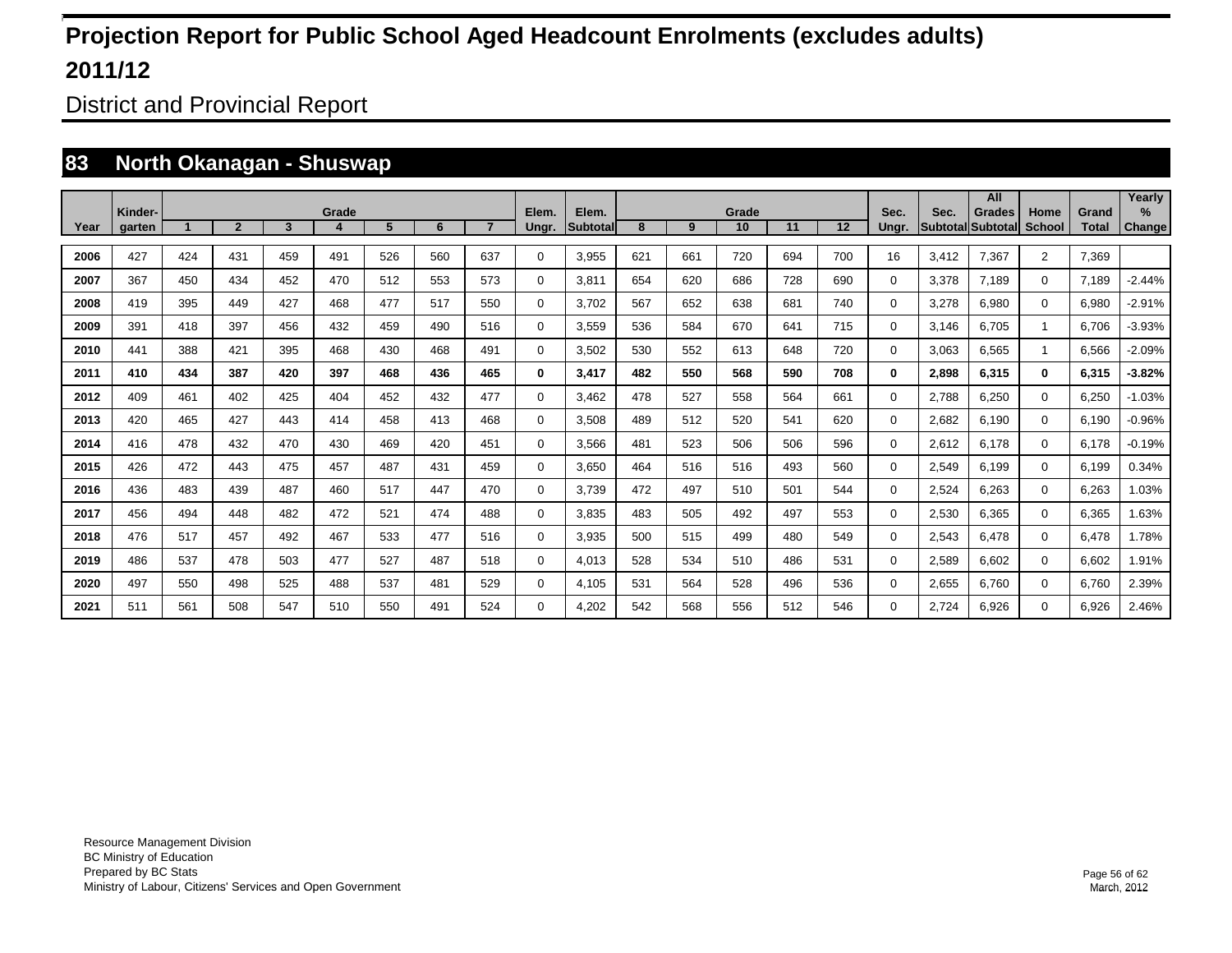District and Provincial Report

### **83 North Okanagan - Shuswap**

|      |                   |     |                |     |            |     |     |                |             |                    |     |     |             |     |     |               |                         | All                       |                       |                       | Yearly   |
|------|-------------------|-----|----------------|-----|------------|-----|-----|----------------|-------------|--------------------|-----|-----|-------------|-----|-----|---------------|-------------------------|---------------------------|-----------------------|-----------------------|----------|
| Year | Kinder-<br>garten |     | $\overline{2}$ | 3   | Grade<br>4 | 5   | 6   | $\overline{7}$ | Elem.       | Elem.<br>Subtotall | 8   | 9   | Grade<br>10 | 11  | 12  | Sec.<br>Ungr. | Sec.<br><b>Subtotal</b> | <b>Grades</b><br>Subtotal | Home<br><b>School</b> | Grand<br><b>Total</b> | $\%$     |
|      |                   |     |                |     |            |     |     |                | Ungr.       |                    |     |     |             |     |     |               |                         |                           |                       |                       | Change   |
| 2006 | 427               | 424 | 431            | 459 | 491        | 526 | 560 | 637            | 0           | 3.955              | 621 | 661 | 720         | 694 | 700 | 16            | 3.412                   | 7.367                     | $\overline{2}$        | 7.369                 |          |
| 2007 | 367               | 450 | 434            | 452 | 470        | 512 | 553 | 573            | 0           | 3.811              | 654 | 620 | 686         | 728 | 690 | $\Omega$      | 3.378                   | 7.189                     | $\mathbf 0$           | 7.189                 | $-2.44%$ |
| 2008 | 419               | 395 | 449            | 427 | 468        | 477 | 517 | 550            | 0           | 3,702              | 567 | 652 | 638         | 681 | 740 | $\Omega$      | 3,278                   | 6,980                     | $\mathbf 0$           | 6,980                 | $-2.91%$ |
| 2009 | 391               | 418 | 397            | 456 | 432        | 459 | 490 | 516            | 0           | 3,559              | 536 | 584 | 670         | 641 | 715 | $\Omega$      | 3,146                   | 6,705                     |                       | 6,706                 | $-3.93%$ |
| 2010 | 441               | 388 | 421            | 395 | 468        | 430 | 468 | 491            | 0           | 3,502              | 530 | 552 | 613         | 648 | 720 | $\Omega$      | 3,063                   | 6,565                     |                       | 6,566                 | $-2.09%$ |
| 2011 | 410               | 434 | 387            | 420 | 397        | 468 | 436 | 465            | 0           | 3,417              | 482 | 550 | 568         | 590 | 708 | 0             | 2,898                   | 6,315                     | $\bf{0}$              | 6,315                 | $-3.82%$ |
| 2012 | 409               | 461 | 402            | 425 | 404        | 452 | 432 | 477            | $\mathbf 0$ | 3.462              | 478 | 527 | 558         | 564 | 661 | $\Omega$      | 2,788                   | 6.250                     | $\mathbf 0$           | 6,250                 | $-1.03%$ |
| 2013 | 420               | 465 | 427            | 443 | 414        | 458 | 413 | 468            | 0           | 3,508              | 489 | 512 | 520         | 541 | 620 | 0             | 2,682                   | 6,190                     | $\mathbf 0$           | 6,190                 | $-0.96%$ |
| 2014 | 416               | 478 | 432            | 470 | 430        | 469 | 420 | 451            | 0           | 3,566              | 481 | 523 | 506         | 506 | 596 | 0             | 2,612                   | 6.178                     | 0                     | 6,178                 | $-0.19%$ |
| 2015 | 426               | 472 | 443            | 475 | 457        | 487 | 431 | 459            | 0           | 3,650              | 464 | 516 | 516         | 493 | 560 | 0             | 2,549                   | 6,199                     | $\mathbf 0$           | 6,199                 | 0.34%    |
| 2016 | 436               | 483 | 439            | 487 | 460        | 517 | 447 | 470            | 0           | 3.739              | 472 | 497 | 510         | 501 | 544 | 0             | 2,524                   | 6.263                     | $\mathbf 0$           | 6,263                 | 1.03%    |
| 2017 | 456               | 494 | 448            | 482 | 472        | 521 | 474 | 488            | 0           | 3.835              | 483 | 505 | 492         | 497 | 553 | 0             | 2,530                   | 6.365                     | $\mathbf 0$           | 6,365                 | 1.63%    |
| 2018 | 476               | 517 | 457            | 492 | 467        | 533 | 477 | 516            | 0           | 3,935              | 500 | 515 | 499         | 480 | 549 | 0             | 2,543                   | 6.478                     | $\mathbf 0$           | 6,478                 | 1.78%    |
| 2019 | 486               | 537 | 478            | 503 | 477        | 527 | 487 | 518            | $\mathbf 0$ | 4.013              | 528 | 534 | 510         | 486 | 531 | 0             | 2,589                   | 6.602                     | $\mathbf 0$           | 6.602                 | 1.91%    |
| 2020 | 497               | 550 | 498            | 525 | 488        | 537 | 481 | 529            | $\mathbf 0$ | 4,105              | 531 | 564 | 528         | 496 | 536 | 0             | 2,655                   | 6,760                     | $\mathbf 0$           | 6,760                 | 2.39%    |
| 2021 | 511               | 561 | 508            | 547 | 510        | 550 | 491 | 524            | $\Omega$    | 4,202              | 542 | 568 | 556         | 512 | 546 | 0             | 2.724                   | 6.926                     | $\mathbf 0$           | 6,926                 | 2.46%    |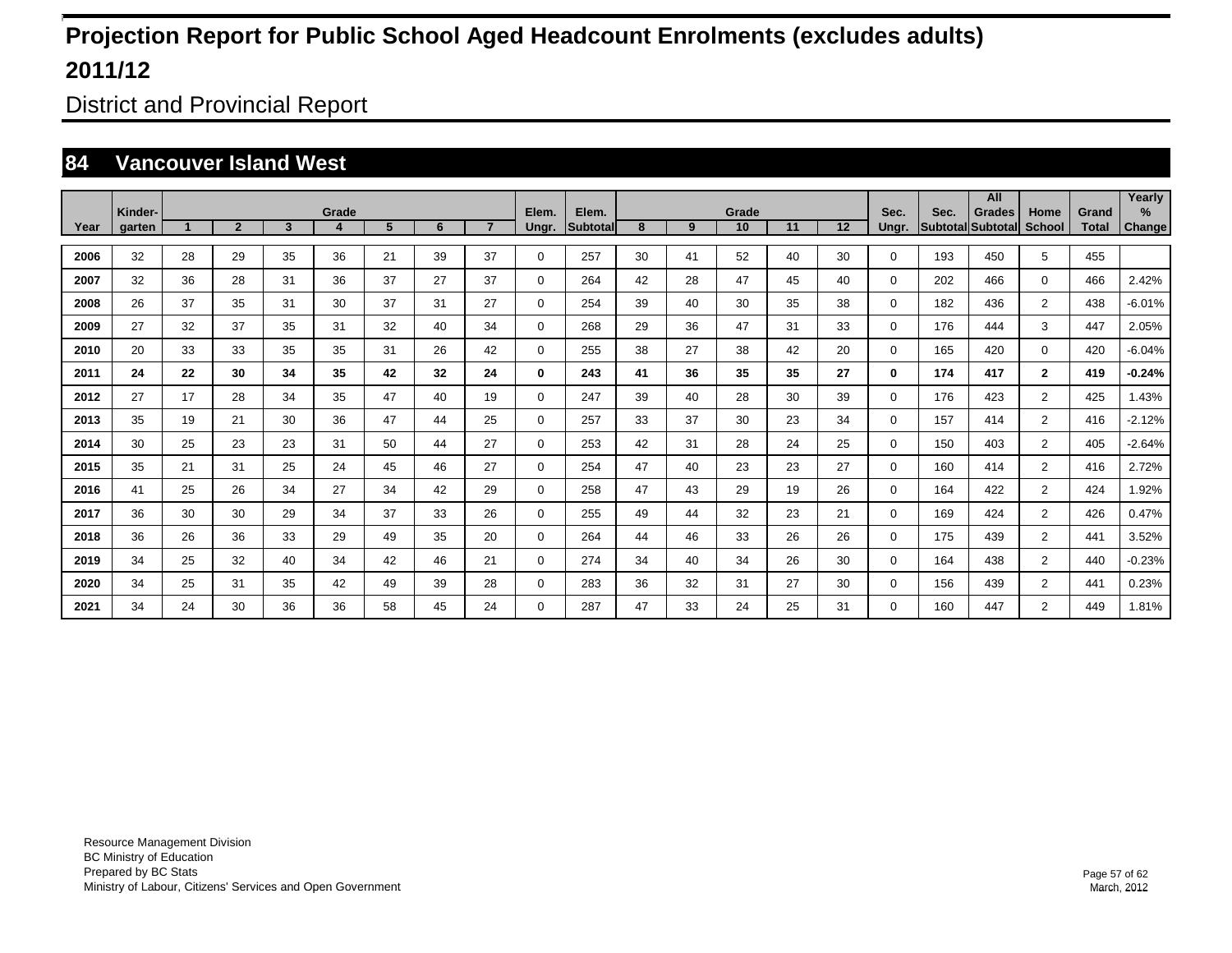District and Provincial Report

#### **84 Vancouver Island West**

|      |                   |    |                |                         |            |    |    |                |                |                   |    |    |             |    |    |               |      | All                                |                       |                       | Yearly      |
|------|-------------------|----|----------------|-------------------------|------------|----|----|----------------|----------------|-------------------|----|----|-------------|----|----|---------------|------|------------------------------------|-----------------------|-----------------------|-------------|
| Year | Kinder-<br>garten |    | $\overline{2}$ | $\overline{\mathbf{3}}$ | Grade<br>4 | 5  | 6  | $\overline{7}$ | Elem.<br>Ungr. | Elem.<br>Subtotal | 8  | 9  | Grade<br>10 | 11 | 12 | Sec.<br>Ungr. | Sec. | <b>Grades</b><br>Subtotal Subtotal | Home<br><b>School</b> | Grand<br><b>Total</b> | %<br>Change |
|      |                   |    |                |                         |            |    |    |                |                |                   |    |    |             |    |    |               |      |                                    |                       |                       |             |
| 2006 | 32                | 28 | 29             | 35                      | 36         | 21 | 39 | 37             | $\mathbf 0$    | 257               | 30 | 41 | 52          | 40 | 30 | 0             | 193  | 450                                | 5                     | 455                   |             |
| 2007 | 32                | 36 | 28             | 31                      | 36         | 37 | 27 | 37             | $\mathbf 0$    | 264               | 42 | 28 | 47          | 45 | 40 | 0             | 202  | 466                                | $\mathbf 0$           | 466                   | 2.42%       |
| 2008 | 26                | 37 | 35             | 31                      | 30         | 37 | 31 | 27             | $\mathbf 0$    | 254               | 39 | 40 | 30          | 35 | 38 | 0             | 182  | 436                                | $\overline{2}$        | 438                   | $-6.01%$    |
| 2009 | 27                | 32 | 37             | 35                      | 31         | 32 | 40 | 34             | 0              | 268               | 29 | 36 | 47          | 31 | 33 | 0             | 176  | 444                                | 3                     | 447                   | 2.05%       |
| 2010 | 20                | 33 | 33             | 35                      | 35         | 31 | 26 | 42             | $\mathbf 0$    | 255               | 38 | 27 | 38          | 42 | 20 | $\Omega$      | 165  | 420                                | $\mathbf 0$           | 420                   | $-6.04%$    |
| 2011 | 24                | 22 | 30             | 34                      | 35         | 42 | 32 | 24             | 0              | 243               | 41 | 36 | 35          | 35 | 27 | 0             | 174  | 417                                | $\mathbf{2}$          | 419                   | $-0.24%$    |
| 2012 | 27                | 17 | 28             | 34                      | 35         | 47 | 40 | 19             | $\mathbf 0$    | 247               | 39 | 40 | 28          | 30 | 39 | 0             | 176  | 423                                | $\overline{2}$        | 425                   | 1.43%       |
| 2013 | 35                | 19 | 21             | 30                      | 36         | 47 | 44 | 25             | $\mathbf 0$    | 257               | 33 | 37 | 30          | 23 | 34 | 0             | 157  | 414                                | $\overline{2}$        | 416                   | $-2.12%$    |
| 2014 | 30                | 25 | 23             | 23                      | 31         | 50 | 44 | 27             | 0              | 253               | 42 | 31 | 28          | 24 | 25 | 0             | 150  | 403                                | $\overline{2}$        | 405                   | $-2.64%$    |
| 2015 | 35                | 21 | 31             | 25                      | 24         | 45 | 46 | 27             | 0              | 254               | 47 | 40 | 23          | 23 | 27 | 0             | 160  | 414                                | $\overline{2}$        | 416                   | 2.72%       |
| 2016 | 41                | 25 | 26             | 34                      | 27         | 34 | 42 | 29             | 0              | 258               | 47 | 43 | 29          | 19 | 26 | 0             | 164  | 422                                | $\overline{2}$        | 424                   | 1.92%       |
| 2017 | 36                | 30 | 30             | 29                      | 34         | 37 | 33 | 26             | $\mathbf 0$    | 255               | 49 | 44 | 32          | 23 | 21 | 0             | 169  | 424                                | $\overline{2}$        | 426                   | 0.47%       |
| 2018 | 36                | 26 | 36             | 33                      | 29         | 49 | 35 | 20             | $\mathbf 0$    | 264               | 44 | 46 | 33          | 26 | 26 | 0             | 175  | 439                                | $\overline{2}$        | 441                   | 3.52%       |
| 2019 | 34                | 25 | 32             | 40                      | 34         | 42 | 46 | 21             | $\mathbf 0$    | 274               | 34 | 40 | 34          | 26 | 30 | 0             | 164  | 438                                | $\overline{2}$        | 440                   | $-0.23%$    |
| 2020 | 34                | 25 | 31             | 35                      | 42         | 49 | 39 | 28             | $\mathbf 0$    | 283               | 36 | 32 | 31          | 27 | 30 | 0             | 156  | 439                                | $\overline{2}$        | 441                   | 0.23%       |
| 2021 | 34                | 24 | 30             | 36                      | 36         | 58 | 45 | 24             | 0              | 287               | 47 | 33 | 24          | 25 | 31 | $\Omega$      | 160  | 447                                | $\overline{2}$        | 449                   | 1.81%       |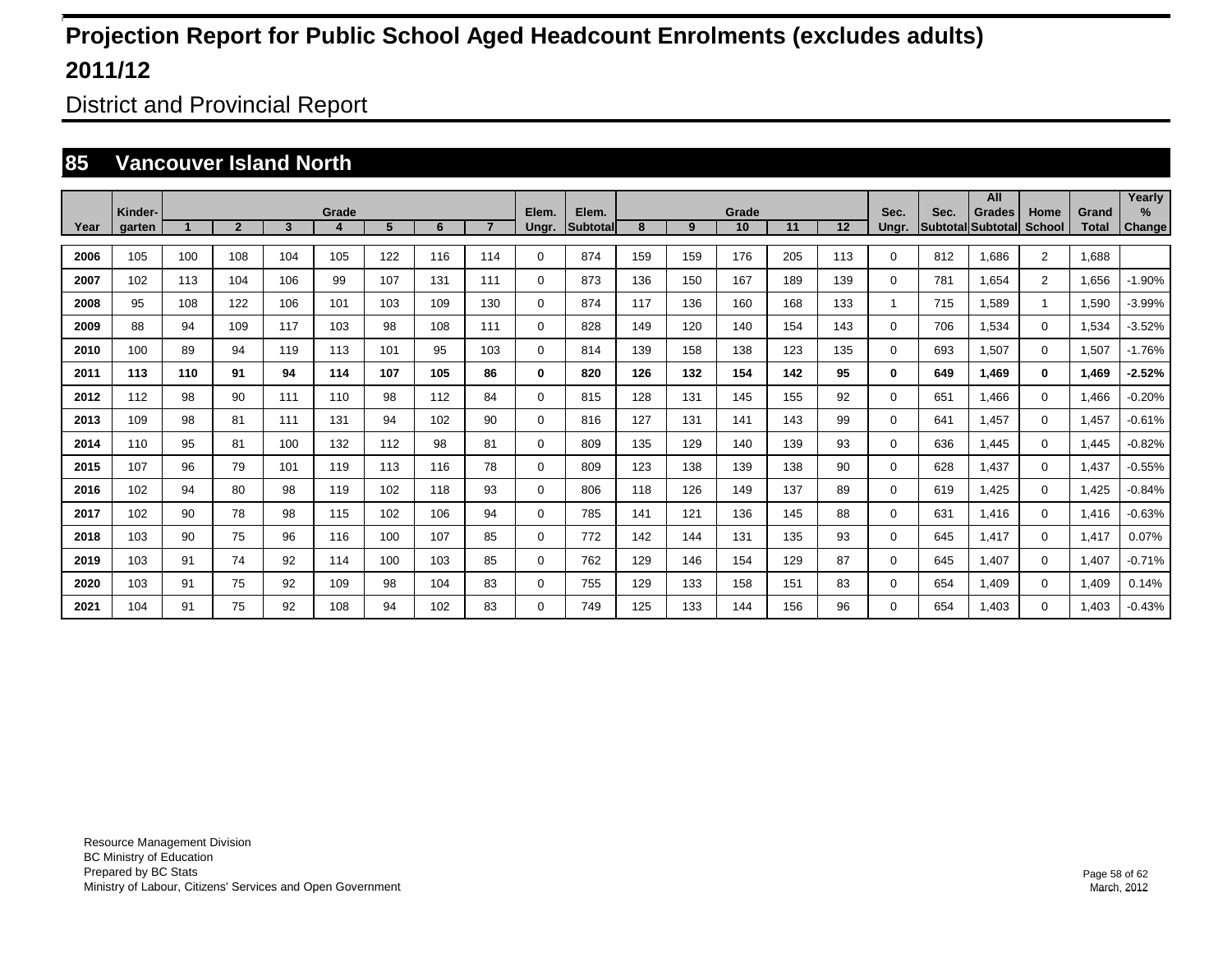District and Provincial Report

#### **85 Vancouver Island North**

|      |                   |     |                |     |            |     |     |     |                |                   |     |     |             |     |     |               |      | All                                |                       |                | Yearly             |
|------|-------------------|-----|----------------|-----|------------|-----|-----|-----|----------------|-------------------|-----|-----|-------------|-----|-----|---------------|------|------------------------------------|-----------------------|----------------|--------------------|
| Year | Kinder-<br>garten |     | $\overline{2}$ | 3   | Grade<br>4 | 5   | 6   |     | Elem.<br>Ungr. | Elem.<br>Subtotal | 8   | 9   | Grade<br>10 | 11  | 12  | Sec.<br>Ungr. | Sec. | <b>Grades</b><br>Subtotal Subtotal | Home<br><b>School</b> | Grand<br>Total | %<br><b>Change</b> |
| 2006 | 105               | 100 | 108            | 104 | 105        | 122 | 116 | 114 | $\mathbf 0$    | 874               | 159 | 159 | 176         | 205 | 113 | $\Omega$      | 812  | 1,686                              | $\overline{2}$        | 1,688          |                    |
| 2007 | 102               | 113 | 104            | 106 | 99         | 107 | 131 | 111 | $\mathbf 0$    | 873               | 136 | 150 | 167         | 189 | 139 | 0             | 781  | 1,654                              | $\overline{2}$        | 1,656          | $-1.90%$           |
| 2008 | 95                | 108 | 122            | 106 | 101        | 103 | 109 | 130 | $\mathbf 0$    | 874               | 117 | 136 | 160         | 168 | 133 | 1             | 715  | 1,589                              |                       | 1,590          | $-3.99%$           |
| 2009 | 88                | 94  | 109            | 117 | 103        | 98  | 108 | 111 | $\mathbf 0$    | 828               | 149 | 120 | 140         | 154 | 143 | 0             | 706  | 1,534                              | $\mathbf 0$           | 1,534          | $-3.52%$           |
| 2010 | 100               | 89  | 94             | 119 | 113        | 101 | 95  | 103 | $\mathbf 0$    | 814               | 139 | 158 | 138         | 123 | 135 | 0             | 693  | 1,507                              | $\mathbf 0$           | 1,507          | $-1.76%$           |
| 2011 | 113               | 110 | 91             | 94  | 114        | 107 | 105 | 86  | $\bf{0}$       | 820               | 126 | 132 | 154         | 142 | 95  | 0             | 649  | 1.469                              | $\bf{0}$              | 1,469          | $-2.52%$           |
| 2012 | 112               | 98  | 90             | 111 | 110        | 98  | 112 | 84  | $\mathbf 0$    | 815               | 128 | 131 | 145         | 155 | 92  | 0             | 651  | 1.466                              | $\mathbf 0$           | 1,466          | $-0.20%$           |
| 2013 | 109               | 98  | 81             | 111 | 131        | 94  | 102 | 90  | $\mathbf 0$    | 816               | 127 | 131 | 141         | 143 | 99  | 0             | 641  | 1,457                              | $\mathbf 0$           | 1,457          | $-0.61%$           |
| 2014 | 110               | 95  | 81             | 100 | 132        | 112 | 98  | 81  | 0              | 809               | 135 | 129 | 140         | 139 | 93  | $\Omega$      | 636  | 1,445                              | 0                     | 1,445          | $-0.82%$           |
| 2015 | 107               | 96  | 79             | 101 | 119        | 113 | 116 | 78  | $\mathbf 0$    | 809               | 123 | 138 | 139         | 138 | 90  | 0             | 628  | 1,437                              | $\mathbf 0$           | 1,437          | $-0.55%$           |
| 2016 | 102               | 94  | 80             | 98  | 119        | 102 | 118 | 93  | $\mathbf 0$    | 806               | 118 | 126 | 149         | 137 | 89  | 0             | 619  | 1,425                              | $\mathbf 0$           | 1,425          | $-0.84%$           |
| 2017 | 102               | 90  | 78             | 98  | 115        | 102 | 106 | 94  | $\mathbf 0$    | 785               | 141 | 121 | 136         | 145 | 88  | 0             | 631  | 1,416                              | $\mathbf 0$           | 1,416          | $-0.63%$           |
| 2018 | 103               | 90  | 75             | 96  | 116        | 100 | 107 | 85  | $\mathbf 0$    | 772               | 142 | 144 | 131         | 135 | 93  | 0             | 645  | 1,417                              | $\mathbf 0$           | 1,417          | 0.07%              |
| 2019 | 103               | 91  | 74             | 92  | 114        | 100 | 103 | 85  | $\mathbf 0$    | 762               | 129 | 146 | 154         | 129 | 87  | 0             | 645  | 1,407                              | $\mathbf 0$           | 1,407          | $-0.71%$           |
| 2020 | 103               | 91  | 75             | 92  | 109        | 98  | 104 | 83  | $\mathbf 0$    | 755               | 129 | 133 | 158         | 151 | 83  | 0             | 654  | 1,409                              | $\mathbf 0$           | 1,409          | 0.14%              |
| 2021 | 104               | 91  | 75             | 92  | 108        | 94  | 102 | 83  | $\mathbf 0$    | 749               | 125 | 133 | 144         | 156 | 96  | 0             | 654  | 1.403                              | $\mathbf 0$           | 1.403          | $-0.43%$           |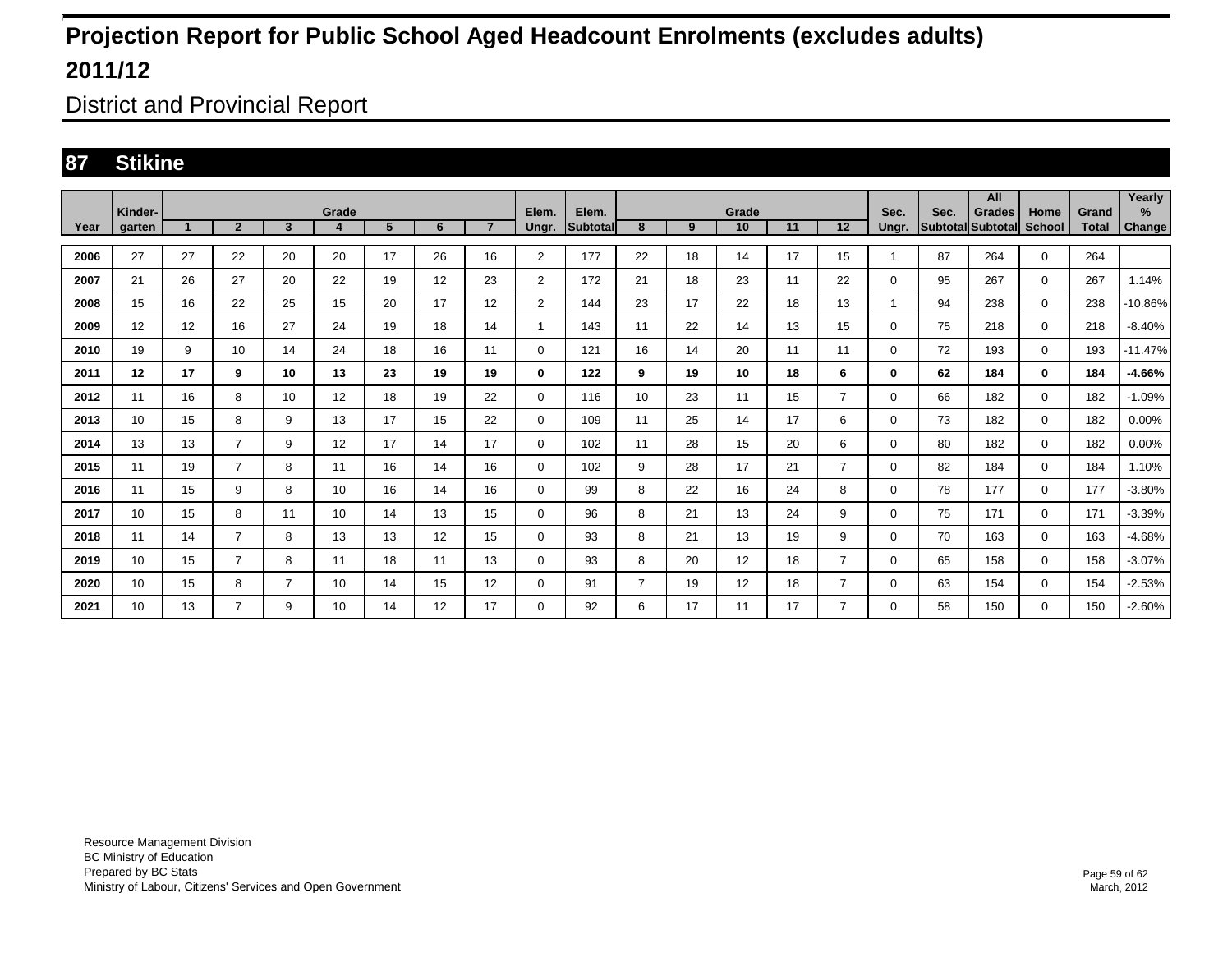District and Provincial Report

### **87 Stikine**

|      | Kinder- |                      |                |                | Grade            |             |    |                 | Elem.          | Elem.           |                |    | Grade |    |                | Sec.     | Sec. | All<br><b>Grades</b> | Home          | Grand        | Yearly<br>%   |
|------|---------|----------------------|----------------|----------------|------------------|-------------|----|-----------------|----------------|-----------------|----------------|----|-------|----|----------------|----------|------|----------------------|---------------|--------------|---------------|
| Year | garten  | $\blacktriangleleft$ | $\overline{2}$ | $\overline{3}$ | $\boldsymbol{4}$ | $5^{\circ}$ | 6  | $\overline{ }$  | Ungr.          | <b>Subtotal</b> | 8              | 9  | 10    | 11 | 12             | Unar.    |      | Subtotal Subtotal    | <b>School</b> | <b>Total</b> | <b>Change</b> |
| 2006 | 27      | 27                   | 22             | 20             | 20               | 17          | 26 | 16              | $\overline{2}$ | 177             | 22             | 18 | 14    | 17 | 15             |          | 87   | 264                  | $\mathbf 0$   | 264          |               |
| 2007 | 21      | 26                   | 27             | 20             | 22               | 19          | 12 | 23              | $\overline{2}$ | 172             | 21             | 18 | 23    | 11 | 22             | $\Omega$ | 95   | 267                  | $\mathbf 0$   | 267          | 1.14%         |
| 2008 | 15      | 16                   | 22             | 25             | 15               | 20          | 17 | 12              | $\overline{2}$ | 144             | 23             | 17 | 22    | 18 | 13             |          | 94   | 238                  | $\mathbf 0$   | 238          | $-10.86%$     |
| 2009 | 12      | 12                   | 16             | 27             | 24               | 19          | 18 | 14              | -1             | 143             | 11             | 22 | 14    | 13 | 15             | 0        | 75   | 218                  | $\mathbf 0$   | 218          | $-8.40%$      |
| 2010 | 19      | 9                    | 10             | 14             | 24               | 18          | 16 | 11              | 0              | 121             | 16             | 14 | 20    | 11 | 11             | 0        | 72   | 193                  | $\mathbf 0$   | 193          | $-11.47%$     |
| 2011 | 12      | 17                   | 9              | 10             | 13               | 23          | 19 | 19              | 0              | 122             | 9              | 19 | 10    | 18 | 6              | 0        | 62   | 184                  | $\bf{0}$      | 184          | $-4.66%$      |
| 2012 | 11      | 16                   | 8              | 10             | 12               | 18          | 19 | 22              | 0              | 116             | 10             | 23 | 11    | 15 | $\overline{7}$ | $\Omega$ | 66   | 182                  | $\mathbf 0$   | 182          | $-1.09%$      |
| 2013 | 10      | 15                   | 8              | 9              | 13               | 17          | 15 | 22              | $\mathbf 0$    | 109             | 11             | 25 | 14    | 17 | 6              | 0        | 73   | 182                  | $\mathbf 0$   | 182          | 0.00%         |
| 2014 | 13      | 13                   | 7              | 9              | 12               | 17          | 14 | 17              | 0              | 102             | 11             | 28 | 15    | 20 | 6              | 0        | 80   | 182                  | $\mathbf 0$   | 182          | 0.00%         |
| 2015 | 11      | 19                   | $\overline{7}$ | 8              | 11               | 16          | 14 | 16              | 0              | 102             | 9              | 28 | 17    | 21 | $\overline{7}$ | $\Omega$ | 82   | 184                  | $\mathbf 0$   | 184          | 1.10%         |
| 2016 | 11      | 15                   | 9              | 8              | 10               | 16          | 14 | 16              | 0              | 99              | 8              | 22 | 16    | 24 | 8              | 0        | 78   | 177                  | $\mathbf 0$   | 177          | $-3.80%$      |
| 2017 | 10      | 15                   | 8              | 11             | 10               | 14          | 13 | 15              | $\mathbf 0$    | 96              | 8              | 21 | 13    | 24 | 9              | 0        | 75   | 171                  | $\mathbf 0$   | 171          | $-3.39%$      |
| 2018 | 11      | 14                   | $\overline{7}$ | 8              | 13               | 13          | 12 | 15              | 0              | 93              | 8              | 21 | 13    | 19 | 9              | 0        | 70   | 163                  | $\mathbf 0$   | 163          | $-4.68%$      |
| 2019 | 10      | 15                   | $\overline{7}$ | 8              | 11               | 18          | 11 | 13              | 0              | 93              | 8              | 20 | 12    | 18 | $\overline{7}$ | 0        | 65   | 158                  | $\mathbf 0$   | 158          | $-3.07%$      |
| 2020 | 10      | 15                   | 8              | 7              | 10               | 14          | 15 | 12 <sup>2</sup> | 0              | 91              | $\overline{7}$ | 19 | 12    | 18 | $\overline{7}$ | 0        | 63   | 154                  | $\Omega$      | 154          | $-2.53%$      |
| 2021 | 10      | 13                   | $\overline{7}$ | 9              | 10               | 14          | 12 | 17              | 0              | 92              | 6              | 17 | -11   | 17 | 7              | 0        | 58   | 150                  | $\mathbf 0$   | 150          | $-2.60%$      |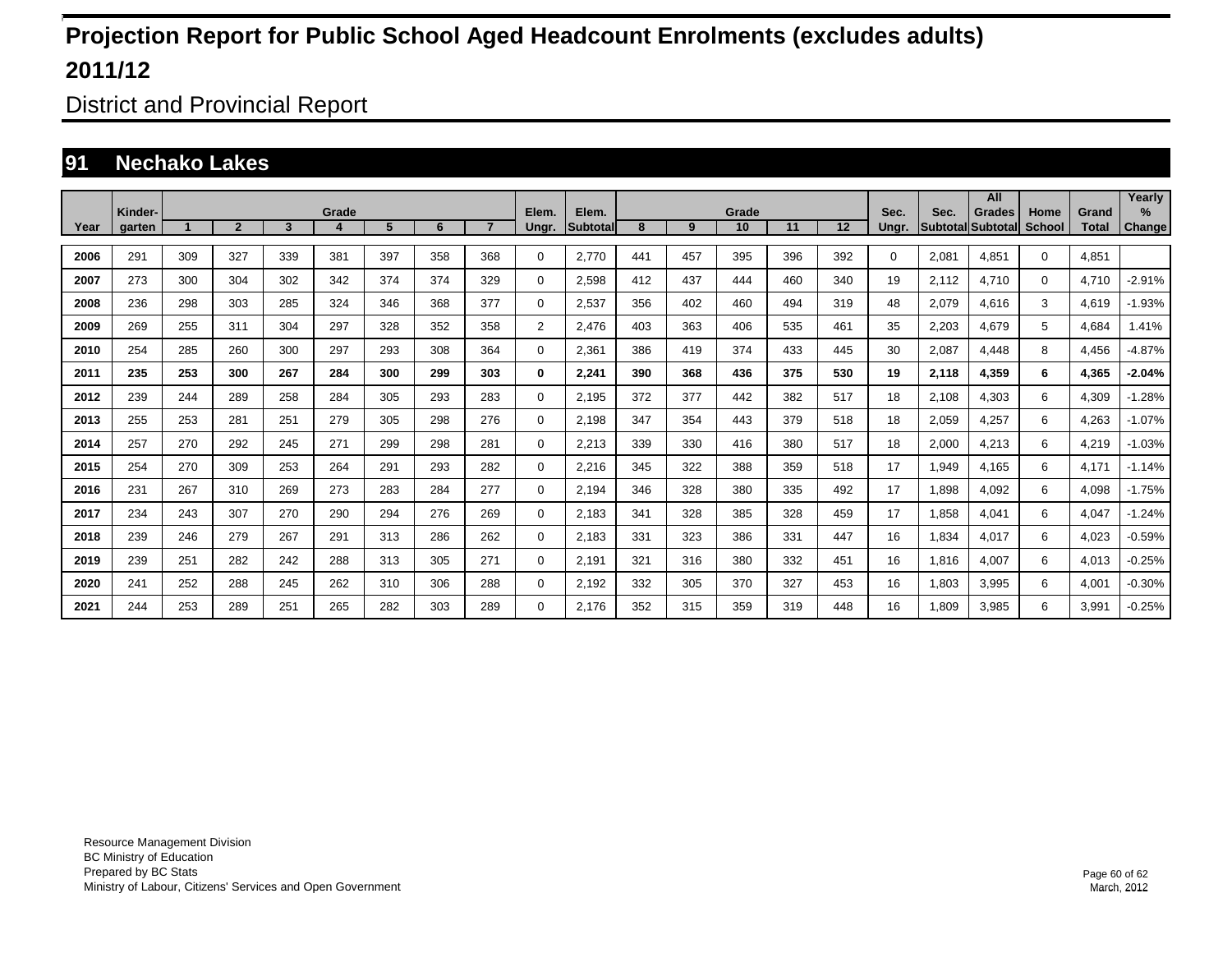District and Provincial Report

### **91 Nechako Lakes**

|      |         |                                                               |     |     |     |     |     |     | Elem.          |                    |     |     |             |     |                   |       |                         | All                       |                       |                       | Yearly   |
|------|---------|---------------------------------------------------------------|-----|-----|-----|-----|-----|-----|----------------|--------------------|-----|-----|-------------|-----|-------------------|-------|-------------------------|---------------------------|-----------------------|-----------------------|----------|
| Year | Kinder- | Grade<br>5<br>$\overline{2}$<br>$\overline{7}$<br>3<br>6<br>4 |     |     |     |     |     |     |                | Elem.<br>Subtotall | 8   | 9   | Grade<br>10 | 11  | $12 \overline{ }$ | Sec.  | Sec.<br><b>Subtotal</b> | <b>Grades</b><br>Subtotal | Home<br><b>School</b> | Grand<br><b>Total</b> | $\%$     |
|      | garten  |                                                               |     |     |     |     |     |     | Ungr.          |                    |     |     |             |     |                   | Ungr. |                         |                           |                       |                       | Change   |
| 2006 | 291     | 309                                                           | 327 | 339 | 381 | 397 | 358 | 368 | 0              | 2.770              | 441 | 457 | 395         | 396 | 392               | 0     | 2,081                   | 4.851                     | $\mathbf 0$           | 4.851                 |          |
| 2007 | 273     | 300                                                           | 304 | 302 | 342 | 374 | 374 | 329 | 0              | 2.598              | 412 | 437 | 444         | 460 | 340               | 19    | 2.112                   | 4.710                     | $\mathbf 0$           | 4.710                 | $-2.91%$ |
| 2008 | 236     | 298                                                           | 303 | 285 | 324 | 346 | 368 | 377 | 0              | 2,537              | 356 | 402 | 460         | 494 | 319               | 48    | 2,079                   | 4,616                     | 3                     | 4,619                 | $-1.93%$ |
| 2009 | 269     | 255                                                           | 311 | 304 | 297 | 328 | 352 | 358 | $\overline{2}$ | 2,476              | 403 | 363 | 406         | 535 | 461               | 35    | 2,203                   | 4,679                     | 5                     | 4,684                 | 1.41%    |
| 2010 | 254     | 285                                                           | 260 | 300 | 297 | 293 | 308 | 364 | 0              | 2,361              | 386 | 419 | 374         | 433 | 445               | 30    | 2,087                   | 4,448                     | 8                     | 4,456                 | $-4.87%$ |
| 2011 | 235     | 253                                                           | 300 | 267 | 284 | 300 | 299 | 303 | 0              | 2,241              | 390 | 368 | 436         | 375 | 530               | 19    | 2,118                   | 4,359                     | 6                     | 4,365                 | $-2.04%$ |
| 2012 | 239     | 244                                                           | 289 | 258 | 284 | 305 | 293 | 283 | $\mathbf 0$    | 2,195              | 372 | 377 | 442         | 382 | 517               | 18    | 2,108                   | 4,303                     | 6                     | 4,309                 | $-1.28%$ |
| 2013 | 255     | 253                                                           | 281 | 251 | 279 | 305 | 298 | 276 | 0              | 2,198              | 347 | 354 | 443         | 379 | 518               | 18    | 2,059                   | 4.257                     | 6                     | 4,263                 | $-1.07%$ |
| 2014 | 257     | 270                                                           | 292 | 245 | 271 | 299 | 298 | 281 | 0              | 2,213              | 339 | 330 | 416         | 380 | 517               | 18    | 2,000                   | 4.213                     | 6                     | 4,219                 | $-1.03%$ |
| 2015 | 254     | 270                                                           | 309 | 253 | 264 | 291 | 293 | 282 | 0              | 2,216              | 345 | 322 | 388         | 359 | 518               | 17    | 1,949                   | 4,165                     | 6                     | 4,171                 | $-1.14%$ |
| 2016 | 231     | 267                                                           | 310 | 269 | 273 | 283 | 284 | 277 | 0              | 2,194              | 346 | 328 | 380         | 335 | 492               | 17    | 1,898                   | 4.092                     | 6                     | 4,098                 | $-1.75%$ |
| 2017 | 234     | 243                                                           | 307 | 270 | 290 | 294 | 276 | 269 | 0              | 2,183              | 341 | 328 | 385         | 328 | 459               | 17    | 1,858                   | 4,041                     | 6                     | 4,047                 | $-1.24%$ |
| 2018 | 239     | 246                                                           | 279 | 267 | 291 | 313 | 286 | 262 | 0              | 2,183              | 331 | 323 | 386         | 331 | 447               | 16    | 1.834                   | 4.017                     | 6                     | 4,023                 | $-0.59%$ |
| 2019 | 239     | 251                                                           | 282 | 242 | 288 | 313 | 305 | 271 | 0              | 2,191              | 321 | 316 | 380         | 332 | 451               | 16    | 1.816                   | 4.007                     | 6                     | 4,013                 | $-0.25%$ |
| 2020 | 241     | 252                                                           | 288 | 245 | 262 | 310 | 306 | 288 | $\mathbf 0$    | 2,192              | 332 | 305 | 370         | 327 | 453               | 16    | 1,803                   | 3,995                     | 6                     | 4,001                 | $-0.30%$ |
| 2021 | 244     | 253                                                           | 289 | 251 | 265 | 282 | 303 | 289 | $\Omega$       | 2.176              | 352 | 315 | 359         | 319 | 448               | 16    | 1.809                   | 3,985                     | 6                     | 3,991                 | $-0.25%$ |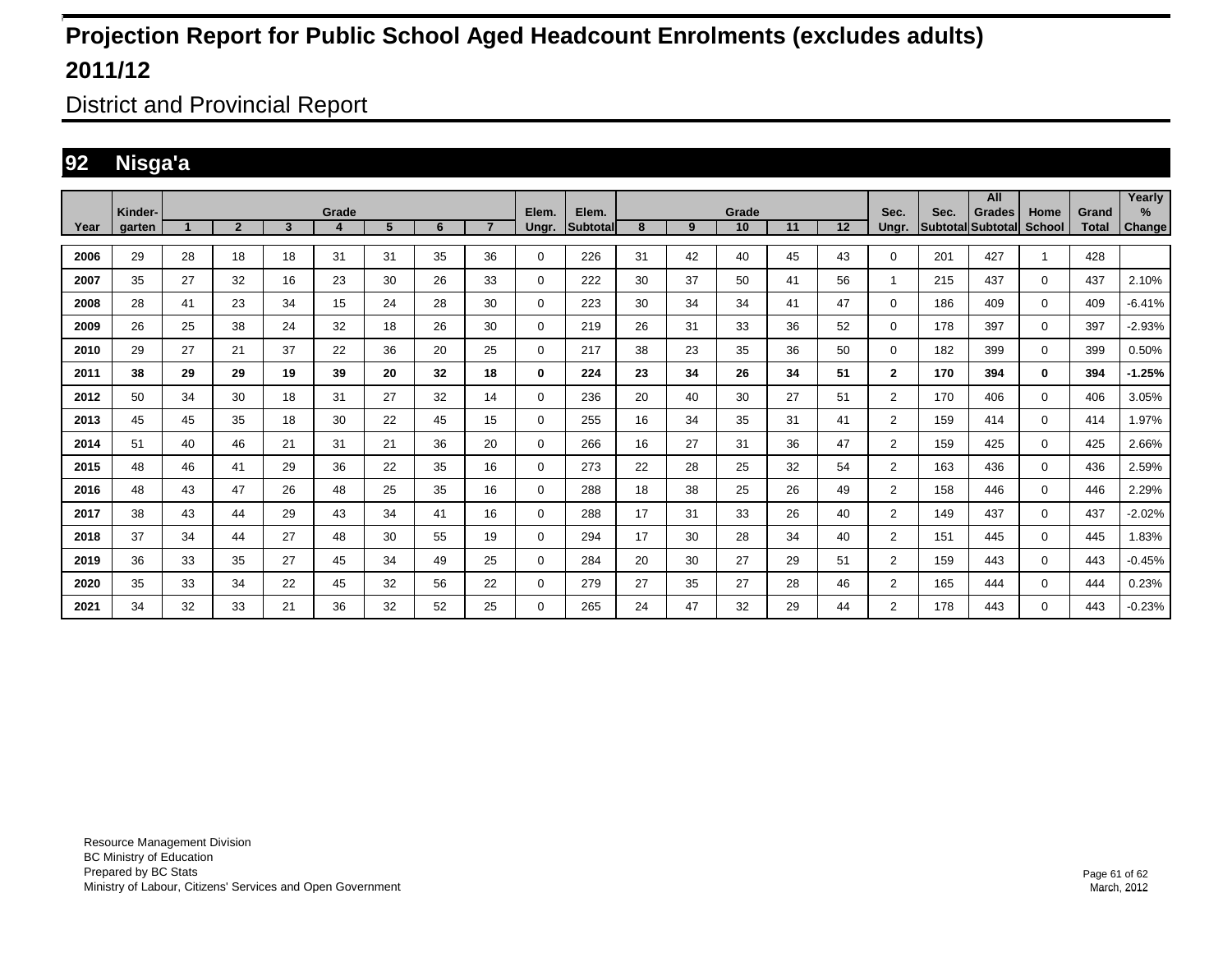District and Provincial Report

### **92 Nisga'a**

|      | Kinder- |    |                |    | Grade |    |    |                | Elem.       | Elem.    |    |    | Grade |    |    | Sec.           | Sec. | All<br>Grades     | Home          | Grand | Yearly<br>% |
|------|---------|----|----------------|----|-------|----|----|----------------|-------------|----------|----|----|-------|----|----|----------------|------|-------------------|---------------|-------|-------------|
| Year | garten  |    | $\overline{2}$ | 3  | 4     | 5  | 6  | $\overline{7}$ | Ungr.       | Subtotal | 8  | 9  | 10    | 11 | 12 | Unar.          |      | Subtotal Subtotal | <b>School</b> | Total | Change      |
| 2006 | 29      | 28 | 18             | 18 | 31    | 31 | 35 | 36             | 0           | 226      | 31 | 42 | 40    | 45 | 43 | 0              | 201  | 427               | $\mathbf{1}$  | 428   |             |
| 2007 | 35      | 27 | 32             | 16 | 23    | 30 | 26 | 33             | 0           | 222      | 30 | 37 | 50    | 41 | 56 | 1              | 215  | 437               | $\mathbf 0$   | 437   | 2.10%       |
| 2008 | 28      | 41 | 23             | 34 | 15    | 24 | 28 | 30             | 0           | 223      | 30 | 34 | 34    | 41 | 47 | 0              | 186  | 409               | $\mathbf 0$   | 409   | $-6.41%$    |
| 2009 | 26      | 25 | 38             | 24 | 32    | 18 | 26 | 30             | $\mathbf 0$ | 219      | 26 | 31 | 33    | 36 | 52 | 0              | 178  | 397               | $\mathbf 0$   | 397   | $-2.93%$    |
| 2010 | 29      | 27 | 21             | 37 | 22    | 36 | 20 | 25             | 0           | 217      | 38 | 23 | 35    | 36 | 50 | $\Omega$       | 182  | 399               | $\mathbf 0$   | 399   | 0.50%       |
| 2011 | 38      | 29 | 29             | 19 | 39    | 20 | 32 | 18             | 0           | 224      | 23 | 34 | 26    | 34 | 51 | $\mathbf{2}$   | 170  | 394               | $\bf{0}$      | 394   | $-1.25%$    |
| 2012 | 50      | 34 | 30             | 18 | 31    | 27 | 32 | 14             | 0           | 236      | 20 | 40 | 30    | 27 | 51 | $\overline{2}$ | 170  | 406               | $\mathbf 0$   | 406   | 3.05%       |
| 2013 | 45      | 45 | 35             | 18 | 30    | 22 | 45 | 15             | 0           | 255      | 16 | 34 | 35    | 31 | 41 | $\overline{2}$ | 159  | 414               | $\mathbf 0$   | 414   | 1.97%       |
| 2014 | 51      | 40 | 46             | 21 | 31    | 21 | 36 | 20             | 0           | 266      | 16 | 27 | 31    | 36 | 47 | $\overline{2}$ | 159  | 425               | 0             | 425   | 2.66%       |
| 2015 | 48      | 46 | 41             | 29 | 36    | 22 | 35 | 16             | 0           | 273      | 22 | 28 | 25    | 32 | 54 | $\overline{2}$ | 163  | 436               | 0             | 436   | 2.59%       |
| 2016 | 48      | 43 | 47             | 26 | 48    | 25 | 35 | 16             | 0           | 288      | 18 | 38 | 25    | 26 | 49 | $\overline{2}$ | 158  | 446               | $\mathbf 0$   | 446   | 2.29%       |
| 2017 | 38      | 43 | 44             | 29 | 43    | 34 | 41 | 16             | 0           | 288      | 17 | 31 | 33    | 26 | 40 | $\overline{2}$ | 149  | 437               | $\mathbf 0$   | 437   | $-2.02%$    |
| 2018 | 37      | 34 | 44             | 27 | 48    | 30 | 55 | 19             | 0           | 294      | 17 | 30 | 28    | 34 | 40 | $\overline{2}$ | 151  | 445               | $\mathbf 0$   | 445   | 1.83%       |
| 2019 | 36      | 33 | 35             | 27 | 45    | 34 | 49 | 25             | $\mathbf 0$ | 284      | 20 | 30 | 27    | 29 | 51 | $\overline{2}$ | 159  | 443               | $\mathbf 0$   | 443   | $-0.45%$    |
| 2020 | 35      | 33 | 34             | 22 | 45    | 32 | 56 | 22             | $\mathbf 0$ | 279      | 27 | 35 | 27    | 28 | 46 | $\overline{2}$ | 165  | 444               | $\mathbf 0$   | 444   | 0.23%       |
| 2021 | 34      | 32 | 33             | 21 | 36    | 32 | 52 | 25             | 0           | 265      | 24 | 47 | 32    | 29 | 44 | $\overline{2}$ | 178  | 443               | $\Omega$      | 443   | $-0.23%$    |